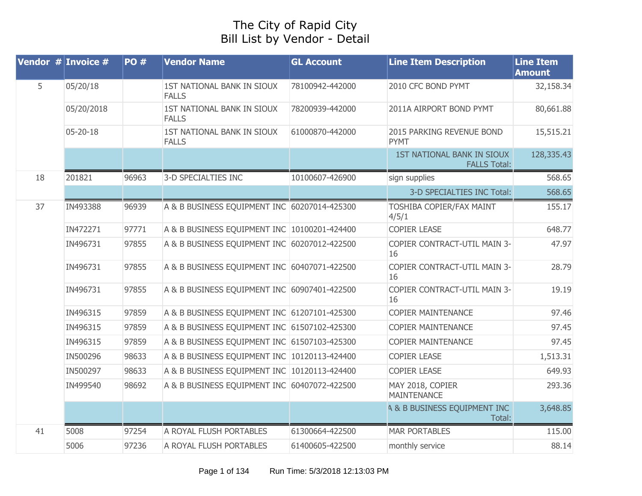## The City of Rapid City Bill List by Vendor - Detail

|    | Vendor $#$ Invoice $#$ | <b>PO#</b> | <b>Vendor Name</b>                           | <b>GL Account</b> | <b>Line Item Description</b>                      | <b>Line Item</b><br><b>Amount</b> |
|----|------------------------|------------|----------------------------------------------|-------------------|---------------------------------------------------|-----------------------------------|
| 5  | 05/20/18               |            | 1ST NATIONAL BANK IN SIOUX<br><b>FALLS</b>   | 78100942-442000   | 2010 CFC BOND PYMT                                | 32,158.34                         |
|    | 05/20/2018             |            | 1ST NATIONAL BANK IN SIOUX<br><b>FALLS</b>   | 78200939-442000   | 2011A AIRPORT BOND PYMT                           | 80,661.88                         |
|    | 05-20-18               |            | 1ST NATIONAL BANK IN SIOUX<br><b>FALLS</b>   | 61000870-442000   | 2015 PARKING REVENUE BOND<br><b>PYMT</b>          | 15,515.21                         |
|    |                        |            |                                              |                   | 1ST NATIONAL BANK IN SIOUX<br><b>FALLS Total:</b> | 128,335.43                        |
| 18 | 201821                 | 96963      | 3-D SPECIALTIES INC                          | 10100607-426900   | sign supplies                                     | 568.65                            |
|    |                        |            |                                              |                   | 3-D SPECIALTIES INC Total:                        | 568.65                            |
| 37 | IN493388               | 96939      | A & B BUSINESS EQUIPMENT INC 60207014-425300 |                   | <b>TOSHIBA COPIER/FAX MAINT</b><br>4/5/1          | 155.17                            |
|    | IN472271               | 97771      | A & B BUSINESS EQUIPMENT INC 10100201-424400 |                   | <b>COPIER LEASE</b>                               | 648.77                            |
|    | IN496731               | 97855      | A & B BUSINESS EQUIPMENT INC 60207012-422500 |                   | COPIER CONTRACT-UTIL MAIN 3-<br>16                | 47.97                             |
|    | IN496731               | 97855      | A & B BUSINESS EQUIPMENT INC 60407071-422500 |                   | COPIER CONTRACT-UTIL MAIN 3-<br>16                | 28.79                             |
|    | IN496731               | 97855      | A & B BUSINESS EQUIPMENT INC 60907401-422500 |                   | COPIER CONTRACT-UTIL MAIN 3-<br>16                | 19.19                             |
|    | IN496315               | 97859      | A & B BUSINESS EQUIPMENT INC 61207101-425300 |                   | <b>COPIER MAINTENANCE</b>                         | 97.46                             |
|    | IN496315               | 97859      | A & B BUSINESS EQUIPMENT INC 61507102-425300 |                   | <b>COPIER MAINTENANCE</b>                         | 97.45                             |
|    | IN496315               | 97859      | A & B BUSINESS EQUIPMENT INC 61507103-425300 |                   | <b>COPIER MAINTENANCE</b>                         | 97.45                             |
|    | IN500296               | 98633      | A & B BUSINESS EQUIPMENT INC 10120113-424400 |                   | <b>COPIER LEASE</b>                               | 1,513.31                          |
|    | IN500297               | 98633      | A & B BUSINESS EQUIPMENT INC 10120113-424400 |                   | <b>COPIER LEASE</b>                               | 649.93                            |
|    | IN499540               | 98692      | A & B BUSINESS EQUIPMENT INC 60407072-422500 |                   | MAY 2018, COPIER<br><b>MAINTENANCE</b>            | 293.36                            |
|    |                        |            |                                              |                   | <b>4 &amp; B BUSINESS EQUIPMENT INC</b><br>Total: | 3,648.85                          |
| 41 | 5008                   | 97254      | A ROYAL FLUSH PORTABLES                      | 61300664-422500   | <b>MAR PORTABLES</b>                              | 115.00                            |
|    | 5006                   | 97236      | A ROYAL FLUSH PORTABLES                      | 61400605-422500   | monthly service                                   | 88.14                             |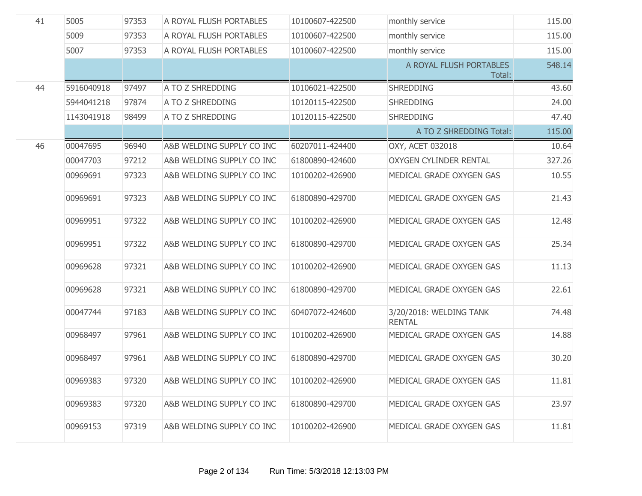| 41 | 5005       | 97353 | A ROYAL FLUSH PORTABLES   | 10100607-422500 | monthly service                          | 115.00 |
|----|------------|-------|---------------------------|-----------------|------------------------------------------|--------|
|    | 5009       | 97353 | A ROYAL FLUSH PORTABLES   | 10100607-422500 | monthly service                          | 115.00 |
|    | 5007       | 97353 | A ROYAL FLUSH PORTABLES   | 10100607-422500 | monthly service                          | 115.00 |
|    |            |       |                           |                 | A ROYAL FLUSH PORTABLES<br>Total:        | 548.14 |
| 44 | 5916040918 | 97497 | A TO Z SHREDDING          | 10106021-422500 | <b>SHREDDING</b>                         | 43.60  |
|    | 5944041218 | 97874 | A TO Z SHREDDING          | 10120115-422500 | <b>SHREDDING</b>                         | 24.00  |
|    | 1143041918 | 98499 | A TO Z SHREDDING          | 10120115-422500 | <b>SHREDDING</b>                         | 47.40  |
|    |            |       |                           |                 | A TO Z SHREDDING Total:                  | 115.00 |
| 46 | 00047695   | 96940 | A&B WELDING SUPPLY CO INC | 60207011-424400 | OXY, ACET 032018                         | 10.64  |
|    | 00047703   | 97212 | A&B WELDING SUPPLY CO INC | 61800890-424600 | <b>OXYGEN CYLINDER RENTAL</b>            | 327.26 |
|    | 00969691   | 97323 | A&B WELDING SUPPLY CO INC | 10100202-426900 | MEDICAL GRADE OXYGEN GAS                 | 10.55  |
|    | 00969691   | 97323 | A&B WELDING SUPPLY CO INC | 61800890-429700 | MEDICAL GRADE OXYGEN GAS                 | 21.43  |
|    | 00969951   | 97322 | A&B WELDING SUPPLY CO INC | 10100202-426900 | MEDICAL GRADE OXYGEN GAS                 | 12.48  |
|    | 00969951   | 97322 | A&B WELDING SUPPLY CO INC | 61800890-429700 | MEDICAL GRADE OXYGEN GAS                 | 25.34  |
|    | 00969628   | 97321 | A&B WELDING SUPPLY CO INC | 10100202-426900 | MEDICAL GRADE OXYGEN GAS                 | 11.13  |
|    | 00969628   | 97321 | A&B WELDING SUPPLY CO INC | 61800890-429700 | MEDICAL GRADE OXYGEN GAS                 | 22.61  |
|    | 00047744   | 97183 | A&B WELDING SUPPLY CO INC | 60407072-424600 | 3/20/2018: WELDING TANK<br><b>RENTAL</b> | 74.48  |
|    | 00968497   | 97961 | A&B WELDING SUPPLY CO INC | 10100202-426900 | MEDICAL GRADE OXYGEN GAS                 | 14.88  |
|    | 00968497   | 97961 | A&B WELDING SUPPLY CO INC | 61800890-429700 | MEDICAL GRADE OXYGEN GAS                 | 30.20  |
|    | 00969383   | 97320 | A&B WELDING SUPPLY CO INC | 10100202-426900 | MEDICAL GRADE OXYGEN GAS                 | 11.81  |
|    | 00969383   | 97320 | A&B WELDING SUPPLY CO INC | 61800890-429700 | MEDICAL GRADE OXYGEN GAS                 | 23.97  |
|    | 00969153   | 97319 | A&B WELDING SUPPLY CO INC | 10100202-426900 | MEDICAL GRADE OXYGEN GAS                 | 11.81  |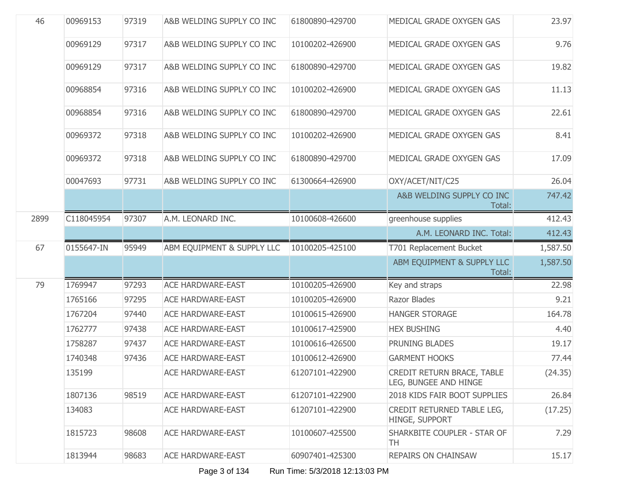| 46   | 00969153   | 97319 | A&B WELDING SUPPLY CO INC  | 61800890-429700 | MEDICAL GRADE OXYGEN GAS                            | 23.97    |
|------|------------|-------|----------------------------|-----------------|-----------------------------------------------------|----------|
|      | 00969129   | 97317 | A&B WELDING SUPPLY CO INC  | 10100202-426900 | MEDICAL GRADE OXYGEN GAS                            | 9.76     |
|      | 00969129   | 97317 | A&B WELDING SUPPLY CO INC  | 61800890-429700 | MEDICAL GRADE OXYGEN GAS                            | 19.82    |
|      | 00968854   | 97316 | A&B WELDING SUPPLY CO INC  | 10100202-426900 | MEDICAL GRADE OXYGEN GAS                            | 11.13    |
|      | 00968854   | 97316 | A&B WELDING SUPPLY CO INC  | 61800890-429700 | MEDICAL GRADE OXYGEN GAS                            | 22.61    |
|      | 00969372   | 97318 | A&B WELDING SUPPLY CO INC  | 10100202-426900 | MEDICAL GRADE OXYGEN GAS                            | 8.41     |
|      | 00969372   | 97318 | A&B WELDING SUPPLY CO INC  | 61800890-429700 | MEDICAL GRADE OXYGEN GAS                            | 17.09    |
|      | 00047693   | 97731 | A&B WELDING SUPPLY CO INC  | 61300664-426900 | OXY/ACET/NIT/C25                                    | 26.04    |
|      |            |       |                            |                 | A&B WELDING SUPPLY CO INC<br>Total:                 | 747.42   |
| 2899 | C118045954 | 97307 | A.M. LEONARD INC.          | 10100608-426600 | greenhouse supplies                                 | 412.43   |
|      |            |       |                            |                 | A.M. LEONARD INC. Total:                            | 412.43   |
| 67   | 0155647-IN | 95949 | ABM EQUIPMENT & SUPPLY LLC | 10100205-425100 | T701 Replacement Bucket                             | 1,587.50 |
|      |            |       |                            |                 | ABM EQUIPMENT & SUPPLY LLC<br>Total:                | 1,587.50 |
| 79   | 1769947    | 97293 | <b>ACE HARDWARE-EAST</b>   | 10100205-426900 | Key and straps                                      | 22.98    |
|      | 1765166    | 97295 | <b>ACE HARDWARE-EAST</b>   | 10100205-426900 | Razor Blades                                        | 9.21     |
|      | 1767204    | 97440 | <b>ACE HARDWARE-EAST</b>   | 10100615-426900 | <b>HANGER STORAGE</b>                               | 164.78   |
|      | 1762777    | 97438 | <b>ACE HARDWARE-EAST</b>   | 10100617-425900 | <b>HEX BUSHING</b>                                  | 4.40     |
|      | 1758287    | 97437 | <b>ACE HARDWARE-EAST</b>   | 10100616-426500 | PRUNING BLADES                                      | 19.17    |
|      | 1740348    | 97436 | <b>ACE HARDWARE-EAST</b>   | 10100612-426900 | <b>GARMENT HOOKS</b>                                | 77.44    |
|      | 135199     |       | <b>ACE HARDWARE-EAST</b>   | 61207101-422900 | CREDIT RETURN BRACE, TABLE<br>LEG, BUNGEE AND HINGE | (24.35)  |
|      | 1807136    | 98519 | <b>ACE HARDWARE-EAST</b>   | 61207101-422900 | 2018 KIDS FAIR BOOT SUPPLIES                        | 26.84    |
|      | 134083     |       | <b>ACE HARDWARE-EAST</b>   | 61207101-422900 | CREDIT RETURNED TABLE LEG,<br>HINGE, SUPPORT        | (17.25)  |
|      | 1815723    | 98608 | <b>ACE HARDWARE-EAST</b>   | 10100607-425500 | SHARKBITE COUPLER - STAR OF<br>TH                   | 7.29     |
|      | 1813944    | 98683 | <b>ACE HARDWARE-EAST</b>   | 60907401-425300 | <b>REPAIRS ON CHAINSAW</b>                          | 15.17    |

Page 3 of 134 Run Time: 5/3/2018 12:13:03 PM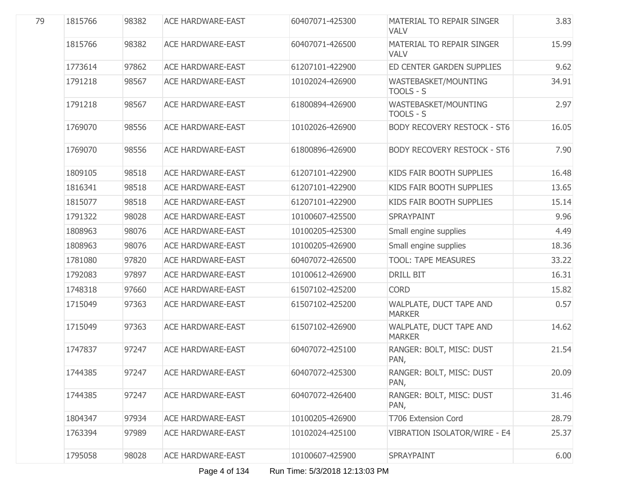| 79 | 1815766 | 98382 | <b>ACE HARDWARE-EAST</b> | 60407071-425300 | <b>MATERIAL TO REPAIR SINGER</b><br><b>VALV</b> | 3.83  |
|----|---------|-------|--------------------------|-----------------|-------------------------------------------------|-------|
|    | 1815766 | 98382 | <b>ACE HARDWARE-EAST</b> | 60407071-426500 | MATERIAL TO REPAIR SINGER<br><b>VALV</b>        | 15.99 |
|    | 1773614 | 97862 | <b>ACE HARDWARE-EAST</b> | 61207101-422900 | ED CENTER GARDEN SUPPLIES                       | 9.62  |
|    | 1791218 | 98567 | <b>ACE HARDWARE-EAST</b> | 10102024-426900 | WASTEBASKET/MOUNTING<br>TOOLS - S               | 34.91 |
|    | 1791218 | 98567 | <b>ACE HARDWARE-EAST</b> | 61800894-426900 | WASTEBASKET/MOUNTING<br>TOOLS - S               | 2.97  |
|    | 1769070 | 98556 | <b>ACE HARDWARE-EAST</b> | 10102026-426900 | <b>BODY RECOVERY RESTOCK - ST6</b>              | 16.05 |
|    | 1769070 | 98556 | <b>ACE HARDWARE-EAST</b> | 61800896-426900 | <b>BODY RECOVERY RESTOCK - ST6</b>              | 7.90  |
|    | 1809105 | 98518 | <b>ACE HARDWARE-EAST</b> | 61207101-422900 | KIDS FAIR BOOTH SUPPLIES                        | 16.48 |
|    | 1816341 | 98518 | <b>ACE HARDWARE-EAST</b> | 61207101-422900 | KIDS FAIR BOOTH SUPPLIES                        | 13.65 |
|    | 1815077 | 98518 | <b>ACE HARDWARE-EAST</b> | 61207101-422900 | KIDS FAIR BOOTH SUPPLIES                        | 15.14 |
|    | 1791322 | 98028 | <b>ACE HARDWARE-EAST</b> | 10100607-425500 | SPRAYPAINT                                      | 9.96  |
|    | 1808963 | 98076 | <b>ACE HARDWARE-EAST</b> | 10100205-425300 | Small engine supplies                           | 4.49  |
|    | 1808963 | 98076 | <b>ACE HARDWARE-EAST</b> | 10100205-426900 | Small engine supplies                           | 18.36 |
|    | 1781080 | 97820 | <b>ACE HARDWARE-EAST</b> | 60407072-426500 | <b>TOOL: TAPE MEASURES</b>                      | 33.22 |
|    | 1792083 | 97897 | <b>ACE HARDWARE-EAST</b> | 10100612-426900 | <b>DRILL BIT</b>                                | 16.31 |
|    | 1748318 | 97660 | <b>ACE HARDWARE-EAST</b> | 61507102-425200 | <b>CORD</b>                                     | 15.82 |
|    | 1715049 | 97363 | <b>ACE HARDWARE-EAST</b> | 61507102-425200 | WALPLATE, DUCT TAPE AND<br><b>MARKER</b>        | 0.57  |
|    | 1715049 | 97363 | <b>ACE HARDWARE-EAST</b> | 61507102-426900 | WALPLATE, DUCT TAPE AND<br><b>MARKER</b>        | 14.62 |
|    | 1747837 | 97247 | <b>ACE HARDWARE-EAST</b> | 60407072-425100 | RANGER: BOLT, MISC: DUST<br>PAN,                | 21.54 |
|    | 1744385 | 97247 | <b>ACE HARDWARE-EAST</b> | 60407072-425300 | RANGER: BOLT, MISC: DUST<br>PAN,                | 20.09 |
|    | 1744385 | 97247 | <b>ACE HARDWARE-EAST</b> | 60407072-426400 | RANGER: BOLT, MISC: DUST<br>PAN,                | 31.46 |
|    | 1804347 | 97934 | <b>ACE HARDWARE-EAST</b> | 10100205-426900 | T706 Extension Cord                             | 28.79 |
|    | 1763394 | 97989 | <b>ACE HARDWARE-EAST</b> | 10102024-425100 | VIBRATION ISOLATOR/WIRE - E4                    | 25.37 |
|    | 1795058 | 98028 | <b>ACE HARDWARE-EAST</b> | 10100607-425900 | SPRAYPAINT                                      | 6.00  |
|    |         |       |                          |                 |                                                 |       |

Page 4 of 134 Run Time: 5/3/2018 12:13:03 PM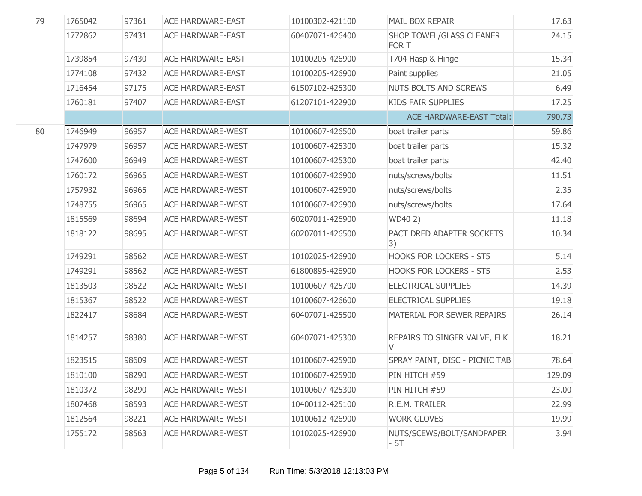| 79 | 1765042 | 97361 | <b>ACE HARDWARE-EAST</b> | 10100302-421100 | MAIL BOX REPAIR                          | 17.63  |
|----|---------|-------|--------------------------|-----------------|------------------------------------------|--------|
|    | 1772862 | 97431 | <b>ACE HARDWARE-EAST</b> | 60407071-426400 | <b>SHOP TOWEL/GLASS CLEANER</b><br>FOR T | 24.15  |
|    | 1739854 | 97430 | <b>ACE HARDWARE-EAST</b> | 10100205-426900 | T704 Hasp & Hinge                        | 15.34  |
|    | 1774108 | 97432 | <b>ACE HARDWARE-EAST</b> | 10100205-426900 | Paint supplies                           | 21.05  |
|    | 1716454 | 97175 | <b>ACE HARDWARE-EAST</b> | 61507102-425300 | <b>NUTS BOLTS AND SCREWS</b>             | 6.49   |
|    | 1760181 | 97407 | <b>ACE HARDWARE-EAST</b> | 61207101-422900 | <b>KIDS FAIR SUPPLIES</b>                | 17.25  |
|    |         |       |                          |                 | <b>ACE HARDWARE-EAST Total:</b>          | 790.73 |
| 80 | 1746949 | 96957 | <b>ACE HARDWARE-WEST</b> | 10100607-426500 | boat trailer parts                       | 59.86  |
|    | 1747979 | 96957 | <b>ACE HARDWARE-WEST</b> | 10100607-425300 | boat trailer parts                       | 15.32  |
|    | 1747600 | 96949 | <b>ACE HARDWARE-WEST</b> | 10100607-425300 | boat trailer parts                       | 42.40  |
|    | 1760172 | 96965 | <b>ACE HARDWARE-WEST</b> | 10100607-426900 | nuts/screws/bolts                        | 11.51  |
|    | 1757932 | 96965 | <b>ACE HARDWARE-WEST</b> | 10100607-426900 | nuts/screws/bolts                        | 2.35   |
|    | 1748755 | 96965 | <b>ACE HARDWARE-WEST</b> | 10100607-426900 | nuts/screws/bolts                        | 17.64  |
|    | 1815569 | 98694 | <b>ACE HARDWARE-WEST</b> | 60207011-426900 | WD40 2)                                  | 11.18  |
|    | 1818122 | 98695 | <b>ACE HARDWARE-WEST</b> | 60207011-426500 | PACT DRFD ADAPTER SOCKETS<br> 3)         | 10.34  |
|    | 1749291 | 98562 | <b>ACE HARDWARE-WEST</b> | 10102025-426900 | <b>HOOKS FOR LOCKERS - ST5</b>           | 5.14   |
|    | 1749291 | 98562 | <b>ACE HARDWARE-WEST</b> | 61800895-426900 | <b>HOOKS FOR LOCKERS - ST5</b>           | 2.53   |
|    | 1813503 | 98522 | <b>ACE HARDWARE-WEST</b> | 10100607-425700 | <b>ELECTRICAL SUPPLIES</b>               | 14.39  |
|    | 1815367 | 98522 | <b>ACE HARDWARE-WEST</b> | 10100607-426600 | <b>ELECTRICAL SUPPLIES</b>               | 19.18  |
|    | 1822417 | 98684 | <b>ACE HARDWARE-WEST</b> | 60407071-425500 | MATERIAL FOR SEWER REPAIRS               | 26.14  |
|    | 1814257 | 98380 | <b>ACE HARDWARE-WEST</b> | 60407071-425300 | REPAIRS TO SINGER VALVE, ELK<br>V        | 18.21  |
|    | 1823515 | 98609 | <b>ACE HARDWARE-WEST</b> | 10100607-425900 | SPRAY PAINT, DISC - PICNIC TAB           | 78.64  |
|    | 1810100 | 98290 | ACE HARDWARE-WEST        | 10100607-425900 | PIN HITCH #59                            | 129.09 |
|    | 1810372 | 98290 | <b>ACE HARDWARE-WEST</b> | 10100607-425300 | PIN HITCH #59                            | 23.00  |
|    | 1807468 | 98593 | <b>ACE HARDWARE-WEST</b> | 10400112-425100 | R.E.M. TRAILER                           | 22.99  |
|    | 1812564 | 98221 | <b>ACE HARDWARE-WEST</b> | 10100612-426900 | <b>WORK GLOVES</b>                       | 19.99  |
|    | 1755172 | 98563 | <b>ACE HARDWARE-WEST</b> | 10102025-426900 | NUTS/SCEWS/BOLT/SANDPAPER<br>- ST        | 3.94   |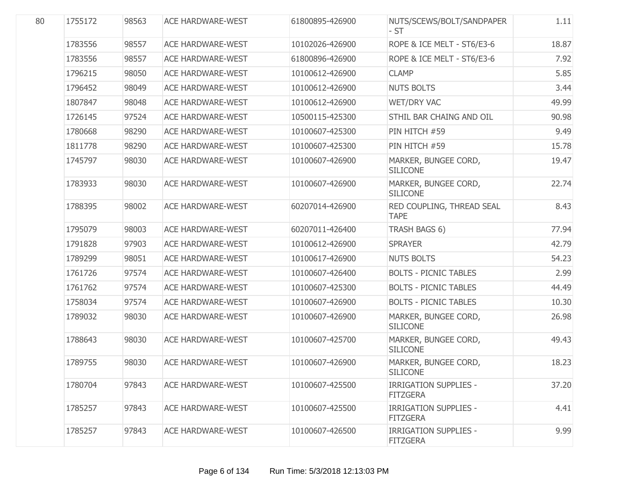| 80 | 1755172 | 98563 | <b>ACE HARDWARE-WEST</b> | 61800895-426900 | NUTS/SCEWS/BOLT/SANDPAPER<br>- ST               | 1.11  |
|----|---------|-------|--------------------------|-----------------|-------------------------------------------------|-------|
|    | 1783556 | 98557 | <b>ACE HARDWARE-WEST</b> | 10102026-426900 | ROPE & ICE MELT - ST6/E3-6                      | 18.87 |
|    | 1783556 | 98557 | <b>ACE HARDWARE-WEST</b> | 61800896-426900 | ROPE & ICE MELT - ST6/E3-6                      | 7.92  |
|    | 1796215 | 98050 | <b>ACE HARDWARE-WEST</b> | 10100612-426900 | <b>CLAMP</b>                                    | 5.85  |
|    | 1796452 | 98049 | <b>ACE HARDWARE-WEST</b> | 10100612-426900 | <b>NUTS BOLTS</b>                               | 3.44  |
|    | 1807847 | 98048 | <b>ACE HARDWARE-WEST</b> | 10100612-426900 | WET/DRY VAC                                     | 49.99 |
|    | 1726145 | 97524 | <b>ACE HARDWARE-WEST</b> | 10500115-425300 | STHIL BAR CHAING AND OIL                        | 90.98 |
|    | 1780668 | 98290 | <b>ACE HARDWARE-WEST</b> | 10100607-425300 | PIN HITCH #59                                   | 9.49  |
|    | 1811778 | 98290 | <b>ACE HARDWARE-WEST</b> | 10100607-425300 | PIN HITCH #59                                   | 15.78 |
|    | 1745797 | 98030 | <b>ACE HARDWARE-WEST</b> | 10100607-426900 | MARKER, BUNGEE CORD,<br><b>SILICONE</b>         | 19.47 |
|    | 1783933 | 98030 | <b>ACE HARDWARE-WEST</b> | 10100607-426900 | MARKER, BUNGEE CORD,<br><b>SILICONE</b>         | 22.74 |
|    | 1788395 | 98002 | <b>ACE HARDWARE-WEST</b> | 60207014-426900 | RED COUPLING, THREAD SEAL<br><b>TAPE</b>        | 8.43  |
|    | 1795079 | 98003 | <b>ACE HARDWARE-WEST</b> | 60207011-426400 | TRASH BAGS 6)                                   | 77.94 |
|    | 1791828 | 97903 | <b>ACE HARDWARE-WEST</b> | 10100612-426900 | <b>SPRAYER</b>                                  | 42.79 |
|    | 1789299 | 98051 | <b>ACE HARDWARE-WEST</b> | 10100617-426900 | <b>NUTS BOLTS</b>                               | 54.23 |
|    | 1761726 | 97574 | <b>ACE HARDWARE-WEST</b> | 10100607-426400 | <b>BOLTS - PICNIC TABLES</b>                    | 2.99  |
|    | 1761762 | 97574 | <b>ACE HARDWARE-WEST</b> | 10100607-425300 | <b>BOLTS - PICNIC TABLES</b>                    | 44.49 |
|    | 1758034 | 97574 | <b>ACE HARDWARE-WEST</b> | 10100607-426900 | <b>BOLTS - PICNIC TABLES</b>                    | 10.30 |
|    | 1789032 | 98030 | <b>ACE HARDWARE-WEST</b> | 10100607-426900 | MARKER, BUNGEE CORD,<br><b>SILICONE</b>         | 26.98 |
|    | 1788643 | 98030 | <b>ACE HARDWARE-WEST</b> | 10100607-425700 | MARKER, BUNGEE CORD,<br><b>SILICONE</b>         | 49.43 |
|    | 1789755 | 98030 | <b>ACE HARDWARE-WEST</b> | 10100607-426900 | MARKER, BUNGEE CORD,<br><b>SILICONE</b>         | 18.23 |
|    | 1780704 | 97843 | <b>ACE HARDWARE-WEST</b> | 10100607-425500 | <b>IRRIGATION SUPPLIES -</b><br><b>FITZGERA</b> | 37.20 |
|    | 1785257 | 97843 | <b>ACE HARDWARE-WEST</b> | 10100607-425500 | <b>IRRIGATION SUPPLIES -</b><br><b>FITZGERA</b> | 4.41  |
|    | 1785257 | 97843 | <b>ACE HARDWARE-WEST</b> | 10100607-426500 | <b>IRRIGATION SUPPLIES -</b><br><b>FITZGERA</b> | 9.99  |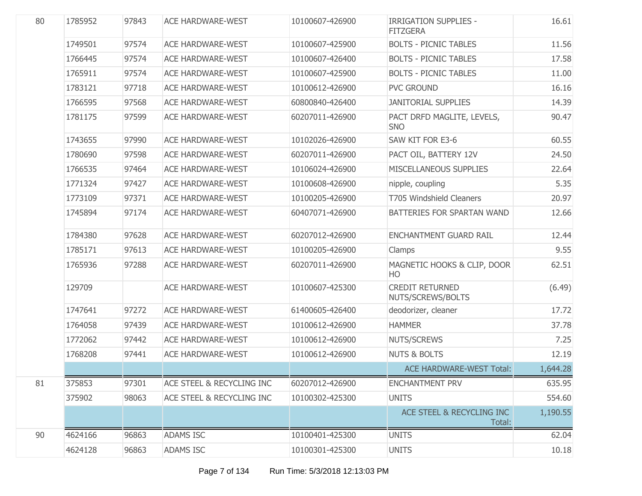| 80 | 1785952 | 97843 | <b>ACE HARDWARE-WEST</b>  | 10100607-426900 | <b>IRRIGATION SUPPLIES -</b><br><b>FITZGERA</b> | 16.61    |
|----|---------|-------|---------------------------|-----------------|-------------------------------------------------|----------|
|    | 1749501 | 97574 | <b>ACE HARDWARE-WEST</b>  | 10100607-425900 | <b>BOLTS - PICNIC TABLES</b>                    | 11.56    |
|    | 1766445 | 97574 | <b>ACE HARDWARE-WEST</b>  | 10100607-426400 | <b>BOLTS - PICNIC TABLES</b>                    | 17.58    |
|    | 1765911 | 97574 | <b>ACE HARDWARE-WEST</b>  | 10100607-425900 | <b>BOLTS - PICNIC TABLES</b>                    | 11.00    |
|    | 1783121 | 97718 | ACE HARDWARE-WEST         | 10100612-426900 | <b>PVC GROUND</b>                               | 16.16    |
|    | 1766595 | 97568 | <b>ACE HARDWARE-WEST</b>  | 60800840-426400 | <b>JANITORIAL SUPPLIES</b>                      | 14.39    |
|    | 1781175 | 97599 | <b>ACE HARDWARE-WEST</b>  | 60207011-426900 | PACT DRFD MAGLITE, LEVELS,<br><b>SNO</b>        | 90.47    |
|    | 1743655 | 97990 | <b>ACE HARDWARE-WEST</b>  | 10102026-426900 | SAW KIT FOR E3-6                                | 60.55    |
|    | 1780690 | 97598 | <b>ACE HARDWARE-WEST</b>  | 60207011-426900 | PACT OIL, BATTERY 12V                           | 24.50    |
|    | 1766535 | 97464 | <b>ACE HARDWARE-WEST</b>  | 10106024-426900 | MISCELLANEOUS SUPPLIES                          | 22.64    |
|    | 1771324 | 97427 | <b>ACE HARDWARE-WEST</b>  | 10100608-426900 | nipple, coupling                                | 5.35     |
|    | 1773109 | 97371 | <b>ACE HARDWARE-WEST</b>  | 10100205-426900 | <b>T705 Windshield Cleaners</b>                 | 20.97    |
|    | 1745894 | 97174 | <b>ACE HARDWARE-WEST</b>  | 60407071-426900 | BATTERIES FOR SPARTAN WAND                      | 12.66    |
|    | 1784380 | 97628 | ACE HARDWARE-WEST         | 60207012-426900 | <b>ENCHANTMENT GUARD RAIL</b>                   | 12.44    |
|    | 1785171 | 97613 | <b>ACE HARDWARE-WEST</b>  | 10100205-426900 | Clamps                                          | 9.55     |
|    | 1765936 | 97288 | <b>ACE HARDWARE-WEST</b>  | 60207011-426900 | MAGNETIC HOOKS & CLIP, DOOR<br>HO               | 62.51    |
|    | 129709  |       | <b>ACE HARDWARE-WEST</b>  | 10100607-425300 | <b>CREDIT RETURNED</b><br>NUTS/SCREWS/BOLTS     | (6.49)   |
|    | 1747641 | 97272 | <b>ACE HARDWARE-WEST</b>  | 61400605-426400 | deodorizer, cleaner                             | 17.72    |
|    | 1764058 | 97439 | <b>ACE HARDWARE-WEST</b>  | 10100612-426900 | <b>HAMMER</b>                                   | 37.78    |
|    | 1772062 | 97442 | <b>ACE HARDWARE-WEST</b>  | 10100612-426900 | NUTS/SCREWS                                     | 7.25     |
|    | 1768208 | 97441 | <b>ACE HARDWARE-WEST</b>  | 10100612-426900 | <b>NUTS &amp; BOLTS</b>                         | 12.19    |
|    |         |       |                           |                 | <b>ACE HARDWARE-WEST Total:</b>                 | 1,644.28 |
| 81 | 375853  | 97301 | ACE STEEL & RECYCLING INC | 60207012-426900 | <b>ENCHANTMENT PRV</b>                          | 635.95   |
|    | 375902  | 98063 | ACE STEEL & RECYCLING INC | 10100302-425300 | <b>UNITS</b>                                    | 554.60   |
|    |         |       |                           |                 | ACE STEEL & RECYCLING INC<br>Total:             | 1,190.55 |
| 90 | 4624166 | 96863 | <b>ADAMS ISC</b>          | 10100401-425300 | <b>UNITS</b>                                    | 62.04    |
|    | 4624128 | 96863 | <b>ADAMS ISC</b>          | 10100301-425300 | <b>UNITS</b>                                    | 10.18    |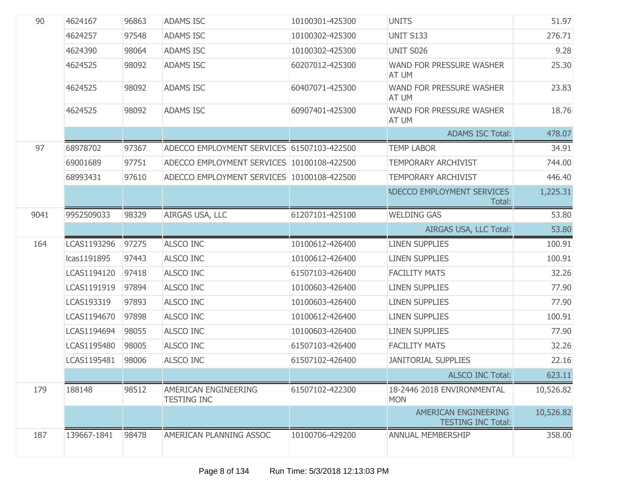| 90   | 4624167     | 96863 | <b>ADAMS ISC</b>                           | 10100301-425300 | <b>UNITS</b>                                      | 51.97     |
|------|-------------|-------|--------------------------------------------|-----------------|---------------------------------------------------|-----------|
|      | 4624257     | 97548 | <b>ADAMS ISC</b>                           | 10100302-425300 | <b>UNIT S133</b>                                  | 276.71    |
|      | 4624390     | 98064 | <b>ADAMS ISC</b>                           | 10100302-425300 | <b>UNIT S026</b>                                  | 9.28      |
|      | 4624525     | 98092 | <b>ADAMS ISC</b>                           | 60207012-425300 | WAND FOR PRESSURE WASHER<br>AT UM                 | 25.30     |
|      | 4624525     | 98092 | <b>ADAMS ISC</b>                           | 60407071-425300 | WAND FOR PRESSURE WASHER<br>AT UM                 | 23.83     |
|      | 4624525     | 98092 | <b>ADAMS ISC</b>                           | 60907401-425300 | WAND FOR PRESSURE WASHER<br>AT UM                 | 18.76     |
|      |             |       |                                            |                 | <b>ADAMS ISC Total:</b>                           | 478.07    |
| 97   | 68978702    | 97367 | ADECCO EMPLOYMENT SERVICES 61507103-422500 |                 | <b>TEMP LABOR</b>                                 | 34.91     |
|      | 69001689    | 97751 | ADECCO EMPLOYMENT SERVICES 10100108-422500 |                 | <b>TEMPORARY ARCHIVIST</b>                        | 744.00    |
|      | 68993431    | 97610 | ADECCO EMPLOYMENT SERVICES 10100108-422500 |                 | <b>TEMPORARY ARCHIVIST</b>                        | 446.40    |
|      |             |       |                                            |                 | ADECCO EMPLOYMENT SERVICES<br>Total:              | 1,225.31  |
| 9041 | 9952509033  | 98329 | AIRGAS USA, LLC                            | 61207101-425100 | <b>WELDING GAS</b>                                | 53.80     |
|      |             |       |                                            |                 | AIRGAS USA, LLC Total:                            | 53.80     |
| 164  | LCAS1193296 | 97275 | <b>ALSCO INC</b>                           | 10100612-426400 | <b>LINEN SUPPLIES</b>                             | 100.91    |
|      | Icas1191895 | 97443 | <b>ALSCO INC</b>                           | 10100612-426400 | <b>LINEN SUPPLIES</b>                             | 100.91    |
|      | LCAS1194120 | 97418 | <b>ALSCO INC</b>                           | 61507103-426400 | <b>FACILITY MATS</b>                              | 32.26     |
|      | LCAS1191919 | 97894 | <b>ALSCO INC</b>                           | 10100603-426400 | <b>LINEN SUPPLIES</b>                             | 77.90     |
|      | LCAS193319  | 97893 | <b>ALSCO INC</b>                           | 10100603-426400 | <b>LINEN SUPPLIES</b>                             | 77.90     |
|      | LCAS1194670 | 97898 | <b>ALSCO INC</b>                           | 10100612-426400 | <b>LINEN SUPPLIES</b>                             | 100.91    |
|      | LCAS1194694 | 98055 | <b>ALSCO INC</b>                           | 10100603-426400 | <b>LINEN SUPPLIES</b>                             | 77.90     |
|      | LCAS1195480 | 98005 | <b>ALSCO INC</b>                           | 61507103-426400 | <b>FACILITY MATS</b>                              | 32.26     |
|      | LCAS1195481 | 98006 | <b>ALSCO INC</b>                           | 61507102-426400 | <b>JANITORIAL SUPPLIES</b>                        | 22.16     |
|      |             |       |                                            |                 | ALSCO INC Total:                                  | 623.11    |
| 179  | 188148      | 98512 | AMERICAN ENGINEERING<br><b>TESTING INC</b> | 61507102-422300 | 18-2446 2018 ENVIRONMENTAL<br><b>MON</b>          | 10,526.82 |
|      |             |       |                                            |                 | AMERICAN ENGINEERING<br><b>TESTING INC Total:</b> | 10,526.82 |
| 187  | 139667-1841 | 98478 | AMERICAN PLANNING ASSOC                    | 10100706-429200 | <b>ANNUAL MEMBERSHIP</b>                          | 358.00    |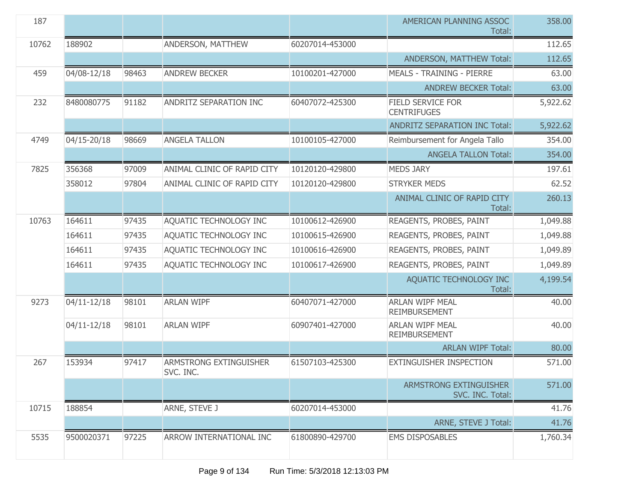| 187   |             |       |                                            |                 | AMERICAN PLANNING ASSOC<br>Total:              | 358.00   |
|-------|-------------|-------|--------------------------------------------|-----------------|------------------------------------------------|----------|
| 10762 | 188902      |       | ANDERSON, MATTHEW                          | 60207014-453000 |                                                | 112.65   |
|       |             |       |                                            |                 | ANDERSON, MATTHEW Total:                       | 112.65   |
| 459   | 04/08-12/18 | 98463 | <b>ANDREW BECKER</b>                       | 10100201-427000 | <b>MEALS - TRAINING - PIERRE</b>               | 63.00    |
|       |             |       |                                            |                 | <b>ANDREW BECKER Total:</b>                    | 63.00    |
| 232   | 8480080775  | 91182 | ANDRITZ SEPARATION INC                     | 60407072-425300 | <b>FIELD SERVICE FOR</b><br><b>CENTRIFUGES</b> | 5,922.62 |
|       |             |       |                                            |                 | <b>ANDRITZ SEPARATION INC Total:</b>           | 5,922.62 |
| 4749  | 04/15-20/18 | 98669 | <b>ANGELA TALLON</b>                       | 10100105-427000 | Reimbursement for Angela Tallo                 | 354.00   |
|       |             |       |                                            |                 | <b>ANGELA TALLON Total:</b>                    | 354.00   |
| 7825  | 356368      | 97009 | ANIMAL CLINIC OF RAPID CITY                | 10120120-429800 | <b>MEDS JARY</b>                               | 197.61   |
|       | 358012      | 97804 | ANIMAL CLINIC OF RAPID CITY                | 10120120-429800 | <b>STRYKER MEDS</b>                            | 62.52    |
|       |             |       |                                            |                 | ANIMAL CLINIC OF RAPID CITY<br>Total:          | 260.13   |
| 10763 | 164611      | 97435 | AQUATIC TECHNOLOGY INC                     | 10100612-426900 | REAGENTS, PROBES, PAINT                        | 1,049.88 |
|       | 164611      | 97435 | AQUATIC TECHNOLOGY INC                     | 10100615-426900 | REAGENTS, PROBES, PAINT                        | 1,049.88 |
|       | 164611      | 97435 | AQUATIC TECHNOLOGY INC                     | 10100616-426900 | REAGENTS, PROBES, PAINT                        | 1,049.89 |
|       | 164611      | 97435 | AQUATIC TECHNOLOGY INC                     | 10100617-426900 | REAGENTS, PROBES, PAINT                        | 1,049.89 |
|       |             |       |                                            |                 | AQUATIC TECHNOLOGY INC<br>Total:               | 4,199.54 |
| 9273  | 04/11-12/18 | 98101 | <b>ARLAN WIPF</b>                          | 60407071-427000 | <b>ARLAN WIPF MEAL</b><br><b>REIMBURSEMENT</b> | 40.00    |
|       | 04/11-12/18 | 98101 | <b>ARLAN WIPF</b>                          | 60907401-427000 | <b>ARLAN WIPF MEAL</b><br><b>REIMBURSEMENT</b> | 40.00    |
|       |             |       |                                            |                 | <b>ARLAN WIPF Total:</b>                       | 80.00    |
| 267   | 153934      | 97417 | <b>ARMSTRONG EXTINGUISHER</b><br>SVC. INC. | 61507103-425300 | <b>EXTINGUISHER INSPECTION</b>                 | 571.00   |
|       |             |       |                                            |                 | ARMSTRONG EXTINGUISHER<br>SVC. INC. Total:     | 571.00   |
| 10715 | 188854      |       | ARNE, STEVE J                              | 60207014-453000 |                                                | 41.76    |
|       |             |       |                                            |                 | ARNE, STEVE J Total:                           | 41.76    |
| 5535  | 9500020371  | 97225 | ARROW INTERNATIONAL INC                    | 61800890-429700 | <b>EMS DISPOSABLES</b>                         | 1,760.34 |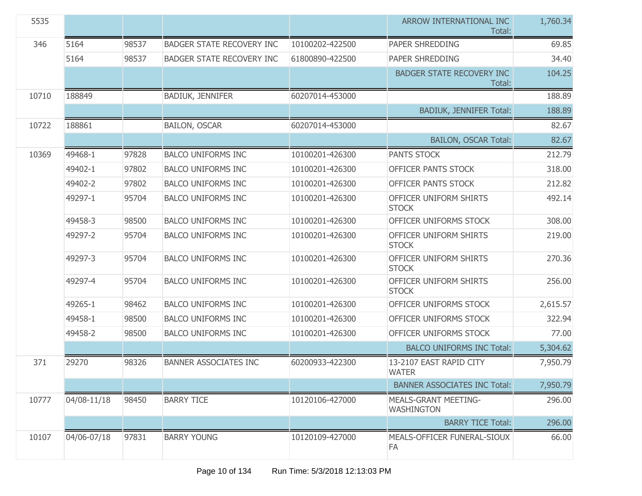| 5535  |             |       |                                  |                 | ARROW INTERNATIONAL INC<br>Total:                | 1,760.34 |
|-------|-------------|-------|----------------------------------|-----------------|--------------------------------------------------|----------|
| 346   | 5164        | 98537 | <b>BADGER STATE RECOVERY INC</b> | 10100202-422500 | PAPER SHREDDING                                  | 69.85    |
|       | 5164        | 98537 | <b>BADGER STATE RECOVERY INC</b> | 61800890-422500 | PAPER SHREDDING                                  | 34.40    |
|       |             |       |                                  |                 | <b>BADGER STATE RECOVERY INC</b><br>Total:       | 104.25   |
| 10710 | 188849      |       | <b>BADIUK, JENNIFER</b>          | 60207014-453000 |                                                  | 188.89   |
|       |             |       |                                  |                 | <b>BADIUK, JENNIFER Total:</b>                   | 188.89   |
| 10722 | 188861      |       | <b>BAILON, OSCAR</b>             | 60207014-453000 |                                                  | 82.67    |
|       |             |       |                                  |                 | <b>BAILON, OSCAR Total:</b>                      | 82.67    |
| 10369 | 49468-1     | 97828 | <b>BALCO UNIFORMS INC</b>        | 10100201-426300 | <b>PANTS STOCK</b>                               | 212.79   |
|       | 49402-1     | 97802 | <b>BALCO UNIFORMS INC</b>        | 10100201-426300 | OFFICER PANTS STOCK                              | 318.00   |
|       | 49402-2     | 97802 | <b>BALCO UNIFORMS INC</b>        | 10100201-426300 | <b>OFFICER PANTS STOCK</b>                       | 212.82   |
|       | 49297-1     | 95704 | <b>BALCO UNIFORMS INC</b>        | 10100201-426300 | OFFICER UNIFORM SHIRTS<br><b>STOCK</b>           | 492.14   |
|       | 49458-3     | 98500 | <b>BALCO UNIFORMS INC</b>        | 10100201-426300 | OFFICER UNIFORMS STOCK                           | 308.00   |
|       | 49297-2     | 95704 | <b>BALCO UNIFORMS INC</b>        | 10100201-426300 | OFFICER UNIFORM SHIRTS<br><b>STOCK</b>           | 219.00   |
|       | 49297-3     | 95704 | <b>BALCO UNIFORMS INC</b>        | 10100201-426300 | OFFICER UNIFORM SHIRTS<br><b>STOCK</b>           | 270.36   |
|       | 49297-4     | 95704 | <b>BALCO UNIFORMS INC</b>        | 10100201-426300 | OFFICER UNIFORM SHIRTS<br><b>STOCK</b>           | 256.00   |
|       | 49265-1     | 98462 | <b>BALCO UNIFORMS INC</b>        | 10100201-426300 | OFFICER UNIFORMS STOCK                           | 2,615.57 |
|       | 49458-1     | 98500 | <b>BALCO UNIFORMS INC</b>        | 10100201-426300 | OFFICER UNIFORMS STOCK                           | 322.94   |
|       | 49458-2     | 98500 | <b>BALCO UNIFORMS INC</b>        | 10100201-426300 | OFFICER UNIFORMS STOCK                           | 77.00    |
|       |             |       |                                  |                 | <b>BALCO UNIFORMS INC Total:</b>                 | 5,304.62 |
| 371   | 29270       | 98326 | <b>BANNER ASSOCIATES INC</b>     | 60200933-422300 | 13-2107 EAST RAPID CITY<br><b>WATER</b>          | 7,950.79 |
|       |             |       |                                  |                 | <b>BANNER ASSOCIATES INC Total:</b>              | 7,950.79 |
| 10777 | 04/08-11/18 | 98450 | <b>BARRY TICE</b>                | 10120106-427000 | <b>MEALS-GRANT MEETING-</b><br><b>WASHINGTON</b> | 296.00   |
|       |             |       |                                  |                 | <b>BARRY TICE Total:</b>                         | 296.00   |
| 10107 | 04/06-07/18 | 97831 | <b>BARRY YOUNG</b>               | 10120109-427000 | MEALS-OFFICER FUNERAL-SIOUX<br>FA                | 66.00    |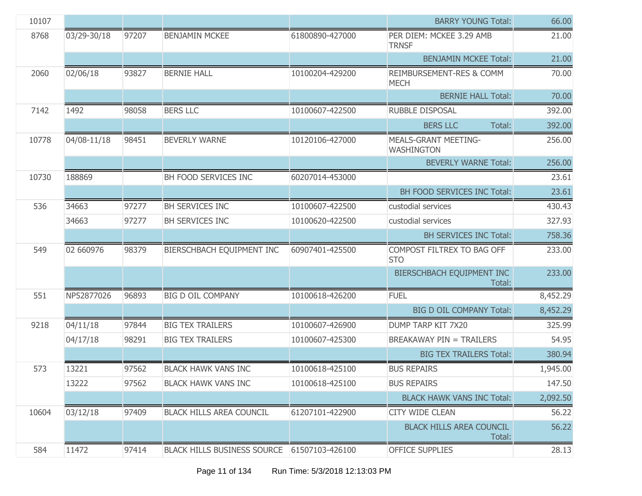| 10107 |             |       |                                    |                 | <b>BARRY YOUNG Total:</b>                        | 66.00    |
|-------|-------------|-------|------------------------------------|-----------------|--------------------------------------------------|----------|
| 8768  | 03/29-30/18 | 97207 | <b>BENJAMIN MCKEE</b>              | 61800890-427000 | PER DIEM: MCKEE 3.29 AMB<br><b>TRNSF</b>         | 21.00    |
|       |             |       |                                    |                 | <b>BENJAMIN MCKEE Total:</b>                     | 21.00    |
| 2060  | 02/06/18    | 93827 | <b>BERNIE HALL</b>                 | 10100204-429200 | REIMBURSEMENT-RES & COMM<br><b>MECH</b>          | 70.00    |
|       |             |       |                                    |                 | <b>BERNIE HALL Total:</b>                        | 70.00    |
| 7142  | 1492        | 98058 | <b>BERS LLC</b>                    | 10100607-422500 | RUBBLE DISPOSAL                                  | 392.00   |
|       |             |       |                                    |                 | <b>BERS LLC</b><br>Total:                        | 392.00   |
| 10778 | 04/08-11/18 | 98451 | <b>BEVERLY WARNE</b>               | 10120106-427000 | <b>MEALS-GRANT MEETING-</b><br><b>WASHINGTON</b> | 256.00   |
|       |             |       |                                    |                 | <b>BEVERLY WARNE Total:</b>                      | 256.00   |
| 10730 | 188869      |       | BH FOOD SERVICES INC               | 60207014-453000 |                                                  | 23.61    |
|       |             |       |                                    |                 | <b>BH FOOD SERVICES INC Total:</b>               | 23.61    |
| 536   | 34663       | 97277 | BH SERVICES INC                    | 10100607-422500 | custodial services                               | 430.43   |
|       | 34663       | 97277 | BH SERVICES INC                    | 10100620-422500 | custodial services                               | 327.93   |
|       |             |       |                                    |                 | <b>BH SERVICES INC Total:</b>                    | 758.36   |
| 549   | 02 660976   | 98379 | BIERSCHBACH EQUIPMENT INC          | 60907401-425500 | COMPOST FILTREX TO BAG OFF<br><b>STO</b>         | 233.00   |
|       |             |       |                                    |                 | BIERSCHBACH EQUIPMENT INC<br>Total:              | 233.00   |
| 551   | NP52877026  | 96893 | <b>BIG D OIL COMPANY</b>           | 10100618-426200 | <b>FUEL</b>                                      | 8,452.29 |
|       |             |       |                                    |                 | <b>BIG D OIL COMPANY Total:</b>                  | 8,452.29 |
| 9218  | 04/11/18    | 97844 | <b>BIG TEX TRAILERS</b>            | 10100607-426900 | DUMP TARP KIT 7X20                               | 325.99   |
|       | 04/17/18    | 98291 | <b>BIG TEX TRAILERS</b>            | 10100607-425300 | <b>BREAKAWAY PIN = TRAILERS</b>                  | 54.95    |
|       |             |       |                                    |                 | <b>BIG TEX TRAILERS Total:</b>                   | 380.94   |
| 573   | 13221       | 97562 | <b>BLACK HAWK VANS INC</b>         | 10100618-425100 | <b>BUS REPAIRS</b>                               | 1,945.00 |
|       | 13222       | 97562 | <b>BLACK HAWK VANS INC</b>         | 10100618-425100 | <b>BUS REPAIRS</b>                               | 147.50   |
|       |             |       |                                    |                 | <b>BLACK HAWK VANS INC Total:</b>                | 2,092.50 |
| 10604 | 03/12/18    | 97409 | <b>BLACK HILLS AREA COUNCIL</b>    | 61207101-422900 | <b>CITY WIDE CLEAN</b>                           | 56.22    |
|       |             |       |                                    |                 | <b>BLACK HILLS AREA COUNCIL</b><br>Total:        | 56.22    |
| 584   | 11472       | 97414 | <b>BLACK HILLS BUSINESS SOURCE</b> | 61507103-426100 | <b>OFFICE SUPPLIES</b>                           | 28.13    |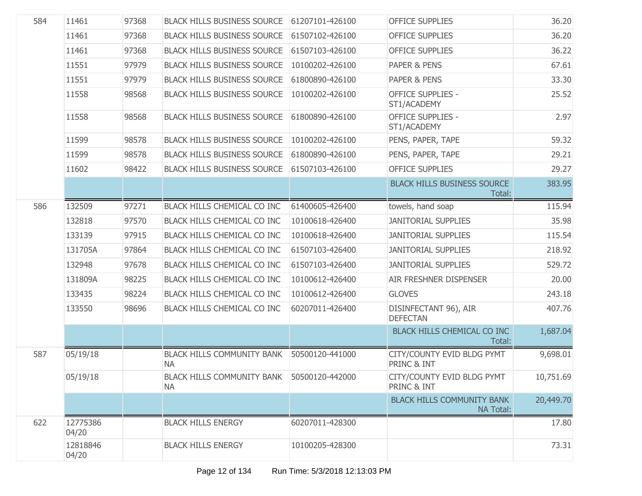| 584 | 11461             | 97368 | <b>BLACK HILLS BUSINESS SOURCE</b>                      | 61207101-426100 | <b>OFFICE SUPPLIES</b>                                | 36.20     |
|-----|-------------------|-------|---------------------------------------------------------|-----------------|-------------------------------------------------------|-----------|
|     | 11461             | 97368 | <b>BLACK HILLS BUSINESS SOURCE</b>                      | 61507102-426100 | <b>OFFICE SUPPLIES</b>                                | 36.20     |
|     | 11461             | 97368 | <b>BLACK HILLS BUSINESS SOURCE</b>                      | 61507103-426100 | <b>OFFICE SUPPLIES</b>                                | 36.22     |
|     | 11551             | 97979 | <b>BLACK HILLS BUSINESS SOURCE</b>                      | 10100202-426100 | <b>PAPER &amp; PENS</b>                               | 67.61     |
|     | 11551             | 97979 | <b>BLACK HILLS BUSINESS SOURCE</b>                      | 61800890-426100 | PAPER & PENS                                          | 33.30     |
|     | 11558             | 98568 | <b>BLACK HILLS BUSINESS SOURCE</b>                      | 10100202-426100 | <b>OFFICE SUPPLIES -</b><br>ST1/ACADEMY               | 25.52     |
|     | 11558             | 98568 | <b>BLACK HILLS BUSINESS SOURCE</b>                      | 61800890-426100 | <b>OFFICE SUPPLIES -</b><br>ST1/ACADEMY               | 2.97      |
|     | 11599             | 98578 | <b>BLACK HILLS BUSINESS SOURCE</b>                      | 10100202-426100 | PENS, PAPER, TAPE                                     | 59.32     |
|     | 11599             | 98578 | <b>BLACK HILLS BUSINESS SOURCE</b>                      | 61800890-426100 | PENS, PAPER, TAPE                                     | 29.21     |
|     | 11602             | 98422 | <b>BLACK HILLS BUSINESS SOURCE</b>                      | 61507103-426100 | <b>OFFICE SUPPLIES</b>                                | 29.27     |
|     |                   |       |                                                         |                 | <b>BLACK HILLS BUSINESS SOURCE</b><br>Total:          | 383.95    |
| 586 | 132509            | 97271 | BLACK HILLS CHEMICAL CO INC                             | 61400605-426400 | towels, hand soap                                     | 115.94    |
|     | 132818            | 97570 | <b>BLACK HILLS CHEMICAL CO INC</b>                      | 10100618-426400 | <b>JANITORIAL SUPPLIES</b>                            | 35.98     |
|     | 133139            | 97915 | BLACK HILLS CHEMICAL CO INC                             | 10100618-426400 | <b>JANITORIAL SUPPLIES</b>                            | 115.54    |
|     | 131705A           | 97864 | <b>BLACK HILLS CHEMICAL CO INC</b>                      | 61507103-426400 | <b>JANITORIAL SUPPLIES</b>                            | 218.92    |
|     | 132948            | 97678 | BLACK HILLS CHEMICAL CO INC                             | 61507103-426400 | <b>JANITORIAL SUPPLIES</b>                            | 529.72    |
|     | 131809A           | 98225 | BLACK HILLS CHEMICAL CO INC                             | 10100612-426400 | <b>AIR FRESHNER DISPENSER</b>                         | 20.00     |
|     | 133435            | 98224 | BLACK HILLS CHEMICAL CO INC                             | 10100612-426400 | <b>GLOVES</b>                                         | 243.18    |
|     | 133550            | 98696 | BLACK HILLS CHEMICAL CO INC                             | 60207011-426400 | DISINFECTANT 96), AIR<br><b>DEFECTAN</b>              | 407.76    |
|     |                   |       |                                                         |                 | <b>BLACK HILLS CHEMICAL CO INC</b><br>Total:          | 1,687.04  |
| 587 | 05/19/18          |       | <b>BLACK HILLS COMMUNITY BANK</b><br><b>NA</b>          | 50500120-441000 | CITY/COUNTY EVID BLDG PYMT<br>PRINC & INT             | 9,698.01  |
|     | 05/19/18          |       | BLACK HILLS COMMUNITY BANK 50500120-442000<br><b>NA</b> |                 | CITY/COUNTY EVID BLDG PYMT<br>PRINC & INT             | 10,751.69 |
|     |                   |       |                                                         |                 | <b>BLACK HILLS COMMUNITY BANK</b><br><b>NA Total:</b> | 20,449.70 |
| 622 | 12775386<br>04/20 |       | <b>BLACK HILLS ENERGY</b>                               | 60207011-428300 |                                                       | 17.80     |
|     | 12818846<br>04/20 |       | <b>BLACK HILLS ENERGY</b>                               | 10100205-428300 |                                                       | 73.31     |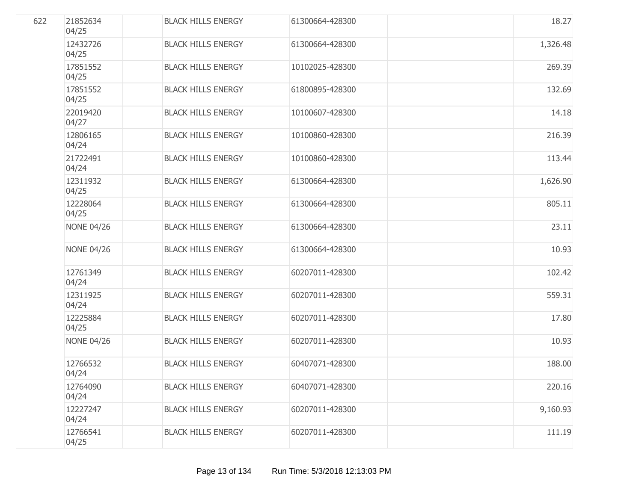| 622 | 21852634<br>04/25 | <b>BLACK HILLS ENERGY</b> | 61300664-428300 | 18.27    |
|-----|-------------------|---------------------------|-----------------|----------|
|     | 12432726<br>04/25 | <b>BLACK HILLS ENERGY</b> | 61300664-428300 | 1,326.48 |
|     | 17851552<br>04/25 | <b>BLACK HILLS ENERGY</b> | 10102025-428300 | 269.39   |
|     | 17851552<br>04/25 | <b>BLACK HILLS ENERGY</b> | 61800895-428300 | 132.69   |
|     | 22019420<br>04/27 | <b>BLACK HILLS ENERGY</b> | 10100607-428300 | 14.18    |
|     | 12806165<br>04/24 | <b>BLACK HILLS ENERGY</b> | 10100860-428300 | 216.39   |
|     | 21722491<br>04/24 | <b>BLACK HILLS ENERGY</b> | 10100860-428300 | 113.44   |
|     | 12311932<br>04/25 | <b>BLACK HILLS ENERGY</b> | 61300664-428300 | 1,626.90 |
|     | 12228064<br>04/25 | <b>BLACK HILLS ENERGY</b> | 61300664-428300 | 805.11   |
|     | <b>NONE 04/26</b> | <b>BLACK HILLS ENERGY</b> | 61300664-428300 | 23.11    |
|     | <b>NONE 04/26</b> | <b>BLACK HILLS ENERGY</b> | 61300664-428300 | 10.93    |
|     | 12761349<br>04/24 | <b>BLACK HILLS ENERGY</b> | 60207011-428300 | 102.42   |
|     | 12311925<br>04/24 | <b>BLACK HILLS ENERGY</b> | 60207011-428300 | 559.31   |
|     | 12225884<br>04/25 | <b>BLACK HILLS ENERGY</b> | 60207011-428300 | 17.80    |
|     | <b>NONE 04/26</b> | <b>BLACK HILLS ENERGY</b> | 60207011-428300 | 10.93    |
|     | 12766532<br>04/24 | <b>BLACK HILLS ENERGY</b> | 60407071-428300 | 188.00   |
|     | 12764090<br>04/24 | <b>BLACK HILLS ENERGY</b> | 60407071-428300 | 220.16   |
|     | 12227247<br>04/24 | <b>BLACK HILLS ENERGY</b> | 60207011-428300 | 9,160.93 |
|     | 12766541<br>04/25 | <b>BLACK HILLS ENERGY</b> | 60207011-428300 | 111.19   |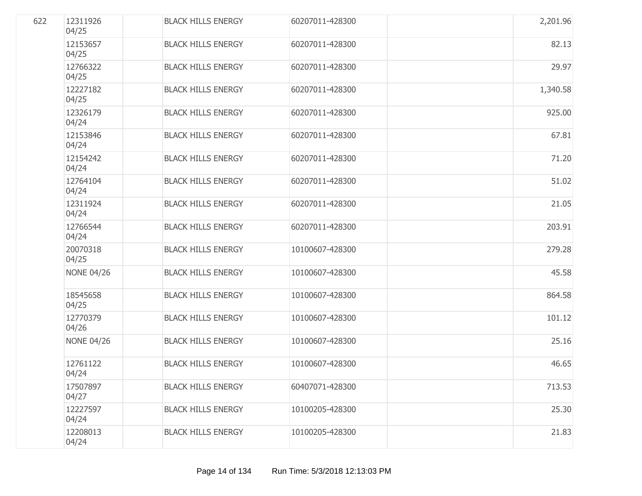| 622 | 12311926<br>04/25 | <b>BLACK HILLS ENERGY</b> | 60207011-428300 | 2,201.96 |
|-----|-------------------|---------------------------|-----------------|----------|
|     | 12153657<br>04/25 | <b>BLACK HILLS ENERGY</b> | 60207011-428300 | 82.13    |
|     | 12766322<br>04/25 | <b>BLACK HILLS ENERGY</b> | 60207011-428300 | 29.97    |
|     | 12227182<br>04/25 | <b>BLACK HILLS ENERGY</b> | 60207011-428300 | 1,340.58 |
|     | 12326179<br>04/24 | <b>BLACK HILLS ENERGY</b> | 60207011-428300 | 925.00   |
|     | 12153846<br>04/24 | <b>BLACK HILLS ENERGY</b> | 60207011-428300 | 67.81    |
|     | 12154242<br>04/24 | <b>BLACK HILLS ENERGY</b> | 60207011-428300 | 71.20    |
|     | 12764104<br>04/24 | <b>BLACK HILLS ENERGY</b> | 60207011-428300 | 51.02    |
|     | 12311924<br>04/24 | <b>BLACK HILLS ENERGY</b> | 60207011-428300 | 21.05    |
|     | 12766544<br>04/24 | <b>BLACK HILLS ENERGY</b> | 60207011-428300 | 203.91   |
|     | 20070318<br>04/25 | <b>BLACK HILLS ENERGY</b> | 10100607-428300 | 279.28   |
|     | <b>NONE 04/26</b> | <b>BLACK HILLS ENERGY</b> | 10100607-428300 | 45.58    |
|     | 18545658<br>04/25 | <b>BLACK HILLS ENERGY</b> | 10100607-428300 | 864.58   |
|     | 12770379<br>04/26 | <b>BLACK HILLS ENERGY</b> | 10100607-428300 | 101.12   |
|     | <b>NONE 04/26</b> | <b>BLACK HILLS ENERGY</b> | 10100607-428300 | 25.16    |
|     | 12761122<br>04/24 | <b>BLACK HILLS ENERGY</b> | 10100607-428300 | 46.65    |
|     | 17507897<br>04/27 | <b>BLACK HILLS ENERGY</b> | 60407071-428300 | 713.53   |
|     | 12227597<br>04/24 | <b>BLACK HILLS ENERGY</b> | 10100205-428300 | 25.30    |
|     | 12208013<br>04/24 | <b>BLACK HILLS ENERGY</b> | 10100205-428300 | 21.83    |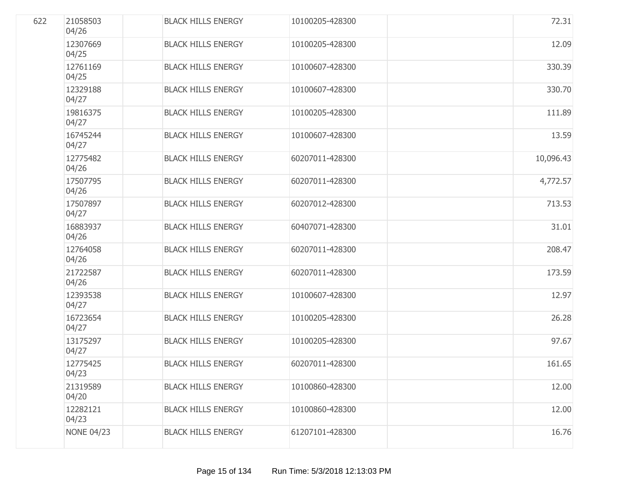| 622 | 21058503<br>04/26 | <b>BLACK HILLS ENERGY</b> | 10100205-428300 | 72.31     |
|-----|-------------------|---------------------------|-----------------|-----------|
|     | 12307669<br>04/25 | <b>BLACK HILLS ENERGY</b> | 10100205-428300 | 12.09     |
|     | 12761169<br>04/25 | <b>BLACK HILLS ENERGY</b> | 10100607-428300 | 330.39    |
|     | 12329188<br>04/27 | <b>BLACK HILLS ENERGY</b> | 10100607-428300 | 330.70    |
|     | 19816375<br>04/27 | <b>BLACK HILLS ENERGY</b> | 10100205-428300 | 111.89    |
|     | 16745244<br>04/27 | <b>BLACK HILLS ENERGY</b> | 10100607-428300 | 13.59     |
|     | 12775482<br>04/26 | <b>BLACK HILLS ENERGY</b> | 60207011-428300 | 10,096.43 |
|     | 17507795<br>04/26 | <b>BLACK HILLS ENERGY</b> | 60207011-428300 | 4,772.57  |
|     | 17507897<br>04/27 | <b>BLACK HILLS ENERGY</b> | 60207012-428300 | 713.53    |
|     | 16883937<br>04/26 | <b>BLACK HILLS ENERGY</b> | 60407071-428300 | 31.01     |
|     | 12764058<br>04/26 | <b>BLACK HILLS ENERGY</b> | 60207011-428300 | 208.47    |
|     | 21722587<br>04/26 | <b>BLACK HILLS ENERGY</b> | 60207011-428300 | 173.59    |
|     | 12393538<br>04/27 | <b>BLACK HILLS ENERGY</b> | 10100607-428300 | 12.97     |
|     | 16723654<br>04/27 | <b>BLACK HILLS ENERGY</b> | 10100205-428300 | 26.28     |
|     | 13175297<br>04/27 | <b>BLACK HILLS ENERGY</b> | 10100205-428300 | 97.67     |
|     | 12775425<br>04/23 | <b>BLACK HILLS ENERGY</b> | 60207011-428300 | 161.65    |
|     | 21319589<br>04/20 | <b>BLACK HILLS ENERGY</b> | 10100860-428300 | 12.00     |
|     | 12282121<br>04/23 | <b>BLACK HILLS ENERGY</b> | 10100860-428300 | 12.00     |
|     | <b>NONE 04/23</b> | <b>BLACK HILLS ENERGY</b> | 61207101-428300 | 16.76     |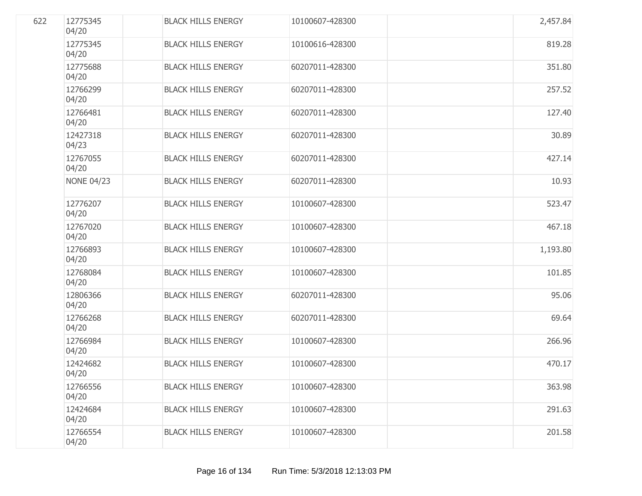| 622 | 12775345<br>04/20 | <b>BLACK HILLS ENERGY</b> | 10100607-428300 | 2,457.84 |
|-----|-------------------|---------------------------|-----------------|----------|
|     | 12775345<br>04/20 | <b>BLACK HILLS ENERGY</b> | 10100616-428300 | 819.28   |
|     | 12775688<br>04/20 | <b>BLACK HILLS ENERGY</b> | 60207011-428300 | 351.80   |
|     | 12766299<br>04/20 | <b>BLACK HILLS ENERGY</b> | 60207011-428300 | 257.52   |
|     | 12766481<br>04/20 | <b>BLACK HILLS ENERGY</b> | 60207011-428300 | 127.40   |
|     | 12427318<br>04/23 | <b>BLACK HILLS ENERGY</b> | 60207011-428300 | 30.89    |
|     | 12767055<br>04/20 | <b>BLACK HILLS ENERGY</b> | 60207011-428300 | 427.14   |
|     | <b>NONE 04/23</b> | <b>BLACK HILLS ENERGY</b> | 60207011-428300 | 10.93    |
|     | 12776207<br>04/20 | <b>BLACK HILLS ENERGY</b> | 10100607-428300 | 523.47   |
|     | 12767020<br>04/20 | <b>BLACK HILLS ENERGY</b> | 10100607-428300 | 467.18   |
|     | 12766893<br>04/20 | <b>BLACK HILLS ENERGY</b> | 10100607-428300 | 1,193.80 |
|     | 12768084<br>04/20 | <b>BLACK HILLS ENERGY</b> | 10100607-428300 | 101.85   |
|     | 12806366<br>04/20 | <b>BLACK HILLS ENERGY</b> | 60207011-428300 | 95.06    |
|     | 12766268<br>04/20 | <b>BLACK HILLS ENERGY</b> | 60207011-428300 | 69.64    |
|     | 12766984<br>04/20 | <b>BLACK HILLS ENERGY</b> | 10100607-428300 | 266.96   |
|     | 12424682<br>04/20 | <b>BLACK HILLS ENERGY</b> | 10100607-428300 | 470.17   |
|     | 12766556<br>04/20 | <b>BLACK HILLS ENERGY</b> | 10100607-428300 | 363.98   |
|     | 12424684<br>04/20 | <b>BLACK HILLS ENERGY</b> | 10100607-428300 | 291.63   |
|     | 12766554<br>04/20 | <b>BLACK HILLS ENERGY</b> | 10100607-428300 | 201.58   |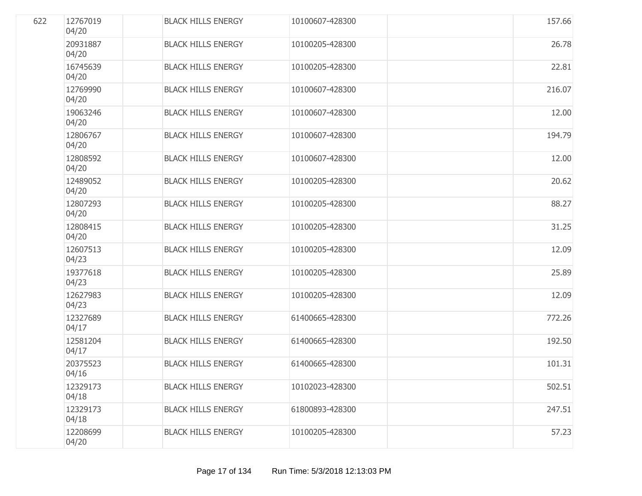| 622 | 12767019<br>04/20 | <b>BLACK HILLS ENERGY</b> | 10100607-428300 | 157.66 |
|-----|-------------------|---------------------------|-----------------|--------|
|     | 20931887<br>04/20 | <b>BLACK HILLS ENERGY</b> | 10100205-428300 | 26.78  |
|     | 16745639<br>04/20 | <b>BLACK HILLS ENERGY</b> | 10100205-428300 | 22.81  |
|     | 12769990<br>04/20 | <b>BLACK HILLS ENERGY</b> | 10100607-428300 | 216.07 |
|     | 19063246<br>04/20 | <b>BLACK HILLS ENERGY</b> | 10100607-428300 | 12.00  |
|     | 12806767<br>04/20 | <b>BLACK HILLS ENERGY</b> | 10100607-428300 | 194.79 |
|     | 12808592<br>04/20 | <b>BLACK HILLS ENERGY</b> | 10100607-428300 | 12.00  |
|     | 12489052<br>04/20 | <b>BLACK HILLS ENERGY</b> | 10100205-428300 | 20.62  |
|     | 12807293<br>04/20 | <b>BLACK HILLS ENERGY</b> | 10100205-428300 | 88.27  |
|     | 12808415<br>04/20 | <b>BLACK HILLS ENERGY</b> | 10100205-428300 | 31.25  |
|     | 12607513<br>04/23 | <b>BLACK HILLS ENERGY</b> | 10100205-428300 | 12.09  |
|     | 19377618<br>04/23 | <b>BLACK HILLS ENERGY</b> | 10100205-428300 | 25.89  |
|     | 12627983<br>04/23 | <b>BLACK HILLS ENERGY</b> | 10100205-428300 | 12.09  |
|     | 12327689<br>04/17 | <b>BLACK HILLS ENERGY</b> | 61400665-428300 | 772.26 |
|     | 12581204<br>04/17 | <b>BLACK HILLS ENERGY</b> | 61400665-428300 | 192.50 |
|     | 20375523<br>04/16 | <b>BLACK HILLS ENERGY</b> | 61400665-428300 | 101.31 |
|     | 12329173<br>04/18 | <b>BLACK HILLS ENERGY</b> | 10102023-428300 | 502.51 |
|     | 12329173<br>04/18 | <b>BLACK HILLS ENERGY</b> | 61800893-428300 | 247.51 |
|     | 12208699<br>04/20 | <b>BLACK HILLS ENERGY</b> | 10100205-428300 | 57.23  |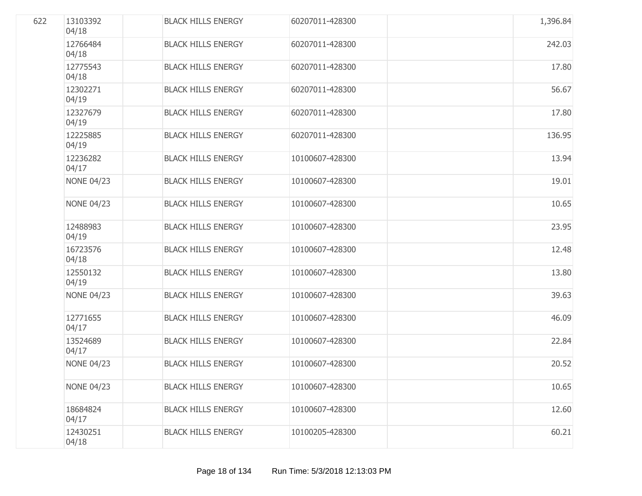| 622 | 13103392<br>04/18 | <b>BLACK HILLS ENERGY</b> | 60207011-428300 | 1,396.84 |
|-----|-------------------|---------------------------|-----------------|----------|
|     | 12766484<br>04/18 | <b>BLACK HILLS ENERGY</b> | 60207011-428300 | 242.03   |
|     | 12775543<br>04/18 | <b>BLACK HILLS ENERGY</b> | 60207011-428300 | 17.80    |
|     | 12302271<br>04/19 | <b>BLACK HILLS ENERGY</b> | 60207011-428300 | 56.67    |
|     | 12327679<br>04/19 | <b>BLACK HILLS ENERGY</b> | 60207011-428300 | 17.80    |
|     | 12225885<br>04/19 | <b>BLACK HILLS ENERGY</b> | 60207011-428300 | 136.95   |
|     | 12236282<br>04/17 | <b>BLACK HILLS ENERGY</b> | 10100607-428300 | 13.94    |
|     | <b>NONE 04/23</b> | <b>BLACK HILLS ENERGY</b> | 10100607-428300 | 19.01    |
|     | <b>NONE 04/23</b> | <b>BLACK HILLS ENERGY</b> | 10100607-428300 | 10.65    |
|     | 12488983<br>04/19 | <b>BLACK HILLS ENERGY</b> | 10100607-428300 | 23.95    |
|     | 16723576<br>04/18 | <b>BLACK HILLS ENERGY</b> | 10100607-428300 | 12.48    |
|     | 12550132<br>04/19 | <b>BLACK HILLS ENERGY</b> | 10100607-428300 | 13.80    |
|     | <b>NONE 04/23</b> | <b>BLACK HILLS ENERGY</b> | 10100607-428300 | 39.63    |
|     | 12771655<br>04/17 | <b>BLACK HILLS ENERGY</b> | 10100607-428300 | 46.09    |
|     | 13524689<br>04/17 | <b>BLACK HILLS ENERGY</b> | 10100607-428300 | 22.84    |
|     | <b>NONE 04/23</b> | <b>BLACK HILLS ENERGY</b> | 10100607-428300 | 20.52    |
|     | <b>NONE 04/23</b> | <b>BLACK HILLS ENERGY</b> | 10100607-428300 | 10.65    |
|     | 18684824<br>04/17 | <b>BLACK HILLS ENERGY</b> | 10100607-428300 | 12.60    |
|     | 12430251<br>04/18 | <b>BLACK HILLS ENERGY</b> | 10100205-428300 | 60.21    |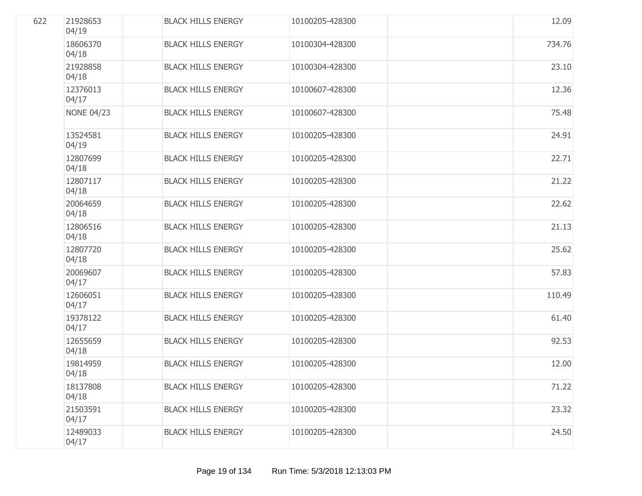| 622 | 21928653<br>04/19 | <b>BLACK HILLS ENERGY</b> | 10100205-428300 | 12.09  |
|-----|-------------------|---------------------------|-----------------|--------|
|     | 18606370<br>04/18 | <b>BLACK HILLS ENERGY</b> | 10100304-428300 | 734.76 |
|     | 21928858<br>04/18 | <b>BLACK HILLS ENERGY</b> | 10100304-428300 | 23.10  |
|     | 12376013<br>04/17 | <b>BLACK HILLS ENERGY</b> | 10100607-428300 | 12.36  |
|     | <b>NONE 04/23</b> | <b>BLACK HILLS ENERGY</b> | 10100607-428300 | 75.48  |
|     | 13524581<br>04/19 | <b>BLACK HILLS ENERGY</b> | 10100205-428300 | 24.91  |
|     | 12807699<br>04/18 | <b>BLACK HILLS ENERGY</b> | 10100205-428300 | 22.71  |
|     | 12807117<br>04/18 | <b>BLACK HILLS ENERGY</b> | 10100205-428300 | 21.22  |
|     | 20064659<br>04/18 | <b>BLACK HILLS ENERGY</b> | 10100205-428300 | 22.62  |
|     | 12806516<br>04/18 | <b>BLACK HILLS ENERGY</b> | 10100205-428300 | 21.13  |
|     | 12807720<br>04/18 | <b>BLACK HILLS ENERGY</b> | 10100205-428300 | 25.62  |
|     | 20069607<br>04/17 | <b>BLACK HILLS ENERGY</b> | 10100205-428300 | 57.83  |
|     | 12606051<br>04/17 | <b>BLACK HILLS ENERGY</b> | 10100205-428300 | 110.49 |
|     | 19378122<br>04/17 | <b>BLACK HILLS ENERGY</b> | 10100205-428300 | 61.40  |
|     | 12655659<br>04/18 | <b>BLACK HILLS ENERGY</b> | 10100205-428300 | 92.53  |
|     | 19814959<br>04/18 | <b>BLACK HILLS ENERGY</b> | 10100205-428300 | 12.00  |
|     | 18137808<br>04/18 | <b>BLACK HILLS ENERGY</b> | 10100205-428300 | 71.22  |
|     | 21503591<br>04/17 | <b>BLACK HILLS ENERGY</b> | 10100205-428300 | 23.32  |
|     | 12489033<br>04/17 | <b>BLACK HILLS ENERGY</b> | 10100205-428300 | 24.50  |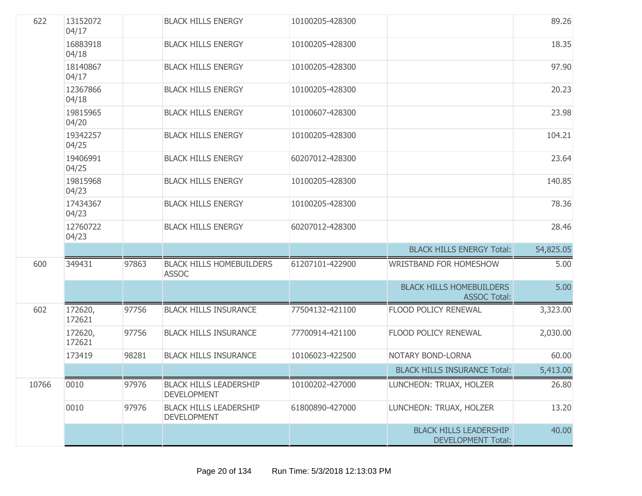| 622   | 13152072<br>04/17 |       | <b>BLACK HILLS ENERGY</b>                           | 10100205-428300 |                                                            | 89.26     |
|-------|-------------------|-------|-----------------------------------------------------|-----------------|------------------------------------------------------------|-----------|
|       | 16883918<br>04/18 |       | <b>BLACK HILLS ENERGY</b>                           | 10100205-428300 |                                                            | 18.35     |
|       | 18140867<br>04/17 |       | <b>BLACK HILLS ENERGY</b>                           | 10100205-428300 |                                                            | 97.90     |
|       | 12367866<br>04/18 |       | <b>BLACK HILLS ENERGY</b>                           | 10100205-428300 |                                                            | 20.23     |
|       | 19815965<br>04/20 |       | <b>BLACK HILLS ENERGY</b>                           | 10100607-428300 |                                                            | 23.98     |
|       | 19342257<br>04/25 |       | <b>BLACK HILLS ENERGY</b>                           | 10100205-428300 |                                                            | 104.21    |
|       | 19406991<br>04/25 |       | <b>BLACK HILLS ENERGY</b>                           | 60207012-428300 |                                                            | 23.64     |
|       | 19815968<br>04/23 |       | <b>BLACK HILLS ENERGY</b>                           | 10100205-428300 |                                                            | 140.85    |
|       | 17434367<br>04/23 |       | <b>BLACK HILLS ENERGY</b>                           | 10100205-428300 |                                                            | 78.36     |
|       | 12760722<br>04/23 |       | <b>BLACK HILLS ENERGY</b>                           | 60207012-428300 |                                                            | 28.46     |
|       |                   |       |                                                     |                 | <b>BLACK HILLS ENERGY Total:</b>                           | 54,825.05 |
| 600   | 349431            | 97863 | <b>BLACK HILLS HOMEBUILDERS</b><br><b>ASSOC</b>     | 61207101-422900 | WRISTBAND FOR HOMESHOW                                     | 5.00      |
|       |                   |       |                                                     |                 | <b>BLACK HILLS HOMEBUILDERS</b><br><b>ASSOC Total:</b>     | 5.00      |
| 602   | 172620,<br>172621 | 97756 | <b>BLACK HILLS INSURANCE</b>                        | 77504132-421100 | FLOOD POLICY RENEWAL                                       | 3,323.00  |
|       | 172620,<br>172621 | 97756 | <b>BLACK HILLS INSURANCE</b>                        | 77700914-421100 | FLOOD POLICY RENEWAL                                       | 2,030.00  |
|       | 173419            | 98281 | <b>BLACK HILLS INSURANCE</b>                        | 10106023-422500 | NOTARY BOND-LORNA                                          | 60.00     |
|       |                   |       |                                                     |                 | <b>BLACK HILLS INSURANCE Total:</b>                        | 5,413.00  |
| 10766 | 0010              | 97976 | <b>BLACK HILLS LEADERSHIP</b><br><b>DEVELOPMENT</b> | 10100202-427000 | LUNCHEON: TRUAX, HOLZER                                    | 26.80     |
|       | 0010              | 97976 | <b>BLACK HILLS LEADERSHIP</b><br><b>DEVELOPMENT</b> | 61800890-427000 | LUNCHEON: TRUAX, HOLZER                                    | 13.20     |
|       |                   |       |                                                     |                 | <b>BLACK HILLS LEADERSHIP</b><br><b>DEVELOPMENT Total:</b> | 40.00     |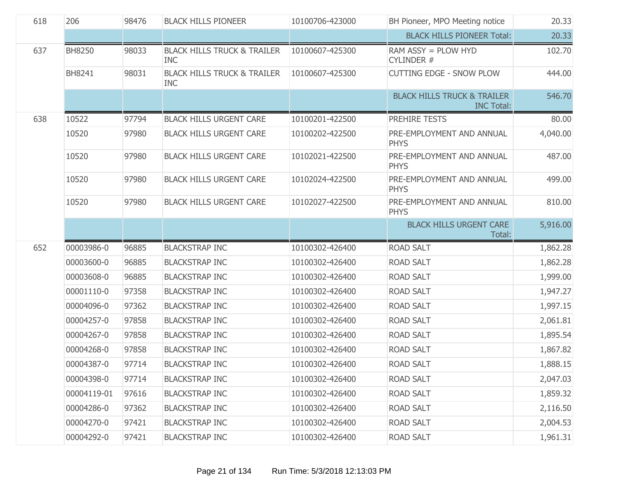| 618 | 206           | 98476 | <b>BLACK HILLS PIONEER</b>                           | 10100706-423000 | BH Pioneer, MPO Meeting notice                              | 20.33    |
|-----|---------------|-------|------------------------------------------------------|-----------------|-------------------------------------------------------------|----------|
|     |               |       |                                                      |                 | <b>BLACK HILLS PIONEER Total:</b>                           | 20.33    |
| 637 | <b>BH8250</b> | 98033 | <b>BLACK HILLS TRUCK &amp; TRAILER</b><br><b>INC</b> | 10100607-425300 | RAM ASSY = PLOW HYD<br>CYLINDER #                           | 102.70   |
|     | BH8241        | 98031 | <b>BLACK HILLS TRUCK &amp; TRAILER</b><br><b>INC</b> | 10100607-425300 | <b>CUTTING EDGE - SNOW PLOW</b>                             | 444.00   |
|     |               |       |                                                      |                 | <b>BLACK HILLS TRUCK &amp; TRAILER</b><br><b>INC Total:</b> | 546.70   |
| 638 | 10522         | 97794 | <b>BLACK HILLS URGENT CARE</b>                       | 10100201-422500 | PREHIRE TESTS                                               | 80.00    |
|     | 10520         | 97980 | <b>BLACK HILLS URGENT CARE</b>                       | 10100202-422500 | PRE-EMPLOYMENT AND ANNUAL<br><b>PHYS</b>                    | 4,040.00 |
|     | 10520         | 97980 | <b>BLACK HILLS URGENT CARE</b>                       | 10102021-422500 | PRE-EMPLOYMENT AND ANNUAL<br><b>PHYS</b>                    | 487.00   |
|     | 10520         | 97980 | <b>BLACK HILLS URGENT CARE</b>                       | 10102024-422500 | PRE-EMPLOYMENT AND ANNUAL<br><b>PHYS</b>                    | 499.00   |
|     | 10520         | 97980 | <b>BLACK HILLS URGENT CARE</b>                       | 10102027-422500 | PRE-EMPLOYMENT AND ANNUAL<br><b>PHYS</b>                    | 810.00   |
|     |               |       |                                                      |                 | <b>BLACK HILLS URGENT CARE</b><br>Total:                    | 5,916.00 |
| 652 | 00003986-0    | 96885 | <b>BLACKSTRAP INC</b>                                | 10100302-426400 | <b>ROAD SALT</b>                                            | 1,862.28 |
|     | 00003600-0    | 96885 | <b>BLACKSTRAP INC</b>                                | 10100302-426400 | <b>ROAD SALT</b>                                            | 1,862.28 |
|     | 00003608-0    | 96885 | <b>BLACKSTRAP INC</b>                                | 10100302-426400 | <b>ROAD SALT</b>                                            | 1,999.00 |
|     | 00001110-0    | 97358 | <b>BLACKSTRAP INC</b>                                | 10100302-426400 | <b>ROAD SALT</b>                                            | 1,947.27 |
|     | 00004096-0    | 97362 | <b>BLACKSTRAP INC</b>                                | 10100302-426400 | <b>ROAD SALT</b>                                            | 1,997.15 |
|     | 00004257-0    | 97858 | <b>BLACKSTRAP INC</b>                                | 10100302-426400 | <b>ROAD SALT</b>                                            | 2,061.81 |
|     | 00004267-0    | 97858 | <b>BLACKSTRAP INC</b>                                | 10100302-426400 | <b>ROAD SALT</b>                                            | 1,895.54 |
|     | 00004268-0    | 97858 | <b>BLACKSTRAP INC</b>                                | 10100302-426400 | <b>ROAD SALT</b>                                            | 1,867.82 |
|     | 00004387-0    | 97714 | <b>BLACKSTRAP INC</b>                                | 10100302-426400 | <b>ROAD SALT</b>                                            | 1,888.15 |
|     | 00004398-0    | 97714 | <b>BLACKSTRAP INC</b>                                | 10100302-426400 | ROAD SALT                                                   | 2,047.03 |
|     | 00004119-01   | 97616 | <b>BLACKSTRAP INC</b>                                | 10100302-426400 | <b>ROAD SALT</b>                                            | 1,859.32 |
|     | 00004286-0    | 97362 | <b>BLACKSTRAP INC</b>                                | 10100302-426400 | <b>ROAD SALT</b>                                            | 2,116.50 |
|     | 00004270-0    | 97421 | <b>BLACKSTRAP INC</b>                                | 10100302-426400 | <b>ROAD SALT</b>                                            | 2,004.53 |
|     | 00004292-0    | 97421 | <b>BLACKSTRAP INC</b>                                | 10100302-426400 | <b>ROAD SALT</b>                                            | 1,961.31 |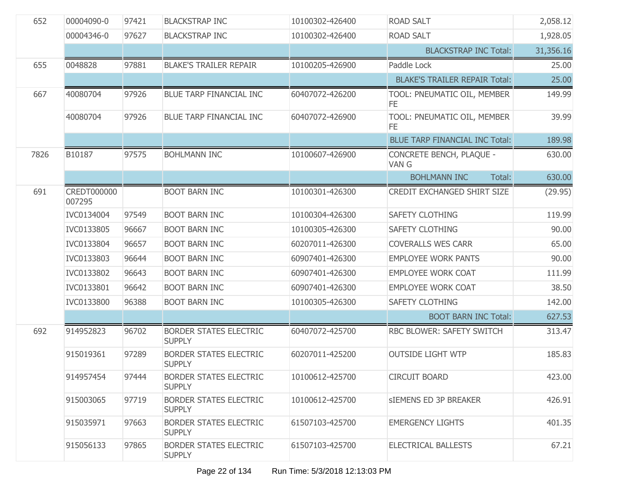| 652  | 00004090-0                   | 97421 | <b>BLACKSTRAP INC</b>                          | 10100302-426400 | ROAD SALT                             | 2,058.12  |
|------|------------------------------|-------|------------------------------------------------|-----------------|---------------------------------------|-----------|
|      | 00004346-0                   | 97627 | <b>BLACKSTRAP INC</b>                          | 10100302-426400 | <b>ROAD SALT</b>                      | 1,928.05  |
|      |                              |       |                                                |                 | <b>BLACKSTRAP INC Total:</b>          | 31,356.16 |
| 655  | 0048828                      | 97881 | <b>BLAKE'S TRAILER REPAIR</b>                  | 10100205-426900 | Paddle Lock                           | 25.00     |
|      |                              |       |                                                |                 | <b>BLAKE'S TRAILER REPAIR Total:</b>  | 25.00     |
| 667  | 40080704                     | 97926 | BLUE TARP FINANCIAL INC                        | 60407072-426200 | TOOL: PNEUMATIC OIL, MEMBER<br>FE.    | 149.99    |
|      | 40080704                     | 97926 | BLUE TARP FINANCIAL INC                        | 60407072-426900 | TOOL: PNEUMATIC OIL, MEMBER<br>FE.    | 39.99     |
|      |                              |       |                                                |                 | <b>BLUE TARP FINANCIAL INC Total:</b> | 189.98    |
| 7826 | B10187                       | 97575 | <b>BOHLMANN INC</b>                            | 10100607-426900 | CONCRETE BENCH, PLAQUE -<br>VAN G     | 630.00    |
|      |                              |       |                                                |                 | <b>BOHLMANN INC</b><br>Total:         | 630.00    |
| 691  | <b>CREDT000000</b><br>007295 |       | <b>BOOT BARN INC</b>                           | 10100301-426300 | CREDIT EXCHANGED SHIRT SIZE           | (29.95)   |
|      | IVC0134004                   | 97549 | <b>BOOT BARN INC</b>                           | 10100304-426300 | SAFETY CLOTHING                       | 119.99    |
|      | IVC0133805                   | 96667 | <b>BOOT BARN INC</b>                           | 10100305-426300 | SAFETY CLOTHING                       | 90.00     |
|      | IVC0133804                   | 96657 | <b>BOOT BARN INC</b>                           | 60207011-426300 | <b>COVERALLS WES CARR</b>             | 65.00     |
|      | IVC0133803                   | 96644 | <b>BOOT BARN INC</b>                           | 60907401-426300 | <b>EMPLOYEE WORK PANTS</b>            | 90.00     |
|      | IVC0133802                   | 96643 | <b>BOOT BARN INC</b>                           | 60907401-426300 | <b>EMPLOYEE WORK COAT</b>             | 111.99    |
|      | IVC0133801                   | 96642 | <b>BOOT BARN INC</b>                           | 60907401-426300 | <b>EMPLOYEE WORK COAT</b>             | 38.50     |
|      | IVC0133800                   | 96388 | <b>BOOT BARN INC</b>                           | 10100305-426300 | <b>SAFETY CLOTHING</b>                | 142.00    |
|      |                              |       |                                                |                 | <b>BOOT BARN INC Total:</b>           | 627.53    |
| 692  | 914952823                    | 96702 | <b>BORDER STATES ELECTRIC</b><br><b>SUPPLY</b> | 60407072-425700 | RBC BLOWER: SAFETY SWITCH             | 313.47    |
|      | 915019361                    | 97289 | <b>BORDER STATES ELECTRIC</b><br><b>SUPPLY</b> | 60207011-425200 | <b>OUTSIDE LIGHT WTP</b>              | 185.83    |
|      | 914957454                    | 97444 | BORDER STATES ELECTRIC<br><b>SUPPLY</b>        | 10100612-425700 | <b>CIRCUIT BOARD</b>                  | 423.00    |
|      | 915003065                    | 97719 | <b>BORDER STATES ELECTRIC</b><br><b>SUPPLY</b> | 10100612-425700 | SIEMENS ED 3P BREAKER                 | 426.91    |
|      | 915035971                    | 97663 | <b>BORDER STATES ELECTRIC</b><br><b>SUPPLY</b> | 61507103-425700 | <b>EMERGENCY LIGHTS</b>               | 401.35    |
|      | 915056133                    | 97865 | <b>BORDER STATES ELECTRIC</b><br><b>SUPPLY</b> | 61507103-425700 | <b>ELECTRICAL BALLESTS</b>            | 67.21     |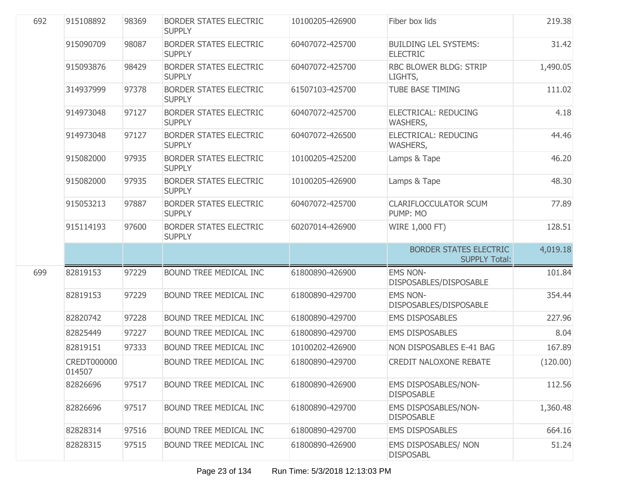| 692 | 915108892                    | 98369 | <b>BORDER STATES ELECTRIC</b><br><b>SUPPLY</b> | 10100205-426900 | Fiber box lids                                        | 219.38   |
|-----|------------------------------|-------|------------------------------------------------|-----------------|-------------------------------------------------------|----------|
|     | 915090709                    | 98087 | <b>BORDER STATES ELECTRIC</b><br><b>SUPPLY</b> | 60407072-425700 | <b>BUILDING LEL SYSTEMS:</b><br><b>ELECTRIC</b>       | 31.42    |
|     | 915093876                    | 98429 | <b>BORDER STATES ELECTRIC</b><br><b>SUPPLY</b> | 60407072-425700 | <b>RBC BLOWER BLDG: STRIP</b><br>LIGHTS,              | 1,490.05 |
|     | 314937999                    | 97378 | <b>BORDER STATES ELECTRIC</b><br><b>SUPPLY</b> | 61507103-425700 | <b>TUBE BASE TIMING</b>                               | 111.02   |
|     | 914973048                    | 97127 | <b>BORDER STATES ELECTRIC</b><br><b>SUPPLY</b> | 60407072-425700 | <b>ELECTRICAL: REDUCING</b><br>WASHERS,               | 4.18     |
|     | 914973048                    | 97127 | <b>BORDER STATES ELECTRIC</b><br><b>SUPPLY</b> | 60407072-426500 | <b>ELECTRICAL: REDUCING</b><br>WASHERS,               | 44.46    |
|     | 915082000                    | 97935 | <b>BORDER STATES ELECTRIC</b><br><b>SUPPLY</b> | 10100205-425200 | Lamps & Tape                                          | 46.20    |
|     | 915082000                    | 97935 | <b>BORDER STATES ELECTRIC</b><br><b>SUPPLY</b> | 10100205-426900 | Lamps & Tape                                          | 48.30    |
|     | 915053213                    | 97887 | <b>BORDER STATES ELECTRIC</b><br><b>SUPPLY</b> | 60407072-425700 | <b>CLARIFLOCCULATOR SCUM</b><br>PUMP: MO              | 77.89    |
|     | 915114193                    | 97600 | <b>BORDER STATES ELECTRIC</b><br><b>SUPPLY</b> | 60207014-426900 | WIRE 1,000 FT)                                        | 128.51   |
|     |                              |       |                                                |                 | <b>BORDER STATES ELECTRIC</b><br><b>SUPPLY Total:</b> | 4,019.18 |
|     |                              |       | BOUND TREE MEDICAL INC                         | 61800890-426900 | <b>EMS NON-</b>                                       |          |
| 699 | 82819153                     | 97229 |                                                |                 | DISPOSABLES/DISPOSABLE                                | 101.84   |
|     | 82819153                     | 97229 | BOUND TREE MEDICAL INC                         | 61800890-429700 | <b>EMS NON-</b><br>DISPOSABLES/DISPOSABLE             | 354.44   |
|     | 82820742                     | 97228 | BOUND TREE MEDICAL INC                         | 61800890-429700 | <b>EMS DISPOSABLES</b>                                | 227.96   |
|     | 82825449                     | 97227 | BOUND TREE MEDICAL INC                         | 61800890-429700 | <b>EMS DISPOSABLES</b>                                | 8.04     |
|     | 82819151                     | 97333 | BOUND TREE MEDICAL INC                         | 10100202-426900 | NON DISPOSABLES E-41 BAG                              | 167.89   |
|     | <b>CREDT000000</b><br>014507 |       | <b>BOUND TREE MEDICAL INC</b>                  | 61800890-429700 | <b>CREDIT NALOXONE REBATE</b>                         | (120.00) |
|     | 82826696                     | 97517 | BOUND TREE MEDICAL INC                         | 61800890-426900 | EMS DISPOSABLES/NON-<br><b>DISPOSABLE</b>             | 112.56   |
|     | 82826696                     | 97517 | <b>BOUND TREE MEDICAL INC</b>                  | 61800890-429700 | <b>EMS DISPOSABLES/NON-</b><br><b>DISPOSABLE</b>      | 1,360.48 |
|     | 82828314                     | 97516 | <b>BOUND TREE MEDICAL INC</b>                  | 61800890-429700 | <b>EMS DISPOSABLES</b>                                | 664.16   |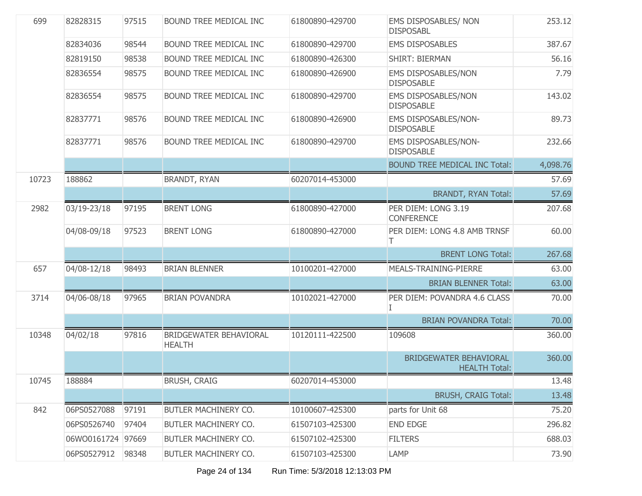| 699   | 82828315          | 97515 | <b>BOUND TREE MEDICAL INC</b>           | 61800890-429700 | EMS DISPOSABLES/ NON<br><b>DISPOSABL</b>       | 253.12   |
|-------|-------------------|-------|-----------------------------------------|-----------------|------------------------------------------------|----------|
|       | 82834036          | 98544 | BOUND TREE MEDICAL INC                  | 61800890-429700 | <b>EMS DISPOSABLES</b>                         | 387.67   |
|       | 82819150          | 98538 | BOUND TREE MEDICAL INC                  | 61800890-426300 | <b>SHIRT: BIERMAN</b>                          | 56.16    |
|       | 82836554          | 98575 | BOUND TREE MEDICAL INC                  | 61800890-426900 | EMS DISPOSABLES/NON<br><b>DISPOSABLE</b>       | 7.79     |
|       | 82836554          | 98575 | BOUND TREE MEDICAL INC                  | 61800890-429700 | EMS DISPOSABLES/NON<br><b>DISPOSABLE</b>       | 143.02   |
|       | 82837771          | 98576 | BOUND TREE MEDICAL INC                  | 61800890-426900 | EMS DISPOSABLES/NON-<br><b>DISPOSABLE</b>      | 89.73    |
|       | 82837771          | 98576 | BOUND TREE MEDICAL INC                  | 61800890-429700 | EMS DISPOSABLES/NON-<br><b>DISPOSABLE</b>      | 232.66   |
|       |                   |       |                                         |                 | <b>BOUND TREE MEDICAL INC Total:</b>           | 4,098.76 |
| 10723 | 188862            |       | <b>BRANDT, RYAN</b>                     | 60207014-453000 |                                                | 57.69    |
|       |                   |       |                                         |                 | <b>BRANDT, RYAN Total:</b>                     | 57.69    |
| 2982  | 03/19-23/18       | 97195 | <b>BRENT LONG</b>                       | 61800890-427000 | PER DIEM: LONG 3.19<br><b>CONFERENCE</b>       | 207.68   |
|       | 04/08-09/18       | 97523 | <b>BRENT LONG</b>                       | 61800890-427000 | PER DIEM: LONG 4.8 AMB TRNSF<br>Т              | 60.00    |
|       |                   |       |                                         |                 | <b>BRENT LONG Total:</b>                       | 267.68   |
| 657   | 04/08-12/18       | 98493 | <b>BRIAN BLENNER</b>                    | 10100201-427000 | MEALS-TRAINING-PIERRE                          | 63.00    |
|       |                   |       |                                         |                 | <b>BRIAN BLENNER Total:</b>                    | 63.00    |
| 3714  | 04/06-08/18       | 97965 | <b>BRIAN POVANDRA</b>                   | 10102021-427000 | PER DIEM: POVANDRA 4.6 CLASS<br>L              | 70.00    |
|       |                   |       |                                         |                 | <b>BRIAN POVANDRA Total:</b>                   | 70.00    |
| 10348 | 04/02/18          | 97816 | BRIDGEWATER BEHAVIORAL<br><b>HEALTH</b> | 10120111-422500 | 109608                                         | 360.00   |
|       |                   |       |                                         |                 | BRIDGEWATER BEHAVIORAL<br><b>HEALTH Total:</b> | 360.00   |
| 10745 | 188884            |       | <b>BRUSH, CRAIG</b>                     | 60207014-453000 |                                                | 13.48    |
|       |                   |       |                                         |                 | <b>BRUSH, CRAIG Total:</b>                     | 13.48    |
| 842   | 06PS0527088       | 97191 | BUTLER MACHINERY CO.                    | 10100607-425300 | parts for Unit 68                              | 75.20    |
|       | 06PS0526740       | 97404 | BUTLER MACHINERY CO.                    | 61507103-425300 | <b>END EDGE</b>                                | 296.82   |
|       | 06WO0161724 97669 |       | BUTLER MACHINERY CO.                    | 61507102-425300 | <b>FILTERS</b>                                 | 688.03   |
|       | 06PS0527912       | 98348 | BUTLER MACHINERY CO.                    | 61507103-425300 | LAMP                                           | 73.90    |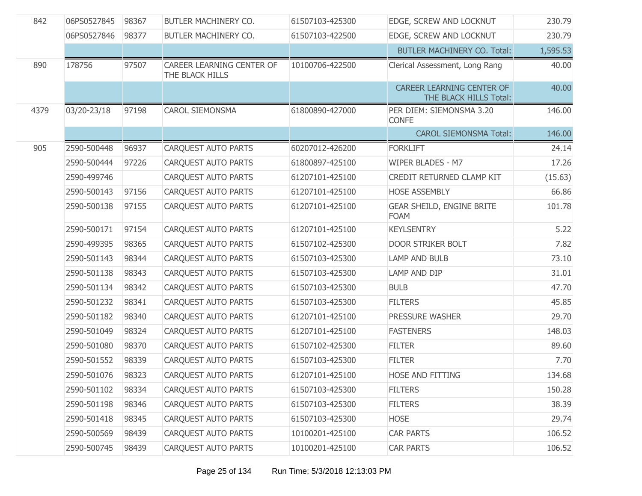| 842  | 06PS0527845 | 98367 | BUTLER MACHINERY CO.                         | 61507103-425300 | EDGE, SCREW AND LOCKNUT                                    | 230.79   |
|------|-------------|-------|----------------------------------------------|-----------------|------------------------------------------------------------|----------|
|      | 06PS0527846 | 98377 | BUTLER MACHINERY CO.                         | 61507103-422500 | EDGE, SCREW AND LOCKNUT                                    | 230.79   |
|      |             |       |                                              |                 | <b>BUTLER MACHINERY CO. Total:</b>                         | 1,595.53 |
| 890  | 178756      | 97507 | CAREER LEARNING CENTER OF<br>THE BLACK HILLS | 10100706-422500 | Clerical Assessment, Long Rang                             | 40.00    |
|      |             |       |                                              |                 | <b>CAREER LEARNING CENTER OF</b><br>THE BLACK HILLS Total: | 40.00    |
| 4379 | 03/20-23/18 | 97198 | <b>CAROL SIEMONSMA</b>                       | 61800890-427000 | PER DIEM: SIEMONSMA 3.20<br><b>CONFE</b>                   | 146.00   |
|      |             |       |                                              |                 | <b>CAROL SIEMONSMA Total:</b>                              | 146.00   |
| 905  | 2590-500448 | 96937 | <b>CARQUEST AUTO PARTS</b>                   | 60207012-426200 | <b>FORKLIFT</b>                                            | 24.14    |
|      | 2590-500444 | 97226 | <b>CARQUEST AUTO PARTS</b>                   | 61800897-425100 | WIPER BLADES - M7                                          | 17.26    |
|      | 2590-499746 |       | <b>CARQUEST AUTO PARTS</b>                   | 61207101-425100 | CREDIT RETURNED CLAMP KIT                                  | (15.63)  |
|      | 2590-500143 | 97156 | <b>CAROUEST AUTO PARTS</b>                   | 61207101-425100 | <b>HOSE ASSEMBLY</b>                                       | 66.86    |
|      | 2590-500138 | 97155 | <b>CAROUEST AUTO PARTS</b>                   | 61207101-425100 | <b>GEAR SHEILD, ENGINE BRITE</b><br><b>FOAM</b>            | 101.78   |
|      | 2590-500171 | 97154 | CARQUEST AUTO PARTS                          | 61207101-425100 | <b>KEYLSENTRY</b>                                          | 5.22     |
|      | 2590-499395 | 98365 | <b>CAROUEST AUTO PARTS</b>                   | 61507102-425300 | DOOR STRIKER BOLT                                          | 7.82     |
|      | 2590-501143 | 98344 | <b>CARQUEST AUTO PARTS</b>                   | 61507103-425300 | <b>LAMP AND BULB</b>                                       | 73.10    |
|      | 2590-501138 | 98343 | <b>CARQUEST AUTO PARTS</b>                   | 61507103-425300 | LAMP AND DIP                                               | 31.01    |
|      | 2590-501134 | 98342 | <b>CARQUEST AUTO PARTS</b>                   | 61507103-425300 | <b>BULB</b>                                                | 47.70    |
|      | 2590-501232 | 98341 | <b>CARQUEST AUTO PARTS</b>                   | 61507103-425300 | <b>FILTERS</b>                                             | 45.85    |
|      | 2590-501182 | 98340 | <b>CARQUEST AUTO PARTS</b>                   | 61207101-425100 | PRESSURE WASHER                                            | 29.70    |
|      | 2590-501049 | 98324 | <b>CAROUEST AUTO PARTS</b>                   | 61207101-425100 | <b>FASTENERS</b>                                           | 148.03   |
|      | 2590-501080 | 98370 | <b>CAROUEST AUTO PARTS</b>                   | 61507102-425300 | <b>FILTER</b>                                              | 89.60    |
|      | 2590-501552 | 98339 | <b>CAROUEST AUTO PARTS</b>                   | 61507103-425300 | <b>FILTER</b>                                              | 7.70     |
|      | 2590-501076 | 98323 | <b>CAROUEST AUTO PARTS</b>                   | 61207101-425100 | HOSE AND FITTING                                           | 134.68   |
|      | 2590-501102 | 98334 | <b>CARQUEST AUTO PARTS</b>                   | 61507103-425300 | <b>FILTERS</b>                                             | 150.28   |
|      | 2590-501198 | 98346 | <b>CARQUEST AUTO PARTS</b>                   | 61507103-425300 | <b>FILTERS</b>                                             | 38.39    |
|      | 2590-501418 | 98345 | CARQUEST AUTO PARTS                          | 61507103-425300 | <b>HOSE</b>                                                | 29.74    |
|      | 2590-500569 | 98439 | CARQUEST AUTO PARTS                          | 10100201-425100 | <b>CAR PARTS</b>                                           | 106.52   |
|      | 2590-500745 | 98439 | CARQUEST AUTO PARTS                          | 10100201-425100 | <b>CAR PARTS</b>                                           | 106.52   |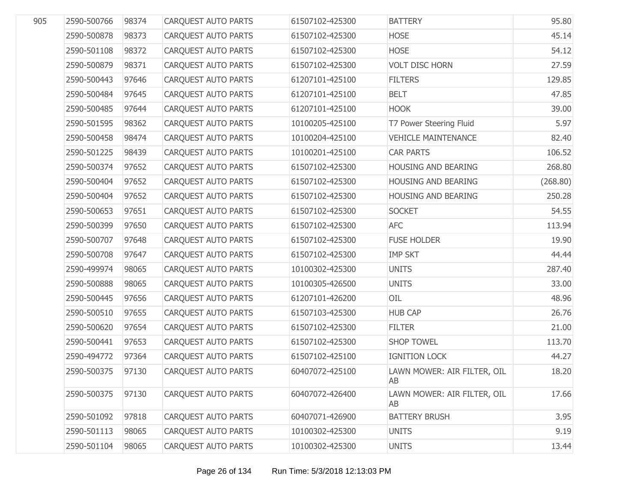| 905 | 2590-500766 | 98374 | <b>CARQUEST AUTO PARTS</b> | 61507102-425300 | <b>BATTERY</b>                    | 95.80    |
|-----|-------------|-------|----------------------------|-----------------|-----------------------------------|----------|
|     | 2590-500878 | 98373 | CARQUEST AUTO PARTS        | 61507102-425300 | <b>HOSE</b>                       | 45.14    |
|     | 2590-501108 | 98372 | CARQUEST AUTO PARTS        | 61507102-425300 | <b>HOSE</b>                       | 54.12    |
|     | 2590-500879 | 98371 | CARQUEST AUTO PARTS        | 61507102-425300 | <b>VOLT DISC HORN</b>             | 27.59    |
|     | 2590-500443 | 97646 | CARQUEST AUTO PARTS        | 61207101-425100 | <b>FILTERS</b>                    | 129.85   |
|     | 2590-500484 | 97645 | CARQUEST AUTO PARTS        | 61207101-425100 | <b>BELT</b>                       | 47.85    |
|     | 2590-500485 | 97644 | CARQUEST AUTO PARTS        | 61207101-425100 | <b>HOOK</b>                       | 39.00    |
|     | 2590-501595 | 98362 | CARQUEST AUTO PARTS        | 10100205-425100 | T7 Power Steering Fluid           | 5.97     |
|     | 2590-500458 | 98474 | CARQUEST AUTO PARTS        | 10100204-425100 | <b>VEHICLE MAINTENANCE</b>        | 82.40    |
|     | 2590-501225 | 98439 | CARQUEST AUTO PARTS        | 10100201-425100 | <b>CAR PARTS</b>                  | 106.52   |
|     | 2590-500374 | 97652 | CARQUEST AUTO PARTS        | 61507102-425300 | HOUSING AND BEARING               | 268.80   |
|     | 2590-500404 | 97652 | CARQUEST AUTO PARTS        | 61507102-425300 | HOUSING AND BEARING               | (268.80) |
|     | 2590-500404 | 97652 | CARQUEST AUTO PARTS        | 61507102-425300 | HOUSING AND BEARING               | 250.28   |
|     | 2590-500653 | 97651 | CARQUEST AUTO PARTS        | 61507102-425300 | <b>SOCKET</b>                     | 54.55    |
|     | 2590-500399 | 97650 | CARQUEST AUTO PARTS        | 61507102-425300 | <b>AFC</b>                        | 113.94   |
|     | 2590-500707 | 97648 | CARQUEST AUTO PARTS        | 61507102-425300 | <b>FUSE HOLDER</b>                | 19.90    |
|     | 2590-500708 | 97647 | CARQUEST AUTO PARTS        | 61507102-425300 | <b>IMP SKT</b>                    | 44.44    |
|     | 2590-499974 | 98065 | CARQUEST AUTO PARTS        | 10100302-425300 | <b>UNITS</b>                      | 287.40   |
|     | 2590-500888 | 98065 | CARQUEST AUTO PARTS        | 10100305-426500 | <b>UNITS</b>                      | 33.00    |
|     | 2590-500445 | 97656 | CARQUEST AUTO PARTS        | 61207101-426200 | OIL                               | 48.96    |
|     | 2590-500510 | 97655 | CARQUEST AUTO PARTS        | 61507103-425300 | <b>HUB CAP</b>                    | 26.76    |
|     | 2590-500620 | 97654 | CARQUEST AUTO PARTS        | 61507102-425300 | <b>FILTER</b>                     | 21.00    |
|     | 2590-500441 | 97653 | CARQUEST AUTO PARTS        | 61507102-425300 | <b>SHOP TOWEL</b>                 | 113.70   |
|     | 2590-494772 | 97364 | CARQUEST AUTO PARTS        | 61507102-425100 | <b>IGNITION LOCK</b>              | 44.27    |
|     | 2590-500375 | 97130 | <b>CARQUEST AUTO PARTS</b> | 60407072-425100 | LAWN MOWER: AIR FILTER, OIL<br>AB | 18.20    |
|     | 2590-500375 | 97130 | <b>CARQUEST AUTO PARTS</b> | 60407072-426400 | LAWN MOWER: AIR FILTER, OIL<br>AB | 17.66    |
|     | 2590-501092 | 97818 | <b>CARQUEST AUTO PARTS</b> | 60407071-426900 | <b>BATTERY BRUSH</b>              | 3.95     |
|     | 2590-501113 | 98065 | CARQUEST AUTO PARTS        | 10100302-425300 | <b>UNITS</b>                      | 9.19     |
|     | 2590-501104 | 98065 | <b>CARQUEST AUTO PARTS</b> | 10100302-425300 | <b>UNITS</b>                      | 13.44    |
|     |             |       |                            |                 |                                   |          |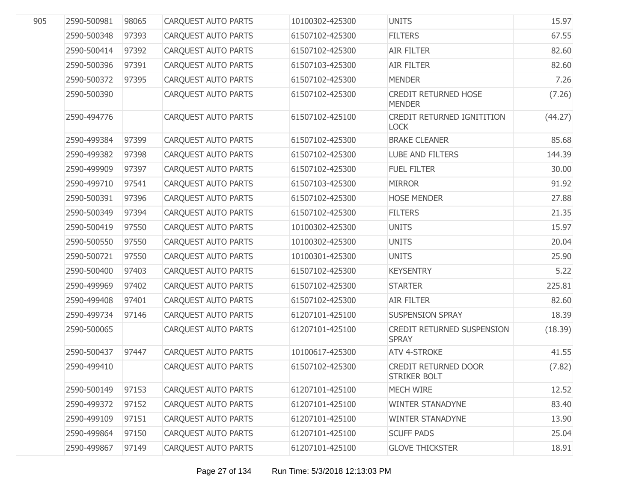| 905 | 2590-500981 | 98065 | <b>CARQUEST AUTO PARTS</b> | 10100302-425300 | <b>UNITS</b>                                 | 15.97   |
|-----|-------------|-------|----------------------------|-----------------|----------------------------------------------|---------|
|     | 2590-500348 | 97393 | <b>CARQUEST AUTO PARTS</b> | 61507102-425300 | <b>FILTERS</b>                               | 67.55   |
|     | 2590-500414 | 97392 | <b>CARQUEST AUTO PARTS</b> | 61507102-425300 | <b>AIR FILTER</b>                            | 82.60   |
|     | 2590-500396 | 97391 | <b>CARQUEST AUTO PARTS</b> | 61507103-425300 | <b>AIR FILTER</b>                            | 82.60   |
|     | 2590-500372 | 97395 | <b>CARQUEST AUTO PARTS</b> | 61507102-425300 | <b>MENDER</b>                                | 7.26    |
|     | 2590-500390 |       | <b>CARQUEST AUTO PARTS</b> | 61507102-425300 | <b>CREDIT RETURNED HOSE</b><br><b>MENDER</b> | (7.26)  |
|     | 2590-494776 |       | <b>CARQUEST AUTO PARTS</b> | 61507102-425100 | CREDIT RETURNED IGNITITION<br><b>LOCK</b>    | (44.27) |
|     | 2590-499384 | 97399 | <b>CARQUEST AUTO PARTS</b> | 61507102-425300 | <b>BRAKE CLEANER</b>                         | 85.68   |
|     | 2590-499382 | 97398 | <b>CARQUEST AUTO PARTS</b> | 61507102-425300 | <b>LUBE AND FILTERS</b>                      | 144.39  |
|     | 2590-499909 | 97397 | CARQUEST AUTO PARTS        | 61507102-425300 | <b>FUEL FILTER</b>                           | 30.00   |
|     | 2590-499710 | 97541 | <b>CARQUEST AUTO PARTS</b> | 61507103-425300 | <b>MIRROR</b>                                | 91.92   |
|     | 2590-500391 | 97396 | CARQUEST AUTO PARTS        | 61507102-425300 | <b>HOSE MENDER</b>                           | 27.88   |
|     | 2590-500349 | 97394 | CARQUEST AUTO PARTS        | 61507102-425300 | <b>FILTERS</b>                               | 21.35   |
|     | 2590-500419 | 97550 | CARQUEST AUTO PARTS        | 10100302-425300 | <b>UNITS</b>                                 | 15.97   |
|     | 2590-500550 | 97550 | <b>CARQUEST AUTO PARTS</b> | 10100302-425300 | <b>UNITS</b>                                 | 20.04   |
|     | 2590-500721 | 97550 | CARQUEST AUTO PARTS        | 10100301-425300 | <b>UNITS</b>                                 | 25.90   |
|     | 2590-500400 | 97403 | CARQUEST AUTO PARTS        | 61507102-425300 | <b>KEYSENTRY</b>                             | 5.22    |
|     | 2590-499969 | 97402 | CARQUEST AUTO PARTS        | 61507102-425300 | <b>STARTER</b>                               | 225.81  |
|     | 2590-499408 | 97401 | CARQUEST AUTO PARTS        | 61507102-425300 | <b>AIR FILTER</b>                            | 82.60   |
|     | 2590-499734 | 97146 | CARQUEST AUTO PARTS        | 61207101-425100 | <b>SUSPENSION SPRAY</b>                      | 18.39   |
|     | 2590-500065 |       | CARQUEST AUTO PARTS        | 61207101-425100 | CREDIT RETURNED SUSPENSION<br><b>SPRAY</b>   | (18.39) |
|     | 2590-500437 | 97447 | CARQUEST AUTO PARTS        | 10100617-425300 | <b>ATV 4-STROKE</b>                          | 41.55   |
|     | 2590-499410 |       | CARQUEST AUTO PARTS        | 61507102-425300 | CREDIT RETURNED DOOR<br>STRIKER BOLT         | (7.82)  |
|     | 2590-500149 | 97153 | <b>CAROUEST AUTO PARTS</b> | 61207101-425100 | <b>MECH WIRE</b>                             | 12.52   |
|     | 2590-499372 | 97152 | <b>CARQUEST AUTO PARTS</b> | 61207101-425100 | <b>WINTER STANADYNE</b>                      | 83.40   |
|     | 2590-499109 | 97151 | <b>CAROUEST AUTO PARTS</b> | 61207101-425100 | <b>WINTER STANADYNE</b>                      | 13.90   |
|     | 2590-499864 | 97150 | <b>CARQUEST AUTO PARTS</b> | 61207101-425100 | <b>SCUFF PADS</b>                            | 25.04   |
|     | 2590-499867 | 97149 | <b>CARQUEST AUTO PARTS</b> | 61207101-425100 | <b>GLOVE THICKSTER</b>                       | 18.91   |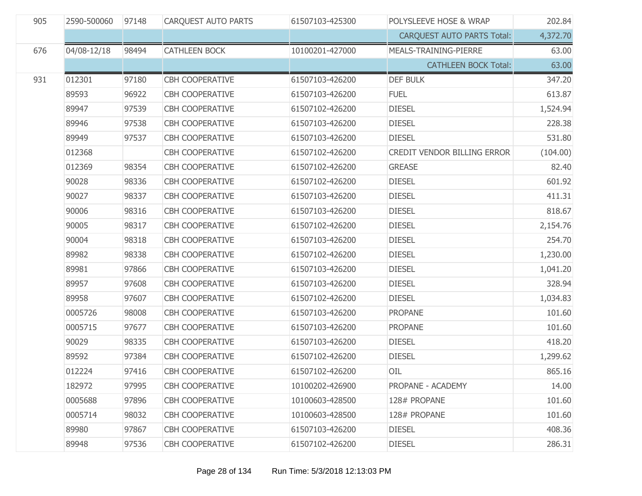| 905 | 2590-500060 | 97148 | CARQUEST AUTO PARTS    | 61507103-425300 | POLYSLEEVE HOSE & WRAP            | 202.84   |
|-----|-------------|-------|------------------------|-----------------|-----------------------------------|----------|
|     |             |       |                        |                 | <b>CARQUEST AUTO PARTS Total:</b> | 4,372.70 |
| 676 | 04/08-12/18 | 98494 | <b>CATHLEEN BOCK</b>   | 10100201-427000 | MEALS-TRAINING-PIERRE             | 63.00    |
|     |             |       |                        |                 | <b>CATHLEEN BOCK Total:</b>       | 63.00    |
| 931 | 012301      | 97180 | CBH COOPERATIVE        | 61507103-426200 | <b>DEF BULK</b>                   | 347.20   |
|     | 89593       | 96922 | <b>CBH COOPERATIVE</b> | 61507103-426200 | <b>FUEL</b>                       | 613.87   |
|     | 89947       | 97539 | <b>CBH COOPERATIVE</b> | 61507102-426200 | <b>DIESEL</b>                     | 1,524.94 |
|     | 89946       | 97538 | <b>CBH COOPERATIVE</b> | 61507103-426200 | <b>DIESEL</b>                     | 228.38   |
|     | 89949       | 97537 | <b>CBH COOPERATIVE</b> | 61507103-426200 | <b>DIESEL</b>                     | 531.80   |
|     | 012368      |       | <b>CBH COOPERATIVE</b> | 61507102-426200 | CREDIT VENDOR BILLING ERROR       | (104.00) |
|     | 012369      | 98354 | <b>CBH COOPERATIVE</b> | 61507102-426200 | <b>GREASE</b>                     | 82.40    |
|     | 90028       | 98336 | <b>CBH COOPERATIVE</b> | 61507102-426200 | <b>DIESEL</b>                     | 601.92   |
|     | 90027       | 98337 | <b>CBH COOPERATIVE</b> | 61507103-426200 | <b>DIESEL</b>                     | 411.31   |
|     | 90006       | 98316 | <b>CBH COOPERATIVE</b> | 61507103-426200 | <b>DIESEL</b>                     | 818.67   |
|     | 90005       | 98317 | <b>CBH COOPERATIVE</b> | 61507102-426200 | <b>DIESEL</b>                     | 2,154.76 |
|     | 90004       | 98318 | <b>CBH COOPERATIVE</b> | 61507103-426200 | <b>DIESEL</b>                     | 254.70   |
|     | 89982       | 98338 | <b>CBH COOPERATIVE</b> | 61507102-426200 | <b>DIESEL</b>                     | 1,230.00 |
|     | 89981       | 97866 | <b>CBH COOPERATIVE</b> | 61507103-426200 | <b>DIESEL</b>                     | 1,041.20 |
|     | 89957       | 97608 | <b>CBH COOPERATIVE</b> | 61507103-426200 | <b>DIESEL</b>                     | 328.94   |
|     | 89958       | 97607 | <b>CBH COOPERATIVE</b> | 61507102-426200 | <b>DIESEL</b>                     | 1,034.83 |
|     | 0005726     | 98008 | <b>CBH COOPERATIVE</b> | 61507103-426200 | <b>PROPANE</b>                    | 101.60   |
|     | 0005715     | 97677 | <b>CBH COOPERATIVE</b> | 61507103-426200 | <b>PROPANE</b>                    | 101.60   |
|     | 90029       | 98335 | <b>CBH COOPERATIVE</b> | 61507103-426200 | <b>DIESEL</b>                     | 418.20   |
|     | 89592       | 97384 | <b>CBH COOPERATIVE</b> | 61507102-426200 | <b>DIESEL</b>                     | 1,299.62 |
|     | 012224      | 97416 | <b>CBH COOPERATIVE</b> | 61507102-426200 | OIL                               | 865.16   |
|     | 182972      | 97995 | <b>CBH COOPERATIVE</b> | 10100202-426900 | PROPANE - ACADEMY                 | 14.00    |
|     | 0005688     | 97896 | <b>CBH COOPERATIVE</b> | 10100603-428500 | 128# PROPANE                      | 101.60   |
|     | 0005714     | 98032 | <b>CBH COOPERATIVE</b> | 10100603-428500 | 128# PROPANE                      | 101.60   |
|     | 89980       | 97867 | <b>CBH COOPERATIVE</b> | 61507103-426200 | <b>DIESEL</b>                     | 408.36   |
|     | 89948       | 97536 | <b>CBH COOPERATIVE</b> | 61507102-426200 | <b>DIESEL</b>                     | 286.31   |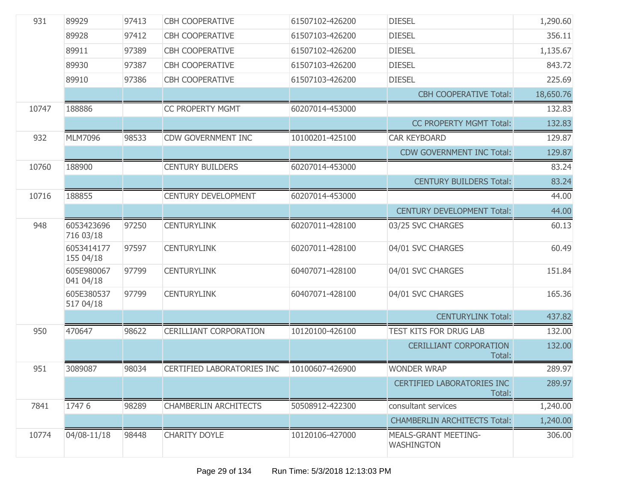| 931   | 89929                   | 97413 | <b>CBH COOPERATIVE</b>        | 61507102-426200 | <b>DIESEL</b>                                    | 1,290.60  |
|-------|-------------------------|-------|-------------------------------|-----------------|--------------------------------------------------|-----------|
|       | 89928                   | 97412 | <b>CBH COOPERATIVE</b>        | 61507103-426200 | <b>DIESEL</b>                                    | 356.11    |
|       | 89911                   | 97389 | <b>CBH COOPERATIVE</b>        | 61507102-426200 | <b>DIESEL</b>                                    | 1,135.67  |
|       | 89930                   | 97387 | <b>CBH COOPERATIVE</b>        | 61507103-426200 | <b>DIESEL</b>                                    | 843.72    |
|       | 89910                   | 97386 | <b>CBH COOPERATIVE</b>        | 61507103-426200 | <b>DIESEL</b>                                    | 225.69    |
|       |                         |       |                               |                 | <b>CBH COOPERATIVE Total:</b>                    | 18,650.76 |
| 10747 | 188886                  |       | <b>CC PROPERTY MGMT</b>       | 60207014-453000 |                                                  | 132.83    |
|       |                         |       |                               |                 | <b>CC PROPERTY MGMT Total:</b>                   | 132.83    |
| 932   | MLM7096                 | 98533 | CDW GOVERNMENT INC            | 10100201-425100 | <b>CAR KEYBOARD</b>                              | 129.87    |
|       |                         |       |                               |                 | <b>CDW GOVERNMENT INC Total:</b>                 | 129.87    |
| 10760 | 188900                  |       | <b>CENTURY BUILDERS</b>       | 60207014-453000 |                                                  | 83.24     |
|       |                         |       |                               |                 | <b>CENTURY BUILDERS Total:</b>                   | 83.24     |
| 10716 | 188855                  |       | <b>CENTURY DEVELOPMENT</b>    | 60207014-453000 |                                                  | 44.00     |
|       |                         |       |                               |                 | <b>CENTURY DEVELOPMENT Total:</b>                | 44.00     |
| 948   | 6053423696<br>716 03/18 | 97250 | <b>CENTURYLINK</b>            | 60207011-428100 | 03/25 SVC CHARGES                                | 60.13     |
|       | 6053414177<br>155 04/18 | 97597 | <b>CENTURYLINK</b>            | 60207011-428100 | 04/01 SVC CHARGES                                | 60.49     |
|       | 605E980067<br>041 04/18 | 97799 | <b>CENTURYLINK</b>            | 60407071-428100 | 04/01 SVC CHARGES                                | 151.84    |
|       | 605E380537<br>517 04/18 | 97799 | <b>CENTURYLINK</b>            | 60407071-428100 | 04/01 SVC CHARGES                                | 165.36    |
|       |                         |       |                               |                 | <b>CENTURYLINK Total:</b>                        | 437.82    |
| 950   | 470647                  | 98622 | <b>CERILLIANT CORPORATION</b> | 10120100-426100 | TEST KITS FOR DRUG LAB                           | 132.00    |
|       |                         |       |                               |                 | <b>CERILLIANT CORPORATION</b><br>Total:          | 132.00    |
| 951   | 3089087                 | 98034 | CERTIFIED LABORATORIES INC    | 10100607-426900 | <b>WONDER WRAP</b>                               | 289.97    |
|       |                         |       |                               |                 | <b>CERTIFIED LABORATORIES INC</b><br>Total:      | 289.97    |
| 7841  | 17476                   | 98289 | <b>CHAMBERLIN ARCHITECTS</b>  | 50508912-422300 | consultant services                              | 1,240.00  |
|       |                         |       |                               |                 | <b>CHAMBERLIN ARCHITECTS Total:</b>              | 1,240.00  |
| 10774 | 04/08-11/18             | 98448 | <b>CHARITY DOYLE</b>          | 10120106-427000 | <b>MEALS-GRANT MEETING-</b><br><b>WASHINGTON</b> | 306.00    |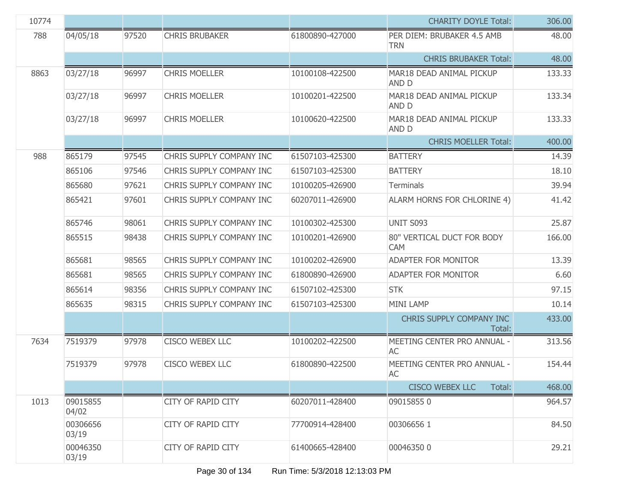| 10774 |                   |       |                           |                 | <b>CHARITY DOYLE Total:</b>              | 306.00 |
|-------|-------------------|-------|---------------------------|-----------------|------------------------------------------|--------|
| 788   | 04/05/18          | 97520 | <b>CHRIS BRUBAKER</b>     | 61800890-427000 | PER DIEM: BRUBAKER 4.5 AMB<br><b>TRN</b> | 48.00  |
|       |                   |       |                           |                 | <b>CHRIS BRUBAKER Total:</b>             | 48.00  |
| 8863  | 03/27/18          | 96997 | <b>CHRIS MOELLER</b>      | 10100108-422500 | MAR18 DEAD ANIMAL PICKUP<br>AND D        | 133.33 |
|       | 03/27/18          | 96997 | <b>CHRIS MOELLER</b>      | 10100201-422500 | MAR18 DEAD ANIMAL PICKUP<br>AND D        | 133.34 |
|       | 03/27/18          | 96997 | <b>CHRIS MOELLER</b>      | 10100620-422500 | MAR18 DEAD ANIMAL PICKUP<br>AND D        | 133.33 |
|       |                   |       |                           |                 | <b>CHRIS MOELLER Total:</b>              | 400.00 |
| 988   | 865179            | 97545 | CHRIS SUPPLY COMPANY INC  | 61507103-425300 | <b>BATTERY</b>                           | 14.39  |
|       | 865106            | 97546 | CHRIS SUPPLY COMPANY INC  | 61507103-425300 | <b>BATTERY</b>                           | 18.10  |
|       | 865680            | 97621 | CHRIS SUPPLY COMPANY INC  | 10100205-426900 | Terminals                                | 39.94  |
|       | 865421            | 97601 | CHRIS SUPPLY COMPANY INC  | 60207011-426900 | ALARM HORNS FOR CHLORINE 4)              | 41.42  |
|       | 865746            | 98061 | CHRIS SUPPLY COMPANY INC  | 10100302-425300 | UNIT S093                                | 25.87  |
|       | 865515            | 98438 | CHRIS SUPPLY COMPANY INC  | 10100201-426900 | 80" VERTICAL DUCT FOR BODY<br><b>CAM</b> | 166.00 |
|       | 865681            | 98565 | CHRIS SUPPLY COMPANY INC  | 10100202-426900 | <b>ADAPTER FOR MONITOR</b>               | 13.39  |
|       | 865681            | 98565 | CHRIS SUPPLY COMPANY INC  | 61800890-426900 | <b>ADAPTER FOR MONITOR</b>               | 6.60   |
|       | 865614            | 98356 | CHRIS SUPPLY COMPANY INC  | 61507102-425300 | <b>STK</b>                               | 97.15  |
|       | 865635            | 98315 | CHRIS SUPPLY COMPANY INC  | 61507103-425300 | <b>MINI LAMP</b>                         | 10.14  |
|       |                   |       |                           |                 | CHRIS SUPPLY COMPANY INC<br>Total:       | 433.00 |
| 7634  | 7519379           | 97978 | <b>CISCO WEBEX LLC</b>    | 10100202-422500 | MEETING CENTER PRO ANNUAL -<br>AC        | 313.56 |
|       | 7519379           | 97978 | <b>CISCO WEBEX LLC</b>    | 61800890-422500 | MEETING CENTER PRO ANNUAL -<br>AC        | 154.44 |
|       |                   |       |                           |                 | <b>CISCO WEBEX LLC</b><br>Total:         | 468.00 |
| 1013  | 09015855<br>04/02 |       | CITY OF RAPID CITY        | 60207011-428400 | 090158550                                | 964.57 |
|       | 00306656<br>03/19 |       | <b>CITY OF RAPID CITY</b> | 77700914-428400 | 003066561                                | 84.50  |
|       | 00046350<br>03/19 |       | <b>CITY OF RAPID CITY</b> | 61400665-428400 | 000463500                                | 29.21  |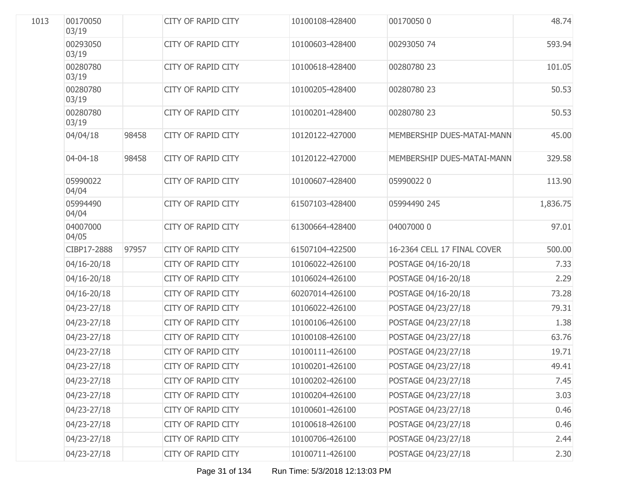| 1013 | 00170050<br>03/19 |       | <b>CITY OF RAPID CITY</b> | 10100108-428400 | 001700500                   | 48.74    |
|------|-------------------|-------|---------------------------|-----------------|-----------------------------|----------|
|      | 00293050<br>03/19 |       | <b>CITY OF RAPID CITY</b> | 10100603-428400 | 00293050 74                 | 593.94   |
|      | 00280780<br>03/19 |       | <b>CITY OF RAPID CITY</b> | 10100618-428400 | 00280780 23                 | 101.05   |
|      | 00280780<br>03/19 |       | <b>CITY OF RAPID CITY</b> | 10100205-428400 | 00280780 23                 | 50.53    |
|      | 00280780<br>03/19 |       | <b>CITY OF RAPID CITY</b> | 10100201-428400 | 00280780 23                 | 50.53    |
|      | 04/04/18          | 98458 | <b>CITY OF RAPID CITY</b> | 10120122-427000 | MEMBERSHIP DUES-MATAI-MANN  | 45.00    |
|      | 04-04-18          | 98458 | <b>CITY OF RAPID CITY</b> | 10120122-427000 | MEMBERSHIP DUES-MATAI-MANN  | 329.58   |
|      | 05990022<br>04/04 |       | <b>CITY OF RAPID CITY</b> | 10100607-428400 | 059900220                   | 113.90   |
|      | 05994490<br>04/04 |       | <b>CITY OF RAPID CITY</b> | 61507103-428400 | 05994490 245                | 1,836.75 |
|      | 04007000<br>04/05 |       | <b>CITY OF RAPID CITY</b> | 61300664-428400 | 04007000 0                  | 97.01    |
|      | CIBP17-2888       | 97957 | <b>CITY OF RAPID CITY</b> | 61507104-422500 | 16-2364 CELL 17 FINAL COVER | 500.00   |
|      | 04/16-20/18       |       | <b>CITY OF RAPID CITY</b> | 10106022-426100 | POSTAGE 04/16-20/18         | 7.33     |
|      | 04/16-20/18       |       | <b>CITY OF RAPID CITY</b> | 10106024-426100 | POSTAGE 04/16-20/18         | 2.29     |
|      | 04/16-20/18       |       | CITY OF RAPID CITY        | 60207014-426100 | POSTAGE 04/16-20/18         | 73.28    |
|      | 04/23-27/18       |       | <b>CITY OF RAPID CITY</b> | 10106022-426100 | POSTAGE 04/23/27/18         | 79.31    |
|      | 04/23-27/18       |       | CITY OF RAPID CITY        | 10100106-426100 | POSTAGE 04/23/27/18         | 1.38     |
|      | 04/23-27/18       |       | <b>CITY OF RAPID CITY</b> | 10100108-426100 | POSTAGE 04/23/27/18         | 63.76    |
|      | 04/23-27/18       |       | <b>CITY OF RAPID CITY</b> | 10100111-426100 | POSTAGE 04/23/27/18         | 19.71    |
|      | 04/23-27/18       |       | CITY OF RAPID CITY        | 10100201-426100 | POSTAGE 04/23/27/18         | 49.41    |
|      | 04/23-27/18       |       | CITY OF RAPID CITY        | 10100202-426100 | POSTAGE 04/23/27/18         | 7.45     |
|      | 04/23-27/18       |       | CITY OF RAPID CITY        | 10100204-426100 | POSTAGE 04/23/27/18         | 3.03     |
|      | 04/23-27/18       |       | CITY OF RAPID CITY        | 10100601-426100 | POSTAGE 04/23/27/18         | 0.46     |
|      | 04/23-27/18       |       | CITY OF RAPID CITY        | 10100618-426100 | POSTAGE 04/23/27/18         | 0.46     |
|      | 04/23-27/18       |       | <b>CITY OF RAPID CITY</b> | 10100706-426100 | POSTAGE 04/23/27/18         | 2.44     |
|      | 04/23-27/18       |       | <b>CITY OF RAPID CITY</b> | 10100711-426100 | POSTAGE 04/23/27/18         | 2.30     |
|      |                   |       |                           |                 |                             |          |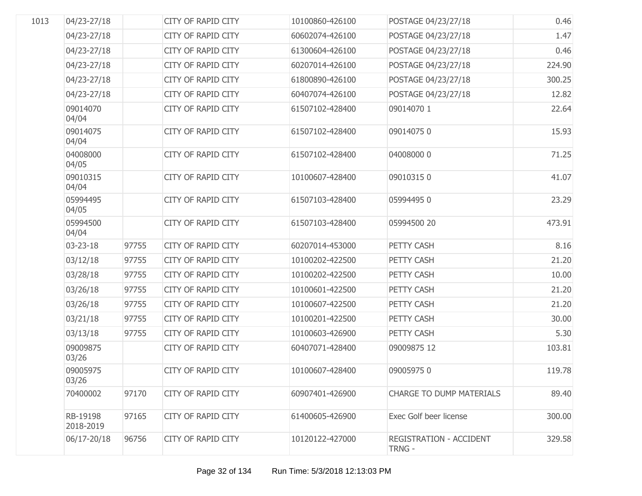| 1013 | 04/23-27/18           |       | <b>CITY OF RAPID CITY</b> | 10100860-426100 | POSTAGE 04/23/27/18                      | 0.46   |
|------|-----------------------|-------|---------------------------|-----------------|------------------------------------------|--------|
|      | 04/23-27/18           |       | <b>CITY OF RAPID CITY</b> | 60602074-426100 | POSTAGE 04/23/27/18                      | 1.47   |
|      | 04/23-27/18           |       | CITY OF RAPID CITY        | 61300604-426100 | POSTAGE 04/23/27/18                      | 0.46   |
|      | 04/23-27/18           |       | <b>CITY OF RAPID CITY</b> | 60207014-426100 | POSTAGE 04/23/27/18                      | 224.90 |
|      | 04/23-27/18           |       | CITY OF RAPID CITY        | 61800890-426100 | POSTAGE 04/23/27/18                      | 300.25 |
|      | 04/23-27/18           |       | <b>CITY OF RAPID CITY</b> | 60407074-426100 | POSTAGE 04/23/27/18                      | 12.82  |
|      | 09014070<br>04/04     |       | <b>CITY OF RAPID CITY</b> | 61507102-428400 | 09014070 1                               | 22.64  |
|      | 09014075<br>04/04     |       | <b>CITY OF RAPID CITY</b> | 61507102-428400 | 090140750                                | 15.93  |
|      | 04008000<br>04/05     |       | CITY OF RAPID CITY        | 61507102-428400 | 04008000 0                               | 71.25  |
|      | 09010315<br>04/04     |       | CITY OF RAPID CITY        | 10100607-428400 | 090103150                                | 41.07  |
|      | 05994495<br>04/05     |       | CITY OF RAPID CITY        | 61507103-428400 | 059944950                                | 23.29  |
|      | 05994500<br>04/04     |       | CITY OF RAPID CITY        | 61507103-428400 | 05994500 20                              | 473.91 |
|      | $03 - 23 - 18$        | 97755 | <b>CITY OF RAPID CITY</b> | 60207014-453000 | PETTY CASH                               | 8.16   |
|      | 03/12/18              | 97755 | <b>CITY OF RAPID CITY</b> | 10100202-422500 | PETTY CASH                               | 21.20  |
|      | 03/28/18              | 97755 | <b>CITY OF RAPID CITY</b> | 10100202-422500 | PETTY CASH                               | 10.00  |
|      | 03/26/18              | 97755 | <b>CITY OF RAPID CITY</b> | 10100601-422500 | PETTY CASH                               | 21.20  |
|      | 03/26/18              | 97755 | <b>CITY OF RAPID CITY</b> | 10100607-422500 | PETTY CASH                               | 21.20  |
|      | 03/21/18              | 97755 | <b>CITY OF RAPID CITY</b> | 10100201-422500 | PETTY CASH                               | 30.00  |
|      | 03/13/18              | 97755 | CITY OF RAPID CITY        | 10100603-426900 | PETTY CASH                               | 5.30   |
|      | 09009875<br>03/26     |       | <b>CITY OF RAPID CITY</b> | 60407071-428400 | 09009875 12                              | 103.81 |
|      | 09005975<br>03/26     |       | <b>CITY OF RAPID CITY</b> | 10100607-428400 | 090059750                                | 119.78 |
|      | 70400002              | 97170 | <b>CITY OF RAPID CITY</b> | 60907401-426900 | <b>CHARGE TO DUMP MATERIALS</b>          | 89.40  |
|      | RB-19198<br>2018-2019 | 97165 | <b>CITY OF RAPID CITY</b> | 61400605-426900 | Exec Golf beer license                   | 300.00 |
|      | 06/17-20/18           | 96756 | <b>CITY OF RAPID CITY</b> | 10120122-427000 | <b>REGISTRATION - ACCIDENT</b><br>TRNG - | 329.58 |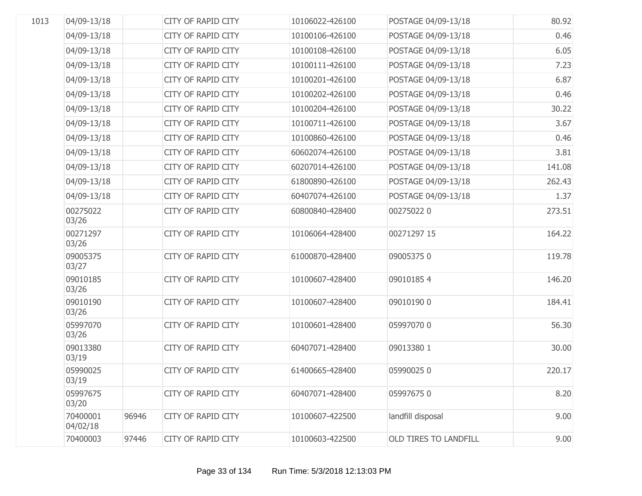| 1013 | 04/09-13/18          |       | <b>CITY OF RAPID CITY</b> | 10106022-426100 | POSTAGE 04/09-13/18   | 80.92  |
|------|----------------------|-------|---------------------------|-----------------|-----------------------|--------|
|      | 04/09-13/18          |       | CITY OF RAPID CITY        | 10100106-426100 | POSTAGE 04/09-13/18   | 0.46   |
|      | 04/09-13/18          |       | CITY OF RAPID CITY        | 10100108-426100 | POSTAGE 04/09-13/18   | 6.05   |
|      | 04/09-13/18          |       | CITY OF RAPID CITY        | 10100111-426100 | POSTAGE 04/09-13/18   | 7.23   |
|      | 04/09-13/18          |       | CITY OF RAPID CITY        | 10100201-426100 | POSTAGE 04/09-13/18   | 6.87   |
|      | 04/09-13/18          |       | CITY OF RAPID CITY        | 10100202-426100 | POSTAGE 04/09-13/18   | 0.46   |
|      | 04/09-13/18          |       | CITY OF RAPID CITY        | 10100204-426100 | POSTAGE 04/09-13/18   | 30.22  |
|      | 04/09-13/18          |       | CITY OF RAPID CITY        | 10100711-426100 | POSTAGE 04/09-13/18   | 3.67   |
|      | 04/09-13/18          |       | CITY OF RAPID CITY        | 10100860-426100 | POSTAGE 04/09-13/18   | 0.46   |
|      | 04/09-13/18          |       | CITY OF RAPID CITY        | 60602074-426100 | POSTAGE 04/09-13/18   | 3.81   |
|      | 04/09-13/18          |       | CITY OF RAPID CITY        | 60207014-426100 | POSTAGE 04/09-13/18   | 141.08 |
|      | 04/09-13/18          |       | CITY OF RAPID CITY        | 61800890-426100 | POSTAGE 04/09-13/18   | 262.43 |
|      | 04/09-13/18          |       | CITY OF RAPID CITY        | 60407074-426100 | POSTAGE 04/09-13/18   | 1.37   |
|      | 00275022<br>03/26    |       | <b>CITY OF RAPID CITY</b> | 60800840-428400 | 002750220             | 273.51 |
|      | 00271297<br>03/26    |       | CITY OF RAPID CITY        | 10106064-428400 | 00271297 15           | 164.22 |
|      | 09005375<br>03/27    |       | <b>CITY OF RAPID CITY</b> | 61000870-428400 | 090053750             | 119.78 |
|      | 09010185<br>03/26    |       | CITY OF RAPID CITY        | 10100607-428400 | 090101854             | 146.20 |
|      | 09010190<br>03/26    |       | CITY OF RAPID CITY        | 10100607-428400 | 09010190 0            | 184.41 |
|      | 05997070<br>03/26    |       | CITY OF RAPID CITY        | 10100601-428400 | 05997070 0            | 56.30  |
|      | 09013380<br>03/19    |       | <b>CITY OF RAPID CITY</b> | 60407071-428400 | 09013380 1            | 30.00  |
|      | 05990025<br>03/19    |       | CITY OF RAPID CITY        | 61400665-428400 | 059900250             | 220.17 |
|      | 05997675<br>03/20    |       | <b>CITY OF RAPID CITY</b> | 60407071-428400 | 059976750             | 8.20   |
|      | 70400001<br>04/02/18 | 96946 | <b>CITY OF RAPID CITY</b> | 10100607-422500 | landfill disposal     | 9.00   |
|      | 70400003             | 97446 | <b>CITY OF RAPID CITY</b> | 10100603-422500 | OLD TIRES TO LANDFILL | 9.00   |
|      |                      |       |                           |                 |                       |        |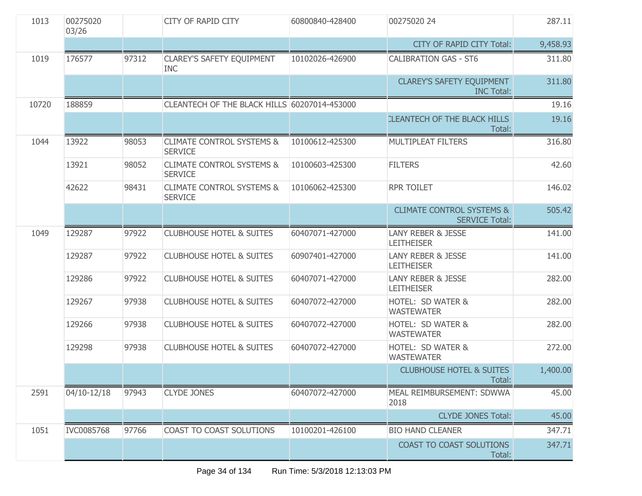| 1013  | 00275020<br>03/26 |       | <b>CITY OF RAPID CITY</b>                              | 60800840-428400 | 00275020 24                                                   | 287.11   |
|-------|-------------------|-------|--------------------------------------------------------|-----------------|---------------------------------------------------------------|----------|
|       |                   |       |                                                        |                 | <b>CITY OF RAPID CITY Total:</b>                              | 9,458.93 |
| 1019  | 176577            | 97312 | <b>CLAREY'S SAFETY EQUIPMENT</b><br><b>INC</b>         | 10102026-426900 | <b>CALIBRATION GAS - ST6</b>                                  | 311.80   |
|       |                   |       |                                                        |                 | <b>CLAREY'S SAFETY EQUIPMENT</b><br><b>INC Total:</b>         | 311.80   |
| 10720 | 188859            |       | CLEANTECH OF THE BLACK HILLS 60207014-453000           |                 |                                                               | 19.16    |
|       |                   |       |                                                        |                 | <b>CLEANTECH OF THE BLACK HILLS</b><br>Total:                 | 19.16    |
| 1044  | 13922             | 98053 | <b>CLIMATE CONTROL SYSTEMS &amp;</b><br><b>SERVICE</b> | 10100612-425300 | MULTIPLEAT FILTERS                                            | 316.80   |
|       | 13921             | 98052 | <b>CLIMATE CONTROL SYSTEMS &amp;</b><br><b>SERVICE</b> | 10100603-425300 | <b>FILTERS</b>                                                | 42.60    |
|       | 42622             | 98431 | <b>CLIMATE CONTROL SYSTEMS &amp;</b><br><b>SERVICE</b> | 10106062-425300 | <b>RPR TOILET</b>                                             | 146.02   |
|       |                   |       |                                                        |                 | <b>CLIMATE CONTROL SYSTEMS &amp;</b><br><b>SERVICE Total:</b> | 505.42   |
| 1049  | 129287            | 97922 | <b>CLUBHOUSE HOTEL &amp; SUITES</b>                    | 60407071-427000 | <b>LANY REBER &amp; JESSE</b><br><b>LEITHEISER</b>            | 141.00   |
|       | 129287            | 97922 | <b>CLUBHOUSE HOTEL &amp; SUITES</b>                    | 60907401-427000 | <b>LANY REBER &amp; JESSE</b><br><b>LEITHEISER</b>            | 141.00   |
|       | 129286            | 97922 | <b>CLUBHOUSE HOTEL &amp; SUITES</b>                    | 60407071-427000 | <b>LANY REBER &amp; JESSE</b><br><b>LEITHEISER</b>            | 282.00   |
|       | 129267            | 97938 | <b>CLUBHOUSE HOTEL &amp; SUITES</b>                    | 60407072-427000 | HOTEL: SD WATER &<br><b>WASTEWATER</b>                        | 282.00   |
|       | 129266            | 97938 | <b>CLUBHOUSE HOTEL &amp; SUITES</b>                    | 60407072-427000 | HOTEL: SD WATER &<br><b>WASTEWATER</b>                        | 282.00   |
|       | 129298            | 97938 | <b>CLUBHOUSE HOTEL &amp; SUITES</b>                    | 60407072-427000 | HOTEL: SD WATER &<br><b>WASTEWATER</b>                        | 272.00   |
|       |                   |       |                                                        |                 | <b>CLUBHOUSE HOTEL &amp; SUITES</b><br>Total:                 | 1,400.00 |
| 2591  | 04/10-12/18       | 97943 | <b>CLYDE JONES</b>                                     | 60407072-427000 | MEAL REIMBURSEMENT: SDWWA<br>2018                             | 45.00    |
|       |                   |       |                                                        |                 | <b>CLYDE JONES Total:</b>                                     | 45.00    |
| 1051  | IVC0085768        | 97766 | COAST TO COAST SOLUTIONS                               | 10100201-426100 | <b>BIO HAND CLEANER</b>                                       | 347.71   |
|       |                   |       |                                                        |                 | <b>COAST TO COAST SOLUTIONS</b><br>Total:                     | 347.71   |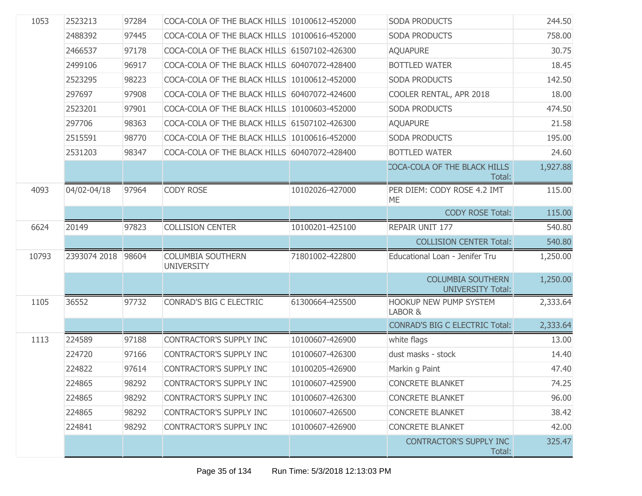| 1053  | 2523213      | 97284 | COCA-COLA OF THE BLACK HILLS 10100612-452000  |                 | <b>SODA PRODUCTS</b>                                 | 244.50   |
|-------|--------------|-------|-----------------------------------------------|-----------------|------------------------------------------------------|----------|
|       | 2488392      | 97445 | COCA-COLA OF THE BLACK HILLS 10100616-452000  |                 | <b>SODA PRODUCTS</b>                                 | 758.00   |
|       | 2466537      | 97178 | COCA-COLA OF THE BLACK HILLS 61507102-426300  |                 | <b>AQUAPURE</b>                                      | 30.75    |
|       | 2499106      | 96917 | COCA-COLA OF THE BLACK HILLS 60407072-428400  |                 | <b>BOTTLED WATER</b>                                 | 18.45    |
|       | 2523295      | 98223 | COCA-COLA OF THE BLACK HILLS 10100612-452000  |                 | SODA PRODUCTS                                        | 142.50   |
|       | 297697       | 97908 | COCA-COLA OF THE BLACK HILLS 60407072-424600  |                 | COOLER RENTAL, APR 2018                              | 18.00    |
|       | 2523201      | 97901 | COCA-COLA OF THE BLACK HILLS 10100603-452000  |                 | <b>SODA PRODUCTS</b>                                 | 474.50   |
|       | 297706       | 98363 | COCA-COLA OF THE BLACK HILLS 61507102-426300  |                 | <b>AQUAPURE</b>                                      | 21.58    |
|       | 2515591      | 98770 | COCA-COLA OF THE BLACK HILLS 10100616-452000  |                 | SODA PRODUCTS                                        | 195.00   |
|       | 2531203      | 98347 | COCA-COLA OF THE BLACK HILLS 60407072-428400  |                 | <b>BOTTLED WATER</b>                                 | 24.60    |
|       |              |       |                                               |                 | COCA-COLA OF THE BLACK HILLS<br>Total:               | 1,927.88 |
| 4093  | 04/02-04/18  | 97964 | <b>CODY ROSE</b>                              | 10102026-427000 | PER DIEM: CODY ROSE 4.2 IMT<br><b>ME</b>             | 115.00   |
|       |              |       |                                               |                 | <b>CODY ROSE Total:</b>                              | 115.00   |
| 6624  | 20149        | 97823 | <b>COLLISION CENTER</b>                       | 10100201-425100 | REPAIR UNIT 177                                      | 540.80   |
|       |              |       |                                               |                 | <b>COLLISION CENTER Total:</b>                       | 540.80   |
| 10793 | 2393074 2018 | 98604 | <b>COLUMBIA SOUTHERN</b><br><b>UNIVERSITY</b> | 71801002-422800 | Educational Loan - Jenifer Tru                       | 1,250.00 |
|       |              |       |                                               |                 | <b>COLUMBIA SOUTHERN</b><br><b>UNIVERSITY Total:</b> | 1,250.00 |
| 1105  | 36552        | 97732 | CONRAD'S BIG C ELECTRIC                       | 61300664-425500 | <b>HOOKUP NEW PUMP SYSTEM</b><br>LABOR &             | 2,333.64 |
|       |              |       |                                               |                 | <b>CONRAD'S BIG C ELECTRIC Total:</b>                | 2,333.64 |
| 1113  | 224589       | 97188 | CONTRACTOR'S SUPPLY INC                       | 10100607-426900 | white flags                                          | 13.00    |
|       | 224720       | 97166 | CONTRACTOR'S SUPPLY INC                       | 10100607-426300 | dust masks - stock                                   | 14.40    |
|       | 224822       | 97614 | CONTRACTOR'S SUPPLY INC                       | 10100205-426900 | Markin g Paint                                       | 47.40    |
|       | 224865       | 98292 | CONTRACTOR'S SUPPLY INC                       | 10100607-425900 | <b>CONCRETE BLANKET</b>                              | 74.25    |
|       | 224865       | 98292 | <b>CONTRACTOR'S SUPPLY INC</b>                | 10100607-426300 | <b>CONCRETE BLANKET</b>                              | 96.00    |
|       | 224865       | 98292 | CONTRACTOR'S SUPPLY INC                       | 10100607-426500 | <b>CONCRETE BLANKET</b>                              | 38.42    |
|       | 224841       | 98292 | CONTRACTOR'S SUPPLY INC                       | 10100607-426900 | <b>CONCRETE BLANKET</b>                              | 42.00    |
|       |              |       |                                               |                 | CONTRACTOR'S SUPPLY INC<br>Total:                    | 325.47   |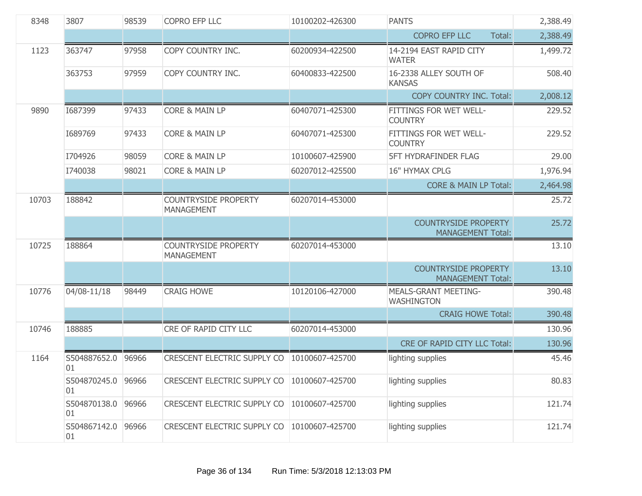| 8348  | 3807                     | 98539 | COPRO EFP LLC                                    | 10100202-426300 | <b>PANTS</b>                                            | 2,388.49 |
|-------|--------------------------|-------|--------------------------------------------------|-----------------|---------------------------------------------------------|----------|
|       |                          |       |                                                  |                 | <b>COPRO EFP LLC</b><br>Total:                          | 2,388.49 |
| 1123  | 363747                   | 97958 | COPY COUNTRY INC.                                | 60200934-422500 | 14-2194 EAST RAPID CITY<br><b>WATER</b>                 | 1,499.72 |
|       | 363753                   | 97959 | COPY COUNTRY INC.                                | 60400833-422500 | 16-2338 ALLEY SOUTH OF<br><b>KANSAS</b>                 | 508.40   |
|       |                          |       |                                                  |                 | COPY COUNTRY INC. Total:                                | 2,008.12 |
| 9890  | 1687399                  | 97433 | <b>CORE &amp; MAIN LP</b>                        | 60407071-425300 | FITTINGS FOR WET WELL-<br><b>COUNTRY</b>                | 229.52   |
|       | 1689769                  | 97433 | <b>CORE &amp; MAIN LP</b>                        | 60407071-425300 | FITTINGS FOR WET WELL-<br><b>COUNTRY</b>                | 229.52   |
|       | I704926                  | 98059 | <b>CORE &amp; MAIN LP</b>                        | 10100607-425900 | <b>5FT HYDRAFINDER FLAG</b>                             | 29.00    |
|       | I740038                  | 98021 | CORE & MAIN LP                                   | 60207012-425500 | 16" HYMAX CPLG                                          | 1,976.94 |
|       |                          |       |                                                  |                 | <b>CORE &amp; MAIN LP Total:</b>                        | 2,464.98 |
| 10703 | 188842                   |       | <b>COUNTRYSIDE PROPERTY</b><br><b>MANAGEMENT</b> | 60207014-453000 |                                                         | 25.72    |
|       |                          |       |                                                  |                 | <b>COUNTRYSIDE PROPERTY</b><br><b>MANAGEMENT Total:</b> | 25.72    |
| 10725 | 188864                   |       | <b>COUNTRYSIDE PROPERTY</b><br><b>MANAGEMENT</b> | 60207014-453000 |                                                         | 13.10    |
|       |                          |       |                                                  |                 | <b>COUNTRYSIDE PROPERTY</b><br><b>MANAGEMENT Total:</b> | 13.10    |
| 10776 | 04/08-11/18              | 98449 | <b>CRAIG HOWE</b>                                | 10120106-427000 | <b>MEALS-GRANT MEETING-</b><br>WASHINGTON               | 390.48   |
|       |                          |       |                                                  |                 | <b>CRAIG HOWE Total:</b>                                | 390.48   |
| 10746 | 188885                   |       | CRE OF RAPID CITY LLC                            | 60207014-453000 |                                                         | 130.96   |
|       |                          |       |                                                  |                 | CRE OF RAPID CITY LLC Total:                            | 130.96   |
| 1164  | S504887652.0<br>01       | 96966 | CRESCENT ELECTRIC SUPPLY CO                      | 10100607-425700 | lighting supplies                                       | 45.46    |
|       | S504870245.0 96966<br>01 |       | CRESCENT ELECTRIC SUPPLY CO   10100607-425700    |                 | lighting supplies                                       | 80.83    |
|       | S504870138.0<br>01       | 96966 | CRESCENT ELECTRIC SUPPLY CO   10100607-425700    |                 | lighting supplies                                       | 121.74   |
|       | S504867142.0<br>01       | 96966 | CRESCENT ELECTRIC SUPPLY CO                      | 10100607-425700 | lighting supplies                                       | 121.74   |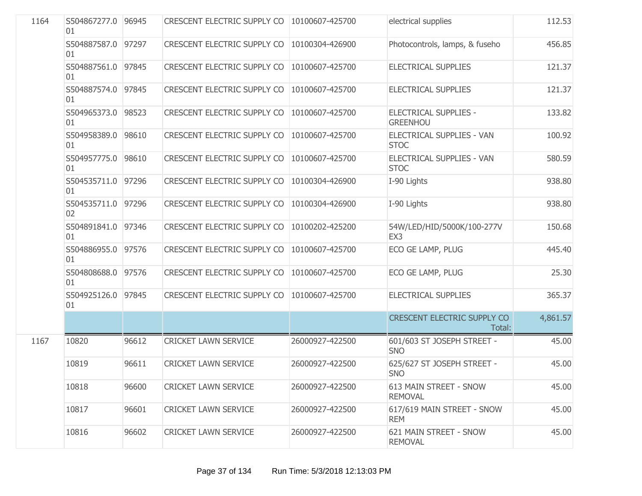| 1164 | S504867277.0 96945<br>01 |       | CRESCENT ELECTRIC SUPPLY CO        | 10100607-425700 | electrical supplies                             | 112.53   |
|------|--------------------------|-------|------------------------------------|-----------------|-------------------------------------------------|----------|
|      | S504887587.0<br>01       | 97297 | CRESCENT ELECTRIC SUPPLY CO        | 10100304-426900 | Photocontrols, lamps, & fuseho                  | 456.85   |
|      | S504887561.0<br>01       | 97845 | CRESCENT ELECTRIC SUPPLY CO        | 10100607-425700 | ELECTRICAL SUPPLIES                             | 121.37   |
|      | S504887574.0<br>01       | 97845 | CRESCENT ELECTRIC SUPPLY CO        | 10100607-425700 | ELECTRICAL SUPPLIES                             | 121.37   |
|      | S504965373.0<br>01       | 98523 | <b>CRESCENT ELECTRIC SUPPLY CO</b> | 10100607-425700 | <b>ELECTRICAL SUPPLIES -</b><br><b>GREENHOU</b> | 133.82   |
|      | S504958389.0<br>01       | 98610 | CRESCENT ELECTRIC SUPPLY CO        | 10100607-425700 | ELECTRICAL SUPPLIES - VAN<br><b>STOC</b>        | 100.92   |
|      | S504957775.0<br>01       | 98610 | CRESCENT ELECTRIC SUPPLY CO        | 10100607-425700 | ELECTRICAL SUPPLIES - VAN<br><b>STOC</b>        | 580.59   |
|      | S504535711.0 97296<br>01 |       | CRESCENT ELECTRIC SUPPLY CO        | 10100304-426900 | I-90 Lights                                     | 938.80   |
|      | S504535711.0<br>02       | 97296 | CRESCENT ELECTRIC SUPPLY CO        | 10100304-426900 | I-90 Lights                                     | 938.80   |
|      | S504891841.0<br>01       | 97346 | <b>CRESCENT ELECTRIC SUPPLY CO</b> | 10100202-425200 | 54W/LED/HID/5000K/100-277V<br>EX3               | 150.68   |
|      | S504886955.0 97576<br>01 |       | CRESCENT ELECTRIC SUPPLY CO        | 10100607-425700 | ECO GE LAMP, PLUG                               | 445.40   |
|      | S504808688.0<br>01       | 97576 | CRESCENT ELECTRIC SUPPLY CO        | 10100607-425700 | ECO GE LAMP, PLUG                               | 25.30    |
|      | S504925126.0<br>01       | 97845 | CRESCENT ELECTRIC SUPPLY CO        | 10100607-425700 | ELECTRICAL SUPPLIES                             | 365.37   |
|      |                          |       |                                    |                 | <b>CRESCENT ELECTRIC SUPPLY CO</b><br>Total:    | 4,861.57 |
| 1167 | 10820                    | 96612 | <b>CRICKET LAWN SERVICE</b>        | 26000927-422500 | 601/603 ST JOSEPH STREET -<br><b>SNO</b>        | 45.00    |
|      | 10819                    | 96611 | <b>CRICKET LAWN SERVICE</b>        | 26000927-422500 | 625/627 ST JOSEPH STREET -<br><b>SNO</b>        | 45.00    |
|      | 10818                    | 96600 | <b>CRICKET LAWN SERVICE</b>        | 26000927-422500 | 613 MAIN STREET - SNOW<br><b>REMOVAL</b>        | 45.00    |
|      | 10817                    | 96601 | <b>CRICKET LAWN SERVICE</b>        | 26000927-422500 | 617/619 MAIN STREET - SNOW<br><b>REM</b>        | 45.00    |
|      | 10816                    | 96602 | <b>CRICKET LAWN SERVICE</b>        | 26000927-422500 | 621 MAIN STREET - SNOW<br><b>REMOVAL</b>        | 45.00    |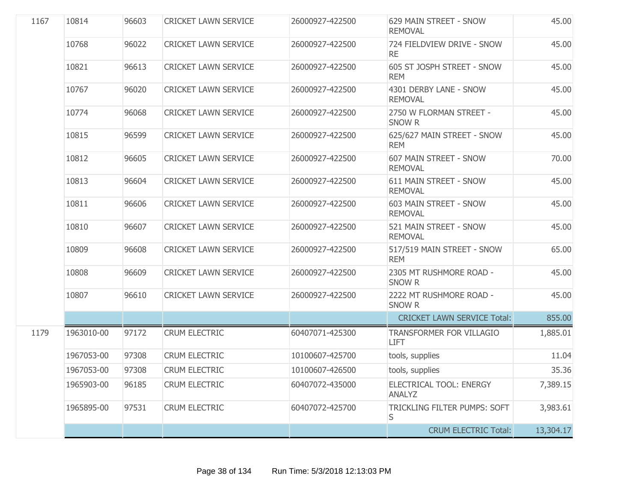| 1167 | 10814      | 96603 | <b>CRICKET LAWN SERVICE</b> | 26000927-422500 | 629 MAIN STREET - SNOW<br><b>REMOVAL</b>       | 45.00     |
|------|------------|-------|-----------------------------|-----------------|------------------------------------------------|-----------|
|      | 10768      | 96022 | <b>CRICKET LAWN SERVICE</b> | 26000927-422500 | 724 FIELDVIEW DRIVE - SNOW<br><b>RE</b>        | 45.00     |
|      | 10821      | 96613 | <b>CRICKET LAWN SERVICE</b> | 26000927-422500 | 605 ST JOSPH STREET - SNOW<br><b>REM</b>       | 45.00     |
|      | 10767      | 96020 | <b>CRICKET LAWN SERVICE</b> | 26000927-422500 | 4301 DERBY LANE - SNOW<br><b>REMOVAL</b>       | 45.00     |
|      | 10774      | 96068 | <b>CRICKET LAWN SERVICE</b> | 26000927-422500 | 2750 W FLORMAN STREET -<br><b>SNOW R</b>       | 45.00     |
|      | 10815      | 96599 | <b>CRICKET LAWN SERVICE</b> | 26000927-422500 | 625/627 MAIN STREET - SNOW<br><b>REM</b>       | 45.00     |
|      | 10812      | 96605 | <b>CRICKET LAWN SERVICE</b> | 26000927-422500 | 607 MAIN STREET - SNOW<br><b>REMOVAL</b>       | 70.00     |
|      | 10813      | 96604 | <b>CRICKET LAWN SERVICE</b> | 26000927-422500 | 611 MAIN STREET - SNOW<br><b>REMOVAL</b>       | 45.00     |
|      | 10811      | 96606 | <b>CRICKET LAWN SERVICE</b> | 26000927-422500 | 603 MAIN STREET - SNOW<br><b>REMOVAL</b>       | 45.00     |
|      | 10810      | 96607 | <b>CRICKET LAWN SERVICE</b> | 26000927-422500 | 521 MAIN STREET - SNOW<br><b>REMOVAL</b>       | 45.00     |
|      | 10809      | 96608 | <b>CRICKET LAWN SERVICE</b> | 26000927-422500 | 517/519 MAIN STREET - SNOW<br><b>REM</b>       | 65.00     |
|      | 10808      | 96609 | <b>CRICKET LAWN SERVICE</b> | 26000927-422500 | 2305 MT RUSHMORE ROAD -<br><b>SNOW R</b>       | 45.00     |
|      | 10807      | 96610 | <b>CRICKET LAWN SERVICE</b> | 26000927-422500 | 2222 MT RUSHMORE ROAD -<br><b>SNOW R</b>       | 45.00     |
|      |            |       |                             |                 | <b>CRICKET LAWN SERVICE Total:</b>             | 855.00    |
| 1179 | 1963010-00 | 97172 | <b>CRUM ELECTRIC</b>        | 60407071-425300 | <b>TRANSFORMER FOR VILLAGIO</b><br><b>LIFT</b> | 1,885.01  |
|      | 1967053-00 | 97308 | <b>CRUM ELECTRIC</b>        | 10100607-425700 | tools, supplies                                | 11.04     |
|      | 1967053-00 | 97308 | <b>CRUM ELECTRIC</b>        | 10100607-426500 | tools, supplies                                | 35.36     |
|      | 1965903-00 | 96185 | <b>CRUM ELECTRIC</b>        | 60407072-435000 | ELECTRICAL TOOL: ENERGY<br><b>ANALYZ</b>       | 7,389.15  |
|      | 1965895-00 | 97531 | <b>CRUM ELECTRIC</b>        | 60407072-425700 | TRICKLING FILTER PUMPS: SOFT<br>S              | 3,983.61  |
|      |            |       |                             |                 | <b>CRUM ELECTRIC Total:</b>                    | 13,304.17 |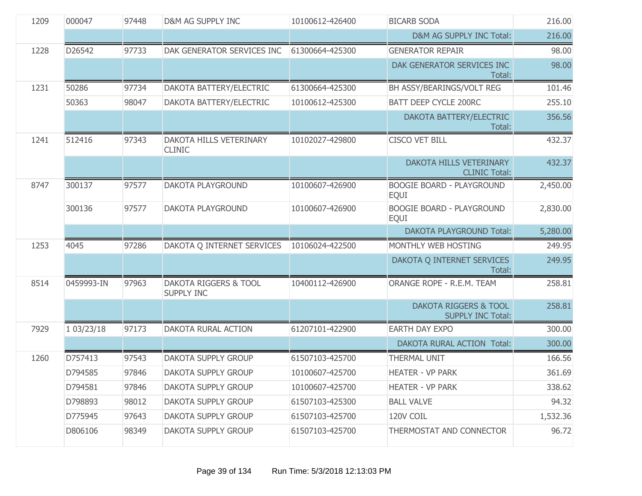| 1209 | 000047     | 97448 | D&M AG SUPPLY INC                                     | 10100612-426400 | <b>BICARB SODA</b>                                           | 216.00   |
|------|------------|-------|-------------------------------------------------------|-----------------|--------------------------------------------------------------|----------|
|      |            |       |                                                       |                 | D&M AG SUPPLY INC Total:                                     | 216.00   |
| 1228 | D26542     | 97733 | DAK GENERATOR SERVICES INC                            | 61300664-425300 | <b>GENERATOR REPAIR</b>                                      | 98.00    |
|      |            |       |                                                       |                 | DAK GENERATOR SERVICES INC<br>Total:                         | 98.00    |
| 1231 | 50286      | 97734 | DAKOTA BATTERY/ELECTRIC                               | 61300664-425300 | BH ASSY/BEARINGS/VOLT REG                                    | 101.46   |
|      | 50363      | 98047 | DAKOTA BATTERY/ELECTRIC                               | 10100612-425300 | <b>BATT DEEP CYCLE 200RC</b>                                 | 255.10   |
|      |            |       |                                                       |                 | DAKOTA BATTERY/ELECTRIC<br>Total:                            | 356.56   |
| 1241 | 512416     | 97343 | DAKOTA HILLS VETERINARY<br><b>CLINIC</b>              | 10102027-429800 | <b>CISCO VET BILL</b>                                        | 432.37   |
|      |            |       |                                                       |                 | DAKOTA HILLS VETERINARY<br><b>CLINIC Total:</b>              | 432.37   |
| 8747 | 300137     | 97577 | DAKOTA PLAYGROUND                                     | 10100607-426900 | <b>BOOGIE BOARD - PLAYGROUND</b><br><b>EQUI</b>              | 2,450.00 |
|      | 300136     | 97577 | DAKOTA PLAYGROUND                                     | 10100607-426900 | <b>BOOGIE BOARD - PLAYGROUND</b><br><b>EQUI</b>              | 2,830.00 |
|      |            |       |                                                       |                 | <b>DAKOTA PLAYGROUND Total:</b>                              | 5,280.00 |
| 1253 | 4045       | 97286 | DAKOTA Q INTERNET SERVICES                            | 10106024-422500 | MONTHLY WEB HOSTING                                          | 249.95   |
|      |            |       |                                                       |                 | DAKOTA Q INTERNET SERVICES<br>Total:                         | 249.95   |
| 8514 | 0459993-IN | 97963 | <b>DAKOTA RIGGERS &amp; TOOL</b><br><b>SUPPLY INC</b> | 10400112-426900 | ORANGE ROPE - R.E.M. TEAM                                    | 258.81   |
|      |            |       |                                                       |                 | <b>DAKOTA RIGGERS &amp; TOOL</b><br><b>SUPPLY INC Total:</b> | 258.81   |
| 7929 | 1 03/23/18 | 97173 | DAKOTA RURAL ACTION                                   | 61207101-422900 | <b>EARTH DAY EXPO</b>                                        | 300.00   |
|      |            |       |                                                       |                 | DAKOTA RURAL ACTION Total:                                   | 300.00   |
| 1260 | D757413    | 97543 | DAKOTA SUPPLY GROUP                                   | 61507103-425700 | <b>THERMAL UNIT</b>                                          | 166.56   |
|      | D794585    | 97846 | DAKOTA SUPPLY GROUP                                   | 10100607-425700 | <b>HEATER - VP PARK</b>                                      | 361.69   |
|      | D794581    | 97846 | DAKOTA SUPPLY GROUP                                   | 10100607-425700 | <b>HEATER - VP PARK</b>                                      | 338.62   |
|      | D798893    | 98012 | DAKOTA SUPPLY GROUP                                   | 61507103-425300 | <b>BALL VALVE</b>                                            | 94.32    |
|      | D775945    | 97643 | DAKOTA SUPPLY GROUP                                   | 61507103-425700 | 120V COIL                                                    | 1,532.36 |
|      | D806106    | 98349 | DAKOTA SUPPLY GROUP                                   | 61507103-425700 | THERMOSTAT AND CONNECTOR                                     | 96.72    |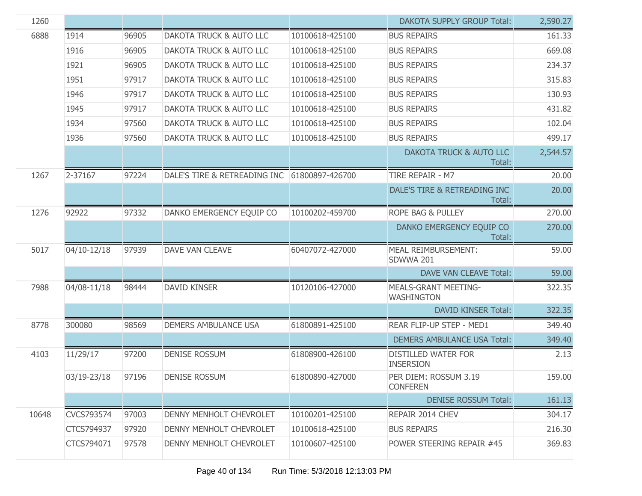| 1260  |             |       |                                              |                 | <b>DAKOTA SUPPLY GROUP Total:</b>                | 2,590.27 |
|-------|-------------|-------|----------------------------------------------|-----------------|--------------------------------------------------|----------|
| 6888  | 1914        | 96905 | <b>DAKOTA TRUCK &amp; AUTO LLC</b>           | 10100618-425100 | <b>BUS REPAIRS</b>                               | 161.33   |
|       | 1916        | 96905 | DAKOTA TRUCK & AUTO LLC                      | 10100618-425100 | <b>BUS REPAIRS</b>                               | 669.08   |
|       | 1921        | 96905 | DAKOTA TRUCK & AUTO LLC                      | 10100618-425100 | <b>BUS REPAIRS</b>                               | 234.37   |
|       | 1951        | 97917 | DAKOTA TRUCK & AUTO LLC                      | 10100618-425100 | <b>BUS REPAIRS</b>                               | 315.83   |
|       | 1946        | 97917 | DAKOTA TRUCK & AUTO LLC                      | 10100618-425100 | <b>BUS REPAIRS</b>                               | 130.93   |
|       | 1945        | 97917 | DAKOTA TRUCK & AUTO LLC                      | 10100618-425100 | <b>BUS REPAIRS</b>                               | 431.82   |
|       | 1934        | 97560 | DAKOTA TRUCK & AUTO LLC                      | 10100618-425100 | <b>BUS REPAIRS</b>                               | 102.04   |
|       | 1936        | 97560 | DAKOTA TRUCK & AUTO LLC                      | 10100618-425100 | <b>BUS REPAIRS</b>                               | 499.17   |
|       |             |       |                                              |                 | DAKOTA TRUCK & AUTO LLC<br>Total:                | 2,544.57 |
| 1267  | 2-37167     | 97224 | DALE'S TIRE & RETREADING INC 61800897-426700 |                 | TIRE REPAIR - M7                                 | 20.00    |
|       |             |       |                                              |                 | DALE'S TIRE & RETREADING INC<br>Total:           | 20.00    |
| 1276  | 92922       | 97332 | DANKO EMERGENCY EQUIP CO                     | 10100202-459700 | ROPE BAG & PULLEY                                | 270.00   |
|       |             |       |                                              |                 | DANKO EMERGENCY EQUIP CO<br>Total:               | 270.00   |
| 5017  | 04/10-12/18 | 97939 | <b>DAVE VAN CLEAVE</b>                       | 60407072-427000 | <b>MEAL REIMBURSEMENT:</b><br>SDWWA 201          | 59.00    |
|       |             |       |                                              |                 | <b>DAVE VAN CLEAVE Total:</b>                    | 59.00    |
| 7988  | 04/08-11/18 | 98444 | <b>DAVID KINSER</b>                          | 10120106-427000 | <b>MEALS-GRANT MEETING-</b><br><b>WASHINGTON</b> | 322.35   |
|       |             |       |                                              |                 | <b>DAVID KINSER Total:</b>                       | 322.35   |
| 8778  | 300080      | 98569 | <b>DEMERS AMBULANCE USA</b>                  | 61800891-425100 | REAR FLIP-UP STEP - MED1                         | 349.40   |
|       |             |       |                                              |                 | <b>DEMERS AMBULANCE USA Total:</b>               | 349.40   |
| 4103  | 11/29/17    | 97200 | <b>DENISE ROSSUM</b>                         | 61808900-426100 | DISTILLED WATER FOR<br><b>INSERSION</b>          | 2.13     |
|       | 03/19-23/18 | 97196 | <b>DENISE ROSSUM</b>                         | 61800890-427000 | PER DIEM: ROSSUM 3.19<br><b>CONFEREN</b>         | 159.00   |
|       |             |       |                                              |                 | <b>DENISE ROSSUM Total:</b>                      | 161.13   |
| 10648 | CVCS793574  | 97003 | DENNY MENHOLT CHEVROLET                      | 10100201-425100 | REPAIR 2014 CHEV                                 | 304.17   |
|       | CTCS794937  | 97920 | DENNY MENHOLT CHEVROLET                      | 10100618-425100 | <b>BUS REPAIRS</b>                               | 216.30   |
|       | CTCS794071  | 97578 | DENNY MENHOLT CHEVROLET                      | 10100607-425100 | POWER STEERING REPAIR #45                        | 369.83   |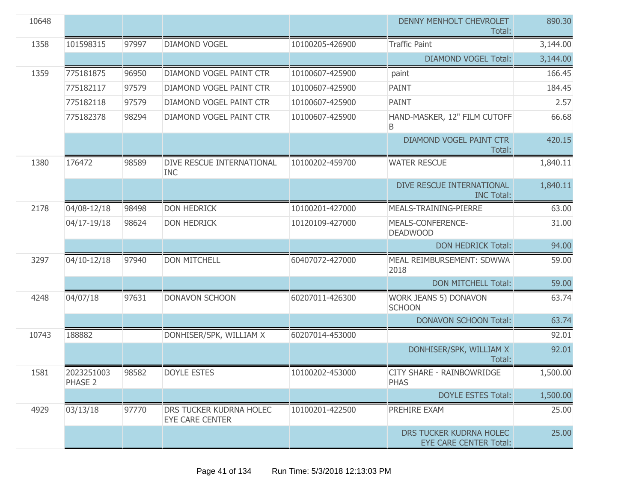| 10648 |                       |       |                                                   |                 | DENNY MENHOLT CHEVROLET<br>Total:                        | 890.30   |
|-------|-----------------------|-------|---------------------------------------------------|-----------------|----------------------------------------------------------|----------|
| 1358  | 101598315             | 97997 | <b>DIAMOND VOGEL</b>                              | 10100205-426900 | <b>Traffic Paint</b>                                     | 3,144.00 |
|       |                       |       |                                                   |                 | <b>DIAMOND VOGEL Total:</b>                              | 3,144.00 |
| 1359  | 775181875             | 96950 | DIAMOND VOGEL PAINT CTR                           | 10100607-425900 | paint                                                    | 166.45   |
|       | 775182117             | 97579 | DIAMOND VOGEL PAINT CTR                           | 10100607-425900 | <b>PAINT</b>                                             | 184.45   |
|       | 775182118             | 97579 | DIAMOND VOGEL PAINT CTR                           | 10100607-425900 | <b>PAINT</b>                                             | 2.57     |
|       | 775182378             | 98294 | DIAMOND VOGEL PAINT CTR                           | 10100607-425900 | HAND-MASKER, 12" FILM CUTOFF<br>B                        | 66.68    |
|       |                       |       |                                                   |                 | <b>DIAMOND VOGEL PAINT CTR</b><br>Total:                 | 420.15   |
| 1380  | 176472                | 98589 | DIVE RESCUE INTERNATIONAL<br><b>INC</b>           | 10100202-459700 | <b>WATER RESCUE</b>                                      | 1,840.11 |
|       |                       |       |                                                   |                 | DIVE RESCUE INTERNATIONAL<br><b>INC Total:</b>           | 1,840.11 |
| 2178  | 04/08-12/18           | 98498 | <b>DON HEDRICK</b>                                | 10100201-427000 | MEALS-TRAINING-PIERRE                                    | 63.00    |
|       | 04/17-19/18           | 98624 | <b>DON HEDRICK</b>                                | 10120109-427000 | MEALS-CONFERENCE-<br><b>DEADWOOD</b>                     | 31.00    |
|       |                       |       |                                                   |                 | <b>DON HEDRICK Total:</b>                                | 94.00    |
| 3297  | 04/10-12/18           | 97940 | <b>DON MITCHELL</b>                               | 60407072-427000 | MEAL REIMBURSEMENT: SDWWA<br>2018                        | 59.00    |
|       |                       |       |                                                   |                 | <b>DON MITCHELL Total:</b>                               | 59.00    |
| 4248  | 04/07/18              | 97631 | <b>DONAVON SCHOON</b>                             | 60207011-426300 | WORK JEANS 5) DONAVON<br><b>SCHOON</b>                   | 63.74    |
|       |                       |       |                                                   |                 | <b>DONAVON SCHOON Total:</b>                             | 63.74    |
| 10743 | 188882                |       | DONHISER/SPK, WILLIAM X                           | 60207014-453000 |                                                          | 92.01    |
|       |                       |       |                                                   |                 | DONHISER/SPK, WILLIAM X<br>Total:                        | 92.01    |
| 1581  | 2023251003<br>PHASE 2 | 98582 | <b>DOYLE ESTES</b>                                | 10100202-453000 | <b>CITY SHARE - RAINBOWRIDGE</b><br><b>PHAS</b>          | 1,500.00 |
|       |                       |       |                                                   |                 | <b>DOYLE ESTES Total:</b>                                | 1,500.00 |
| 4929  | 03/13/18              | 97770 | DRS TUCKER KUDRNA HOLEC<br><b>EYE CARE CENTER</b> | 10100201-422500 | PREHIRE EXAM                                             | 25.00    |
|       |                       |       |                                                   |                 | DRS TUCKER KUDRNA HOLEC<br><b>EYE CARE CENTER Total:</b> | 25.00    |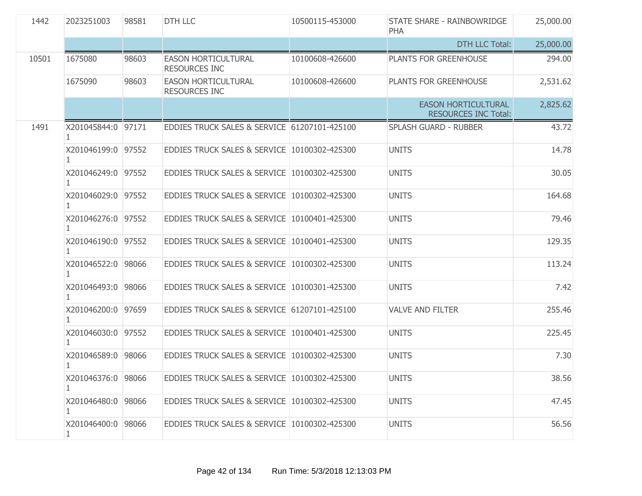| 1442  | 2023251003                   | 98581 | <b>DTH LLC</b>                                     | 10500115-453000 | STATE SHARE - RAINBOWRIDGE<br><b>PHA</b>                  | 25,000.00 |
|-------|------------------------------|-------|----------------------------------------------------|-----------------|-----------------------------------------------------------|-----------|
|       |                              |       |                                                    |                 | <b>DTH LLC Total:</b>                                     | 25,000.00 |
| 10501 | 1675080                      | 98603 | <b>EASON HORTICULTURAL</b><br><b>RESOURCES INC</b> | 10100608-426600 | PLANTS FOR GREENHOUSE                                     | 294.00    |
|       | 1675090                      | 98603 | <b>EASON HORTICULTURAL</b><br><b>RESOURCES INC</b> | 10100608-426600 | PLANTS FOR GREENHOUSE                                     | 2,531.62  |
|       |                              |       |                                                    |                 | <b>EASON HORTICULTURAL</b><br><b>RESOURCES INC Total:</b> | 2,825.62  |
| 1491  | X201045844:0 97171           |       | EDDIES TRUCK SALES & SERVICE 61207101-425100       |                 | <b>SPLASH GUARD - RUBBER</b>                              | 43.72     |
|       | X201046199:0 97552           |       | EDDIES TRUCK SALES & SERVICE 10100302-425300       |                 | <b>UNITS</b>                                              | 14.78     |
|       | X201046249:0 97552           |       | EDDIES TRUCK SALES & SERVICE 10100302-425300       |                 | <b>UNITS</b>                                              | 30.05     |
|       | X201046029:0 97552           |       | EDDIES TRUCK SALES & SERVICE 10100302-425300       |                 | <b>UNITS</b>                                              | 164.68    |
|       | X201046276:0 97552           |       | EDDIES TRUCK SALES & SERVICE 10100401-425300       |                 | <b>UNITS</b>                                              | 79.46     |
|       | X201046190:0 97552           |       | EDDIES TRUCK SALES & SERVICE 10100401-425300       |                 | <b>UNITS</b>                                              | 129.35    |
|       | X201046522:0 98066           |       | EDDIES TRUCK SALES & SERVICE 10100302-425300       |                 | <b>UNITS</b>                                              | 113.24    |
|       | X201046493:0 98066           |       | EDDIES TRUCK SALES & SERVICE 10100301-425300       |                 | <b>UNITS</b>                                              | 7.42      |
|       | X201046200:0 97659           |       | EDDIES TRUCK SALES & SERVICE 61207101-425100       |                 | <b>VALVE AND FILTER</b>                                   | 255.46    |
|       | X201046030:0 97552           |       | EDDIES TRUCK SALES & SERVICE 10100401-425300       |                 | <b>UNITS</b>                                              | 225.45    |
|       | X201046589:0 98066           |       | EDDIES TRUCK SALES & SERVICE 10100302-425300       |                 | <b>UNITS</b>                                              | 7.30      |
|       | X201046376:0 98066<br>1.     |       | EDDIES TRUCK SALES & SERVICE 10100302-425300       |                 | <b>UNITS</b>                                              | 38.56     |
|       | X201046480:0 98066<br>1      |       | EDDIES TRUCK SALES & SERVICE 10100302-425300       |                 | <b>UNITS</b>                                              | 47.45     |
|       | X201046400:0<br>$\mathbf{1}$ | 98066 | EDDIES TRUCK SALES & SERVICE 10100302-425300       |                 | <b>UNITS</b>                                              | 56.56     |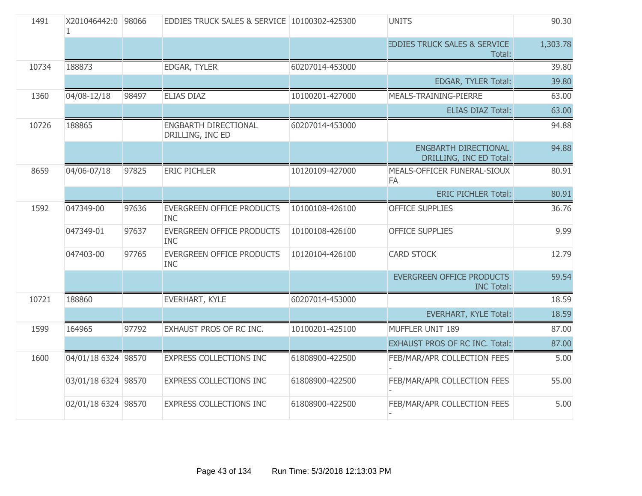| 1491  | X201046442:0 98066  |       | EDDIES TRUCK SALES & SERVICE 10100302-425300   |                 | <b>UNITS</b>                                      | 90.30    |
|-------|---------------------|-------|------------------------------------------------|-----------------|---------------------------------------------------|----------|
|       |                     |       |                                                |                 | <b>EDDIES TRUCK SALES &amp; SERVICE</b><br>Total: | 1,303.78 |
| 10734 | 188873              |       | <b>EDGAR, TYLER</b>                            | 60207014-453000 |                                                   | 39.80    |
|       |                     |       |                                                |                 | EDGAR, TYLER Total:                               | 39.80    |
| 1360  | 04/08-12/18         | 98497 | <b>ELIAS DIAZ</b>                              | 10100201-427000 | MEALS-TRAINING-PIERRE                             | 63.00    |
|       |                     |       |                                                |                 | <b>ELIAS DIAZ Total:</b>                          | 63.00    |
| 10726 | 188865              |       | ENGBARTH DIRECTIONAL<br>DRILLING, INC ED       | 60207014-453000 |                                                   | 94.88    |
|       |                     |       |                                                |                 | ENGBARTH DIRECTIONAL<br>DRILLING, INC ED Total:   | 94.88    |
| 8659  | 04/06-07/18         | 97825 | <b>ERIC PICHLER</b>                            | 10120109-427000 | MEALS-OFFICER FUNERAL-SIOUX<br>FA                 | 80.91    |
|       |                     |       |                                                |                 | <b>ERIC PICHLER Total:</b>                        | 80.91    |
| 1592  | 047349-00           | 97636 | <b>EVERGREEN OFFICE PRODUCTS</b><br><b>INC</b> | 10100108-426100 | <b>OFFICE SUPPLIES</b>                            | 36.76    |
|       | 047349-01           | 97637 | <b>EVERGREEN OFFICE PRODUCTS</b><br><b>INC</b> | 10100108-426100 | <b>OFFICE SUPPLIES</b>                            | 9.99     |
|       | 047403-00           | 97765 | <b>EVERGREEN OFFICE PRODUCTS</b><br><b>INC</b> | 10120104-426100 | <b>CARD STOCK</b>                                 | 12.79    |
|       |                     |       |                                                |                 | EVERGREEN OFFICE PRODUCTS<br><b>INC Total:</b>    | 59.54    |
| 10721 | 188860              |       | EVERHART, KYLE                                 | 60207014-453000 |                                                   | 18.59    |
|       |                     |       |                                                |                 | <b>EVERHART, KYLE Total:</b>                      | 18.59    |
| 1599  | 164965              | 97792 | EXHAUST PROS OF RC INC.                        | 10100201-425100 | MUFFLER UNIT 189                                  | 87.00    |
|       |                     |       |                                                |                 | <b>EXHAUST PROS OF RC INC. Total:</b>             | 87.00    |
| 1600  | 04/01/18 6324 98570 |       | <b>EXPRESS COLLECTIONS INC</b>                 | 61808900-422500 | FEB/MAR/APR COLLECTION FEES                       | 5.00     |
|       | 03/01/18 6324 98570 |       | <b>EXPRESS COLLECTIONS INC</b>                 | 61808900-422500 | FEB/MAR/APR COLLECTION FEES                       | 55.00    |
|       | 02/01/18 6324 98570 |       | <b>EXPRESS COLLECTIONS INC</b>                 | 61808900-422500 | FEB/MAR/APR COLLECTION FEES                       | 5.00     |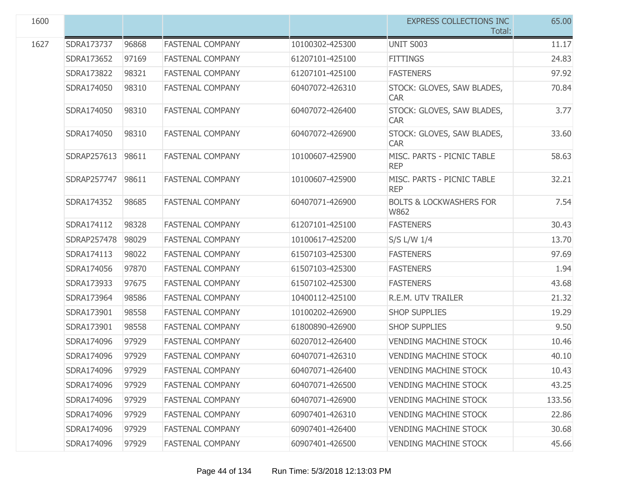| 1600 |             |       |                         |                 | <b>EXPRESS COLLECTIONS INC</b><br>Total:   | 65.00  |
|------|-------------|-------|-------------------------|-----------------|--------------------------------------------|--------|
| 1627 | SDRA173737  | 96868 | <b>FASTENAL COMPANY</b> | 10100302-425300 | <b>UNIT S003</b>                           | 11.17  |
|      | SDRA173652  | 97169 | <b>FASTENAL COMPANY</b> | 61207101-425100 | <b>FITTINGS</b>                            | 24.83  |
|      | SDRA173822  | 98321 | <b>FASTENAL COMPANY</b> | 61207101-425100 | <b>FASTENERS</b>                           | 97.92  |
|      | SDRA174050  | 98310 | <b>FASTENAL COMPANY</b> | 60407072-426310 | STOCK: GLOVES, SAW BLADES,<br><b>CAR</b>   | 70.84  |
|      | SDRA174050  | 98310 | <b>FASTENAL COMPANY</b> | 60407072-426400 | STOCK: GLOVES, SAW BLADES,<br><b>CAR</b>   | 3.77   |
|      | SDRA174050  | 98310 | <b>FASTENAL COMPANY</b> | 60407072-426900 | STOCK: GLOVES, SAW BLADES,<br><b>CAR</b>   | 33.60  |
|      | SDRAP257613 | 98611 | <b>FASTENAL COMPANY</b> | 10100607-425900 | MISC. PARTS - PICNIC TABLE<br><b>REP</b>   | 58.63  |
|      | SDRAP257747 | 98611 | <b>FASTENAL COMPANY</b> | 10100607-425900 | MISC. PARTS - PICNIC TABLE<br><b>REP</b>   | 32.21  |
|      | SDRA174352  | 98685 | <b>FASTENAL COMPANY</b> | 60407071-426900 | <b>BOLTS &amp; LOCKWASHERS FOR</b><br>W862 | 7.54   |
|      | SDRA174112  | 98328 | <b>FASTENAL COMPANY</b> | 61207101-425100 | <b>FASTENERS</b>                           | 30.43  |
|      | SDRAP257478 | 98029 | <b>FASTENAL COMPANY</b> | 10100617-425200 | S/S L/W 1/4                                | 13.70  |
|      | SDRA174113  | 98022 | <b>FASTENAL COMPANY</b> | 61507103-425300 | <b>FASTENERS</b>                           | 97.69  |
|      | SDRA174056  | 97870 | <b>FASTENAL COMPANY</b> | 61507103-425300 | <b>FASTENERS</b>                           | 1.94   |
|      | SDRA173933  | 97675 | <b>FASTENAL COMPANY</b> | 61507102-425300 | <b>FASTENERS</b>                           | 43.68  |
|      | SDRA173964  | 98586 | <b>FASTENAL COMPANY</b> | 10400112-425100 | R.E.M. UTV TRAILER                         | 21.32  |
|      | SDRA173901  | 98558 | <b>FASTENAL COMPANY</b> | 10100202-426900 | <b>SHOP SUPPLIES</b>                       | 19.29  |
|      | SDRA173901  | 98558 | <b>FASTENAL COMPANY</b> | 61800890-426900 | <b>SHOP SUPPLIES</b>                       | 9.50   |
|      | SDRA174096  | 97929 | <b>FASTENAL COMPANY</b> | 60207012-426400 | <b>VENDING MACHINE STOCK</b>               | 10.46  |
|      | SDRA174096  | 97929 | <b>FASTENAL COMPANY</b> | 60407071-426310 | <b>VENDING MACHINE STOCK</b>               | 40.10  |
|      | SDRA174096  | 97929 | <b>FASTENAL COMPANY</b> | 60407071-426400 | <b>VENDING MACHINE STOCK</b>               | 10.43  |
|      | SDRA174096  | 97929 | <b>FASTENAL COMPANY</b> | 60407071-426500 | <b>VENDING MACHINE STOCK</b>               | 43.25  |
|      | SDRA174096  | 97929 | <b>FASTENAL COMPANY</b> | 60407071-426900 | <b>VENDING MACHINE STOCK</b>               | 133.56 |
|      | SDRA174096  | 97929 | <b>FASTENAL COMPANY</b> | 60907401-426310 | <b>VENDING MACHINE STOCK</b>               | 22.86  |
|      | SDRA174096  | 97929 | <b>FASTENAL COMPANY</b> | 60907401-426400 | <b>VENDING MACHINE STOCK</b>               | 30.68  |
|      | SDRA174096  | 97929 | <b>FASTENAL COMPANY</b> | 60907401-426500 | <b>VENDING MACHINE STOCK</b>               | 45.66  |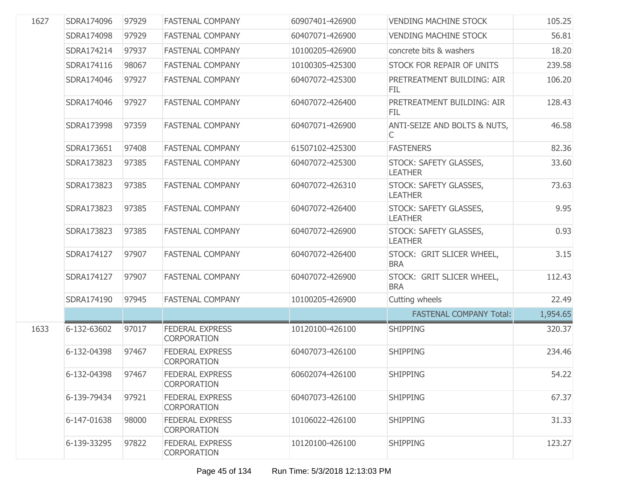| 1627 | SDRA174096  | 97929 | <b>FASTENAL COMPANY</b>                      | 60907401-426900 | <b>VENDING MACHINE STOCK</b>             | 105.25   |
|------|-------------|-------|----------------------------------------------|-----------------|------------------------------------------|----------|
|      | SDRA174098  | 97929 | <b>FASTENAL COMPANY</b>                      | 60407071-426900 | <b>VENDING MACHINE STOCK</b>             | 56.81    |
|      | SDRA174214  | 97937 | <b>FASTENAL COMPANY</b>                      | 10100205-426900 | concrete bits & washers                  | 18.20    |
|      | SDRA174116  | 98067 | <b>FASTENAL COMPANY</b>                      | 10100305-425300 | <b>STOCK FOR REPAIR OF UNITS</b>         | 239.58   |
|      | SDRA174046  | 97927 | <b>FASTENAL COMPANY</b>                      | 60407072-425300 | PRETREATMENT BUILDING: AIR<br>FIL        | 106.20   |
|      | SDRA174046  | 97927 | <b>FASTENAL COMPANY</b>                      | 60407072-426400 | PRETREATMENT BUILDING: AIR<br><b>FIL</b> | 128.43   |
|      | SDRA173998  | 97359 | <b>FASTENAL COMPANY</b>                      | 60407071-426900 | ANTI-SEIZE AND BOLTS & NUTS,<br>C        | 46.58    |
|      | SDRA173651  | 97408 | <b>FASTENAL COMPANY</b>                      | 61507102-425300 | <b>FASTENERS</b>                         | 82.36    |
|      | SDRA173823  | 97385 | <b>FASTENAL COMPANY</b>                      | 60407072-425300 | STOCK: SAFETY GLASSES,<br><b>LEATHER</b> | 33.60    |
|      | SDRA173823  | 97385 | <b>FASTENAL COMPANY</b>                      | 60407072-426310 | STOCK: SAFETY GLASSES,<br><b>LEATHER</b> | 73.63    |
|      | SDRA173823  | 97385 | <b>FASTENAL COMPANY</b>                      | 60407072-426400 | STOCK: SAFETY GLASSES,<br><b>LEATHER</b> | 9.95     |
|      | SDRA173823  | 97385 | <b>FASTENAL COMPANY</b>                      | 60407072-426900 | STOCK: SAFETY GLASSES,<br><b>LEATHER</b> | 0.93     |
|      | SDRA174127  | 97907 | <b>FASTENAL COMPANY</b>                      | 60407072-426400 | STOCK: GRIT SLICER WHEEL,<br><b>BRA</b>  | 3.15     |
|      | SDRA174127  | 97907 | <b>FASTENAL COMPANY</b>                      | 60407072-426900 | STOCK: GRIT SLICER WHEEL,<br><b>BRA</b>  | 112.43   |
|      | SDRA174190  | 97945 | <b>FASTENAL COMPANY</b>                      | 10100205-426900 | Cutting wheels                           | 22.49    |
|      |             |       |                                              |                 | <b>FASTENAL COMPANY Total:</b>           | 1,954.65 |
| 1633 | 6-132-63602 | 97017 | <b>FEDERAL EXPRESS</b><br><b>CORPORATION</b> | 10120100-426100 | <b>SHIPPING</b>                          | 320.37   |
|      | 6-132-04398 | 97467 | <b>FEDERAL EXPRESS</b><br><b>CORPORATION</b> | 60407073-426100 | <b>SHIPPING</b>                          | 234.46   |
|      | 6-132-04398 | 97467 | <b>FEDERAL EXPRESS</b><br><b>CORPORATION</b> | 60602074-426100 | <b>SHIPPING</b>                          | 54.22    |
|      | 6-139-79434 | 97921 | <b>FEDERAL EXPRESS</b><br><b>CORPORATION</b> | 60407073-426100 | <b>SHIPPING</b>                          | 67.37    |
|      | 6-147-01638 | 98000 | <b>FEDERAL EXPRESS</b><br><b>CORPORATION</b> | 10106022-426100 | <b>SHIPPING</b>                          | 31.33    |
|      | 6-139-33295 | 97822 | <b>FEDERAL EXPRESS</b><br><b>CORPORATION</b> | 10120100-426100 | <b>SHIPPING</b>                          | 123.27   |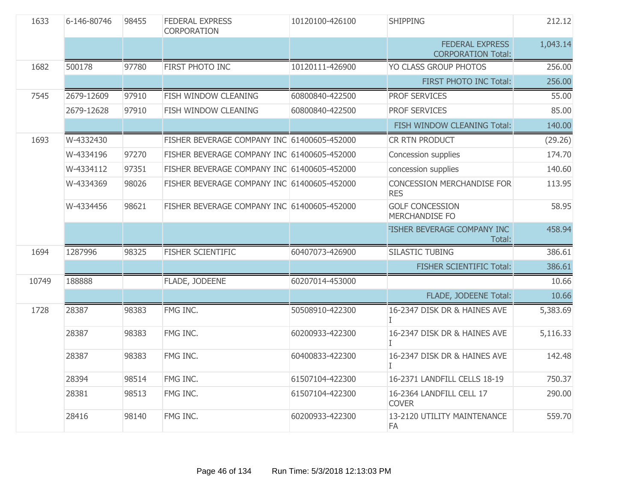| 1633  | 6-146-80746 | 98455 | <b>FEDERAL EXPRESS</b><br>CORPORATION       | 10120100-426100 | <b>SHIPPING</b>                                     | 212.12   |
|-------|-------------|-------|---------------------------------------------|-----------------|-----------------------------------------------------|----------|
|       |             |       |                                             |                 | <b>FEDERAL EXPRESS</b><br><b>CORPORATION Total:</b> | 1,043.14 |
| 1682  | 500178      | 97780 | FIRST PHOTO INC                             | 10120111-426900 | YO CLASS GROUP PHOTOS                               | 256.00   |
|       |             |       |                                             |                 | <b>FIRST PHOTO INC Total:</b>                       | 256.00   |
| 7545  | 2679-12609  | 97910 | FISH WINDOW CLEANING                        | 60800840-422500 | <b>PROF SERVICES</b>                                | 55.00    |
|       | 2679-12628  | 97910 | FISH WINDOW CLEANING                        | 60800840-422500 | PROF SERVICES                                       | 85.00    |
|       |             |       |                                             |                 | FISH WINDOW CLEANING Total:                         | 140.00   |
| 1693  | W-4332430   |       | FISHER BEVERAGE COMPANY INC 61400605-452000 |                 | CR RTN PRODUCT                                      | (29.26)  |
|       | W-4334196   | 97270 | FISHER BEVERAGE COMPANY INC 61400605-452000 |                 | Concession supplies                                 | 174.70   |
|       | W-4334112   | 97351 | FISHER BEVERAGE COMPANY INC 61400605-452000 |                 | concession supplies                                 | 140.60   |
|       | W-4334369   | 98026 | FISHER BEVERAGE COMPANY INC 61400605-452000 |                 | <b>CONCESSION MERCHANDISE FOR</b><br><b>RES</b>     | 113.95   |
|       | W-4334456   | 98621 | FISHER BEVERAGE COMPANY INC 61400605-452000 |                 | <b>GOLF CONCESSION</b><br>MERCHANDISE FO            | 58.95    |
|       |             |       |                                             |                 | FISHER BEVERAGE COMPANY INC<br>Total:               | 458.94   |
| 1694  | 1287996     | 98325 | <b>FISHER SCIENTIFIC</b>                    | 60407073-426900 | <b>SILASTIC TUBING</b>                              | 386.61   |
|       |             |       |                                             |                 | FISHER SCIENTIFIC Total:                            | 386.61   |
| 10749 | 188888      |       | FLADE, JODEENE                              | 60207014-453000 |                                                     | 10.66    |
|       |             |       |                                             |                 | FLADE, JODEENE Total:                               | 10.66    |
| 1728  | 28387       | 98383 | FMG INC.                                    | 50508910-422300 | 16-2347 DISK DR & HAINES AVE<br>L                   | 5,383.69 |
|       | 28387       | 98383 | FMG INC.                                    | 60200933-422300 | 16-2347 DISK DR & HAINES AVE<br>L                   | 5,116.33 |
|       | 28387       | 98383 | FMG INC.                                    | 60400833-422300 | 16-2347 DISK DR & HAINES AVE<br>T.                  | 142.48   |
|       | 28394       | 98514 | FMG INC.                                    | 61507104-422300 | 16-2371 LANDFILL CELLS 18-19                        | 750.37   |
|       | 28381       | 98513 | FMG INC.                                    | 61507104-422300 | 16-2364 LANDFILL CELL 17<br><b>COVER</b>            | 290.00   |
|       | 28416       | 98140 | FMG INC.                                    | 60200933-422300 | 13-2120 UTILITY MAINTENANCE<br><b>FA</b>            | 559.70   |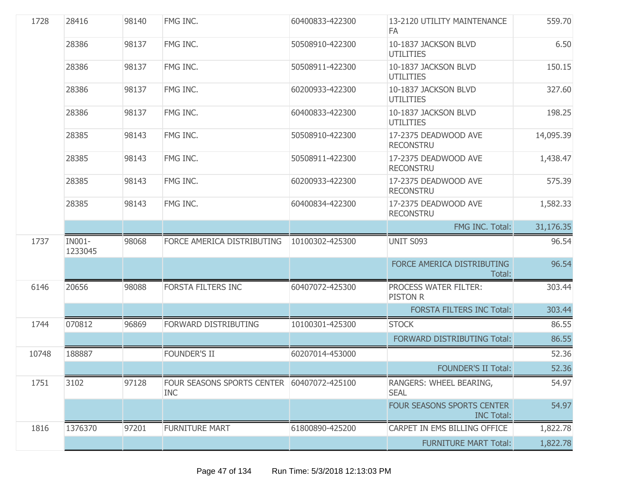| 1728  | 28416             | 98140 | FMG INC.                                                 | 60400833-422300 | 13-2120 UTILITY MAINTENANCE<br>FA.              | 559.70    |
|-------|-------------------|-------|----------------------------------------------------------|-----------------|-------------------------------------------------|-----------|
|       | 28386             | 98137 | FMG INC.                                                 | 50508910-422300 | 10-1837 JACKSON BLVD<br><b>UTILITIES</b>        | 6.50      |
|       | 28386             | 98137 | FMG INC.                                                 | 50508911-422300 | 10-1837 JACKSON BLVD<br><b>UTILITIES</b>        | 150.15    |
|       | 28386             | 98137 | FMG INC.                                                 | 60200933-422300 | 10-1837 JACKSON BLVD<br><b>UTILITIES</b>        | 327.60    |
|       | 28386             | 98137 | FMG INC.                                                 | 60400833-422300 | 10-1837 JACKSON BLVD<br><b>UTILITIES</b>        | 198.25    |
|       | 28385             | 98143 | FMG INC.                                                 | 50508910-422300 | 17-2375 DEADWOOD AVE<br><b>RECONSTRU</b>        | 14,095.39 |
|       | 28385             | 98143 | FMG INC.                                                 | 50508911-422300 | 17-2375 DEADWOOD AVE<br><b>RECONSTRU</b>        | 1,438.47  |
|       | 28385             | 98143 | FMG INC.                                                 | 60200933-422300 | 17-2375 DEADWOOD AVE<br><b>RECONSTRU</b>        | 575.39    |
|       | 28385             | 98143 | FMG INC.                                                 | 60400834-422300 | 17-2375 DEADWOOD AVE<br><b>RECONSTRU</b>        | 1,582.33  |
|       |                   |       |                                                          |                 | FMG INC. Total:                                 | 31,176.35 |
| 1737  | IN001-<br>1233045 | 98068 | FORCE AMERICA DISTRIBUTING                               | 10100302-425300 | <b>UNIT S093</b>                                | 96.54     |
|       |                   |       |                                                          |                 | FORCE AMERICA DISTRIBUTING<br>Total:            | 96.54     |
| 6146  | 20656             | 98088 | <b>FORSTA FILTERS INC</b>                                | 60407072-425300 | PROCESS WATER FILTER:<br><b>PISTON R</b>        | 303.44    |
|       |                   |       |                                                          |                 | <b>FORSTA FILTERS INC Total:</b>                | 303.44    |
| 1744  | 070812            | 96869 | FORWARD DISTRIBUTING                                     | 10100301-425300 | <b>STOCK</b>                                    | 86.55     |
|       |                   |       |                                                          |                 | FORWARD DISTRIBUTING Total:                     | 86.55     |
| 10748 | 188887            |       | <b>FOUNDER'S II</b>                                      | 60207014-453000 |                                                 | 52.36     |
|       |                   |       |                                                          |                 | <b>FOUNDER'S II Total:</b>                      | 52.36     |
| 1751  | 3102              | 97128 | FOUR SEASONS SPORTS CENTER 60407072-425100<br><b>INC</b> |                 | RANGERS: WHEEL BEARING,<br><b>SEAL</b>          | 54.97     |
|       |                   |       |                                                          |                 | FOUR SEASONS SPORTS CENTER<br><b>INC Total:</b> | 54.97     |
| 1816  | 1376370           | 97201 | <b>FURNITURE MART</b>                                    | 61800890-425200 | CARPET IN EMS BILLING OFFICE                    | 1,822.78  |
|       |                   |       |                                                          |                 | <b>FURNITURE MART Total:</b>                    | 1,822.78  |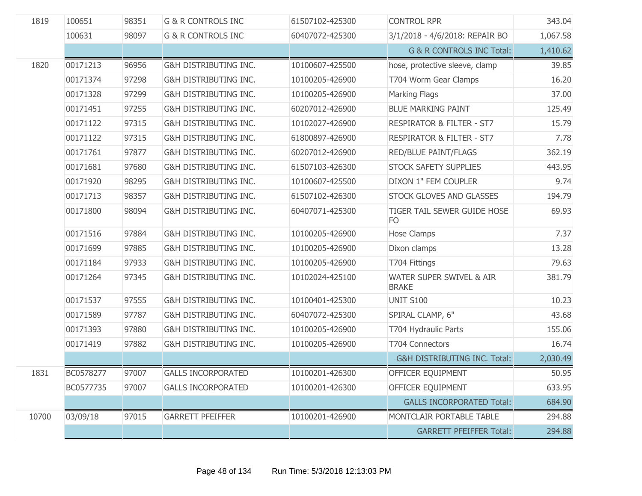| 1819  | 100651    | 98351 | <b>G &amp; R CONTROLS INC</b>    | 61507102-425300 | <b>CONTROL RPR</b>                            | 343.04   |
|-------|-----------|-------|----------------------------------|-----------------|-----------------------------------------------|----------|
|       | 100631    | 98097 | <b>G &amp; R CONTROLS INC</b>    | 60407072-425300 | 3/1/2018 - 4/6/2018: REPAIR BO                | 1,067.58 |
|       |           |       |                                  |                 | <b>G &amp; R CONTROLS INC Total:</b>          | 1,410.62 |
| 1820  | 00171213  | 96956 | G&H DISTRIBUTING INC.            | 10100607-425500 | hose, protective sleeve, clamp                | 39.85    |
|       | 00171374  | 97298 | G&H DISTRIBUTING INC.            | 10100205-426900 | T704 Worm Gear Clamps                         | 16.20    |
|       | 00171328  | 97299 | <b>G&amp;H DISTRIBUTING INC.</b> | 10100205-426900 | <b>Marking Flags</b>                          | 37.00    |
|       | 00171451  | 97255 | G&H DISTRIBUTING INC.            | 60207012-426900 | <b>BLUE MARKING PAINT</b>                     | 125.49   |
|       | 00171122  | 97315 | G&H DISTRIBUTING INC.            | 10102027-426900 | <b>RESPIRATOR &amp; FILTER - ST7</b>          | 15.79    |
|       | 00171122  | 97315 | G&H DISTRIBUTING INC.            | 61800897-426900 | <b>RESPIRATOR &amp; FILTER - ST7</b>          | 7.78     |
|       | 00171761  | 97877 | G&H DISTRIBUTING INC.            | 60207012-426900 | RED/BLUE PAINT/FLAGS                          | 362.19   |
|       | 00171681  | 97680 | G&H DISTRIBUTING INC.            | 61507103-426300 | STOCK SAFETY SUPPLIES                         | 443.95   |
|       | 00171920  | 98295 | <b>G&amp;H DISTRIBUTING INC.</b> | 10100607-425500 | DIXON 1" FEM COUPLER                          | 9.74     |
|       | 00171713  | 98357 | G&H DISTRIBUTING INC.            | 61507102-426300 | STOCK GLOVES AND GLASSES                      | 194.79   |
|       | 00171800  | 98094 | G&H DISTRIBUTING INC.            | 60407071-425300 | TIGER TAIL SEWER GUIDE HOSE<br>F <sub>O</sub> | 69.93    |
|       | 00171516  | 97884 | G&H DISTRIBUTING INC.            | 10100205-426900 | Hose Clamps                                   | 7.37     |
|       | 00171699  | 97885 | G&H DISTRIBUTING INC.            | 10100205-426900 | Dixon clamps                                  | 13.28    |
|       | 00171184  | 97933 | G&H DISTRIBUTING INC.            | 10100205-426900 | T704 Fittings                                 | 79.63    |
|       | 00171264  | 97345 | G&H DISTRIBUTING INC.            | 10102024-425100 | WATER SUPER SWIVEL & AIR<br><b>BRAKE</b>      | 381.79   |
|       | 00171537  | 97555 | G&H DISTRIBUTING INC.            | 10100401-425300 | <b>UNIT S100</b>                              | 10.23    |
|       | 00171589  | 97787 | G&H DISTRIBUTING INC.            | 60407072-425300 | SPIRAL CLAMP, 6"                              | 43.68    |
|       | 00171393  | 97880 | G&H DISTRIBUTING INC.            | 10100205-426900 | T704 Hydraulic Parts                          | 155.06   |
|       | 00171419  | 97882 | G&H DISTRIBUTING INC.            | 10100205-426900 | T704 Connectors                               | 16.74    |
|       |           |       |                                  |                 | <b>G&amp;H DISTRIBUTING INC. Total:</b>       | 2,030.49 |
| 1831  | BC0578277 | 97007 | <b>GALLS INCORPORATED</b>        | 10100201-426300 | OFFICER EQUIPMENT                             | 50.95    |
|       | BC0577735 | 97007 | <b>GALLS INCORPORATED</b>        | 10100201-426300 | OFFICER EQUIPMENT                             | 633.95   |
|       |           |       |                                  |                 | <b>GALLS INCORPORATED Total:</b>              | 684.90   |
| 10700 | 03/09/18  | 97015 | <b>GARRETT PFEIFFER</b>          | 10100201-426900 | MONTCLAIR PORTABLE TABLE                      | 294.88   |
|       |           |       |                                  |                 | <b>GARRETT PFEIFFER Total:</b>                | 294.88   |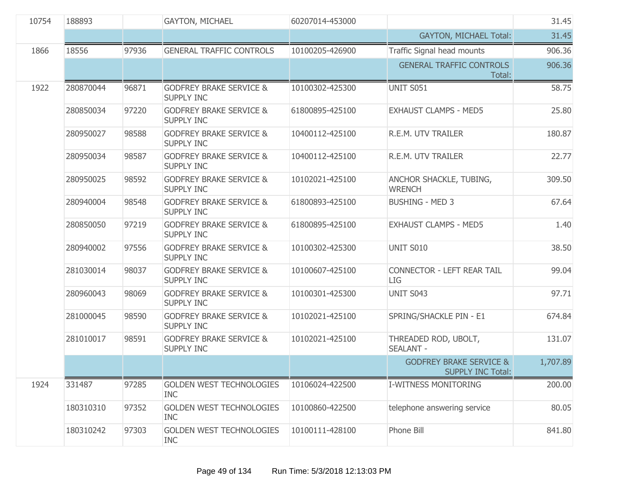| 10754 | 188893    |       | <b>GAYTON, MICHAEL</b>                                  | 60207014-453000 |                                                                | 31.45    |
|-------|-----------|-------|---------------------------------------------------------|-----------------|----------------------------------------------------------------|----------|
|       |           |       |                                                         |                 | <b>GAYTON, MICHAEL Total:</b>                                  | 31.45    |
| 1866  | 18556     | 97936 | <b>GENERAL TRAFFIC CONTROLS</b>                         | 10100205-426900 | Traffic Signal head mounts                                     | 906.36   |
|       |           |       |                                                         |                 | <b>GENERAL TRAFFIC CONTROLS</b><br>Total:                      | 906.36   |
| 1922  | 280870044 | 96871 | <b>GODFREY BRAKE SERVICE &amp;</b><br><b>SUPPLY INC</b> | 10100302-425300 | <b>UNIT S051</b>                                               | 58.75    |
|       | 280850034 | 97220 | <b>GODFREY BRAKE SERVICE &amp;</b><br><b>SUPPLY INC</b> | 61800895-425100 | <b>EXHAUST CLAMPS - MED5</b>                                   | 25.80    |
|       | 280950027 | 98588 | <b>GODFREY BRAKE SERVICE &amp;</b><br><b>SUPPLY INC</b> | 10400112-425100 | R.E.M. UTV TRAILER                                             | 180.87   |
|       | 280950034 | 98587 | <b>GODFREY BRAKE SERVICE &amp;</b><br><b>SUPPLY INC</b> | 10400112-425100 | R.E.M. UTV TRAILER                                             | 22.77    |
|       | 280950025 | 98592 | <b>GODFREY BRAKE SERVICE &amp;</b><br><b>SUPPLY INC</b> | 10102021-425100 | ANCHOR SHACKLE, TUBING,<br><b>WRENCH</b>                       | 309.50   |
|       | 280940004 | 98548 | <b>GODFREY BRAKE SERVICE &amp;</b><br><b>SUPPLY INC</b> | 61800893-425100 | <b>BUSHING - MED 3</b>                                         | 67.64    |
|       | 280850050 | 97219 | <b>GODFREY BRAKE SERVICE &amp;</b><br><b>SUPPLY INC</b> | 61800895-425100 | <b>EXHAUST CLAMPS - MED5</b>                                   | 1.40     |
|       | 280940002 | 97556 | <b>GODFREY BRAKE SERVICE &amp;</b><br><b>SUPPLY INC</b> | 10100302-425300 | <b>UNIT S010</b>                                               | 38.50    |
|       | 281030014 | 98037 | <b>GODFREY BRAKE SERVICE &amp;</b><br>SUPPLY INC        | 10100607-425100 | CONNECTOR - LEFT REAR TAIL<br>LIG                              | 99.04    |
|       | 280960043 | 98069 | <b>GODFREY BRAKE SERVICE &amp;</b><br>SUPPLY INC        | 10100301-425300 | UNIT S043                                                      | 97.71    |
|       | 281000045 | 98590 | <b>GODFREY BRAKE SERVICE &amp;</b><br><b>SUPPLY INC</b> | 10102021-425100 | SPRING/SHACKLE PIN - E1                                        | 674.84   |
|       | 281010017 | 98591 | <b>GODFREY BRAKE SERVICE &amp;</b><br><b>SUPPLY INC</b> | 10102021-425100 | THREADED ROD, UBOLT,<br><b>SEALANT -</b>                       | 131.07   |
|       |           |       |                                                         |                 | <b>GODFREY BRAKE SERVICE &amp;</b><br><b>SUPPLY INC Total:</b> | 1,707.89 |
| 1924  | 331487    | 97285 | <b>GOLDEN WEST TECHNOLOGIES</b><br><b>INC</b>           | 10106024-422500 | <b>I-WITNESS MONITORING</b>                                    | 200.00   |
|       | 180310310 | 97352 | <b>GOLDEN WEST TECHNOLOGIES</b><br><b>INC</b>           | 10100860-422500 | telephone answering service                                    | 80.05    |
|       | 180310242 | 97303 | <b>GOLDEN WEST TECHNOLOGIES</b><br><b>INC</b>           | 10100111-428100 | Phone Bill                                                     | 841.80   |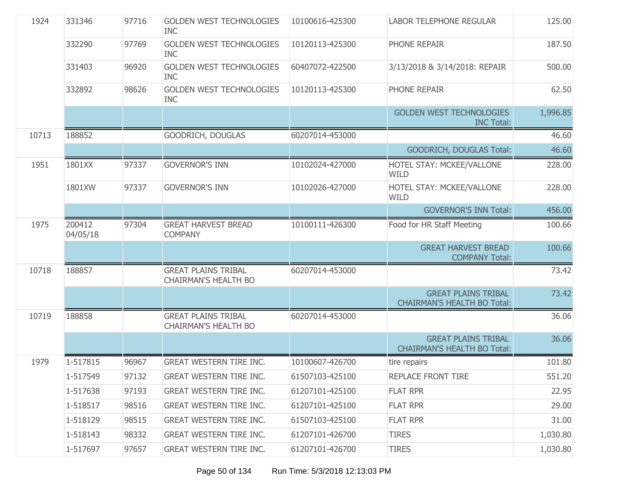| 1924  | 331346             | 97716 | <b>GOLDEN WEST TECHNOLOGIES</b><br><b>INC</b>             | 10100616-425300 | <b>LABOR TELEPHONE REGULAR</b>                                   | 125.00   |
|-------|--------------------|-------|-----------------------------------------------------------|-----------------|------------------------------------------------------------------|----------|
|       | 332290             | 97769 | <b>GOLDEN WEST TECHNOLOGIES</b><br><b>INC</b>             | 10120113-425300 | PHONE REPAIR                                                     | 187.50   |
|       | 331403             | 96920 | <b>GOLDEN WEST TECHNOLOGIES</b><br><b>INC</b>             | 60407072-422500 | 3/13/2018 & 3/14/2018: REPAIR                                    | 500.00   |
|       | 332892             | 98626 | <b>GOLDEN WEST TECHNOLOGIES</b><br><b>INC</b>             | 10120113-425300 | PHONE REPAIR                                                     | 62.50    |
|       |                    |       |                                                           |                 | <b>GOLDEN WEST TECHNOLOGIES</b><br><b>INC Total:</b>             | 1,996.85 |
| 10713 | 188852             |       | GOODRICH, DOUGLAS                                         | 60207014-453000 |                                                                  | 46.60    |
|       |                    |       |                                                           |                 | <b>GOODRICH, DOUGLAS Total:</b>                                  | 46.60    |
| 1951  | 1801XX             | 97337 | <b>GOVERNOR'S INN</b>                                     | 10102024-427000 | HOTEL STAY: MCKEE/VALLONE<br><b>WILD</b>                         | 228.00   |
|       | 1801XW             | 97337 | <b>GOVERNOR'S INN</b>                                     | 10102026-427000 | HOTEL STAY: MCKEE/VALLONE<br><b>WILD</b>                         | 228.00   |
|       |                    |       |                                                           |                 | <b>GOVERNOR'S INN Total:</b>                                     | 456.00   |
| 1975  | 200412<br>04/05/18 | 97304 | <b>GREAT HARVEST BREAD</b><br><b>COMPANY</b>              | 10100111-426300 | Food for HR Staff Meeting                                        | 100.66   |
|       |                    |       |                                                           |                 | <b>GREAT HARVEST BREAD</b><br><b>COMPANY Total:</b>              | 100.66   |
| 10718 | 188857             |       | <b>GREAT PLAINS TRIBAL</b><br><b>CHAIRMAN'S HEALTH BO</b> | 60207014-453000 |                                                                  | 73.42    |
|       |                    |       |                                                           |                 | <b>GREAT PLAINS TRIBAL</b><br><b>CHAIRMAN'S HEALTH BO Total:</b> | 73.42    |
| 10719 | 188858             |       | <b>GREAT PLAINS TRIBAL</b><br><b>CHAIRMAN'S HEALTH BO</b> | 60207014-453000 |                                                                  | 36.06    |
|       |                    |       |                                                           |                 | <b>GREAT PLAINS TRIBAL</b><br><b>CHAIRMAN'S HEALTH BO Total:</b> | 36.06    |
| 1979  | 1-517815           | 96967 | <b>GREAT WESTERN TIRE INC.</b>                            | 10100607-426700 | tire repairs                                                     | 101.80   |
|       | 1-517549           | 97132 | GREAT WESTERN TIRE INC.                                   | 61507103-425100 | REPLACE FRONT TIRE                                               | 551.20   |
|       | 1-517638           | 97193 | <b>GREAT WESTERN TIRE INC.</b>                            | 61207101-425100 | <b>FLAT RPR</b>                                                  | 22.95    |
|       | 1-518517           | 98516 | <b>GREAT WESTERN TIRE INC.</b>                            | 61207101-425100 | <b>FLAT RPR</b>                                                  | 29.00    |
|       | 1-518129           | 98515 | <b>GREAT WESTERN TIRE INC.</b>                            | 61507103-425100 | <b>FLAT RPR</b>                                                  | 31.00    |
|       | 1-518143           | 98332 | <b>GREAT WESTERN TIRE INC.</b>                            | 61207101-426700 | <b>TIRES</b>                                                     | 1,030.80 |
|       | 1-517697           | 97657 | <b>GREAT WESTERN TIRE INC.</b>                            | 61207101-426700 | <b>TIRES</b>                                                     | 1,030.80 |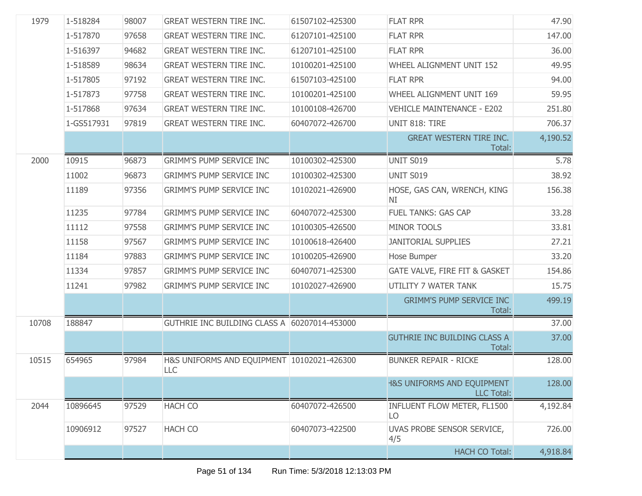| 1979  | 1-518284   | 98007 | <b>GREAT WESTERN TIRE INC.</b>                    | 61507102-425300 | <b>FLAT RPR</b>                                            | 47.90    |
|-------|------------|-------|---------------------------------------------------|-----------------|------------------------------------------------------------|----------|
|       | 1-517870   | 97658 | <b>GREAT WESTERN TIRE INC.</b>                    | 61207101-425100 | <b>FLAT RPR</b>                                            | 147.00   |
|       | 1-516397   | 94682 | <b>GREAT WESTERN TIRE INC.</b>                    | 61207101-425100 | <b>FLAT RPR</b>                                            | 36.00    |
|       | 1-518589   | 98634 | <b>GREAT WESTERN TIRE INC.</b>                    | 10100201-425100 | WHEEL ALIGNMENT UNIT 152                                   | 49.95    |
|       | 1-517805   | 97192 | <b>GREAT WESTERN TIRE INC.</b>                    | 61507103-425100 | <b>FLAT RPR</b>                                            | 94.00    |
|       | 1-517873   | 97758 | <b>GREAT WESTERN TIRE INC.</b>                    | 10100201-425100 | WHEEL ALIGNMENT UNIT 169                                   | 59.95    |
|       | 1-517868   | 97634 | <b>GREAT WESTERN TIRE INC.</b>                    | 10100108-426700 | <b>VEHICLE MAINTENANCE - E202</b>                          | 251.80   |
|       | 1-GS517931 | 97819 | <b>GREAT WESTERN TIRE INC.</b>                    | 60407072-426700 | UNIT 818: TIRE                                             | 706.37   |
|       |            |       |                                                   |                 | <b>GREAT WESTERN TIRE INC.</b><br>Total:                   | 4,190.52 |
| 2000  | 10915      | 96873 | <b>GRIMM'S PUMP SERVICE INC</b>                   | 10100302-425300 | <b>UNIT S019</b>                                           | 5.78     |
|       | 11002      | 96873 | <b>GRIMM'S PUMP SERVICE INC</b>                   | 10100302-425300 | <b>UNIT S019</b>                                           | 38.92    |
|       | 11189      | 97356 | <b>GRIMM'S PUMP SERVICE INC</b>                   | 10102021-426900 | HOSE, GAS CAN, WRENCH, KING<br>NI                          | 156.38   |
|       | 11235      | 97784 | <b>GRIMM'S PUMP SERVICE INC</b>                   | 60407072-425300 | <b>FUEL TANKS: GAS CAP</b>                                 | 33.28    |
|       | 11112      | 97558 | <b>GRIMM'S PUMP SERVICE INC</b>                   | 10100305-426500 | MINOR TOOLS                                                | 33.81    |
|       | 11158      | 97567 | <b>GRIMM'S PUMP SERVICE INC</b>                   | 10100618-426400 | <b>JANITORIAL SUPPLIES</b>                                 | 27.21    |
|       | 11184      | 97883 | <b>GRIMM'S PUMP SERVICE INC</b>                   | 10100205-426900 | Hose Bumper                                                | 33.20    |
|       | 11334      | 97857 | <b>GRIMM'S PUMP SERVICE INC</b>                   | 60407071-425300 | GATE VALVE, FIRE FIT & GASKET                              | 154.86   |
|       | 11241      | 97982 | <b>GRIMM'S PUMP SERVICE INC</b>                   | 10102027-426900 | UTILITY 7 WATER TANK                                       | 15.75    |
|       |            |       |                                                   |                 | <b>GRIMM'S PUMP SERVICE INC</b><br>Total:                  | 499.19   |
| 10708 | 188847     |       | GUTHRIE INC BUILDING CLASS A 60207014-453000      |                 |                                                            | 37.00    |
|       |            |       |                                                   |                 | <b>GUTHRIE INC BUILDING CLASS A</b><br>Total:              | 37.00    |
| 10515 | 654965     | 97984 | H&S UNIFORMS AND EQUIPMENT 10102021-426300<br>LLC |                 | <b>BUNKER REPAIR - RICKE</b>                               | 128.00   |
|       |            |       |                                                   |                 | <b>H&amp;S UNIFORMS AND EQUIPMENT</b><br><b>LLC Total:</b> | 128.00   |
| 2044  | 10896645   | 97529 | <b>HACH CO</b>                                    | 60407072-426500 | INFLUENT FLOW METER, FL1500<br>LO                          | 4,192.84 |
|       | 10906912   | 97527 | <b>HACH CO</b>                                    | 60407073-422500 | UVAS PROBE SENSOR SERVICE,<br>4/5                          | 726.00   |
|       |            |       |                                                   |                 | <b>HACH CO Total:</b>                                      | 4,918.84 |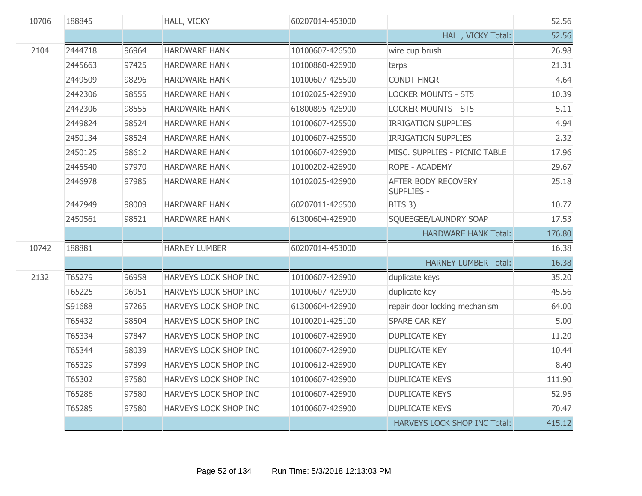| 10706 | 188845  |       | HALL, VICKY           | 60207014-453000 |                                          | 52.56  |
|-------|---------|-------|-----------------------|-----------------|------------------------------------------|--------|
|       |         |       |                       |                 | HALL, VICKY Total:                       | 52.56  |
| 2104  | 2444718 | 96964 | <b>HARDWARE HANK</b>  | 10100607-426500 | wire cup brush                           | 26.98  |
|       | 2445663 | 97425 | <b>HARDWARE HANK</b>  | 10100860-426900 | tarps                                    | 21.31  |
|       | 2449509 | 98296 | <b>HARDWARE HANK</b>  | 10100607-425500 | <b>CONDT HNGR</b>                        | 4.64   |
|       | 2442306 | 98555 | <b>HARDWARE HANK</b>  | 10102025-426900 | <b>LOCKER MOUNTS - ST5</b>               | 10.39  |
|       | 2442306 | 98555 | <b>HARDWARE HANK</b>  | 61800895-426900 | <b>LOCKER MOUNTS - ST5</b>               | 5.11   |
|       | 2449824 | 98524 | <b>HARDWARE HANK</b>  | 10100607-425500 | <b>IRRIGATION SUPPLIES</b>               | 4.94   |
|       | 2450134 | 98524 | <b>HARDWARE HANK</b>  | 10100607-425500 | <b>IRRIGATION SUPPLIES</b>               | 2.32   |
|       | 2450125 | 98612 | <b>HARDWARE HANK</b>  | 10100607-426900 | MISC. SUPPLIES - PICNIC TABLE            | 17.96  |
|       | 2445540 | 97970 | <b>HARDWARE HANK</b>  | 10100202-426900 | ROPE - ACADEMY                           | 29.67  |
|       | 2446978 | 97985 | <b>HARDWARE HANK</b>  | 10102025-426900 | AFTER BODY RECOVERY<br><b>SUPPLIES -</b> | 25.18  |
|       | 2447949 | 98009 | <b>HARDWARE HANK</b>  | 60207011-426500 | BITS 3)                                  | 10.77  |
|       | 2450561 | 98521 | <b>HARDWARE HANK</b>  | 61300604-426900 | SQUEEGEE/LAUNDRY SOAP                    | 17.53  |
|       |         |       |                       |                 | <b>HARDWARE HANK Total:</b>              | 176.80 |
| 10742 | 188881  |       | <b>HARNEY LUMBER</b>  | 60207014-453000 |                                          | 16.38  |
|       |         |       |                       |                 | <b>HARNEY LUMBER Total:</b>              | 16.38  |
| 2132  | T65279  | 96958 | HARVEYS LOCK SHOP INC | 10100607-426900 | duplicate keys                           | 35.20  |
|       | T65225  | 96951 | HARVEYS LOCK SHOP INC | 10100607-426900 | duplicate key                            | 45.56  |
|       | S91688  | 97265 | HARVEYS LOCK SHOP INC | 61300604-426900 | repair door locking mechanism            | 64.00  |
|       | T65432  | 98504 | HARVEYS LOCK SHOP INC | 10100201-425100 | SPARE CAR KEY                            | 5.00   |
|       | T65334  | 97847 | HARVEYS LOCK SHOP INC | 10100607-426900 | <b>DUPLICATE KEY</b>                     | 11.20  |
|       | T65344  | 98039 | HARVEYS LOCK SHOP INC | 10100607-426900 | <b>DUPLICATE KEY</b>                     | 10.44  |
|       | T65329  | 97899 | HARVEYS LOCK SHOP INC | 10100612-426900 | <b>DUPLICATE KEY</b>                     | 8.40   |
|       | T65302  | 97580 | HARVEYS LOCK SHOP INC | 10100607-426900 | <b>DUPLICATE KEYS</b>                    | 111.90 |
|       | T65286  | 97580 | HARVEYS LOCK SHOP INC | 10100607-426900 | <b>DUPLICATE KEYS</b>                    | 52.95  |
|       | T65285  | 97580 | HARVEYS LOCK SHOP INC | 10100607-426900 | <b>DUPLICATE KEYS</b>                    | 70.47  |
|       |         |       |                       |                 | HARVEYS LOCK SHOP INC Total:             | 415.12 |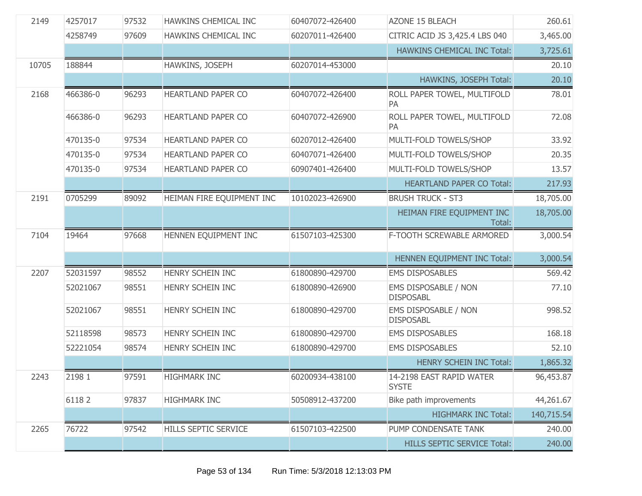| 2149  | 4257017  | 97532 | HAWKINS CHEMICAL INC        | 60407072-426400 | <b>AZONE 15 BLEACH</b>                   | 260.61     |
|-------|----------|-------|-----------------------------|-----------------|------------------------------------------|------------|
|       | 4258749  | 97609 | HAWKINS CHEMICAL INC        | 60207011-426400 | CITRIC ACID JS 3,425.4 LBS 040           | 3,465.00   |
|       |          |       |                             |                 | HAWKINS CHEMICAL INC Total:              | 3,725.61   |
| 10705 | 188844   |       | HAWKINS, JOSEPH             | 60207014-453000 |                                          | 20.10      |
|       |          |       |                             |                 | HAWKINS, JOSEPH Total:                   | 20.10      |
| 2168  | 466386-0 | 96293 | HEARTLAND PAPER CO          | 60407072-426400 | ROLL PAPER TOWEL, MULTIFOLD<br>PA        | 78.01      |
|       | 466386-0 | 96293 | HEARTLAND PAPER CO          | 60407072-426900 | ROLL PAPER TOWEL, MULTIFOLD<br>PA        | 72.08      |
|       | 470135-0 | 97534 | <b>HEARTLAND PAPER CO</b>   | 60207012-426400 | MULTI-FOLD TOWELS/SHOP                   | 33.92      |
|       | 470135-0 | 97534 | <b>HEARTLAND PAPER CO</b>   | 60407071-426400 | MULTI-FOLD TOWELS/SHOP                   | 20.35      |
|       | 470135-0 | 97534 | <b>HEARTLAND PAPER CO</b>   | 60907401-426400 | MULTI-FOLD TOWELS/SHOP                   | 13.57      |
|       |          |       |                             |                 | <b>HEARTLAND PAPER CO Total:</b>         | 217.93     |
| 2191  | 0705299  | 89092 | HEIMAN FIRE EQUIPMENT INC   | 10102023-426900 | <b>BRUSH TRUCK - ST3</b>                 | 18,705.00  |
|       |          |       |                             |                 | HEIMAN FIRE EQUIPMENT INC<br>Total:      | 18,705.00  |
| 7104  | 19464    | 97668 | HENNEN EQUIPMENT INC        | 61507103-425300 | F-TOOTH SCREWABLE ARMORED                | 3,000.54   |
|       |          |       |                             |                 | HENNEN EQUIPMENT INC Total:              | 3,000.54   |
| 2207  | 52031597 | 98552 | HENRY SCHEIN INC            | 61800890-429700 | <b>EMS DISPOSABLES</b>                   | 569.42     |
|       | 52021067 | 98551 | HENRY SCHEIN INC            | 61800890-426900 | EMS DISPOSABLE / NON<br><b>DISPOSABL</b> | 77.10      |
|       | 52021067 | 98551 | HENRY SCHEIN INC            | 61800890-429700 | EMS DISPOSABLE / NON<br><b>DISPOSABL</b> | 998.52     |
|       | 52118598 | 98573 | HENRY SCHEIN INC            | 61800890-429700 | <b>EMS DISPOSABLES</b>                   | 168.18     |
|       | 52221054 | 98574 | HENRY SCHEIN INC            | 61800890-429700 | <b>EMS DISPOSABLES</b>                   | 52.10      |
|       |          |       |                             |                 | <b>HENRY SCHEIN INC Total:</b>           | 1,865.32   |
| 2243  | 2198 1   | 97591 | <b>HIGHMARK INC</b>         | 60200934-438100 | 14-2198 EAST RAPID WATER<br><b>SYSTE</b> | 96,453.87  |
|       | 61182    | 97837 | <b>HIGHMARK INC</b>         | 50508912-437200 | Bike path improvements                   | 44,261.67  |
|       |          |       |                             |                 | <b>HIGHMARK INC Total:</b>               | 140,715.54 |
| 2265  | 76722    | 97542 | <b>HILLS SEPTIC SERVICE</b> | 61507103-422500 | PUMP CONDENSATE TANK                     | 240.00     |
|       |          |       |                             |                 | <b>HILLS SEPTIC SERVICE Total:</b>       | 240.00     |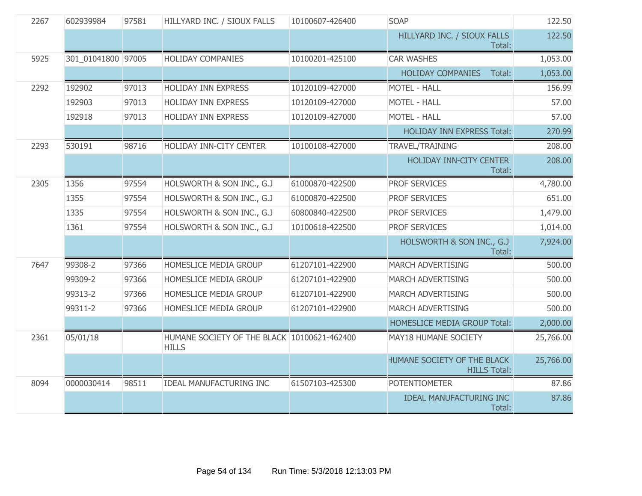| 2267 | 602939984          | 97581 | HILLYARD INC. / SIOUX FALLS                                 | 10100607-426400 | <b>SOAP</b>                                        | 122.50    |
|------|--------------------|-------|-------------------------------------------------------------|-----------------|----------------------------------------------------|-----------|
|      |                    |       |                                                             |                 | HILLYARD INC. / SIOUX FALLS<br>Total:              | 122.50    |
| 5925 | 301 01041800 97005 |       | <b>HOLIDAY COMPANIES</b>                                    | 10100201-425100 | <b>CAR WASHES</b>                                  | 1,053.00  |
|      |                    |       |                                                             |                 | <b>HOLIDAY COMPANIES</b><br>Total:                 | 1,053.00  |
| 2292 | 192902             | 97013 | HOLIDAY INN EXPRESS                                         | 10120109-427000 | <b>MOTEL - HALL</b>                                | 156.99    |
|      | 192903             | 97013 | <b>HOLIDAY INN EXPRESS</b>                                  | 10120109-427000 | <b>MOTEL - HALL</b>                                | 57.00     |
|      | 192918             | 97013 | <b>HOLIDAY INN EXPRESS</b>                                  | 10120109-427000 | <b>MOTEL - HALL</b>                                | 57.00     |
|      |                    |       |                                                             |                 | <b>HOLIDAY INN EXPRESS Total:</b>                  | 270.99    |
| 2293 | 530191             | 98716 | HOLIDAY INN-CITY CENTER                                     | 10100108-427000 | TRAVEL/TRAINING                                    | 208.00    |
|      |                    |       |                                                             |                 | HOLIDAY INN-CITY CENTER<br>Total:                  | 208.00    |
| 2305 | 1356               | 97554 | HOLSWORTH & SON INC., G.J                                   | 61000870-422500 | PROF SERVICES                                      | 4,780.00  |
|      | 1355               | 97554 | HOLSWORTH & SON INC., G.J                                   | 61000870-422500 | <b>PROF SERVICES</b>                               | 651.00    |
|      | 1335               | 97554 | HOLSWORTH & SON INC., G.J                                   | 60800840-422500 | PROF SERVICES                                      | 1,479.00  |
|      | 1361               | 97554 | HOLSWORTH & SON INC., G.J                                   | 10100618-422500 | PROF SERVICES                                      | 1,014.00  |
|      |                    |       |                                                             |                 | HOLSWORTH & SON INC., G.J<br>Total:                | 7,924.00  |
| 7647 | 99308-2            | 97366 | HOMESLICE MEDIA GROUP                                       | 61207101-422900 | MARCH ADVERTISING                                  | 500.00    |
|      | 99309-2            | 97366 | HOMESLICE MEDIA GROUP                                       | 61207101-422900 | MARCH ADVERTISING                                  | 500.00    |
|      | 99313-2            | 97366 | HOMESLICE MEDIA GROUP                                       | 61207101-422900 | <b>MARCH ADVERTISING</b>                           | 500.00    |
|      | 99311-2            | 97366 | HOMESLICE MEDIA GROUP                                       | 61207101-422900 | <b>MARCH ADVERTISING</b>                           | 500.00    |
|      |                    |       |                                                             |                 | <b>HOMESLICE MEDIA GROUP Total:</b>                | 2,000.00  |
| 2361 | 05/01/18           |       | HUMANE SOCIETY OF THE BLACK 10100621-462400<br><b>HILLS</b> |                 | MAY18 HUMANE SOCIETY                               | 25,766.00 |
|      |                    |       |                                                             |                 | HUMANE SOCIETY OF THE BLACK<br><b>HILLS Total:</b> | 25,766.00 |
| 8094 | 0000030414         | 98511 | <b>IDEAL MANUFACTURING INC</b>                              | 61507103-425300 | <b>POTENTIOMETER</b>                               | 87.86     |
|      |                    |       |                                                             |                 | <b>IDEAL MANUFACTURING INC</b><br>Total:           | 87.86     |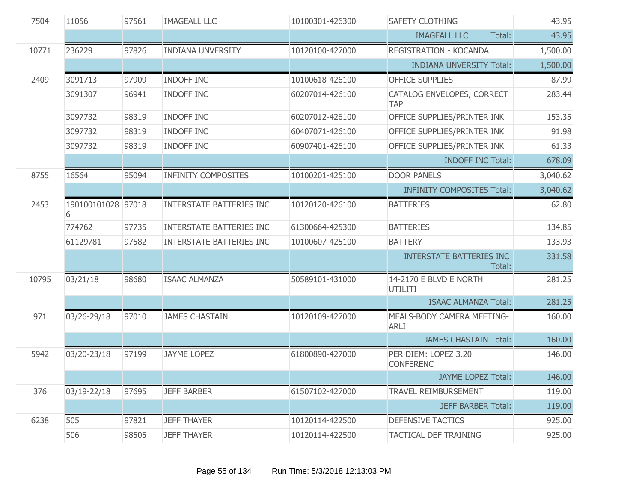| 7504  | 11056                   | 97561 | <b>IMAGEALL LLC</b>             | 10100301-426300 | <b>SAFETY CLOTHING</b>                    | 43.95    |
|-------|-------------------------|-------|---------------------------------|-----------------|-------------------------------------------|----------|
|       |                         |       |                                 |                 | <b>IMAGEALL LLC</b><br>Total:             | 43.95    |
| 10771 | 236229                  | 97826 | <b>INDIANA UNVERSITY</b>        | 10120100-427000 | REGISTRATION - KOCANDA                    | 1,500.00 |
|       |                         |       |                                 |                 | <b>INDIANA UNVERSITY Total:</b>           | 1,500.00 |
| 2409  | 3091713                 | 97909 | <b>INDOFF INC</b>               | 10100618-426100 | <b>OFFICE SUPPLIES</b>                    | 87.99    |
|       | 3091307                 | 96941 | <b>INDOFF INC</b>               | 60207014-426100 | CATALOG ENVELOPES, CORRECT<br><b>TAP</b>  | 283.44   |
|       | 3097732                 | 98319 | <b>INDOFF INC</b>               | 60207012-426100 | OFFICE SUPPLIES/PRINTER INK               | 153.35   |
|       | 3097732                 | 98319 | <b>INDOFF INC</b>               | 60407071-426100 | OFFICE SUPPLIES/PRINTER INK               | 91.98    |
|       | 3097732                 | 98319 | <b>INDOFF INC</b>               | 60907401-426100 | OFFICE SUPPLIES/PRINTER INK               | 61.33    |
|       |                         |       |                                 |                 | <b>INDOFF INC Total:</b>                  | 678.09   |
| 8755  | 16564                   | 95094 | <b>INFINITY COMPOSITES</b>      | 10100201-425100 | <b>DOOR PANELS</b>                        | 3,040.62 |
|       |                         |       |                                 |                 | <b>INFINITY COMPOSITES Total:</b>         | 3,040.62 |
| 2453  | 190100101028 97018<br>6 |       | <b>INTERSTATE BATTERIES INC</b> | 10120120-426100 | <b>BATTERIES</b>                          | 62.80    |
|       | 774762                  | 97735 | <b>INTERSTATE BATTERIES INC</b> | 61300664-425300 | <b>BATTERIES</b>                          | 134.85   |
|       | 61129781                | 97582 | <b>INTERSTATE BATTERIES INC</b> | 10100607-425100 | <b>BATTERY</b>                            | 133.93   |
|       |                         |       |                                 |                 | <b>INTERSTATE BATTERIES INC</b><br>Total: | 331.58   |
| 10795 | 03/21/18                | 98680 | <b>ISAAC ALMANZA</b>            | 50589101-431000 | 14-2170 E BLVD E NORTH<br>UTILITI         | 281.25   |
|       |                         |       |                                 |                 | <b>ISAAC ALMANZA Total:</b>               | 281.25   |
| 971   | 03/26-29/18             | 97010 | <b>JAMES CHASTAIN</b>           | 10120109-427000 | MEALS-BODY CAMERA MEETING-<br><b>ARLI</b> | 160.00   |
|       |                         |       |                                 |                 | <b>JAMES CHASTAIN Total:</b>              | 160.00   |
| 5942  | 03/20-23/18             | 97199 | <b>JAYME LOPEZ</b>              | 61800890-427000 | PER DIEM: LOPEZ 3.20<br><b>CONFERENC</b>  | 146.00   |
|       |                         |       |                                 |                 | <b>JAYME LOPEZ Total:</b>                 | 146.00   |
| 376   | 03/19-22/18             | 97695 | <b>JEFF BARBER</b>              | 61507102-427000 | <b>TRAVEL REIMBURSEMENT</b>               | 119.00   |
|       |                         |       |                                 |                 | <b>JEFF BARBER Total:</b>                 | 119.00   |
| 6238  | 505                     | 97821 | <b>JEFF THAYER</b>              | 10120114-422500 | <b>DEFENSIVE TACTICS</b>                  | 925.00   |
|       | 506                     | 98505 | <b>JEFF THAYER</b>              | 10120114-422500 | <b>TACTICAL DEF TRAINING</b>              | 925.00   |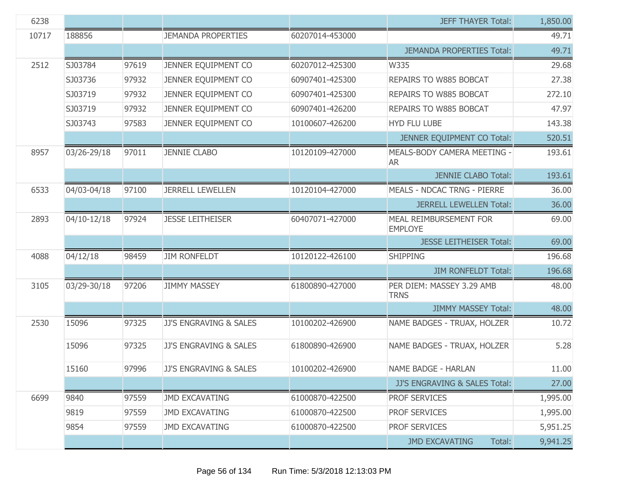| 6238  |             |       |                           |                 | <b>JEFF THAYER Total:</b>                | 1,850.00 |
|-------|-------------|-------|---------------------------|-----------------|------------------------------------------|----------|
| 10717 | 188856      |       | <b>JEMANDA PROPERTIES</b> | 60207014-453000 |                                          | 49.71    |
|       |             |       |                           |                 | <b>JEMANDA PROPERTIES Total:</b>         | 49.71    |
| 2512  | SJ03784     | 97619 | JENNER EQUIPMENT CO       | 60207012-425300 | W335                                     | 29.68    |
|       | SJ03736     | 97932 | JENNER EQUIPMENT CO       | 60907401-425300 | REPAIRS TO W885 BOBCAT                   | 27.38    |
|       | SJ03719     | 97932 | JENNER EQUIPMENT CO       | 60907401-425300 | REPAIRS TO W885 BOBCAT                   | 272.10   |
|       | SJ03719     | 97932 | JENNER EQUIPMENT CO       | 60907401-426200 | REPAIRS TO W885 BOBCAT                   | 47.97    |
|       | SJ03743     | 97583 | JENNER EQUIPMENT CO       | 10100607-426200 | <b>HYD FLU LUBE</b>                      | 143.38   |
|       |             |       |                           |                 | JENNER EQUIPMENT CO Total:               | 520.51   |
| 8957  | 03/26-29/18 | 97011 | <b>JENNIE CLABO</b>       | 10120109-427000 | MEALS-BODY CAMERA MEETING -<br><b>AR</b> | 193.61   |
|       |             |       |                           |                 | <b>JENNIE CLABO Total:</b>               | 193.61   |
| 6533  | 04/03-04/18 | 97100 | <b>JERRELL LEWELLEN</b>   | 10120104-427000 | <b>MEALS - NDCAC TRNG - PIERRE</b>       | 36.00    |
|       |             |       |                           |                 | <b>JERRELL LEWELLEN Total:</b>           | 36.00    |
| 2893  | 04/10-12/18 | 97924 | <b>JESSE LEITHEISER</b>   | 60407071-427000 | MEAL REIMBURSEMENT FOR<br><b>EMPLOYE</b> | 69.00    |
|       |             |       |                           |                 | <b>JESSE LEITHEISER Total:</b>           | 69.00    |
| 4088  | 04/12/18    | 98459 | <b>JIM RONFELDT</b>       | 10120122-426100 | <b>SHIPPING</b>                          | 196.68   |
|       |             |       |                           |                 | <b>JIM RONFELDT Total:</b>               | 196.68   |
| 3105  | 03/29-30/18 | 97206 | <b>JIMMY MASSEY</b>       | 61800890-427000 | PER DIEM: MASSEY 3.29 AMB<br><b>TRNS</b> | 48.00    |
|       |             |       |                           |                 | <b>JIMMY MASSEY Total:</b>               | 48.00    |
| 2530  | 15096       | 97325 | JJ'S ENGRAVING & SALES    | 10100202-426900 | NAME BADGES - TRUAX, HOLZER              | 10.72    |
|       | 15096       | 97325 | JJ'S ENGRAVING & SALES    | 61800890-426900 | NAME BADGES - TRUAX, HOLZER              | 5.28     |
|       | 15160       | 97996 | JJ'S ENGRAVING & SALES    | 10100202-426900 | NAME BADGE - HARLAN                      | 11.00    |
|       |             |       |                           |                 | <b>JJ'S ENGRAVING &amp; SALES Total:</b> | 27.00    |
| 6699  | 9840        | 97559 | <b>JMD EXCAVATING</b>     | 61000870-422500 | PROF SERVICES                            | 1,995.00 |
|       | 9819        | 97559 | <b>JMD EXCAVATING</b>     | 61000870-422500 | PROF SERVICES                            | 1,995.00 |
|       | 9854        | 97559 | <b>JMD EXCAVATING</b>     | 61000870-422500 | <b>PROF SERVICES</b>                     | 5,951.25 |
|       |             |       |                           |                 | <b>JMD EXCAVATING</b><br>Total:          | 9,941.25 |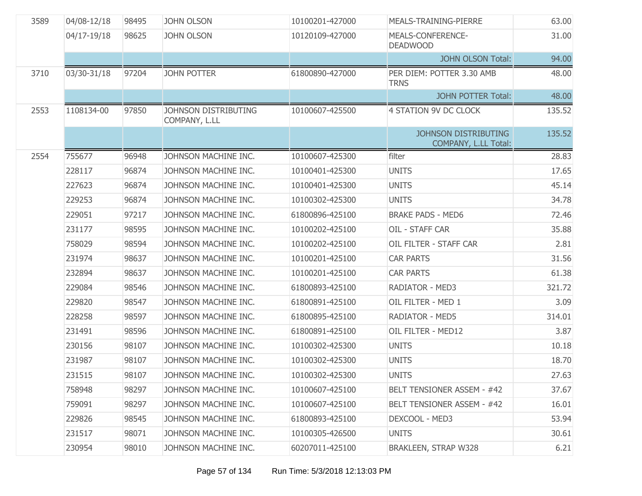| 3589 | 04/08-12/18 | 98495 | <b>JOHN OLSON</b>                     | 10100201-427000 | MEALS-TRAINING-PIERRE                               | 63.00  |
|------|-------------|-------|---------------------------------------|-----------------|-----------------------------------------------------|--------|
|      | 04/17-19/18 | 98625 | <b>JOHN OLSON</b>                     | 10120109-427000 | MEALS-CONFERENCE-<br><b>DEADWOOD</b>                | 31.00  |
|      |             |       |                                       |                 | <b>JOHN OLSON Total:</b>                            | 94.00  |
| 3710 | 03/30-31/18 | 97204 | <b>JOHN POTTER</b>                    | 61800890-427000 | PER DIEM: POTTER 3.30 AMB<br><b>TRNS</b>            | 48.00  |
|      |             |       |                                       |                 | <b>JOHN POTTER Total:</b>                           | 48.00  |
| 2553 | 1108134-00  | 97850 | JOHNSON DISTRIBUTING<br>COMPANY, L.LL | 10100607-425500 | 4 STATION 9V DC CLOCK                               | 135.52 |
|      |             |       |                                       |                 | <b>JOHNSON DISTRIBUTING</b><br>COMPANY, L.LL Total: | 135.52 |
| 2554 | 755677      | 96948 | JOHNSON MACHINE INC.                  | 10100607-425300 | filter                                              | 28.83  |
|      | 228117      | 96874 | JOHNSON MACHINE INC.                  | 10100401-425300 | <b>UNITS</b>                                        | 17.65  |
|      | 227623      | 96874 | JOHNSON MACHINE INC.                  | 10100401-425300 | <b>UNITS</b>                                        | 45.14  |
|      | 229253      | 96874 | JOHNSON MACHINE INC.                  | 10100302-425300 | <b>UNITS</b>                                        | 34.78  |
|      | 229051      | 97217 | JOHNSON MACHINE INC.                  | 61800896-425100 | <b>BRAKE PADS - MED6</b>                            | 72.46  |
|      | 231177      | 98595 | JOHNSON MACHINE INC.                  | 10100202-425100 | OIL - STAFF CAR                                     | 35.88  |
|      | 758029      | 98594 | JOHNSON MACHINE INC.                  | 10100202-425100 | OIL FILTER - STAFF CAR                              | 2.81   |
|      | 231974      | 98637 | JOHNSON MACHINE INC.                  | 10100201-425100 | <b>CAR PARTS</b>                                    | 31.56  |
|      | 232894      | 98637 | JOHNSON MACHINE INC.                  | 10100201-425100 | <b>CAR PARTS</b>                                    | 61.38  |
|      | 229084      | 98546 | JOHNSON MACHINE INC.                  | 61800893-425100 | RADIATOR - MED3                                     | 321.72 |
|      | 229820      | 98547 | JOHNSON MACHINE INC.                  | 61800891-425100 | OIL FILTER - MED 1                                  | 3.09   |
|      | 228258      | 98597 | JOHNSON MACHINE INC.                  | 61800895-425100 | <b>RADIATOR - MED5</b>                              | 314.01 |
|      | 231491      | 98596 | JOHNSON MACHINE INC.                  | 61800891-425100 | OIL FILTER - MED12                                  | 3.87   |
|      | 230156      | 98107 | JOHNSON MACHINE INC.                  | 10100302-425300 | <b>UNITS</b>                                        | 10.18  |
|      | 231987      | 98107 | JOHNSON MACHINE INC.                  | 10100302-425300 | <b>UNITS</b>                                        | 18.70  |
|      | 231515      | 98107 | JOHNSON MACHINE INC.                  | 10100302-425300 | <b>UNITS</b>                                        | 27.63  |
|      | 758948      | 98297 | JOHNSON MACHINE INC.                  | 10100607-425100 | <b>BELT TENSIONER ASSEM - #42</b>                   | 37.67  |
|      | 759091      | 98297 | JOHNSON MACHINE INC.                  | 10100607-425100 | <b>BELT TENSIONER ASSEM - #42</b>                   | 16.01  |
|      | 229826      | 98545 | JOHNSON MACHINE INC.                  | 61800893-425100 | DEXCOOL - MED3                                      | 53.94  |
|      | 231517      | 98071 | JOHNSON MACHINE INC.                  | 10100305-426500 | <b>UNITS</b>                                        | 30.61  |
|      | 230954      | 98010 | JOHNSON MACHINE INC.                  | 60207011-425100 | <b>BRAKLEEN, STRAP W328</b>                         | 6.21   |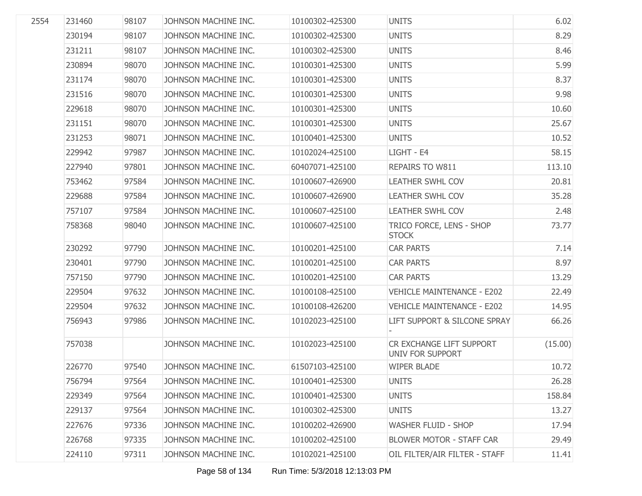| 2554 | 231460 | 98107 | JOHNSON MACHINE INC. | 10100302-425300 | <b>UNITS</b>                                 | 6.02    |
|------|--------|-------|----------------------|-----------------|----------------------------------------------|---------|
|      | 230194 | 98107 | JOHNSON MACHINE INC. | 10100302-425300 | <b>UNITS</b>                                 | 8.29    |
|      | 231211 | 98107 | JOHNSON MACHINE INC. | 10100302-425300 | <b>UNITS</b>                                 | 8.46    |
|      | 230894 | 98070 | JOHNSON MACHINE INC. | 10100301-425300 | <b>UNITS</b>                                 | 5.99    |
|      | 231174 | 98070 | JOHNSON MACHINE INC. | 10100301-425300 | <b>UNITS</b>                                 | 8.37    |
|      | 231516 | 98070 | JOHNSON MACHINE INC. | 10100301-425300 | <b>UNITS</b>                                 | 9.98    |
|      | 229618 | 98070 | JOHNSON MACHINE INC. | 10100301-425300 | <b>UNITS</b>                                 | 10.60   |
|      | 231151 | 98070 | JOHNSON MACHINE INC. | 10100301-425300 | <b>UNITS</b>                                 | 25.67   |
|      | 231253 | 98071 | JOHNSON MACHINE INC. | 10100401-425300 | <b>UNITS</b>                                 | 10.52   |
|      | 229942 | 97987 | JOHNSON MACHINE INC. | 10102024-425100 | LIGHT - E4                                   | 58.15   |
|      | 227940 | 97801 | JOHNSON MACHINE INC. | 60407071-425100 | REPAIRS TO W811                              | 113.10  |
|      | 753462 | 97584 | JOHNSON MACHINE INC. | 10100607-426900 | <b>LEATHER SWHL COV</b>                      | 20.81   |
|      | 229688 | 97584 | JOHNSON MACHINE INC. | 10100607-426900 | <b>LEATHER SWHL COV</b>                      | 35.28   |
|      | 757107 | 97584 | JOHNSON MACHINE INC. | 10100607-425100 | <b>LEATHER SWHL COV</b>                      | 2.48    |
|      | 758368 | 98040 | JOHNSON MACHINE INC. | 10100607-425100 | TRICO FORCE, LENS - SHOP<br><b>STOCK</b>     | 73.77   |
|      | 230292 | 97790 | JOHNSON MACHINE INC. | 10100201-425100 | <b>CAR PARTS</b>                             | 7.14    |
|      | 230401 | 97790 | JOHNSON MACHINE INC. | 10100201-425100 | <b>CAR PARTS</b>                             | 8.97    |
|      | 757150 | 97790 | JOHNSON MACHINE INC. | 10100201-425100 | <b>CAR PARTS</b>                             | 13.29   |
|      | 229504 | 97632 | JOHNSON MACHINE INC. | 10100108-425100 | <b>VEHICLE MAINTENANCE - E202</b>            | 22.49   |
|      | 229504 | 97632 | JOHNSON MACHINE INC. | 10100108-426200 | <b>VEHICLE MAINTENANCE - E202</b>            | 14.95   |
|      | 756943 | 97986 | JOHNSON MACHINE INC. | 10102023-425100 | LIFT SUPPORT & SILCONE SPRAY                 | 66.26   |
|      | 757038 |       | JOHNSON MACHINE INC. | 10102023-425100 | CR EXCHANGE LIFT SUPPORT<br>UNIV FOR SUPPORT | (15.00) |
|      | 226770 | 97540 | JOHNSON MACHINE INC. | 61507103-425100 | <b>WIPER BLADE</b>                           | 10.72   |
|      | 756794 | 97564 | JOHNSON MACHINE INC. | 10100401-425300 | <b>UNITS</b>                                 | 26.28   |
|      | 229349 | 97564 | JOHNSON MACHINE INC. | 10100401-425300 | <b>UNITS</b>                                 | 158.84  |
|      | 229137 | 97564 | JOHNSON MACHINE INC. | 10100302-425300 | <b>UNITS</b>                                 | 13.27   |
|      | 227676 | 97336 | JOHNSON MACHINE INC. | 10100202-426900 | <b>WASHER FLUID - SHOP</b>                   | 17.94   |
|      | 226768 | 97335 | JOHNSON MACHINE INC. | 10100202-425100 | <b>BLOWER MOTOR - STAFF CAR</b>              | 29.49   |
|      | 224110 | 97311 | JOHNSON MACHINE INC. | 10102021-425100 | OIL FILTER/AIR FILTER - STAFF                | 11.41   |
|      |        |       |                      |                 |                                              |         |

Page 58 of 134 Run Time: 5/3/2018 12:13:03 PM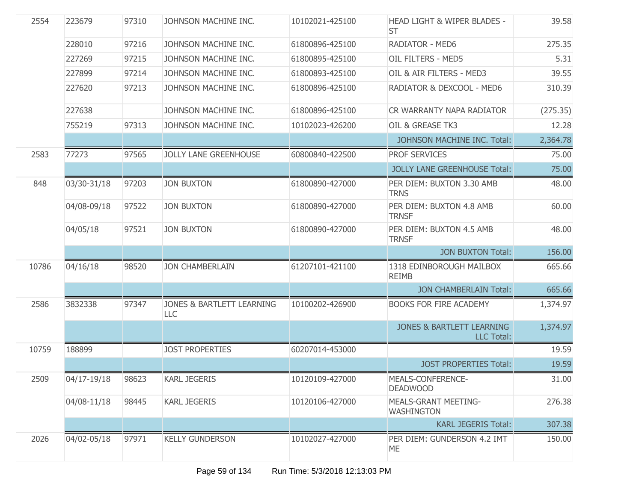| 2554  | 223679      | 97310 | JOHNSON MACHINE INC.             | 10102021-425100 | HEAD LIGHT & WIPER BLADES -<br><b>ST</b>           | 39.58    |
|-------|-------------|-------|----------------------------------|-----------------|----------------------------------------------------|----------|
|       | 228010      | 97216 | JOHNSON MACHINE INC.             | 61800896-425100 | RADIATOR - MED6                                    | 275.35   |
|       | 227269      | 97215 | JOHNSON MACHINE INC.             | 61800895-425100 | OIL FILTERS - MED5                                 | 5.31     |
|       | 227899      | 97214 | JOHNSON MACHINE INC.             | 61800893-425100 | OIL & AIR FILTERS - MED3                           | 39.55    |
|       | 227620      | 97213 | JOHNSON MACHINE INC.             | 61800896-425100 | RADIATOR & DEXCOOL - MED6                          | 310.39   |
|       | 227638      |       | JOHNSON MACHINE INC.             | 61800896-425100 | CR WARRANTY NAPA RADIATOR                          | (275.35) |
|       | 755219      | 97313 | JOHNSON MACHINE INC.             | 10102023-426200 | OIL & GREASE TK3                                   | 12.28    |
|       |             |       |                                  |                 | JOHNSON MACHINE INC. Total:                        | 2,364.78 |
| 2583  | 77273       | 97565 | <b>JOLLY LANE GREENHOUSE</b>     | 60800840-422500 | <b>PROF SERVICES</b>                               | 75.00    |
|       |             |       |                                  |                 | <b>JOLLY LANE GREENHOUSE Total:</b>                | 75.00    |
| 848   | 03/30-31/18 | 97203 | <b>JON BUXTON</b>                | 61800890-427000 | PER DIEM: BUXTON 3.30 AMB<br><b>TRNS</b>           | 48.00    |
|       | 04/08-09/18 | 97522 | <b>JON BUXTON</b>                | 61800890-427000 | PER DIEM: BUXTON 4.8 AMB<br><b>TRNSF</b>           | 60.00    |
|       | 04/05/18    | 97521 | <b>JON BUXTON</b>                | 61800890-427000 | PER DIEM: BUXTON 4.5 AMB<br><b>TRNSF</b>           | 48.00    |
|       |             |       |                                  |                 | <b>JON BUXTON Total:</b>                           | 156.00   |
| 10786 | 04/16/18    | 98520 | <b>JON CHAMBERLAIN</b>           | 61207101-421100 | 1318 EDINBOROUGH MAILBOX<br><b>REIMB</b>           | 665.66   |
|       |             |       |                                  |                 | <b>JON CHAMBERLAIN Total:</b>                      | 665.66   |
| 2586  | 3832338     | 97347 | JONES & BARTLETT LEARNING<br>LLC | 10100202-426900 | <b>BOOKS FOR FIRE ACADEMY</b>                      | 1,374.97 |
|       |             |       |                                  |                 | <b>JONES &amp; BARTLETT LEARNING</b><br>LLC Total: | 1,374.97 |
| 10759 | 188899      |       | <b>JOST PROPERTIES</b>           | 60207014-453000 |                                                    | 19.59    |
|       |             |       |                                  |                 | <b>JOST PROPERTIES Total:</b>                      | 19.59    |
| 2509  | 04/17-19/18 | 98623 | <b>KARL JEGERIS</b>              | 10120109-427000 | MEALS-CONFERENCE-<br><b>DEADWOOD</b>               | 31.00    |
|       | 04/08-11/18 | 98445 | <b>KARL JEGERIS</b>              | 10120106-427000 | <b>MEALS-GRANT MEETING-</b><br><b>WASHINGTON</b>   | 276.38   |
|       |             |       |                                  |                 | <b>KARL JEGERIS Total:</b>                         | 307.38   |
| 2026  | 04/02-05/18 | 97971 | <b>KELLY GUNDERSON</b>           | 10102027-427000 | PER DIEM: GUNDERSON 4.2 IMT<br>ME                  | 150.00   |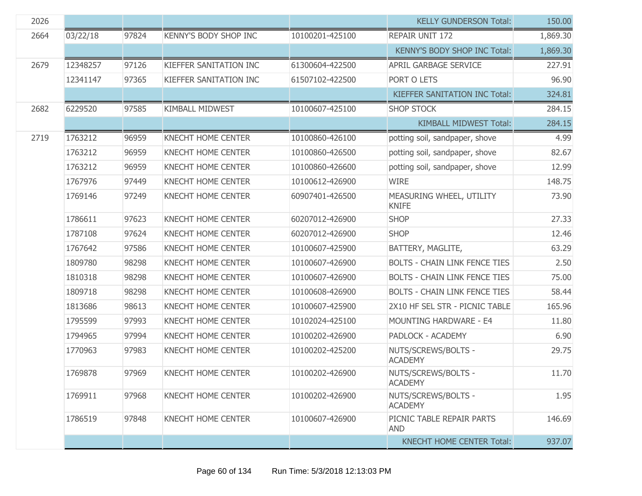| 2026 |          |       |                              |                 | <b>KELLY GUNDERSON Total:</b>            | 150.00   |
|------|----------|-------|------------------------------|-----------------|------------------------------------------|----------|
| 2664 | 03/22/18 | 97824 | <b>KENNY'S BODY SHOP INC</b> | 10100201-425100 | REPAIR UNIT 172                          | 1,869.30 |
|      |          |       |                              |                 | KENNY'S BODY SHOP INC Total:             | 1,869.30 |
| 2679 | 12348257 | 97126 | KIEFFER SANITATION INC       | 61300604-422500 | <b>APRIL GARBAGE SERVICE</b>             | 227.91   |
|      | 12341147 | 97365 | KIEFFER SANITATION INC       | 61507102-422500 | PORT O LETS                              | 96.90    |
|      |          |       |                              |                 | <b>KIEFFER SANITATION INC Total:</b>     | 324.81   |
| 2682 | 6229520  | 97585 | <b>KIMBALL MIDWEST</b>       | 10100607-425100 | <b>SHOP STOCK</b>                        | 284.15   |
|      |          |       |                              |                 | <b>KIMBALL MIDWEST Total:</b>            | 284.15   |
| 2719 | 1763212  | 96959 | KNECHT HOME CENTER           | 10100860-426100 | potting soil, sandpaper, shove           | 4.99     |
|      | 1763212  | 96959 | <b>KNECHT HOME CENTER</b>    | 10100860-426500 | potting soil, sandpaper, shove           | 82.67    |
|      | 1763212  | 96959 | <b>KNECHT HOME CENTER</b>    | 10100860-426600 | potting soil, sandpaper, shove           | 12.99    |
|      | 1767976  | 97449 | <b>KNECHT HOME CENTER</b>    | 10100612-426900 | <b>WIRE</b>                              | 148.75   |
|      | 1769146  | 97249 | <b>KNECHT HOME CENTER</b>    | 60907401-426500 | MEASURING WHEEL, UTILITY<br><b>KNIFE</b> | 73.90    |
|      | 1786611  | 97623 | <b>KNECHT HOME CENTER</b>    | 60207012-426900 | <b>SHOP</b>                              | 27.33    |
|      | 1787108  | 97624 | <b>KNECHT HOME CENTER</b>    | 60207012-426900 | <b>SHOP</b>                              | 12.46    |
|      | 1767642  | 97586 | <b>KNECHT HOME CENTER</b>    | 10100607-425900 | BATTERY, MAGLITE,                        | 63.29    |
|      | 1809780  | 98298 | <b>KNECHT HOME CENTER</b>    | 10100607-426900 | <b>BOLTS - CHAIN LINK FENCE TIES</b>     | 2.50     |
|      | 1810318  | 98298 | <b>KNECHT HOME CENTER</b>    | 10100607-426900 | <b>BOLTS - CHAIN LINK FENCE TIES</b>     | 75.00    |
|      | 1809718  | 98298 | <b>KNECHT HOME CENTER</b>    | 10100608-426900 | <b>BOLTS - CHAIN LINK FENCE TIES</b>     | 58.44    |
|      | 1813686  | 98613 | <b>KNECHT HOME CENTER</b>    | 10100607-425900 | 2X10 HF SEL STR - PICNIC TABLE           | 165.96   |
|      | 1795599  | 97993 | KNECHT HOME CENTER           | 10102024-425100 | MOUNTING HARDWARE - E4                   | 11.80    |
|      | 1794965  | 97994 | <b>KNECHT HOME CENTER</b>    | 10100202-426900 | PADLOCK - ACADEMY                        | 6.90     |
|      | 1770963  | 97983 | KNECHT HOME CENTER           | 10100202-425200 | NUTS/SCREWS/BOLTS -<br><b>ACADEMY</b>    | 29.75    |
|      | 1769878  | 97969 | <b>KNECHT HOME CENTER</b>    | 10100202-426900 | NUTS/SCREWS/BOLTS -<br><b>ACADEMY</b>    | 11.70    |
|      | 1769911  | 97968 | <b>KNECHT HOME CENTER</b>    | 10100202-426900 | NUTS/SCREWS/BOLTS -<br><b>ACADEMY</b>    | 1.95     |
|      | 1786519  | 97848 | <b>KNECHT HOME CENTER</b>    | 10100607-426900 | PICNIC TABLE REPAIR PARTS<br><b>AND</b>  | 146.69   |
|      |          |       |                              |                 | <b>KNECHT HOME CENTER Total:</b>         | 937.07   |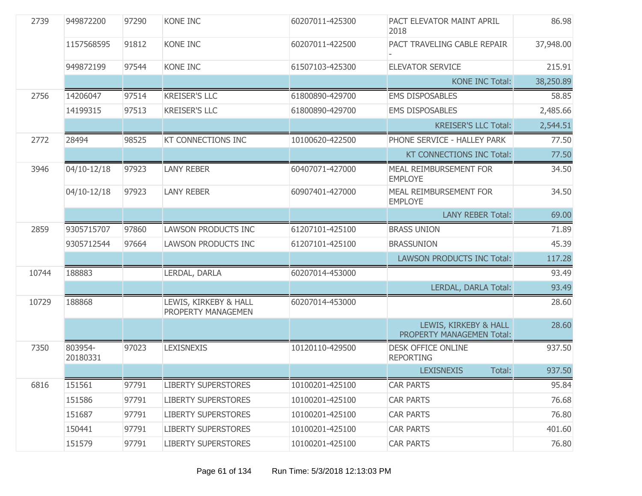| 2739  | 949872200           | 97290 | <b>KONE INC</b>                             | 60207011-425300 | PACT ELEVATOR MAINT APRIL<br>2018                  | 86.98     |
|-------|---------------------|-------|---------------------------------------------|-----------------|----------------------------------------------------|-----------|
|       | 1157568595          | 91812 | <b>KONE INC</b>                             | 60207011-422500 | PACT TRAVELING CABLE REPAIR                        | 37,948.00 |
|       | 949872199           | 97544 | KONE INC                                    | 61507103-425300 | <b>ELEVATOR SERVICE</b>                            | 215.91    |
|       |                     |       |                                             |                 | <b>KONE INC Total:</b>                             | 38,250.89 |
| 2756  | 14206047            | 97514 | <b>KREISER'S LLC</b>                        | 61800890-429700 | <b>EMS DISPOSABLES</b>                             | 58.85     |
|       | 14199315            | 97513 | <b>KREISER'S LLC</b>                        | 61800890-429700 | <b>EMS DISPOSABLES</b>                             | 2,485.66  |
|       |                     |       |                                             |                 | <b>KREISER'S LLC Total:</b>                        | 2,544.51  |
| 2772  | 28494               | 98525 | <b>KT CONNECTIONS INC</b>                   | 10100620-422500 | PHONE SERVICE - HALLEY PARK                        | 77.50     |
|       |                     |       |                                             |                 | KT CONNECTIONS INC Total:                          | 77.50     |
| 3946  | 04/10-12/18         | 97923 | <b>LANY REBER</b>                           | 60407071-427000 | MEAL REIMBURSEMENT FOR<br><b>EMPLOYE</b>           | 34.50     |
|       | 04/10-12/18         | 97923 | <b>LANY REBER</b>                           | 60907401-427000 | MEAL REIMBURSEMENT FOR<br><b>EMPLOYE</b>           | 34.50     |
|       |                     |       |                                             |                 | <b>LANY REBER Total:</b>                           | 69.00     |
| 2859  | 9305715707          | 97860 | <b>LAWSON PRODUCTS INC</b>                  | 61207101-425100 | <b>BRASS UNION</b>                                 | 71.89     |
|       | 9305712544          | 97664 | LAWSON PRODUCTS INC                         | 61207101-425100 | <b>BRASSUNION</b>                                  | 45.39     |
|       |                     |       |                                             |                 | <b>LAWSON PRODUCTS INC Total:</b>                  | 117.28    |
| 10744 | 188883              |       | LERDAL, DARLA                               | 60207014-453000 |                                                    | 93.49     |
|       |                     |       |                                             |                 | <b>LERDAL, DARLA Total:</b>                        | 93.49     |
| 10729 | 188868              |       | LEWIS, KIRKEBY & HALL<br>PROPERTY MANAGEMEN | 60207014-453000 |                                                    | 28.60     |
|       |                     |       |                                             |                 | LEWIS, KIRKEBY & HALL<br>PROPERTY MANAGEMEN Total: | 28.60     |
| 7350  | 803954-<br>20180331 | 97023 | <b>LEXISNEXIS</b>                           | 10120110-429500 | <b>DESK OFFICE ONLINE</b><br><b>REPORTING</b>      | 937.50    |
|       |                     |       |                                             |                 | Total:<br><b>LEXISNEXIS</b>                        | 937.50    |
| 6816  | 151561              | 97791 | <b>LIBERTY SUPERSTORES</b>                  | 10100201-425100 | <b>CAR PARTS</b>                                   | 95.84     |
|       | 151586              | 97791 | <b>LIBERTY SUPERSTORES</b>                  | 10100201-425100 | <b>CAR PARTS</b>                                   | 76.68     |
|       | 151687              | 97791 | <b>LIBERTY SUPERSTORES</b>                  | 10100201-425100 | <b>CAR PARTS</b>                                   | 76.80     |
|       | 150441              | 97791 | <b>LIBERTY SUPERSTORES</b>                  | 10100201-425100 | <b>CAR PARTS</b>                                   | 401.60    |
|       | 151579              | 97791 | <b>LIBERTY SUPERSTORES</b>                  | 10100201-425100 | <b>CAR PARTS</b>                                   | 76.80     |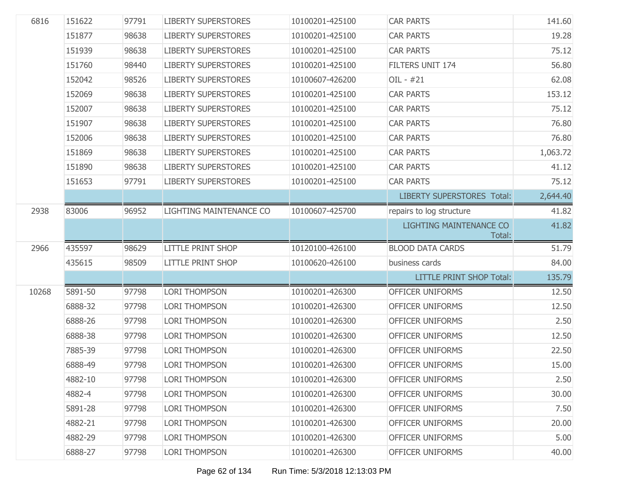| 19.28<br>75.12<br>56.80<br>62.08<br>153.12<br>75.12<br>76.80<br>76.80 |
|-----------------------------------------------------------------------|
|                                                                       |
|                                                                       |
|                                                                       |
|                                                                       |
|                                                                       |
|                                                                       |
|                                                                       |
|                                                                       |
| 1,063.72                                                              |
| 41.12                                                                 |
| 75.12                                                                 |
| 2,644.40<br><b>LIBERTY SUPERSTORES Total:</b>                         |
| 41.82                                                                 |
| 41.82<br>LIGHTING MAINTENANCE CO<br>Total:                            |
| 51.79                                                                 |
|                                                                       |
| 84.00                                                                 |
| 135.79<br><b>LITTLE PRINT SHOP Total:</b>                             |
| 12.50                                                                 |
| 12.50                                                                 |
| 2.50                                                                  |
| 12.50                                                                 |
| 22.50                                                                 |
| 15.00                                                                 |
| 2.50                                                                  |
| 30.00                                                                 |
| 7.50                                                                  |
| 20.00                                                                 |
| 5.00                                                                  |
|                                                                       |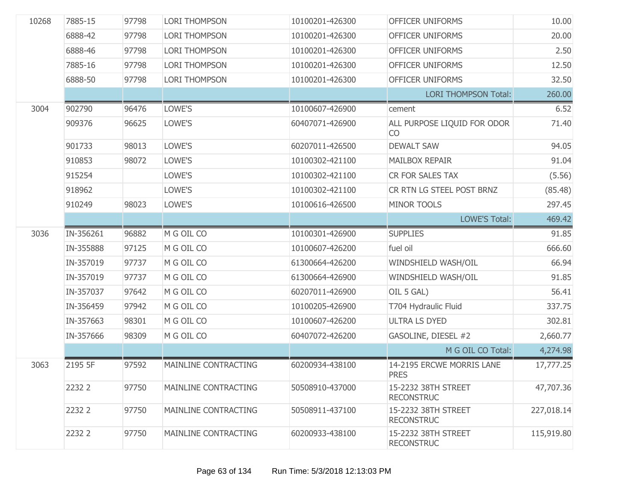| 10268 | 7885-15   | 97798 | <b>LORI THOMPSON</b>        | 10100201-426300 | OFFICER UNIFORMS                         | 10.00      |
|-------|-----------|-------|-----------------------------|-----------------|------------------------------------------|------------|
|       | 6888-42   | 97798 | <b>LORI THOMPSON</b>        | 10100201-426300 | OFFICER UNIFORMS                         | 20.00      |
|       | 6888-46   | 97798 | <b>LORI THOMPSON</b>        | 10100201-426300 | OFFICER UNIFORMS                         | 2.50       |
|       | 7885-16   | 97798 | <b>LORI THOMPSON</b>        | 10100201-426300 | OFFICER UNIFORMS                         | 12.50      |
|       | 6888-50   | 97798 | <b>LORI THOMPSON</b>        | 10100201-426300 | OFFICER UNIFORMS                         | 32.50      |
|       |           |       |                             |                 | <b>LORI THOMPSON Total:</b>              | 260.00     |
| 3004  | 902790    | 96476 | LOWE'S                      | 10100607-426900 | cement                                   | 6.52       |
|       | 909376    | 96625 | LOWE'S                      | 60407071-426900 | ALL PURPOSE LIQUID FOR ODOR<br><b>CO</b> | 71.40      |
|       | 901733    | 98013 | LOWE'S                      | 60207011-426500 | <b>DEWALT SAW</b>                        | 94.05      |
|       | 910853    | 98072 | LOWE'S                      | 10100302-421100 | <b>MAILBOX REPAIR</b>                    | 91.04      |
|       | 915254    |       | LOWE'S                      | 10100302-421100 | CR FOR SALES TAX                         | (5.56)     |
|       | 918962    |       | LOWE'S                      | 10100302-421100 | CR RTN LG STEEL POST BRNZ                | (85.48)    |
|       | 910249    | 98023 | LOWE'S                      | 10100616-426500 | <b>MINOR TOOLS</b>                       | 297.45     |
|       |           |       |                             |                 | <b>LOWE'S Total:</b>                     | 469.42     |
| 3036  | IN-356261 | 96882 | M G OIL CO                  | 10100301-426900 | <b>SUPPLIES</b>                          | 91.85      |
|       | IN-355888 | 97125 | M G OIL CO                  | 10100607-426200 | fuel oil                                 | 666.60     |
|       | IN-357019 | 97737 | M G OIL CO                  | 61300664-426200 | WINDSHIELD WASH/OIL                      | 66.94      |
|       | IN-357019 | 97737 | M G OIL CO                  | 61300664-426900 | WINDSHIELD WASH/OIL                      | 91.85      |
|       | IN-357037 | 97642 | M G OIL CO                  | 60207011-426900 | OIL 5 GAL)                               | 56.41      |
|       | IN-356459 | 97942 | M G OIL CO                  | 10100205-426900 | T704 Hydraulic Fluid                     | 337.75     |
|       | IN-357663 | 98301 | M G OIL CO                  | 10100607-426200 | <b>ULTRA LS DYED</b>                     | 302.81     |
|       | IN-357666 | 98309 | M G OIL CO                  | 60407072-426200 | GASOLINE, DIESEL #2                      | 2,660.77   |
|       |           |       |                             |                 | M G OIL CO Total:                        | 4,274.98   |
| 3063  | 2195 5F   | 97592 | MAINLINE CONTRACTING        | 60200934-438100 | 14-2195 ERCWE MORRIS LANE<br><b>PRES</b> | 17,777.25  |
|       | 2232 2    | 97750 | MAINLINE CONTRACTING        | 50508910-437000 | 15-2232 38TH STREET<br><b>RECONSTRUC</b> | 47,707.36  |
|       | 2232 2    | 97750 | <b>MAINLINE CONTRACTING</b> | 50508911-437100 | 15-2232 38TH STREET<br><b>RECONSTRUC</b> | 227,018.14 |
|       | 2232 2    | 97750 | MAINLINE CONTRACTING        | 60200933-438100 | 15-2232 38TH STREET<br><b>RECONSTRUC</b> | 115,919.80 |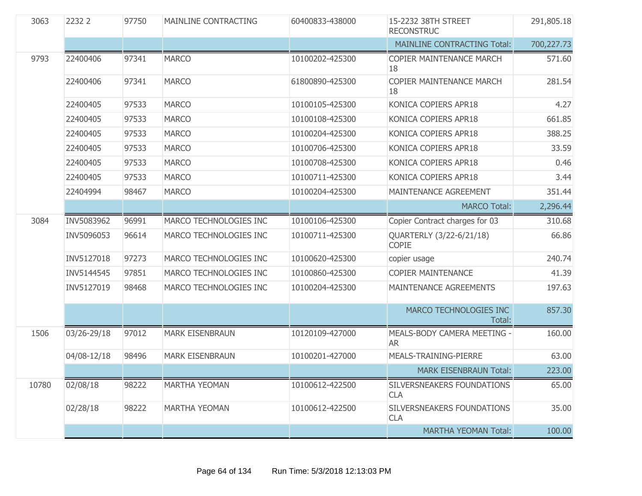| 3063  | 2232 2      | 97750 | MAINLINE CONTRACTING   | 60400833-438000 | 15-2232 38TH STREET<br><b>RECONSTRUC</b> | 291,805.18 |
|-------|-------------|-------|------------------------|-----------------|------------------------------------------|------------|
|       |             |       |                        |                 | <b>MAINLINE CONTRACTING Total:</b>       | 700,227.73 |
| 9793  | 22400406    | 97341 | <b>MARCO</b>           | 10100202-425300 | <b>COPIER MAINTENANCE MARCH</b><br>18    | 571.60     |
|       | 22400406    | 97341 | <b>MARCO</b>           | 61800890-425300 | <b>COPIER MAINTENANCE MARCH</b><br>18    | 281.54     |
|       | 22400405    | 97533 | <b>MARCO</b>           | 10100105-425300 | KONICA COPIERS APR18                     | 4.27       |
|       | 22400405    | 97533 | <b>MARCO</b>           | 10100108-425300 | KONICA COPIERS APR18                     | 661.85     |
|       | 22400405    | 97533 | <b>MARCO</b>           | 10100204-425300 | KONICA COPIERS APR18                     | 388.25     |
|       | 22400405    | 97533 | <b>MARCO</b>           | 10100706-425300 | KONICA COPIERS APR18                     | 33.59      |
|       | 22400405    | 97533 | <b>MARCO</b>           | 10100708-425300 | KONICA COPIERS APR18                     | 0.46       |
|       | 22400405    | 97533 | <b>MARCO</b>           | 10100711-425300 | KONICA COPIERS APR18                     | 3.44       |
|       | 22404994    | 98467 | <b>MARCO</b>           | 10100204-425300 | MAINTENANCE AGREEMENT                    | 351.44     |
|       |             |       |                        |                 | <b>MARCO Total:</b>                      | 2,296.44   |
| 3084  | INV5083962  | 96991 | MARCO TECHNOLOGIES INC | 10100106-425300 | Copier Contract charges for 03           | 310.68     |
|       | INV5096053  | 96614 | MARCO TECHNOLOGIES INC | 10100711-425300 | QUARTERLY (3/22-6/21/18)<br><b>COPIE</b> | 66.86      |
|       | INV5127018  | 97273 | MARCO TECHNOLOGIES INC | 10100620-425300 | copier usage                             | 240.74     |
|       | INV5144545  | 97851 | MARCO TECHNOLOGIES INC | 10100860-425300 | <b>COPIER MAINTENANCE</b>                | 41.39      |
|       | INV5127019  | 98468 | MARCO TECHNOLOGIES INC | 10100204-425300 | MAINTENANCE AGREEMENTS                   | 197.63     |
|       |             |       |                        |                 | MARCO TECHNOLOGIES INC<br>Total:         | 857.30     |
| 1506  | 03/26-29/18 | 97012 | <b>MARK EISENBRAUN</b> | 10120109-427000 | MEALS-BODY CAMERA MEETING -<br>AR        | 160.00     |
|       | 04/08-12/18 | 98496 | <b>MARK EISENBRAUN</b> | 10100201-427000 | MEALS-TRAINING-PIERRE                    | 63.00      |
|       |             |       |                        |                 | <b>MARK EISENBRAUN Total:</b>            | 223.00     |
| 10780 | 02/08/18    | 98222 | <b>MARTHA YEOMAN</b>   | 10100612-422500 | SILVERSNEAKERS FOUNDATIONS<br><b>CLA</b> | 65.00      |
|       | 02/28/18    | 98222 | <b>MARTHA YEOMAN</b>   | 10100612-422500 | SILVERSNEAKERS FOUNDATIONS<br><b>CLA</b> | 35.00      |
|       |             |       |                        |                 | <b>MARTHA YEOMAN Total:</b>              | 100.00     |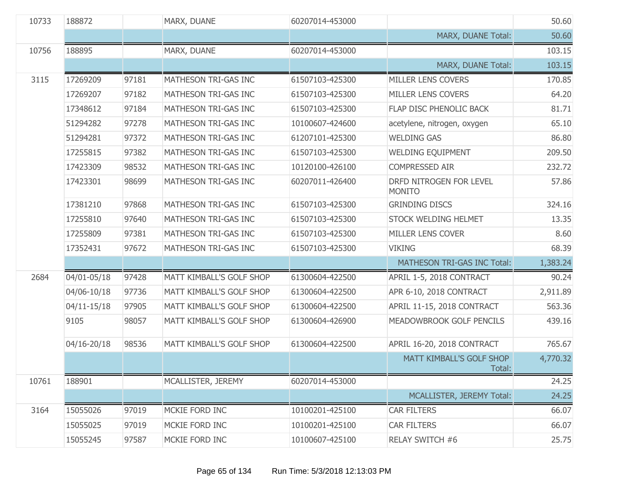| 10733 | 188872          |       | MARX, DUANE              | 60207014-453000 |                                          | 50.60    |
|-------|-----------------|-------|--------------------------|-----------------|------------------------------------------|----------|
|       |                 |       |                          |                 | MARX, DUANE Total:                       | 50.60    |
| 10756 | 188895          |       | MARX, DUANE              | 60207014-453000 |                                          | 103.15   |
|       |                 |       |                          |                 | MARX, DUANE Total:                       | 103.15   |
| 3115  | 17269209        | 97181 | MATHESON TRI-GAS INC     | 61507103-425300 | MILLER LENS COVERS                       | 170.85   |
|       | 17269207        | 97182 | MATHESON TRI-GAS INC     | 61507103-425300 | MILLER LENS COVERS                       | 64.20    |
|       | 17348612        | 97184 | MATHESON TRI-GAS INC     | 61507103-425300 | FLAP DISC PHENOLIC BACK                  | 81.71    |
|       | 51294282        | 97278 | MATHESON TRI-GAS INC     | 10100607-424600 | acetylene, nitrogen, oxygen              | 65.10    |
|       | 51294281        | 97372 | MATHESON TRI-GAS INC     | 61207101-425300 | <b>WELDING GAS</b>                       | 86.80    |
|       | 17255815        | 97382 | MATHESON TRI-GAS INC     | 61507103-425300 | WELDING EQUIPMENT                        | 209.50   |
|       | 17423309        | 98532 | MATHESON TRI-GAS INC     | 10120100-426100 | COMPRESSED AIR                           | 232.72   |
|       | 17423301        | 98699 | MATHESON TRI-GAS INC     | 60207011-426400 | DRFD NITROGEN FOR LEVEL<br><b>MONITO</b> | 57.86    |
|       | 17381210        | 97868 | MATHESON TRI-GAS INC     | 61507103-425300 | <b>GRINDING DISCS</b>                    | 324.16   |
|       | 17255810        | 97640 | MATHESON TRI-GAS INC     | 61507103-425300 | STOCK WELDING HELMET                     | 13.35    |
|       | 17255809        | 97381 | MATHESON TRI-GAS INC     | 61507103-425300 | MILLER LENS COVER                        | 8.60     |
|       | 17352431        | 97672 | MATHESON TRI-GAS INC     | 61507103-425300 | <b>VIKING</b>                            | 68.39    |
|       |                 |       |                          |                 | MATHESON TRI-GAS INC Total:              | 1,383.24 |
| 2684  | 04/01-05/18     | 97428 | MATT KIMBALL'S GOLF SHOP | 61300604-422500 | APRIL 1-5, 2018 CONTRACT                 | 90.24    |
|       | 04/06-10/18     | 97736 | MATT KIMBALL'S GOLF SHOP | 61300604-422500 | APR 6-10, 2018 CONTRACT                  | 2,911.89 |
|       | $04/11 - 15/18$ | 97905 | MATT KIMBALL'S GOLF SHOP | 61300604-422500 | APRIL 11-15, 2018 CONTRACT               | 563.36   |
|       | 9105            | 98057 | MATT KIMBALL'S GOLF SHOP | 61300604-426900 | MEADOWBROOK GOLF PENCILS                 | 439.16   |
|       | 04/16-20/18     | 98536 | MATT KIMBALL'S GOLF SHOP | 61300604-422500 | APRIL 16-20, 2018 CONTRACT               | 765.67   |
|       |                 |       |                          |                 | MATT KIMBALL'S GOLF SHOP<br>Total:       | 4,770.32 |
| 10761 | 188901          |       | MCALLISTER, JEREMY       | 60207014-453000 |                                          | 24.25    |
|       |                 |       |                          |                 | MCALLISTER, JEREMY Total:                | 24.25    |
| 3164  | 15055026        | 97019 | MCKIE FORD INC           | 10100201-425100 | <b>CAR FILTERS</b>                       | 66.07    |
|       | 15055025        | 97019 | MCKIE FORD INC           | 10100201-425100 | <b>CAR FILTERS</b>                       | 66.07    |
|       | 15055245        | 97587 | MCKIE FORD INC           | 10100607-425100 | RELAY SWITCH #6                          | 25.75    |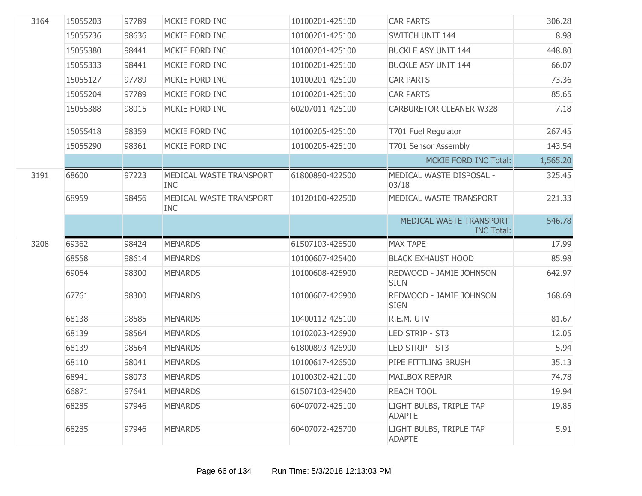| 3164 | 15055203 | 97789 | MCKIE FORD INC                        | 10100201-425100 | <b>CAR PARTS</b>                             | 306.28   |
|------|----------|-------|---------------------------------------|-----------------|----------------------------------------------|----------|
|      | 15055736 | 98636 | MCKIE FORD INC                        | 10100201-425100 | SWITCH UNIT 144                              | 8.98     |
|      | 15055380 | 98441 | MCKIE FORD INC                        | 10100201-425100 | <b>BUCKLE ASY UNIT 144</b>                   | 448.80   |
|      | 15055333 | 98441 | MCKIE FORD INC                        | 10100201-425100 | <b>BUCKLE ASY UNIT 144</b>                   | 66.07    |
|      | 15055127 | 97789 | MCKIE FORD INC                        | 10100201-425100 | <b>CAR PARTS</b>                             | 73.36    |
|      | 15055204 | 97789 | MCKIE FORD INC                        | 10100201-425100 | <b>CAR PARTS</b>                             | 85.65    |
|      | 15055388 | 98015 | MCKIE FORD INC                        | 60207011-425100 | <b>CARBURETOR CLEANER W328</b>               | 7.18     |
|      | 15055418 | 98359 | MCKIE FORD INC                        | 10100205-425100 | T701 Fuel Regulator                          | 267.45   |
|      | 15055290 | 98361 | MCKIE FORD INC                        | 10100205-425100 | T701 Sensor Assembly                         | 143.54   |
|      |          |       |                                       |                 | MCKIE FORD INC Total:                        | 1,565.20 |
| 3191 | 68600    | 97223 | MEDICAL WASTE TRANSPORT<br><b>INC</b> | 61800890-422500 | MEDICAL WASTE DISPOSAL -<br>03/18            | 325.45   |
|      | 68959    | 98456 | MEDICAL WASTE TRANSPORT<br><b>INC</b> | 10120100-422500 | MEDICAL WASTE TRANSPORT                      | 221.33   |
|      |          |       |                                       |                 | MEDICAL WASTE TRANSPORT<br><b>INC Total:</b> | 546.78   |
| 3208 | 69362    | 98424 | <b>MENARDS</b>                        | 61507103-426500 | <b>MAX TAPE</b>                              | 17.99    |
|      | 68558    | 98614 | <b>MENARDS</b>                        | 10100607-425400 | <b>BLACK EXHAUST HOOD</b>                    | 85.98    |
|      | 69064    | 98300 | <b>MENARDS</b>                        | 10100608-426900 | REDWOOD - JAMIE JOHNSON<br><b>SIGN</b>       | 642.97   |
|      | 67761    | 98300 | <b>MENARDS</b>                        | 10100607-426900 | REDWOOD - JAMIE JOHNSON<br><b>SIGN</b>       | 168.69   |
|      | 68138    | 98585 | <b>MENARDS</b>                        | 10400112-425100 | R.E.M. UTV                                   | 81.67    |
|      | 68139    | 98564 | <b>MENARDS</b>                        | 10102023-426900 | LED STRIP - ST3                              | 12.05    |
|      | 68139    | 98564 | <b>MENARDS</b>                        | 61800893-426900 | LED STRIP - ST3                              | 5.94     |
|      | 68110    | 98041 | <b>MENARDS</b>                        | 10100617-426500 | PIPE FITTLING BRUSH                          | 35.13    |
|      | 68941    | 98073 | <b>MENARDS</b>                        | 10100302-421100 | <b>MAILBOX REPAIR</b>                        | 74.78    |
|      | 66871    | 97641 | <b>MENARDS</b>                        | 61507103-426400 | <b>REACH TOOL</b>                            | 19.94    |
|      | 68285    | 97946 | <b>MENARDS</b>                        | 60407072-425100 | LIGHT BULBS, TRIPLE TAP<br><b>ADAPTE</b>     | 19.85    |
|      | 68285    | 97946 | <b>MENARDS</b>                        | 60407072-425700 | LIGHT BULBS, TRIPLE TAP<br><b>ADAPTE</b>     | 5.91     |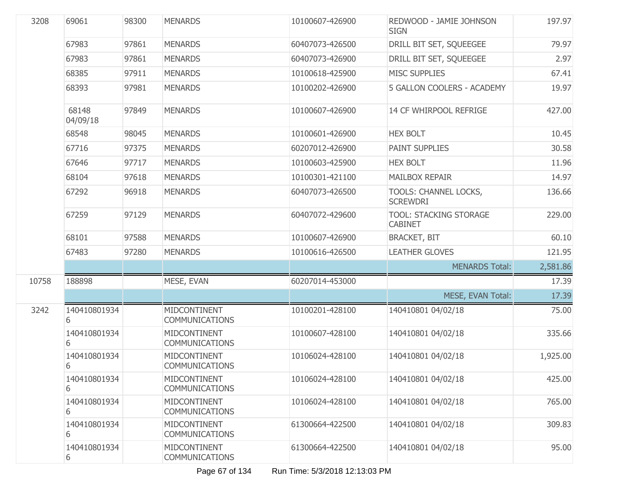| 3208  | 69061             | 98300 | <b>MENARDS</b>                        | 10100607-426900 | REDWOOD - JAMIE JOHNSON<br><b>SIGN</b>          | 197.97   |
|-------|-------------------|-------|---------------------------------------|-----------------|-------------------------------------------------|----------|
|       | 67983             | 97861 | <b>MENARDS</b>                        | 60407073-426500 | DRILL BIT SET, SQUEEGEE                         | 79.97    |
|       | 67983             | 97861 | <b>MENARDS</b>                        | 60407073-426900 | DRILL BIT SET, SQUEEGEE                         | 2.97     |
|       | 68385             | 97911 | <b>MENARDS</b>                        | 10100618-425900 | <b>MISC SUPPLIES</b>                            | 67.41    |
|       | 68393             | 97981 | <b>MENARDS</b>                        | 10100202-426900 | 5 GALLON COOLERS - ACADEMY                      | 19.97    |
|       | 68148<br>04/09/18 | 97849 | <b>MENARDS</b>                        | 10100607-426900 | 14 CF WHIRPOOL REFRIGE                          | 427.00   |
|       | 68548             | 98045 | <b>MENARDS</b>                        | 10100601-426900 | <b>HEX BOLT</b>                                 | 10.45    |
|       | 67716             | 97375 | <b>MENARDS</b>                        | 60207012-426900 | PAINT SUPPLIES                                  | 30.58    |
|       | 67646             | 97717 | <b>MENARDS</b>                        | 10100603-425900 | <b>HEX BOLT</b>                                 | 11.96    |
|       | 68104             | 97618 | <b>MENARDS</b>                        | 10100301-421100 | <b>MAILBOX REPAIR</b>                           | 14.97    |
|       | 67292             | 96918 | <b>MENARDS</b>                        | 60407073-426500 | TOOLS: CHANNEL LOCKS,<br><b>SCREWDRI</b>        | 136.66   |
|       | 67259             | 97129 | <b>MENARDS</b>                        | 60407072-429600 | <b>TOOL: STACKING STORAGE</b><br><b>CABINET</b> | 229.00   |
|       | 68101             | 97588 | <b>MENARDS</b>                        | 10100607-426900 | <b>BRACKET, BIT</b>                             | 60.10    |
|       | 67483             | 97280 | <b>MENARDS</b>                        | 10100616-426500 | <b>LEATHER GLOVES</b>                           | 121.95   |
|       |                   |       |                                       |                 | <b>MENARDS Total:</b>                           | 2,581.86 |
| 10758 | 188898            |       | MESE, EVAN                            | 60207014-453000 |                                                 | 17.39    |
|       |                   |       |                                       |                 | MESE, EVAN Total:                               | 17.39    |
| 3242  | 140410801934<br>6 |       | MIDCONTINENT<br><b>COMMUNICATIONS</b> | 10100201-428100 | 140410801 04/02/18                              | 75.00    |
|       | 140410801934<br>6 |       | MIDCONTINENT<br><b>COMMUNICATIONS</b> | 10100607-428100 | 140410801 04/02/18                              | 335.66   |
|       | 140410801934<br>6 |       | MIDCONTINENT<br><b>COMMUNICATIONS</b> | 10106024-428100 | 140410801 04/02/18                              | 1,925.00 |
|       | 140410801934<br>6 |       | MIDCONTINENT<br><b>COMMUNICATIONS</b> | 10106024-428100 | 140410801 04/02/18                              | 425.00   |
|       | 140410801934<br>6 |       | MIDCONTINENT<br><b>COMMUNICATIONS</b> | 10106024-428100 | 140410801 04/02/18                              | 765.00   |
|       | 140410801934<br>6 |       | MIDCONTINENT<br><b>COMMUNICATIONS</b> | 61300664-422500 | 140410801 04/02/18                              | 309.83   |
|       | 140410801934<br>6 |       | MIDCONTINENT<br><b>COMMUNICATIONS</b> | 61300664-422500 | 140410801 04/02/18                              | 95.00    |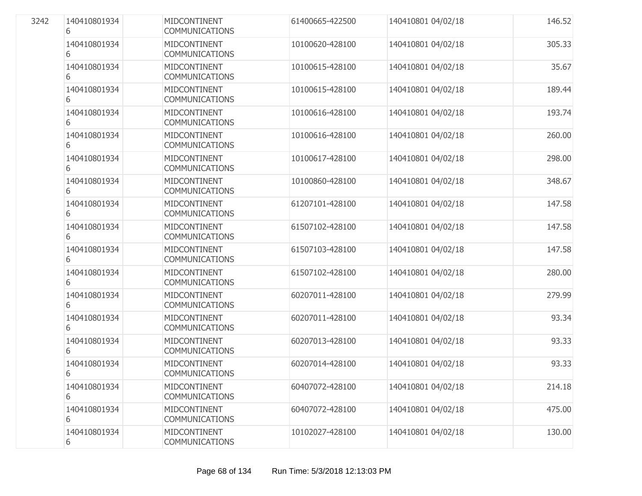| 3242 | 140410801934<br>6 | MIDCONTINENT<br>COMMUNICATIONS        | 61400665-422500 | 140410801 04/02/18 | 146.52 |
|------|-------------------|---------------------------------------|-----------------|--------------------|--------|
|      | 140410801934<br>6 | MIDCONTINENT<br><b>COMMUNICATIONS</b> | 10100620-428100 | 140410801 04/02/18 | 305.33 |
|      | 140410801934<br>6 | MIDCONTINENT<br><b>COMMUNICATIONS</b> | 10100615-428100 | 140410801 04/02/18 | 35.67  |
|      | 140410801934<br>6 | MIDCONTINENT<br><b>COMMUNICATIONS</b> | 10100615-428100 | 140410801 04/02/18 | 189.44 |
|      | 140410801934<br>6 | MIDCONTINENT<br><b>COMMUNICATIONS</b> | 10100616-428100 | 140410801 04/02/18 | 193.74 |
|      | 140410801934<br>6 | MIDCONTINENT<br><b>COMMUNICATIONS</b> | 10100616-428100 | 140410801 04/02/18 | 260.00 |
|      | 140410801934<br>6 | MIDCONTINENT<br><b>COMMUNICATIONS</b> | 10100617-428100 | 140410801 04/02/18 | 298.00 |
|      | 140410801934<br>6 | MIDCONTINENT<br><b>COMMUNICATIONS</b> | 10100860-428100 | 140410801 04/02/18 | 348.67 |
|      | 140410801934<br>6 | MIDCONTINENT<br><b>COMMUNICATIONS</b> | 61207101-428100 | 140410801 04/02/18 | 147.58 |
|      | 140410801934<br>6 | MIDCONTINENT<br><b>COMMUNICATIONS</b> | 61507102-428100 | 140410801 04/02/18 | 147.58 |
|      | 140410801934<br>6 | MIDCONTINENT<br><b>COMMUNICATIONS</b> | 61507103-428100 | 140410801 04/02/18 | 147.58 |
|      | 140410801934<br>6 | MIDCONTINENT<br><b>COMMUNICATIONS</b> | 61507102-428100 | 140410801 04/02/18 | 280.00 |
|      | 140410801934<br>6 | MIDCONTINENT<br><b>COMMUNICATIONS</b> | 60207011-428100 | 140410801 04/02/18 | 279.99 |
|      | 140410801934<br>6 | MIDCONTINENT<br><b>COMMUNICATIONS</b> | 60207011-428100 | 140410801 04/02/18 | 93.34  |
|      | 140410801934<br>6 | MIDCONTINENT<br><b>COMMUNICATIONS</b> | 60207013-428100 | 140410801 04/02/18 | 93.33  |
|      | 140410801934<br>6 | MIDCONTINENT<br><b>COMMUNICATIONS</b> | 60207014-428100 | 140410801 04/02/18 | 93.33  |
|      | 140410801934<br>6 | MIDCONTINENT<br><b>COMMUNICATIONS</b> | 60407072-428100 | 140410801 04/02/18 | 214.18 |
|      | 140410801934<br>6 | MIDCONTINENT<br><b>COMMUNICATIONS</b> | 60407072-428100 | 140410801 04/02/18 | 475.00 |
|      | 140410801934<br>6 | MIDCONTINENT<br><b>COMMUNICATIONS</b> | 10102027-428100 | 140410801 04/02/18 | 130.00 |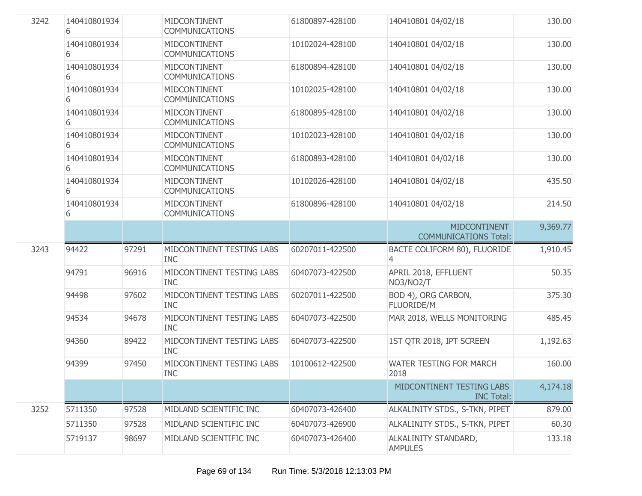| 3242 | 140410801934<br>6 |       | MIDCONTINENT<br><b>COMMUNICATIONS</b>   | 61800897-428100 | 140410801 04/02/18                                  | 130.00   |
|------|-------------------|-------|-----------------------------------------|-----------------|-----------------------------------------------------|----------|
|      | 140410801934<br>6 |       | MIDCONTINENT<br><b>COMMUNICATIONS</b>   | 10102024-428100 | 140410801 04/02/18                                  | 130.00   |
|      | 140410801934<br>6 |       | MIDCONTINENT<br><b>COMMUNICATIONS</b>   | 61800894-428100 | 140410801 04/02/18                                  | 130.00   |
|      | 140410801934<br>6 |       | MIDCONTINENT<br><b>COMMUNICATIONS</b>   | 10102025-428100 | 140410801 04/02/18                                  | 130.00   |
|      | 140410801934<br>6 |       | MIDCONTINENT<br><b>COMMUNICATIONS</b>   | 61800895-428100 | 140410801 04/02/18                                  | 130.00   |
|      | 140410801934<br>6 |       | MIDCONTINENT<br>COMMUNICATIONS          | 10102023-428100 | 140410801 04/02/18                                  | 130.00   |
|      | 140410801934<br>6 |       | MIDCONTINENT<br><b>COMMUNICATIONS</b>   | 61800893-428100 | 140410801 04/02/18                                  | 130.00   |
|      | 140410801934<br>6 |       | MIDCONTINENT<br><b>COMMUNICATIONS</b>   | 10102026-428100 | 140410801 04/02/18                                  | 435.50   |
|      | 140410801934<br>6 |       | MIDCONTINENT<br><b>COMMUNICATIONS</b>   | 61800896-428100 | 140410801 04/02/18                                  | 214.50   |
|      |                   |       |                                         |                 | <b>MIDCONTINENT</b><br><b>COMMUNICATIONS Total:</b> | 9,369.77 |
| 3243 | 94422             | 97291 | MIDCONTINENT TESTING LABS<br><b>INC</b> | 60207011-422500 | BACTE COLIFORM 80), FLUORIDE<br>4                   | 1,910.45 |
|      | 94791             | 96916 | MIDCONTINENT TESTING LABS<br><b>INC</b> | 60407073-422500 | APRIL 2018, EFFLUENT<br>NO3/NO2/T                   | 50.35    |
|      | 94498             | 97602 | MIDCONTINENT TESTING LABS<br><b>INC</b> | 60207011-422500 | BOD 4), ORG CARBON,<br><b>FLUORIDE/M</b>            | 375.30   |
|      | 94534             | 94678 | MIDCONTINENT TESTING LABS<br><b>INC</b> | 60407073-422500 | MAR 2018, WELLS MONITORING                          | 485.45   |
|      | 94360             | 89422 | MIDCONTINENT TESTING LABS<br><b>INC</b> | 60407073-422500 | 1ST QTR 2018, IPT SCREEN                            | 1,192.63 |
|      | 94399             | 97450 | MIDCONTINENT TESTING LABS<br><b>INC</b> | 10100612-422500 | WATER TESTING FOR MARCH<br>2018                     | 160.00   |
|      |                   |       |                                         |                 | MIDCONTINENT TESTING LABS<br><b>INC Total:</b>      | 4,174.18 |
| 3252 | 5711350           | 97528 | MIDLAND SCIENTIFIC INC                  | 60407073-426400 | ALKALINITY STDS., S-TKN, PIPET                      | 879.00   |
|      | 5711350           | 97528 | MIDLAND SCIENTIFIC INC                  | 60407073-426900 | ALKALINITY STDS., S-TKN, PIPET                      | 60.30    |
|      | 5719137           | 98697 | MIDLAND SCIENTIFIC INC                  | 60407073-426400 | ALKALINITY STANDARD,<br><b>AMPULES</b>              | 133.18   |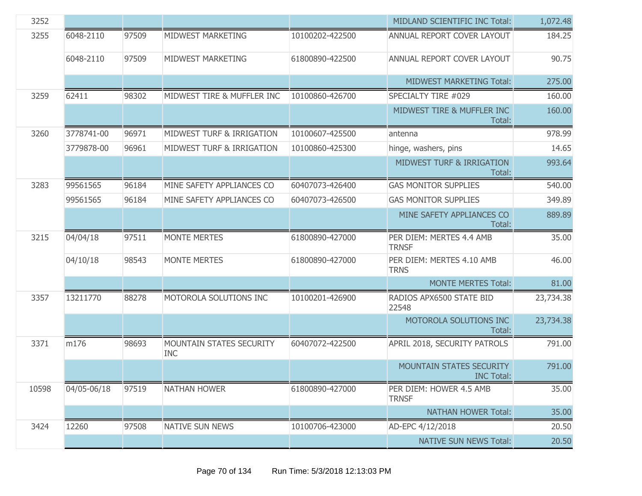| 3252  |             |       |                                        |                 | MIDLAND SCIENTIFIC INC Total:                        | 1,072.48  |
|-------|-------------|-------|----------------------------------------|-----------------|------------------------------------------------------|-----------|
| 3255  | 6048-2110   | 97509 | MIDWEST MARKETING                      | 10100202-422500 | ANNUAL REPORT COVER LAYOUT                           | 184.25    |
|       | 6048-2110   | 97509 | MIDWEST MARKETING                      | 61800890-422500 | ANNUAL REPORT COVER LAYOUT                           | 90.75     |
|       |             |       |                                        |                 | <b>MIDWEST MARKETING Total:</b>                      | 275.00    |
| 3259  | 62411       | 98302 | MIDWEST TIRE & MUFFLER INC             | 10100860-426700 | SPECIALTY TIRE #029                                  | 160.00    |
|       |             |       |                                        |                 | MIDWEST TIRE & MUFFLER INC<br>Total:                 | 160.00    |
| 3260  | 3778741-00  | 96971 | MIDWEST TURF & IRRIGATION              | 10100607-425500 | antenna                                              | 978.99    |
|       | 3779878-00  | 96961 | MIDWEST TURF & IRRIGATION              | 10100860-425300 | hinge, washers, pins                                 | 14.65     |
|       |             |       |                                        |                 | MIDWEST TURF & IRRIGATION<br>Total:                  | 993.64    |
| 3283  | 99561565    | 96184 | MINE SAFETY APPLIANCES CO              | 60407073-426400 | <b>GAS MONITOR SUPPLIES</b>                          | 540.00    |
|       | 99561565    | 96184 | MINE SAFETY APPLIANCES CO              | 60407073-426500 | <b>GAS MONITOR SUPPLIES</b>                          | 349.89    |
|       |             |       |                                        |                 | MINE SAFETY APPLIANCES CO<br>Total:                  | 889.89    |
| 3215  | 04/04/18    | 97511 | <b>MONTE MERTES</b>                    | 61800890-427000 | PER DIEM: MERTES 4.4 AMB<br><b>TRNSF</b>             | 35.00     |
|       | 04/10/18    | 98543 | <b>MONTE MERTES</b>                    | 61800890-427000 | PER DIEM: MERTES 4.10 AMB<br><b>TRNS</b>             | 46.00     |
|       |             |       |                                        |                 | <b>MONTE MERTES Total:</b>                           | 81.00     |
| 3357  | 13211770    | 88278 | MOTOROLA SOLUTIONS INC                 | 10100201-426900 | RADIOS APX6500 STATE BID<br>22548                    | 23,734.38 |
|       |             |       |                                        |                 | MOTOROLA SOLUTIONS INC<br>Total:                     | 23,734.38 |
| 3371  | m176        | 98693 | MOUNTAIN STATES SECURITY<br><b>INC</b> | 60407072-422500 | APRIL 2018, SECURITY PATROLS                         | 791.00    |
|       |             |       |                                        |                 | <b>MOUNTAIN STATES SECURITY</b><br><b>INC Total:</b> | 791.00    |
| 10598 | 04/05-06/18 | 97519 | <b>NATHAN HOWER</b>                    | 61800890-427000 | PER DIEM: HOWER 4.5 AMB<br><b>TRNSF</b>              | 35.00     |
|       |             |       |                                        |                 | <b>NATHAN HOWER Total:</b>                           | 35.00     |
| 3424  | 12260       | 97508 | <b>NATIVE SUN NEWS</b>                 | 10100706-423000 | AD-EPC 4/12/2018                                     | 20.50     |
|       |             |       |                                        |                 | <b>NATIVE SUN NEWS Total:</b>                        | 20.50     |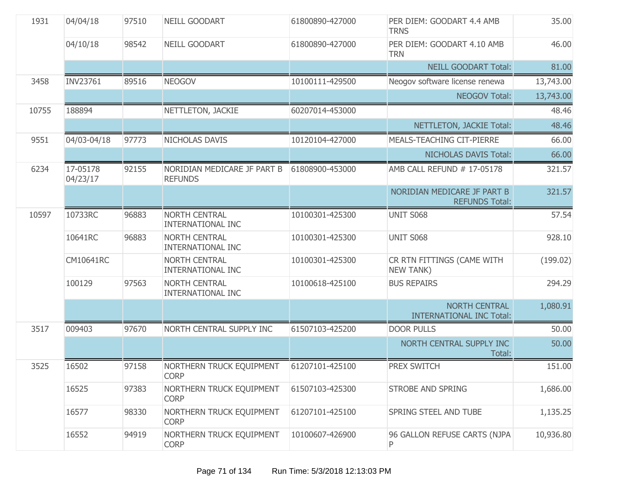| 1931  | 04/04/18             | 97510 | NEILL GOODART                                    | 61800890-427000 | PER DIEM: GOODART 4.4 AMB<br><b>TRNS</b>             | 35.00     |
|-------|----------------------|-------|--------------------------------------------------|-----------------|------------------------------------------------------|-----------|
|       | 04/10/18             | 98542 | NEILL GOODART                                    | 61800890-427000 | PER DIEM: GOODART 4.10 AMB<br><b>TRN</b>             | 46.00     |
|       |                      |       |                                                  |                 | <b>NEILL GOODART Total:</b>                          | 81.00     |
| 3458  | INV23761             | 89516 | <b>NEOGOV</b>                                    | 10100111-429500 | Neogov software license renewa                       | 13,743.00 |
|       |                      |       |                                                  |                 | <b>NEOGOV Total:</b>                                 | 13,743.00 |
| 10755 | 188894               |       | NETTLETON, JACKIE                                | 60207014-453000 |                                                      | 48.46     |
|       |                      |       |                                                  |                 | NETTLETON, JACKIE Total:                             | 48.46     |
| 9551  | 04/03-04/18          | 97773 | NICHOLAS DAVIS                                   | 10120104-427000 | MEALS-TEACHING CIT-PIERRE                            | 66.00     |
|       |                      |       |                                                  |                 | NICHOLAS DAVIS Total:                                | 66.00     |
| 6234  | 17-05178<br>04/23/17 | 92155 | NORIDIAN MEDICARE JF PART B<br><b>REFUNDS</b>    | 61808900-453000 | AMB CALL REFUND # 17-05178                           | 321.57    |
|       |                      |       |                                                  |                 | NORIDIAN MEDICARE JF PART B<br><b>REFUNDS Total:</b> | 321.57    |
| 10597 | 10733RC              | 96883 | <b>NORTH CENTRAL</b><br>INTERNATIONAL INC        | 10100301-425300 | <b>UNIT S068</b>                                     | 57.54     |
|       | 10641RC              | 96883 | <b>NORTH CENTRAL</b><br><b>INTERNATIONAL INC</b> | 10100301-425300 | <b>UNIT S068</b>                                     | 928.10    |
|       | CM10641RC            |       | NORTH CENTRAL<br><b>INTERNATIONAL INC</b>        | 10100301-425300 | CR RTN FITTINGS (CAME WITH<br><b>NEW TANK)</b>       | (199.02)  |
|       | 100129               | 97563 | <b>NORTH CENTRAL</b><br><b>INTERNATIONAL INC</b> | 10100618-425100 | <b>BUS REPAIRS</b>                                   | 294.29    |
|       |                      |       |                                                  |                 | NORTH CENTRAL<br><b>INTERNATIONAL INC Total:</b>     | 1,080.91  |
| 3517  | 009403               | 97670 | NORTH CENTRAL SUPPLY INC                         | 61507103-425200 | <b>DOOR PULLS</b>                                    | 50.00     |
|       |                      |       |                                                  |                 | NORTH CENTRAL SUPPLY INC<br>Total:                   | 50.00     |
| 3525  | 16502                | 97158 | NORTHERN TRUCK EQUIPMENT<br><b>CORP</b>          | 61207101-425100 | <b>PREX SWITCH</b>                                   | 151.00    |
|       | 16525                | 97383 | NORTHERN TRUCK EQUIPMENT<br><b>CORP</b>          | 61507103-425300 | <b>STROBE AND SPRING</b>                             | 1,686.00  |
|       | 16577                | 98330 | NORTHERN TRUCK EQUIPMENT<br><b>CORP</b>          | 61207101-425100 | SPRING STEEL AND TUBE                                | 1,135.25  |
|       | 16552                | 94919 | NORTHERN TRUCK EQUIPMENT<br><b>CORP</b>          | 10100607-426900 | 96 GALLON REFUSE CARTS (NJPA<br>P                    | 10,936.80 |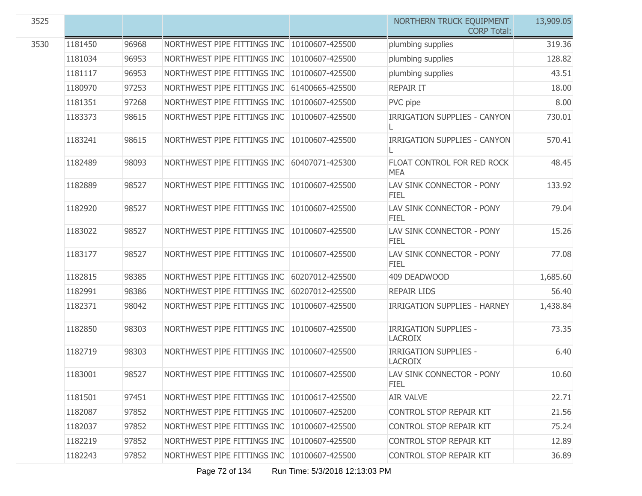| 3525 |         |       |                                               |                 | NORTHERN TRUCK EQUIPMENT<br><b>CORP Total:</b> | 13,909.05 |
|------|---------|-------|-----------------------------------------------|-----------------|------------------------------------------------|-----------|
| 3530 | 1181450 | 96968 | NORTHWEST PIPE FITTINGS INC                   | 10100607-425500 | plumbing supplies                              | 319.36    |
|      | 1181034 | 96953 | NORTHWEST PIPE FITTINGS INC                   | 10100607-425500 | plumbing supplies                              | 128.82    |
|      | 1181117 | 96953 | NORTHWEST PIPE FITTINGS INC                   | 10100607-425500 | plumbing supplies                              | 43.51     |
|      | 1180970 | 97253 | NORTHWEST PIPE FITTINGS INC                   | 61400665-425500 | <b>REPAIR IT</b>                               | 18.00     |
|      | 1181351 | 97268 | NORTHWEST PIPE FITTINGS INC                   | 10100607-425500 | PVC pipe                                       | 8.00      |
|      | 1183373 | 98615 | NORTHWEST PIPE FITTINGS INC                   | 10100607-425500 | <b>IRRIGATION SUPPLIES - CANYON</b>            | 730.01    |
|      | 1183241 | 98615 | NORTHWEST PIPE FITTINGS INC                   | 10100607-425500 | <b>IRRIGATION SUPPLIES - CANYON</b>            | 570.41    |
|      | 1182489 | 98093 | NORTHWEST PIPE FITTINGS INC                   | 60407071-425300 | FLOAT CONTROL FOR RED ROCK<br><b>MEA</b>       | 48.45     |
|      | 1182889 | 98527 | NORTHWEST PIPE FITTINGS INC                   | 10100607-425500 | LAV SINK CONNECTOR - PONY<br><b>FIEL</b>       | 133.92    |
|      | 1182920 | 98527 | NORTHWEST PIPE FITTINGS INC                   | 10100607-425500 | LAV SINK CONNECTOR - PONY<br><b>FIEL</b>       | 79.04     |
|      | 1183022 | 98527 | NORTHWEST PIPE FITTINGS INC                   | 10100607-425500 | LAV SINK CONNECTOR - PONY<br><b>FIEL</b>       | 15.26     |
|      | 1183177 | 98527 | NORTHWEST PIPE FITTINGS INC                   | 10100607-425500 | LAV SINK CONNECTOR - PONY<br><b>FIEL</b>       | 77.08     |
|      | 1182815 | 98385 | NORTHWEST PIPE FITTINGS INC                   | 60207012-425500 | 409 DEADWOOD                                   | 1,685.60  |
|      | 1182991 | 98386 | NORTHWEST PIPE FITTINGS INC                   | 60207012-425500 | <b>REPAIR LIDS</b>                             | 56.40     |
|      | 1182371 | 98042 | NORTHWEST PIPE FITTINGS INC                   | 10100607-425500 | <b>IRRIGATION SUPPLIES - HARNEY</b>            | 1,438.84  |
|      | 1182850 | 98303 | NORTHWEST PIPE FITTINGS INC                   | 10100607-425500 | <b>IRRIGATION SUPPLIES -</b><br><b>LACROIX</b> | 73.35     |
|      | 1182719 | 98303 | NORTHWEST PIPE FITTINGS INC                   | 10100607-425500 | <b>IRRIGATION SUPPLIES -</b><br><b>LACROIX</b> | 6.40      |
|      | 1183001 | 98527 | NORTHWEST PIPE FITTINGS INC   10100607-425500 |                 | LAV SINK CONNECTOR - PONY<br><b>FIEL</b>       | 10.60     |
|      | 1181501 | 97451 | NORTHWEST PIPE FITTINGS INC                   | 10100617-425500 | <b>AIR VALVE</b>                               | 22.71     |
|      | 1182087 | 97852 | NORTHWEST PIPE FITTINGS INC                   | 10100607-425200 | CONTROL STOP REPAIR KIT                        | 21.56     |
|      | 1182037 | 97852 | NORTHWEST PIPE FITTINGS INC                   | 10100607-425500 | CONTROL STOP REPAIR KIT                        | 75.24     |
|      | 1182219 | 97852 | NORTHWEST PIPE FITTINGS INC                   | 10100607-425500 | CONTROL STOP REPAIR KIT                        | 12.89     |
|      | 1182243 | 97852 | NORTHWEST PIPE FITTINGS INC                   | 10100607-425500 | CONTROL STOP REPAIR KIT                        | 36.89     |

Page 72 of 134 Run Time: 5/3/2018 12:13:03 PM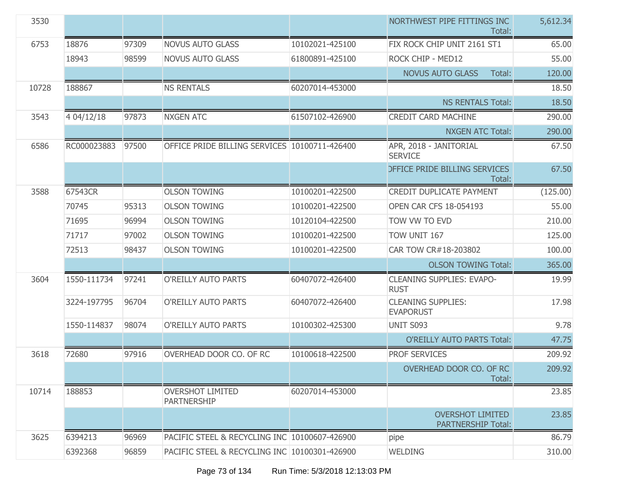| 3530  |             |       |                                               |                 | NORTHWEST PIPE FITTINGS INC<br>Total:                | 5,612.34 |
|-------|-------------|-------|-----------------------------------------------|-----------------|------------------------------------------------------|----------|
| 6753  | 18876       | 97309 | <b>NOVUS AUTO GLASS</b>                       | 10102021-425100 | FIX ROCK CHIP UNIT 2161 ST1                          | 65.00    |
|       | 18943       | 98599 | <b>NOVUS AUTO GLASS</b>                       | 61800891-425100 | ROCK CHIP - MED12                                    | 55.00    |
|       |             |       |                                               |                 | <b>NOVUS AUTO GLASS</b><br>Total:                    | 120.00   |
| 10728 | 188867      |       | <b>NS RENTALS</b>                             | 60207014-453000 |                                                      | 18.50    |
|       |             |       |                                               |                 | <b>NS RENTALS Total:</b>                             | 18.50    |
| 3543  | 4 04/12/18  | 97873 | <b>NXGEN ATC</b>                              | 61507102-426900 | CREDIT CARD MACHINE                                  | 290.00   |
|       |             |       |                                               |                 | <b>NXGEN ATC Total:</b>                              | 290.00   |
| 6586  | RC000023883 | 97500 | OFFICE PRIDE BILLING SERVICES 10100711-426400 |                 | APR, 2018 - JANITORIAL<br><b>SERVICE</b>             | 67.50    |
|       |             |       |                                               |                 | <b>DEFICE PRIDE BILLING SERVICES</b><br>Total:       | 67.50    |
| 3588  | 67543CR     |       | <b>OLSON TOWING</b>                           | 10100201-422500 | <b>CREDIT DUPLICATE PAYMENT</b>                      | (125.00) |
|       | 70745       | 95313 | <b>OLSON TOWING</b>                           | 10100201-422500 | <b>OPEN CAR CFS 18-054193</b>                        | 55.00    |
|       | 71695       | 96994 | <b>OLSON TOWING</b>                           | 10120104-422500 | TOW VW TO EVD                                        | 210.00   |
|       | 71717       | 97002 | <b>OLSON TOWING</b>                           | 10100201-422500 | TOW UNIT 167                                         | 125.00   |
|       | 72513       | 98437 | <b>OLSON TOWING</b>                           | 10100201-422500 | CAR TOW CR#18-203802                                 | 100.00   |
|       |             |       |                                               |                 | <b>OLSON TOWING Total:</b>                           | 365.00   |
| 3604  | 1550-111734 | 97241 | O'REILLY AUTO PARTS                           | 60407072-426400 | <b>CLEANING SUPPLIES: EVAPO-</b><br><b>RUST</b>      | 19.99    |
|       | 3224-197795 | 96704 | O'REILLY AUTO PARTS                           | 60407072-426400 | <b>CLEANING SUPPLIES:</b><br><b>EVAPORUST</b>        | 17.98    |
|       | 1550-114837 | 98074 | O'REILLY AUTO PARTS                           | 10100302-425300 | <b>UNIT S093</b>                                     | 9.78     |
|       |             |       |                                               |                 | <b>O'REILLY AUTO PARTS Total:</b>                    | 47.75    |
| 3618  | 72680       | 97916 | OVERHEAD DOOR CO, OF RC                       | 10100618-422500 | <b>PROF SERVICES</b>                                 | 209.92   |
|       |             |       |                                               |                 | OVERHEAD DOOR CO. OF RC<br>Total:                    | 209.92   |
| 10714 | 188853      |       | <b>OVERSHOT LIMITED</b><br><b>PARTNERSHIP</b> | 60207014-453000 |                                                      | 23.85    |
|       |             |       |                                               |                 | <b>OVERSHOT LIMITED</b><br><b>PARTNERSHIP Total:</b> | 23.85    |
| 3625  | 6394213     | 96969 | PACIFIC STEEL & RECYCLING INC 10100607-426900 |                 | pipe                                                 | 86.79    |
|       | 6392368     | 96859 | PACIFIC STEEL & RECYCLING INC 10100301-426900 |                 | <b>WELDING</b>                                       | 310.00   |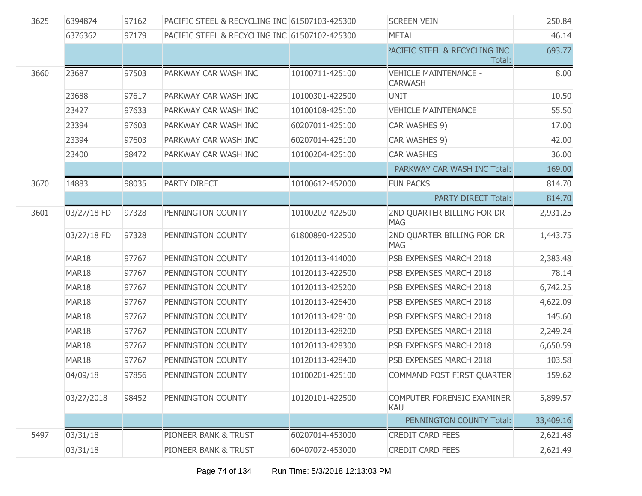| 3625 | 6394874     | 97162 | PACIFIC STEEL & RECYCLING INC 61507103-425300 |                 | <b>SCREEN VEIN</b>                             | 250.84    |
|------|-------------|-------|-----------------------------------------------|-----------------|------------------------------------------------|-----------|
|      | 6376362     | 97179 | PACIFIC STEEL & RECYCLING INC 61507102-425300 |                 | <b>METAL</b>                                   | 46.14     |
|      |             |       |                                               |                 | PACIFIC STEEL & RECYCLING INC<br>Total:        | 693.77    |
| 3660 | 23687       | 97503 | PARKWAY CAR WASH INC                          | 10100711-425100 | <b>VEHICLE MAINTENANCE -</b><br><b>CARWASH</b> | 8.00      |
|      | 23688       | 97617 | PARKWAY CAR WASH INC                          | 10100301-422500 | <b>UNIT</b>                                    | 10.50     |
|      | 23427       | 97633 | PARKWAY CAR WASH INC                          | 10100108-425100 | <b>VEHICLE MAINTENANCE</b>                     | 55.50     |
|      | 23394       | 97603 | PARKWAY CAR WASH INC                          | 60207011-425100 | CAR WASHES 9)                                  | 17.00     |
|      | 23394       | 97603 | PARKWAY CAR WASH INC                          | 60207014-425100 | CAR WASHES 9)                                  | 42.00     |
|      | 23400       | 98472 | PARKWAY CAR WASH INC                          | 10100204-425100 | <b>CAR WASHES</b>                              | 36.00     |
|      |             |       |                                               |                 | PARKWAY CAR WASH INC Total:                    | 169.00    |
| 3670 | 14883       | 98035 | PARTY DIRECT                                  | 10100612-452000 | <b>FUN PACKS</b>                               | 814.70    |
|      |             |       |                                               |                 | <b>PARTY DIRECT Total:</b>                     | 814.70    |
| 3601 | 03/27/18 FD | 97328 | PENNINGTON COUNTY                             | 10100202-422500 | 2ND QUARTER BILLING FOR DR<br><b>MAG</b>       | 2,931.25  |
|      | 03/27/18 FD | 97328 | PENNINGTON COUNTY                             | 61800890-422500 | 2ND QUARTER BILLING FOR DR<br><b>MAG</b>       | 1,443.75  |
|      | MAR18       | 97767 | PENNINGTON COUNTY                             | 10120113-414000 | PSB EXPENSES MARCH 2018                        | 2,383.48  |
|      | MAR18       | 97767 | PENNINGTON COUNTY                             | 10120113-422500 | PSB EXPENSES MARCH 2018                        | 78.14     |
|      | MAR18       | 97767 | PENNINGTON COUNTY                             | 10120113-425200 | PSB EXPENSES MARCH 2018                        | 6,742.25  |
|      | MAR18       | 97767 | PENNINGTON COUNTY                             | 10120113-426400 | PSB EXPENSES MARCH 2018                        | 4,622.09  |
|      | MAR18       | 97767 | PENNINGTON COUNTY                             | 10120113-428100 | PSB EXPENSES MARCH 2018                        | 145.60    |
|      | MAR18       | 97767 | PENNINGTON COUNTY                             | 10120113-428200 | PSB EXPENSES MARCH 2018                        | 2,249.24  |
|      | MAR18       | 97767 | PENNINGTON COUNTY                             | 10120113-428300 | PSB EXPENSES MARCH 2018                        | 6,650.59  |
|      | MAR18       | 97767 | PENNINGTON COUNTY                             | 10120113-428400 | PSB EXPENSES MARCH 2018                        | 103.58    |
|      | 04/09/18    | 97856 | PENNINGTON COUNTY                             | 10100201-425100 | COMMAND POST FIRST QUARTER                     | 159.62    |
|      | 03/27/2018  | 98452 | PENNINGTON COUNTY                             | 10120101-422500 | COMPUTER FORENSIC EXAMINER<br><b>KAU</b>       | 5,899.57  |
|      |             |       |                                               |                 | PENNINGTON COUNTY Total:                       | 33,409.16 |
| 5497 | 03/31/18    |       | PIONEER BANK & TRUST                          | 60207014-453000 | <b>CREDIT CARD FEES</b>                        | 2,621.48  |
|      | 03/31/18    |       | PIONEER BANK & TRUST                          | 60407072-453000 | <b>CREDIT CARD FEES</b>                        | 2,621.49  |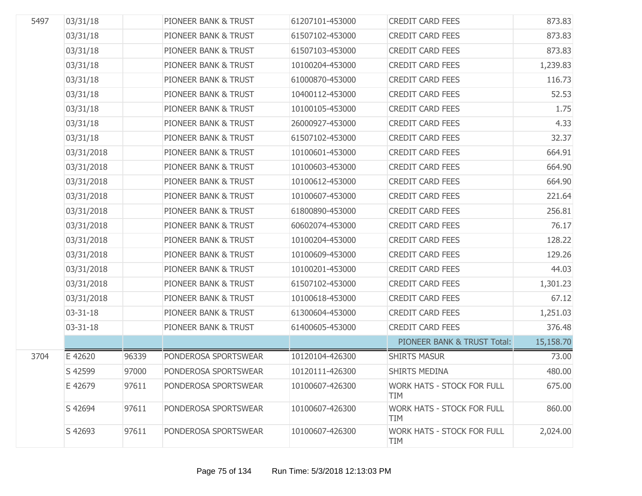| 5497 | 03/31/18       |       | PIONEER BANK & TRUST | 61207101-453000 | <b>CREDIT CARD FEES</b>                         | 873.83    |
|------|----------------|-------|----------------------|-----------------|-------------------------------------------------|-----------|
|      | 03/31/18       |       | PIONEER BANK & TRUST | 61507102-453000 | <b>CREDIT CARD FEES</b>                         | 873.83    |
|      | 03/31/18       |       | PIONEER BANK & TRUST | 61507103-453000 | <b>CREDIT CARD FEES</b>                         | 873.83    |
|      | 03/31/18       |       | PIONEER BANK & TRUST | 10100204-453000 | <b>CREDIT CARD FEES</b>                         | 1,239.83  |
|      | 03/31/18       |       | PIONEER BANK & TRUST | 61000870-453000 | <b>CREDIT CARD FEES</b>                         | 116.73    |
|      | 03/31/18       |       | PIONEER BANK & TRUST | 10400112-453000 | <b>CREDIT CARD FEES</b>                         | 52.53     |
|      | 03/31/18       |       | PIONEER BANK & TRUST | 10100105-453000 | <b>CREDIT CARD FEES</b>                         | 1.75      |
|      | 03/31/18       |       | PIONEER BANK & TRUST | 26000927-453000 | <b>CREDIT CARD FEES</b>                         | 4.33      |
|      | 03/31/18       |       | PIONEER BANK & TRUST | 61507102-453000 | <b>CREDIT CARD FEES</b>                         | 32.37     |
|      | 03/31/2018     |       | PIONEER BANK & TRUST | 10100601-453000 | <b>CREDIT CARD FEES</b>                         | 664.91    |
|      | 03/31/2018     |       | PIONEER BANK & TRUST | 10100603-453000 | <b>CREDIT CARD FEES</b>                         | 664.90    |
|      | 03/31/2018     |       | PIONEER BANK & TRUST | 10100612-453000 | <b>CREDIT CARD FEES</b>                         | 664.90    |
|      | 03/31/2018     |       | PIONEER BANK & TRUST | 10100607-453000 | <b>CREDIT CARD FEES</b>                         | 221.64    |
|      | 03/31/2018     |       | PIONEER BANK & TRUST | 61800890-453000 | <b>CREDIT CARD FEES</b>                         | 256.81    |
|      | 03/31/2018     |       | PIONEER BANK & TRUST | 60602074-453000 | <b>CREDIT CARD FEES</b>                         | 76.17     |
|      | 03/31/2018     |       | PIONEER BANK & TRUST | 10100204-453000 | <b>CREDIT CARD FEES</b>                         | 128.22    |
|      | 03/31/2018     |       | PIONEER BANK & TRUST | 10100609-453000 | <b>CREDIT CARD FEES</b>                         | 129.26    |
|      | 03/31/2018     |       | PIONEER BANK & TRUST | 10100201-453000 | <b>CREDIT CARD FEES</b>                         | 44.03     |
|      | 03/31/2018     |       | PIONEER BANK & TRUST | 61507102-453000 | <b>CREDIT CARD FEES</b>                         | 1,301.23  |
|      | 03/31/2018     |       | PIONEER BANK & TRUST | 10100618-453000 | <b>CREDIT CARD FEES</b>                         | 67.12     |
|      | $03 - 31 - 18$ |       | PIONEER BANK & TRUST | 61300604-453000 | <b>CREDIT CARD FEES</b>                         | 1,251.03  |
|      | 03-31-18       |       | PIONEER BANK & TRUST | 61400605-453000 | <b>CREDIT CARD FEES</b>                         | 376.48    |
|      |                |       |                      |                 | PIONEER BANK & TRUST Total:                     | 15,158.70 |
| 3704 | E 42620        | 96339 | PONDEROSA SPORTSWEAR | 10120104-426300 | <b>SHIRTS MASUR</b>                             | 73.00     |
|      | S 42599        | 97000 | PONDEROSA SPORTSWEAR | 10120111-426300 | <b>SHIRTS MEDINA</b>                            | 480.00    |
|      | E 42679        | 97611 | PONDEROSA SPORTSWEAR | 10100607-426300 | <b>WORK HATS - STOCK FOR FULL</b><br><b>TIM</b> | 675.00    |
|      | S 42694        | 97611 | PONDEROSA SPORTSWEAR | 10100607-426300 | <b>WORK HATS - STOCK FOR FULL</b><br><b>TIM</b> | 860.00    |
|      | S 42693        | 97611 | PONDEROSA SPORTSWEAR | 10100607-426300 | <b>WORK HATS - STOCK FOR FULL</b><br><b>TIM</b> | 2,024.00  |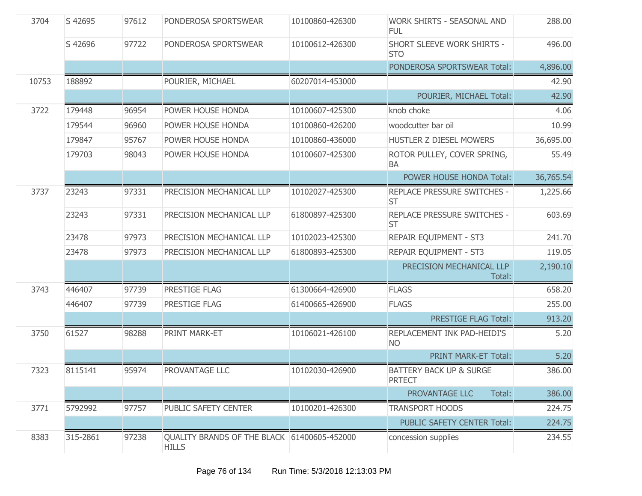| 3704  | S 42695  | 97612 | PONDEROSA SPORTSWEAR                                        | 10100860-426300 | WORK SHIRTS - SEASONAL AND<br><b>FUL</b>            | 288.00    |
|-------|----------|-------|-------------------------------------------------------------|-----------------|-----------------------------------------------------|-----------|
|       | S 42696  | 97722 | PONDEROSA SPORTSWEAR                                        | 10100612-426300 | SHORT SLEEVE WORK SHIRTS -<br><b>STO</b>            | 496.00    |
|       |          |       |                                                             |                 | PONDEROSA SPORTSWEAR Total:                         | 4,896.00  |
| 10753 | 188892   |       | POURIER, MICHAEL                                            | 60207014-453000 |                                                     | 42.90     |
|       |          |       |                                                             |                 | POURIER, MICHAEL Total:                             | 42.90     |
| 3722  | 179448   | 96954 | POWER HOUSE HONDA                                           | 10100607-425300 | knob choke                                          | 4.06      |
|       | 179544   | 96960 | POWER HOUSE HONDA                                           | 10100860-426200 | woodcutter bar oil                                  | 10.99     |
|       | 179847   | 95767 | POWER HOUSE HONDA                                           | 10100860-436000 | HUSTLER Z DIESEL MOWERS                             | 36,695.00 |
|       | 179703   | 98043 | POWER HOUSE HONDA                                           | 10100607-425300 | ROTOR PULLEY, COVER SPRING,<br>BA                   | 55.49     |
|       |          |       |                                                             |                 | POWER HOUSE HONDA Total:                            | 36,765.54 |
| 3737  | 23243    | 97331 | PRECISION MECHANICAL LLP                                    | 10102027-425300 | REPLACE PRESSURE SWITCHES -<br><b>ST</b>            | 1,225.66  |
|       | 23243    | 97331 | PRECISION MECHANICAL LLP                                    | 61800897-425300 | REPLACE PRESSURE SWITCHES -<br><b>ST</b>            | 603.69    |
|       | 23478    | 97973 | PRECISION MECHANICAL LLP                                    | 10102023-425300 | REPAIR EQUIPMENT - ST3                              | 241.70    |
|       | 23478    | 97973 | PRECISION MECHANICAL LLP                                    | 61800893-425300 | REPAIR EQUIPMENT - ST3                              | 119.05    |
|       |          |       |                                                             |                 | PRECISION MECHANICAL LLP<br>Total:                  | 2,190.10  |
| 3743  | 446407   | 97739 | PRESTIGE FLAG                                               | 61300664-426900 | <b>FLAGS</b>                                        | 658.20    |
|       | 446407   | 97739 | PRESTIGE FLAG                                               | 61400665-426900 | <b>FLAGS</b>                                        | 255.00    |
|       |          |       |                                                             |                 | <b>PRESTIGE FLAG Total:</b>                         | 913.20    |
| 3750  | 61527    | 98288 | PRINT MARK-ET                                               | 10106021-426100 | REPLACEMENT INK PAD-HEIDI'S<br><b>NO</b>            | 5.20      |
|       |          |       |                                                             |                 | PRINT MARK-ET Total:                                | 5.20      |
| 7323  | 8115141  | 95974 | PROVANTAGE LLC                                              | 10102030-426900 | <b>BATTERY BACK UP &amp; SURGE</b><br><b>PRTECT</b> | 386.00    |
|       |          |       |                                                             |                 | PROVANTAGE LLC<br>Total:                            | 386.00    |
| 3771  | 5792992  | 97757 | PUBLIC SAFETY CENTER                                        | 10100201-426300 | <b>TRANSPORT HOODS</b>                              | 224.75    |
|       |          |       |                                                             |                 | PUBLIC SAFETY CENTER Total:                         | 224.75    |
| 8383  | 315-2861 | 97238 | QUALITY BRANDS OF THE BLACK 61400605-452000<br><b>HILLS</b> |                 | concession supplies                                 | 234.55    |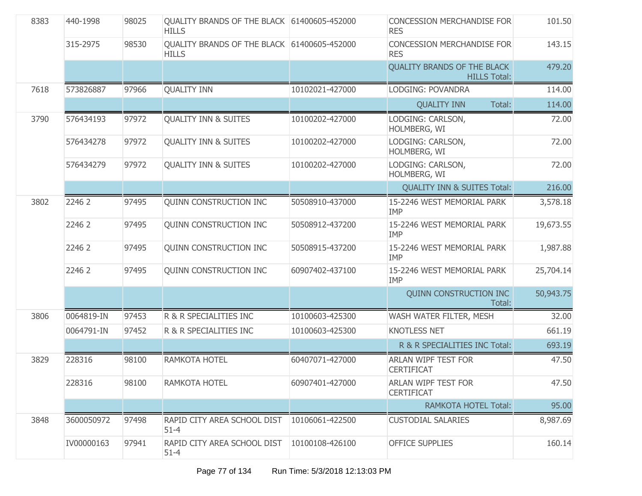| 8383 | 440-1998   | 98025 | QUALITY BRANDS OF THE BLACK 61400605-452000<br><b>HILLS</b> |                 | <b>CONCESSION MERCHANDISE FOR</b><br><b>RES</b>           | 101.50    |
|------|------------|-------|-------------------------------------------------------------|-----------------|-----------------------------------------------------------|-----------|
|      | 315-2975   | 98530 | QUALITY BRANDS OF THE BLACK 61400605-452000<br><b>HILLS</b> |                 | <b>CONCESSION MERCHANDISE FOR</b><br><b>RES</b>           | 143.15    |
|      |            |       |                                                             |                 | <b>QUALITY BRANDS OF THE BLACK</b><br><b>HILLS Total:</b> | 479.20    |
| 7618 | 573826887  | 97966 | <b>QUALITY INN</b>                                          | 10102021-427000 | LODGING: POVANDRA                                         | 114.00    |
|      |            |       |                                                             |                 | <b>QUALITY INN</b><br>Total:                              | 114.00    |
| 3790 | 576434193  | 97972 | <b>OUALITY INN &amp; SUITES</b>                             | 10100202-427000 | LODGING: CARLSON,<br>HOLMBERG, WI                         | 72.00     |
|      | 576434278  | 97972 | <b>QUALITY INN &amp; SUITES</b>                             | 10100202-427000 | LODGING: CARLSON,<br>HOLMBERG, WI                         | 72.00     |
|      | 576434279  | 97972 | <b>QUALITY INN &amp; SUITES</b>                             | 10100202-427000 | LODGING: CARLSON,<br>HOLMBERG, WI                         | 72.00     |
|      |            |       |                                                             |                 | <b>QUALITY INN &amp; SUITES Total:</b>                    | 216.00    |
| 3802 | 2246 2     | 97495 | <b>OUINN CONSTRUCTION INC</b>                               | 50508910-437000 | 15-2246 WEST MEMORIAL PARK<br><b>IMP</b>                  | 3,578.18  |
|      | 2246 2     | 97495 | <b>QUINN CONSTRUCTION INC</b>                               | 50508912-437200 | 15-2246 WEST MEMORIAL PARK<br><b>IMP</b>                  | 19,673.55 |
|      | 2246 2     | 97495 | <b>QUINN CONSTRUCTION INC</b>                               | 50508915-437200 | 15-2246 WEST MEMORIAL PARK<br><b>IMP</b>                  | 1,987.88  |
|      | 2246 2     | 97495 | <b>QUINN CONSTRUCTION INC</b>                               | 60907402-437100 | 15-2246 WEST MEMORIAL PARK<br><b>IMP</b>                  | 25,704.14 |
|      |            |       |                                                             |                 | <b>QUINN CONSTRUCTION INC</b><br>Total:                   | 50,943.75 |
| 3806 | 0064819-IN | 97453 | R & R SPECIALITIES INC                                      | 10100603-425300 | WASH WATER FILTER, MESH                                   | 32.00     |
|      | 0064791-IN | 97452 | R & R SPECIALITIES INC                                      | 10100603-425300 | <b>KNOTLESS NET</b>                                       | 661.19    |
|      |            |       |                                                             |                 | R & R SPECIALITIES INC Total:                             | 693.19    |
| 3829 | 228316     | 98100 | RAMKOTA HOTEL                                               | 60407071-427000 | ARLAN WIPF TEST FOR<br><b>CERTIFICAT</b>                  | 47.50     |
|      | 228316     | 98100 | RAMKOTA HOTEL                                               | 60907401-427000 | <b>ARLAN WIPF TEST FOR</b><br><b>CERTIFICAT</b>           | 47.50     |
|      |            |       |                                                             |                 | <b>RAMKOTA HOTEL Total:</b>                               | 95.00     |
| 3848 | 3600050972 | 97498 | RAPID CITY AREA SCHOOL DIST<br>$51 - 4$                     | 10106061-422500 | <b>CUSTODIAL SALARIES</b>                                 | 8,987.69  |
|      | IV00000163 | 97941 | RAPID CITY AREA SCHOOL DIST<br>$51 - 4$                     | 10100108-426100 | <b>OFFICE SUPPLIES</b>                                    | 160.14    |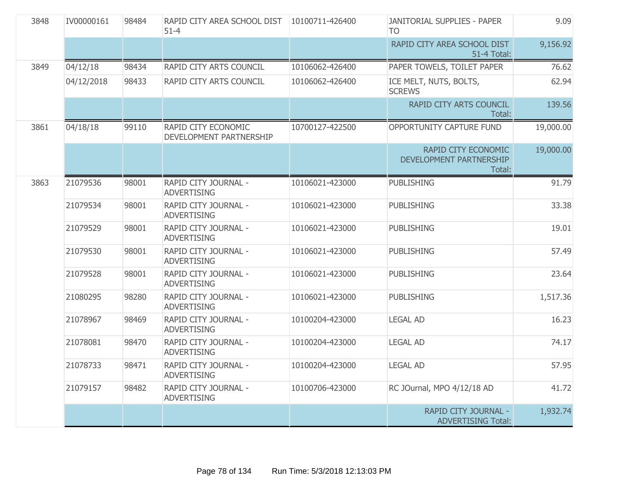| 3848 | IV00000161 | 98484 | RAPID CITY AREA SCHOOL DIST<br>$51 - 4$        | 10100711-426400 | JANITORIAL SUPPLIES - PAPER<br>T <sub>O</sub>            | 9.09      |
|------|------------|-------|------------------------------------------------|-----------------|----------------------------------------------------------|-----------|
|      |            |       |                                                |                 | RAPID CITY AREA SCHOOL DIST<br>51-4 Total:               | 9,156.92  |
| 3849 | 04/12/18   | 98434 | RAPID CITY ARTS COUNCIL                        | 10106062-426400 | PAPER TOWELS, TOILET PAPER                               | 76.62     |
|      | 04/12/2018 | 98433 | RAPID CITY ARTS COUNCIL                        | 10106062-426400 | ICE MELT, NUTS, BOLTS,<br><b>SCREWS</b>                  | 62.94     |
|      |            |       |                                                |                 | RAPID CITY ARTS COUNCIL<br>Total:                        | 139.56    |
| 3861 | 04/18/18   | 99110 | RAPID CITY ECONOMIC<br>DEVELOPMENT PARTNERSHIP | 10700127-422500 | OPPORTUNITY CAPTURE FUND                                 | 19,000.00 |
|      |            |       |                                                |                 | RAPID CITY ECONOMIC<br>DEVELOPMENT PARTNERSHIP<br>Total: | 19,000.00 |
| 3863 | 21079536   | 98001 | RAPID CITY JOURNAL -<br><b>ADVERTISING</b>     | 10106021-423000 | <b>PUBLISHING</b>                                        | 91.79     |
|      | 21079534   | 98001 | RAPID CITY JOURNAL -<br><b>ADVERTISING</b>     | 10106021-423000 | <b>PUBLISHING</b>                                        | 33.38     |
|      | 21079529   | 98001 | RAPID CITY JOURNAL -<br><b>ADVERTISING</b>     | 10106021-423000 | <b>PUBLISHING</b>                                        | 19.01     |
|      | 21079530   | 98001 | RAPID CITY JOURNAL -<br><b>ADVERTISING</b>     | 10106021-423000 | <b>PUBLISHING</b>                                        | 57.49     |
|      | 21079528   | 98001 | RAPID CITY JOURNAL -<br><b>ADVERTISING</b>     | 10106021-423000 | <b>PUBLISHING</b>                                        | 23.64     |
|      | 21080295   | 98280 | RAPID CITY JOURNAL -<br><b>ADVERTISING</b>     | 10106021-423000 | <b>PUBLISHING</b>                                        | 1,517.36  |
|      | 21078967   | 98469 | RAPID CITY JOURNAL -<br><b>ADVERTISING</b>     | 10100204-423000 | <b>LEGAL AD</b>                                          | 16.23     |
|      | 21078081   | 98470 | RAPID CITY JOURNAL -<br><b>ADVERTISING</b>     | 10100204-423000 | <b>LEGAL AD</b>                                          | 74.17     |
|      | 21078733   | 98471 | RAPID CITY JOURNAL -<br><b>ADVERTISING</b>     | 10100204-423000 | <b>LEGAL AD</b>                                          | 57.95     |
|      | 21079157   | 98482 | RAPID CITY JOURNAL -<br><b>ADVERTISING</b>     | 10100706-423000 | RC JOurnal, MPO 4/12/18 AD                               | 41.72     |
|      |            |       |                                                |                 | RAPID CITY JOURNAL -<br><b>ADVERTISING Total:</b>        | 1,932.74  |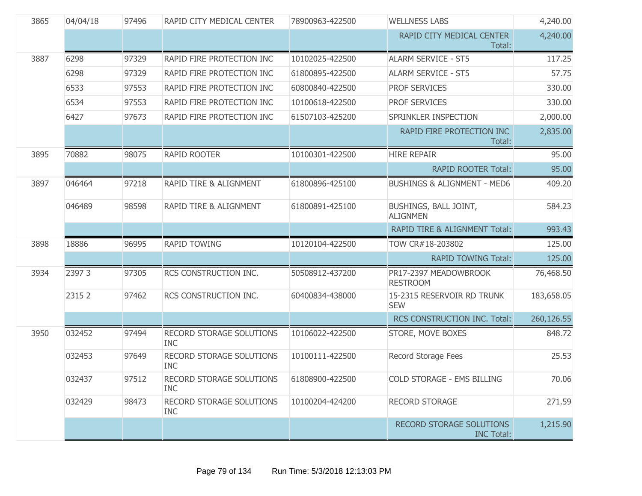| 3865 | 04/04/18 | 97496 | RAPID CITY MEDICAL CENTER              | 78900963-422500 | <b>WELLNESS LABS</b>                                 | 4,240.00   |
|------|----------|-------|----------------------------------------|-----------------|------------------------------------------------------|------------|
|      |          |       |                                        |                 | RAPID CITY MEDICAL CENTER<br>Total:                  | 4,240.00   |
| 3887 | 6298     | 97329 | RAPID FIRE PROTECTION INC              | 10102025-422500 | <b>ALARM SERVICE - ST5</b>                           | 117.25     |
|      | 6298     | 97329 | RAPID FIRE PROTECTION INC              | 61800895-422500 | <b>ALARM SERVICE - ST5</b>                           | 57.75      |
|      | 6533     | 97553 | RAPID FIRE PROTECTION INC              | 60800840-422500 | <b>PROF SERVICES</b>                                 | 330.00     |
|      | 6534     | 97553 | RAPID FIRE PROTECTION INC              | 10100618-422500 | <b>PROF SERVICES</b>                                 | 330.00     |
|      | 6427     | 97673 | RAPID FIRE PROTECTION INC              | 61507103-425200 | SPRINKLER INSPECTION                                 | 2,000.00   |
|      |          |       |                                        |                 | RAPID FIRE PROTECTION INC<br>Total:                  | 2,835.00   |
| 3895 | 70882    | 98075 | <b>RAPID ROOTER</b>                    | 10100301-422500 | <b>HIRE REPAIR</b>                                   | 95.00      |
|      |          |       |                                        |                 | <b>RAPID ROOTER Total:</b>                           | 95.00      |
| 3897 | 046464   | 97218 | RAPID TIRE & ALIGNMENT                 | 61800896-425100 | <b>BUSHINGS &amp; ALIGNMENT - MED6</b>               | 409.20     |
|      | 046489   | 98598 | <b>RAPID TIRE &amp; ALIGNMENT</b>      | 61800891-425100 | BUSHINGS, BALL JOINT,<br><b>ALIGNMEN</b>             | 584.23     |
|      |          |       |                                        |                 | <b>RAPID TIRE &amp; ALIGNMENT Total:</b>             | 993.43     |
| 3898 | 18886    | 96995 | <b>RAPID TOWING</b>                    | 10120104-422500 | TOW CR#18-203802                                     | 125.00     |
|      |          |       |                                        |                 | <b>RAPID TOWING Total:</b>                           | 125.00     |
| 3934 | 23973    | 97305 | RCS CONSTRUCTION INC.                  | 50508912-437200 | PR17-2397 MEADOWBROOK<br><b>RESTROOM</b>             | 76,468.50  |
|      | 2315 2   | 97462 | RCS CONSTRUCTION INC.                  | 60400834-438000 | 15-2315 RESERVOIR RD TRUNK<br><b>SEW</b>             | 183,658.05 |
|      |          |       |                                        |                 | RCS CONSTRUCTION INC. Total:                         | 260,126.55 |
| 3950 | 032452   | 97494 | RECORD STORAGE SOLUTIONS<br><b>INC</b> | 10106022-422500 | STORE, MOVE BOXES                                    | 848.72     |
|      | 032453   | 97649 | RECORD STORAGE SOLUTIONS<br><b>INC</b> | 10100111-422500 | Record Storage Fees                                  | 25.53      |
|      | 032437   | 97512 | RECORD STORAGE SOLUTIONS<br><b>INC</b> | 61808900-422500 | COLD STORAGE - EMS BILLING                           | 70.06      |
|      | 032429   | 98473 | RECORD STORAGE SOLUTIONS<br><b>INC</b> | 10100204-424200 | <b>RECORD STORAGE</b>                                | 271.59     |
|      |          |       |                                        |                 | <b>RECORD STORAGE SOLUTIONS</b><br><b>INC Total:</b> | 1,215.90   |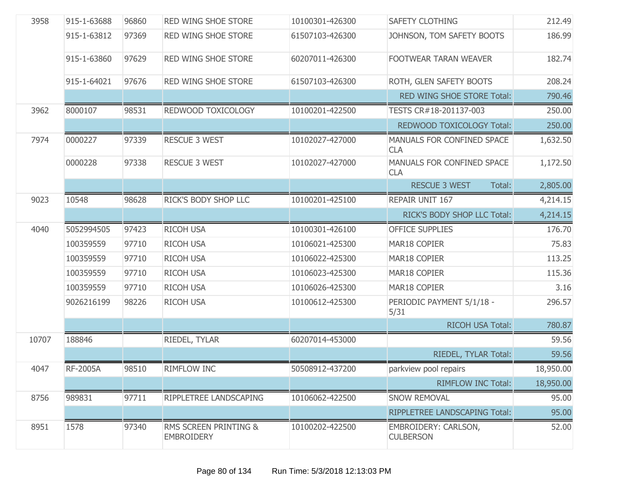| 3958  | 915-1-63688 | 96860 | RED WING SHOE STORE                        | 10100301-426300 | SAFETY CLOTHING                          | 212.49    |
|-------|-------------|-------|--------------------------------------------|-----------------|------------------------------------------|-----------|
|       | 915-1-63812 | 97369 | RED WING SHOE STORE                        | 61507103-426300 | JOHNSON, TOM SAFETY BOOTS                | 186.99    |
|       | 915-1-63860 | 97629 | RED WING SHOE STORE                        | 60207011-426300 | FOOTWEAR TARAN WEAVER                    | 182.74    |
|       | 915-1-64021 | 97676 | <b>RED WING SHOE STORE</b>                 | 61507103-426300 | ROTH, GLEN SAFETY BOOTS                  | 208.24    |
|       |             |       |                                            |                 | RED WING SHOE STORE Total:               | 790.46    |
| 3962  | 8000107     | 98531 | REDWOOD TOXICOLOGY                         | 10100201-422500 | TESTS CR#18-201137-003                   | 250.00    |
|       |             |       |                                            |                 | REDWOOD TOXICOLOGY Total:                | 250.00    |
| 7974  | 0000227     | 97339 | <b>RESCUE 3 WEST</b>                       | 10102027-427000 | MANUALS FOR CONFINED SPACE<br><b>CLA</b> | 1,632.50  |
|       | 0000228     | 97338 | <b>RESCUE 3 WEST</b>                       | 10102027-427000 | MANUALS FOR CONFINED SPACE<br><b>CLA</b> | 1,172.50  |
|       |             |       |                                            |                 | <b>RESCUE 3 WEST</b><br>Total:           | 2,805.00  |
| 9023  | 10548       | 98628 | RICK'S BODY SHOP LLC                       | 10100201-425100 | REPAIR UNIT 167                          | 4,214.15  |
|       |             |       |                                            |                 | RICK'S BODY SHOP LLC Total:              | 4,214.15  |
| 4040  | 5052994505  | 97423 | <b>RICOH USA</b>                           | 10100301-426100 | OFFICE SUPPLIES                          | 176.70    |
|       | 100359559   | 97710 | <b>RICOH USA</b>                           | 10106021-425300 | MAR18 COPIER                             | 75.83     |
|       | 100359559   | 97710 | <b>RICOH USA</b>                           | 10106022-425300 | MAR18 COPIER                             | 113.25    |
|       | 100359559   | 97710 | <b>RICOH USA</b>                           | 10106023-425300 | MAR18 COPIER                             | 115.36    |
|       | 100359559   | 97710 | <b>RICOH USA</b>                           | 10106026-425300 | MAR18 COPIER                             | 3.16      |
|       | 9026216199  | 98226 | <b>RICOH USA</b>                           | 10100612-425300 | PERIODIC PAYMENT 5/1/18 -<br>5/31        | 296.57    |
|       |             |       |                                            |                 | RICOH USA Total:                         | 780.87    |
| 10707 | 188846      |       | RIEDEL, TYLAR                              | 60207014-453000 |                                          | 59.56     |
|       |             |       |                                            |                 | RIEDEL, TYLAR Total:                     | 59.56     |
| 4047  | RF-2005A    | 98510 | RIMFLOW INC                                | 50508912-437200 | parkview pool repairs                    | 18,950.00 |
|       |             |       |                                            |                 | <b>RIMFLOW INC Total:</b>                | 18,950.00 |
| 8756  | 989831      | 97711 | RIPPLETREE LANDSCAPING                     | 10106062-422500 | <b>SNOW REMOVAL</b>                      | 95.00     |
|       |             |       |                                            |                 | RIPPLETREE LANDSCAPING Total:            | 95.00     |
| 8951  | 1578        | 97340 | RMS SCREEN PRINTING &<br><b>EMBROIDERY</b> | 10100202-422500 | EMBROIDERY: CARLSON,<br><b>CULBERSON</b> | 52.00     |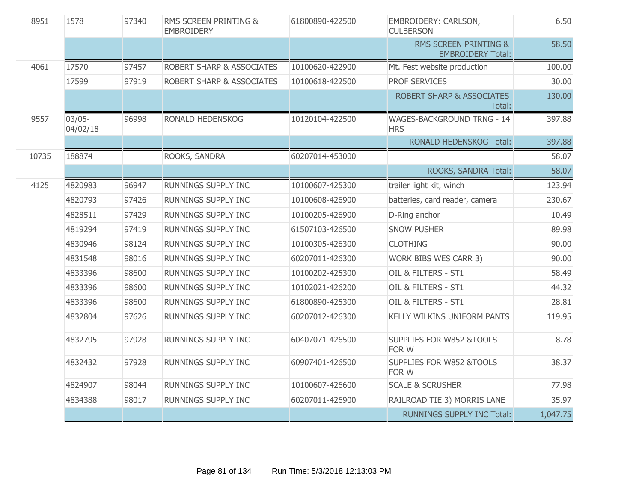| 8951  | 1578                 | 97340 | RMS SCREEN PRINTING &<br><b>EMBROIDERY</b> | 61800890-422500 | EMBROIDERY: CARLSON,<br><b>CULBERSON</b>          | 6.50     |
|-------|----------------------|-------|--------------------------------------------|-----------------|---------------------------------------------------|----------|
|       |                      |       |                                            |                 | RMS SCREEN PRINTING &<br><b>EMBROIDERY Total:</b> | 58.50    |
| 4061  | 17570                | 97457 | ROBERT SHARP & ASSOCIATES                  | 10100620-422900 | Mt. Fest website production                       | 100.00   |
|       | 17599                | 97919 | <b>ROBERT SHARP &amp; ASSOCIATES</b>       | 10100618-422500 | <b>PROF SERVICES</b>                              | 30.00    |
|       |                      |       |                                            |                 | <b>ROBERT SHARP &amp; ASSOCIATES</b><br>Total:    | 130.00   |
| 9557  | $03/05-$<br>04/02/18 | 96998 | RONALD HEDENSKOG                           | 10120104-422500 | WAGES-BACKGROUND TRNG - 14<br><b>HRS</b>          | 397.88   |
|       |                      |       |                                            |                 | <b>RONALD HEDENSKOG Total:</b>                    | 397.88   |
| 10735 | 188874               |       | ROOKS, SANDRA                              | 60207014-453000 |                                                   | 58.07    |
|       |                      |       |                                            |                 | ROOKS, SANDRA Total:                              | 58.07    |
| 4125  | 4820983              | 96947 | <b>RUNNINGS SUPPLY INC</b>                 | 10100607-425300 | trailer light kit, winch                          | 123.94   |
|       | 4820793              | 97426 | <b>RUNNINGS SUPPLY INC</b>                 | 10100608-426900 | batteries, card reader, camera                    | 230.67   |
|       | 4828511              | 97429 | RUNNINGS SUPPLY INC                        | 10100205-426900 | D-Ring anchor                                     | 10.49    |
|       | 4819294              | 97419 | RUNNINGS SUPPLY INC                        | 61507103-426500 | <b>SNOW PUSHER</b>                                | 89.98    |
|       | 4830946              | 98124 | <b>RUNNINGS SUPPLY INC</b>                 | 10100305-426300 | <b>CLOTHING</b>                                   | 90.00    |
|       | 4831548              | 98016 | RUNNINGS SUPPLY INC                        | 60207011-426300 | WORK BIBS WES CARR 3)                             | 90.00    |
|       | 4833396              | 98600 | RUNNINGS SUPPLY INC                        | 10100202-425300 | OIL & FILTERS - ST1                               | 58.49    |
|       | 4833396              | 98600 | <b>RUNNINGS SUPPLY INC</b>                 | 10102021-426200 | OIL & FILTERS - ST1                               | 44.32    |
|       | 4833396              | 98600 | RUNNINGS SUPPLY INC                        | 61800890-425300 | OIL & FILTERS - ST1                               | 28.81    |
|       | 4832804              | 97626 | RUNNINGS SUPPLY INC                        | 60207012-426300 | KELLY WILKINS UNIFORM PANTS                       | 119.95   |
|       | 4832795              | 97928 | <b>RUNNINGS SUPPLY INC</b>                 | 60407071-426500 | SUPPLIES FOR W852 &TOOLS<br>FOR W                 | 8.78     |
|       | 4832432              | 97928 | RUNNINGS SUPPLY INC                        | 60907401-426500 | SUPPLIES FOR W852 &TOOLS<br>FOR W                 | 38.37    |
|       | 4824907              | 98044 | RUNNINGS SUPPLY INC                        | 10100607-426600 | <b>SCALE &amp; SCRUSHER</b>                       | 77.98    |
|       | 4834388              | 98017 | RUNNINGS SUPPLY INC                        | 60207011-426900 | RAILROAD TIE 3) MORRIS LANE                       | 35.97    |
|       |                      |       |                                            |                 | <b>RUNNINGS SUPPLY INC Total:</b>                 | 1,047.75 |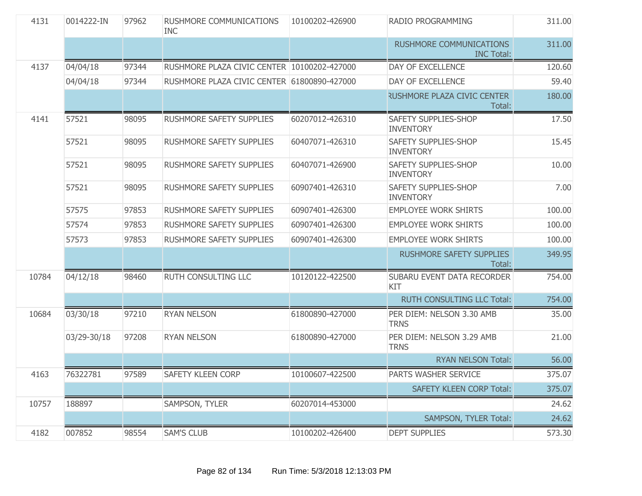| 4131  | 0014222-IN  | 97962 | <b>RUSHMORE COMMUNICATIONS</b><br><b>INC</b> | 10100202-426900 | RADIO PROGRAMMING                                   | 311.00 |
|-------|-------------|-------|----------------------------------------------|-----------------|-----------------------------------------------------|--------|
|       |             |       |                                              |                 | <b>RUSHMORE COMMUNICATIONS</b><br><b>INC Total:</b> | 311.00 |
| 4137  | 04/04/18    | 97344 | RUSHMORE PLAZA CIVIC CENTER 10100202-427000  |                 | DAY OF EXCELLENCE                                   | 120.60 |
|       | 04/04/18    | 97344 | RUSHMORE PLAZA CIVIC CENTER 61800890-427000  |                 | DAY OF EXCELLENCE                                   | 59.40  |
|       |             |       |                                              |                 | <b>RUSHMORE PLAZA CIVIC CENTER</b><br>Total:        | 180.00 |
| 4141  | 57521       | 98095 | RUSHMORE SAFETY SUPPLIES                     | 60207012-426310 | SAFETY SUPPLIES-SHOP<br><b>INVENTORY</b>            | 17.50  |
|       | 57521       | 98095 | <b>RUSHMORE SAFETY SUPPLIES</b>              | 60407071-426310 | SAFETY SUPPLIES-SHOP<br><b>INVENTORY</b>            | 15.45  |
|       | 57521       | 98095 | RUSHMORE SAFETY SUPPLIES                     | 60407071-426900 | <b>SAFETY SUPPLIES-SHOP</b><br><b>INVENTORY</b>     | 10.00  |
|       | 57521       | 98095 | RUSHMORE SAFETY SUPPLIES                     | 60907401-426310 | SAFETY SUPPLIES-SHOP<br><b>INVENTORY</b>            | 7.00   |
|       | 57575       | 97853 | <b>RUSHMORE SAFETY SUPPLIES</b>              | 60907401-426300 | <b>EMPLOYEE WORK SHIRTS</b>                         | 100.00 |
|       | 57574       | 97853 | <b>RUSHMORE SAFETY SUPPLIES</b>              | 60907401-426300 | <b>EMPLOYEE WORK SHIRTS</b>                         | 100.00 |
|       | 57573       | 97853 | <b>RUSHMORE SAFETY SUPPLIES</b>              | 60907401-426300 | <b>EMPLOYEE WORK SHIRTS</b>                         | 100.00 |
|       |             |       |                                              |                 | <b>RUSHMORE SAFETY SUPPLIES</b><br>Total:           | 349.95 |
| 10784 | 04/12/18    | 98460 | <b>RUTH CONSULTING LLC</b>                   | 10120122-422500 | SUBARU EVENT DATA RECORDER<br>KIT                   | 754.00 |
|       |             |       |                                              |                 | RUTH CONSULTING LLC Total:                          | 754.00 |
| 10684 | 03/30/18    | 97210 | <b>RYAN NELSON</b>                           | 61800890-427000 | PER DIEM: NELSON 3.30 AMB<br><b>TRNS</b>            | 35.00  |
|       | 03/29-30/18 | 97208 | <b>RYAN NELSON</b>                           | 61800890-427000 | PER DIEM: NELSON 3.29 AMB<br><b>TRNS</b>            | 21.00  |
|       |             |       |                                              |                 | <b>RYAN NELSON Total:</b>                           | 56.00  |
| 4163  | 76322781    | 97589 | SAFETY KLEEN CORP                            | 10100607-422500 | PARTS WASHER SERVICE                                | 375.07 |
|       |             |       |                                              |                 | <b>SAFETY KLEEN CORP Total:</b>                     | 375.07 |
| 10757 | 188897      |       | SAMPSON, TYLER                               | 60207014-453000 |                                                     | 24.62  |
|       |             |       |                                              |                 | SAMPSON, TYLER Total:                               | 24.62  |
| 4182  | 007852      | 98554 | <b>SAM'S CLUB</b>                            | 10100202-426400 | <b>DEPT SUPPLIES</b>                                | 573.30 |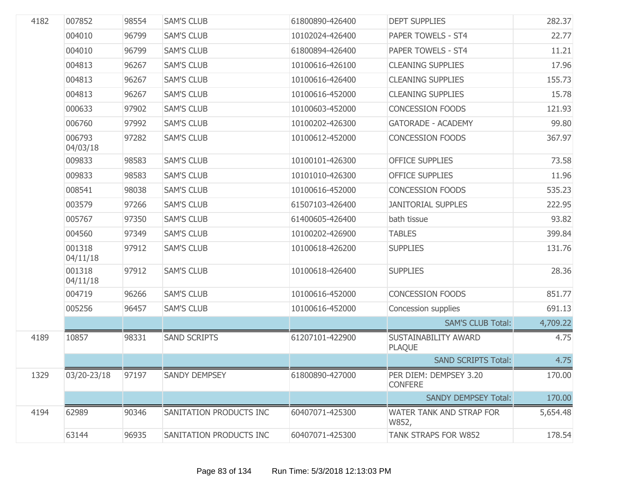| 4182 | 007852             | 98554 | <b>SAM'S CLUB</b>       | 61800890-426400 | <b>DEPT SUPPLIES</b>                     | 282.37   |
|------|--------------------|-------|-------------------------|-----------------|------------------------------------------|----------|
|      | 004010             | 96799 | <b>SAM'S CLUB</b>       | 10102024-426400 | PAPER TOWELS - ST4                       | 22.77    |
|      | 004010             | 96799 | <b>SAM'S CLUB</b>       | 61800894-426400 | PAPER TOWELS - ST4                       | 11.21    |
|      | 004813             | 96267 | <b>SAM'S CLUB</b>       | 10100616-426100 | <b>CLEANING SUPPLIES</b>                 | 17.96    |
|      | 004813             | 96267 | <b>SAM'S CLUB</b>       | 10100616-426400 | <b>CLEANING SUPPLIES</b>                 | 155.73   |
|      | 004813             | 96267 | <b>SAM'S CLUB</b>       | 10100616-452000 | <b>CLEANING SUPPLIES</b>                 | 15.78    |
|      | 000633             | 97902 | <b>SAM'S CLUB</b>       | 10100603-452000 | <b>CONCESSION FOODS</b>                  | 121.93   |
|      | 006760             | 97992 | <b>SAM'S CLUB</b>       | 10100202-426300 | <b>GATORADE - ACADEMY</b>                | 99.80    |
|      | 006793<br>04/03/18 | 97282 | <b>SAM'S CLUB</b>       | 10100612-452000 | <b>CONCESSION FOODS</b>                  | 367.97   |
|      | 009833             | 98583 | <b>SAM'S CLUB</b>       | 10100101-426300 | <b>OFFICE SUPPLIES</b>                   | 73.58    |
|      | 009833             | 98583 | <b>SAM'S CLUB</b>       | 10101010-426300 | <b>OFFICE SUPPLIES</b>                   | 11.96    |
|      | 008541             | 98038 | <b>SAM'S CLUB</b>       | 10100616-452000 | <b>CONCESSION FOODS</b>                  | 535.23   |
|      | 003579             | 97266 | <b>SAM'S CLUB</b>       | 61507103-426400 | <b>JANITORIAL SUPPLES</b>                | 222.95   |
|      | 005767             | 97350 | <b>SAM'S CLUB</b>       | 61400605-426400 | bath tissue                              | 93.82    |
|      | 004560             | 97349 | <b>SAM'S CLUB</b>       | 10100202-426900 | <b>TABLES</b>                            | 399.84   |
|      | 001318<br>04/11/18 | 97912 | <b>SAM'S CLUB</b>       | 10100618-426200 | <b>SUPPLIES</b>                          | 131.76   |
|      | 001318<br>04/11/18 | 97912 | <b>SAM'S CLUB</b>       | 10100618-426400 | <b>SUPPLIES</b>                          | 28.36    |
|      | 004719             | 96266 | <b>SAM'S CLUB</b>       | 10100616-452000 | <b>CONCESSION FOODS</b>                  | 851.77   |
|      | 005256             | 96457 | <b>SAM'S CLUB</b>       | 10100616-452000 | Concession supplies                      | 691.13   |
|      |                    |       |                         |                 | <b>SAM'S CLUB Total:</b>                 | 4,709.22 |
| 4189 | 10857              | 98331 | <b>SAND SCRIPTS</b>     | 61207101-422900 | SUSTAINABILITY AWARD<br><b>PLAQUE</b>    | 4.75     |
|      |                    |       |                         |                 | <b>SAND SCRIPTS Total:</b>               | 4.75     |
| 1329 | 03/20-23/18        | 97197 | SANDY DEMPSEY           | 61800890-427000 | PER DIEM: DEMPSEY 3.20<br><b>CONFERE</b> | 170.00   |
|      |                    |       |                         |                 | <b>SANDY DEMPSEY Total:</b>              | 170.00   |
| 4194 | 62989              | 90346 | SANITATION PRODUCTS INC | 60407071-425300 | WATER TANK AND STRAP FOR<br>W852,        | 5,654.48 |
|      | 63144              | 96935 | SANITATION PRODUCTS INC | 60407071-425300 | TANK STRAPS FOR W852                     | 178.54   |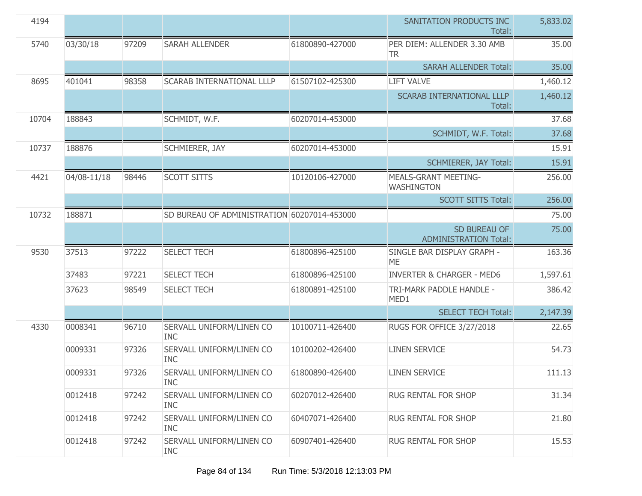| 4194  |             |       |                                             |                 | SANITATION PRODUCTS INC<br>Total:                | 5,833.02 |
|-------|-------------|-------|---------------------------------------------|-----------------|--------------------------------------------------|----------|
| 5740  | 03/30/18    | 97209 | <b>SARAH ALLENDER</b>                       | 61800890-427000 | PER DIEM: ALLENDER 3.30 AMB<br><b>TR</b>         | 35.00    |
|       |             |       |                                             |                 | <b>SARAH ALLENDER Total:</b>                     | 35.00    |
| 8695  | 401041      | 98358 | <b>SCARAB INTERNATIONAL LLLP</b>            | 61507102-425300 | <b>LIFT VALVE</b>                                | 1,460.12 |
|       |             |       |                                             |                 | <b>SCARAB INTERNATIONAL LLLP</b><br>Total:       | 1,460.12 |
| 10704 | 188843      |       | SCHMIDT, W.F.                               | 60207014-453000 |                                                  | 37.68    |
|       |             |       |                                             |                 | SCHMIDT, W.F. Total:                             | 37.68    |
| 10737 | 188876      |       | SCHMIERER, JAY                              | 60207014-453000 |                                                  | 15.91    |
|       |             |       |                                             |                 | <b>SCHMIERER, JAY Total:</b>                     | 15.91    |
| 4421  | 04/08-11/18 | 98446 | <b>SCOTT SITTS</b>                          | 10120106-427000 | <b>MEALS-GRANT MEETING-</b><br><b>WASHINGTON</b> | 256.00   |
|       |             |       |                                             |                 | <b>SCOTT SITTS Total:</b>                        | 256.00   |
| 10732 | 188871      |       | SD BUREAU OF ADMINISTRATION 60207014-453000 |                 |                                                  | 75.00    |
|       |             |       |                                             |                 | SD BUREAU OF<br><b>ADMINISTRATION Total:</b>     | 75.00    |
| 9530  | 37513       | 97222 | <b>SELECT TECH</b>                          | 61800896-425100 | SINGLE BAR DISPLAY GRAPH -<br><b>ME</b>          | 163.36   |
|       | 37483       | 97221 | <b>SELECT TECH</b>                          | 61800896-425100 | <b>INVERTER &amp; CHARGER - MED6</b>             | 1,597.61 |
|       | 37623       | 98549 | <b>SELECT TECH</b>                          | 61800891-425100 | TRI-MARK PADDLE HANDLE -<br>MED1                 | 386.42   |
|       |             |       |                                             |                 | <b>SELECT TECH Total:</b>                        | 2,147.39 |
| 4330  | 0008341     | 96710 | SERVALL UNIFORM/LINEN CO<br><b>INC</b>      | 10100711-426400 | RUGS FOR OFFICE 3/27/2018                        | 22.65    |
|       | 0009331     | 97326 | SERVALL UNIFORM/LINEN CO<br><b>INC</b>      | 10100202-426400 | <b>LINEN SERVICE</b>                             | 54.73    |
|       | 0009331     | 97326 | SERVALL UNIFORM/LINEN CO<br><b>INC</b>      | 61800890-426400 | <b>LINEN SERVICE</b>                             | 111.13   |
|       | 0012418     | 97242 | SERVALL UNIFORM/LINEN CO<br><b>INC</b>      | 60207012-426400 | <b>RUG RENTAL FOR SHOP</b>                       | 31.34    |
|       | 0012418     | 97242 | SERVALL UNIFORM/LINEN CO<br><b>INC</b>      | 60407071-426400 | RUG RENTAL FOR SHOP                              | 21.80    |
|       | 0012418     | 97242 | SERVALL UNIFORM/LINEN CO<br><b>INC</b>      | 60907401-426400 | RUG RENTAL FOR SHOP                              | 15.53    |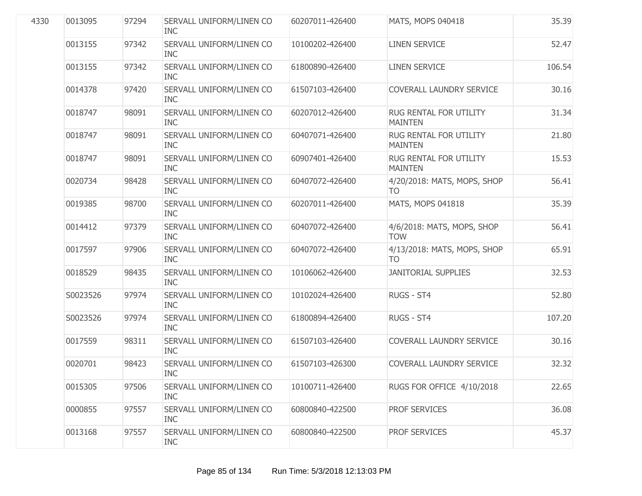| 4330 | 0013095  | 97294 | SERVALL UNIFORM/LINEN CO<br><b>INC</b> | 60207011-426400 | MATS, MOPS 040418                        | 35.39  |
|------|----------|-------|----------------------------------------|-----------------|------------------------------------------|--------|
|      | 0013155  | 97342 | SERVALL UNIFORM/LINEN CO<br><b>INC</b> | 10100202-426400 | <b>LINEN SERVICE</b>                     | 52.47  |
|      | 0013155  | 97342 | SERVALL UNIFORM/LINEN CO<br><b>INC</b> | 61800890-426400 | <b>LINEN SERVICE</b>                     | 106.54 |
|      | 0014378  | 97420 | SERVALL UNIFORM/LINEN CO<br><b>INC</b> | 61507103-426400 | COVERALL LAUNDRY SERVICE                 | 30.16  |
|      | 0018747  | 98091 | SERVALL UNIFORM/LINEN CO<br><b>INC</b> | 60207012-426400 | RUG RENTAL FOR UTILITY<br><b>MAINTEN</b> | 31.34  |
|      | 0018747  | 98091 | SERVALL UNIFORM/LINEN CO<br><b>INC</b> | 60407071-426400 | RUG RENTAL FOR UTILITY<br><b>MAINTEN</b> | 21.80  |
|      | 0018747  | 98091 | SERVALL UNIFORM/LINEN CO<br><b>INC</b> | 60907401-426400 | RUG RENTAL FOR UTILITY<br><b>MAINTEN</b> | 15.53  |
|      | 0020734  | 98428 | SERVALL UNIFORM/LINEN CO<br><b>INC</b> | 60407072-426400 | 4/20/2018: MATS, MOPS, SHOP<br><b>TO</b> | 56.41  |
|      | 0019385  | 98700 | SERVALL UNIFORM/LINEN CO<br><b>INC</b> | 60207011-426400 | MATS, MOPS 041818                        | 35.39  |
|      | 0014412  | 97379 | SERVALL UNIFORM/LINEN CO<br><b>INC</b> | 60407072-426400 | 4/6/2018: MATS, MOPS, SHOP<br><b>TOW</b> | 56.41  |
|      | 0017597  | 97906 | SERVALL UNIFORM/LINEN CO<br><b>INC</b> | 60407072-426400 | 4/13/2018: MATS, MOPS, SHOP<br><b>TO</b> | 65.91  |
|      | 0018529  | 98435 | SERVALL UNIFORM/LINEN CO<br><b>INC</b> | 10106062-426400 | <b>JANITORIAL SUPPLIES</b>               | 32.53  |
|      | S0023526 | 97974 | SERVALL UNIFORM/LINEN CO<br><b>INC</b> | 10102024-426400 | RUGS - ST4                               | 52.80  |
|      | S0023526 | 97974 | SERVALL UNIFORM/LINEN CO<br><b>INC</b> | 61800894-426400 | RUGS - ST4                               | 107.20 |
|      | 0017559  | 98311 | SERVALL UNIFORM/LINEN CO<br><b>INC</b> | 61507103-426400 | COVERALL LAUNDRY SERVICE                 | 30.16  |
|      | 0020701  | 98423 | SERVALL UNIFORM/LINEN CO<br><b>INC</b> | 61507103-426300 | <b>COVERALL LAUNDRY SERVICE</b>          | 32.32  |
|      | 0015305  | 97506 | SERVALL UNIFORM/LINEN CO<br><b>INC</b> | 10100711-426400 | RUGS FOR OFFICE 4/10/2018                | 22.65  |
|      | 0000855  | 97557 | SERVALL UNIFORM/LINEN CO<br><b>INC</b> | 60800840-422500 | <b>PROF SERVICES</b>                     | 36.08  |
|      | 0013168  | 97557 | SERVALL UNIFORM/LINEN CO<br><b>INC</b> | 60800840-422500 | PROF SERVICES                            | 45.37  |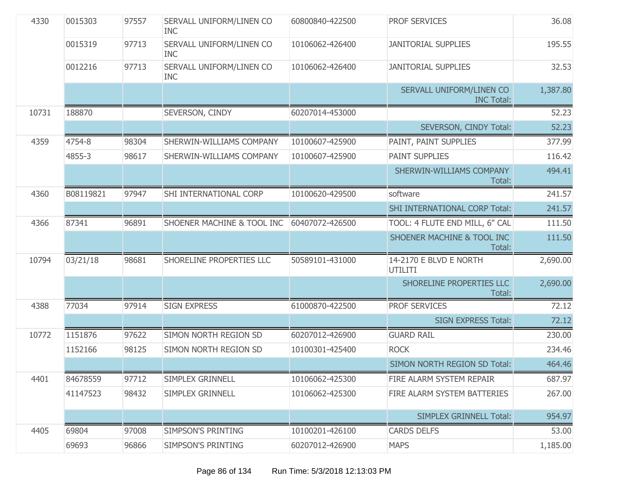| 4330  | 0015303   | 97557 | SERVALL UNIFORM/LINEN CO<br><b>INC</b> | 60800840-422500 | <b>PROF SERVICES</b>                          | 36.08    |
|-------|-----------|-------|----------------------------------------|-----------------|-----------------------------------------------|----------|
|       | 0015319   | 97713 | SERVALL UNIFORM/LINEN CO<br><b>INC</b> | 10106062-426400 | <b>JANITORIAL SUPPLIES</b>                    | 195.55   |
|       | 0012216   | 97713 | SERVALL UNIFORM/LINEN CO<br><b>INC</b> | 10106062-426400 | <b>JANITORIAL SUPPLIES</b>                    | 32.53    |
|       |           |       |                                        |                 | SERVALL UNIFORM/LINEN CO<br><b>INC Total:</b> | 1,387.80 |
| 10731 | 188870    |       | SEVERSON, CINDY                        | 60207014-453000 |                                               | 52.23    |
|       |           |       |                                        |                 | SEVERSON, CINDY Total:                        | 52.23    |
| 4359  | 4754-8    | 98304 | SHERWIN-WILLIAMS COMPANY               | 10100607-425900 | PAINT, PAINT SUPPLIES                         | 377.99   |
|       | 4855-3    | 98617 | SHERWIN-WILLIAMS COMPANY               | 10100607-425900 | <b>PAINT SUPPLIES</b>                         | 116.42   |
|       |           |       |                                        |                 | SHERWIN-WILLIAMS COMPANY<br>Total:            | 494.41   |
| 4360  | B08119821 | 97947 | SHI INTERNATIONAL CORP                 | 10100620-429500 | software                                      | 241.57   |
|       |           |       |                                        |                 | SHI INTERNATIONAL CORP Total:                 | 241.57   |
| 4366  | 87341     | 96891 | SHOENER MACHINE & TOOL INC             | 60407072-426500 | TOOL: 4 FLUTE END MILL, 6" CAL                | 111.50   |
|       |           |       |                                        |                 | SHOENER MACHINE & TOOL INC<br>Total:          | 111.50   |
| 10794 | 03/21/18  | 98681 | SHORELINE PROPERTIES LLC               | 50589101-431000 | 14-2170 E BLVD E NORTH<br>UTILITI             | 2,690.00 |
|       |           |       |                                        |                 | SHORELINE PROPERTIES LLC<br>Total:            | 2,690.00 |
| 4388  | 77034     | 97914 | <b>SIGN EXPRESS</b>                    | 61000870-422500 | <b>PROF SERVICES</b>                          | 72.12    |
|       |           |       |                                        |                 | <b>SIGN EXPRESS Total:</b>                    | 72.12    |
| 10772 | 1151876   | 97622 | SIMON NORTH REGION SD                  | 60207012-426900 | <b>GUARD RAIL</b>                             | 230.00   |
|       | 1152166   | 98125 | SIMON NORTH REGION SD                  | 10100301-425400 | <b>ROCK</b>                                   | 234.46   |
|       |           |       |                                        |                 | SIMON NORTH REGION SD Total:                  | 464.46   |
| 4401  | 84678559  | 97712 | SIMPLEX GRINNELL                       | 10106062-425300 | FIRE ALARM SYSTEM REPAIR                      | 687.97   |
|       | 41147523  | 98432 | SIMPLEX GRINNELL                       | 10106062-425300 | FIRE ALARM SYSTEM BATTERIES                   | 267.00   |
|       |           |       |                                        |                 | <b>SIMPLEX GRINNELL Total:</b>                | 954.97   |
| 4405  | 69804     | 97008 | SIMPSON'S PRINTING                     | 10100201-426100 | <b>CARDS DELFS</b>                            | 53.00    |
|       | 69693     | 96866 | SIMPSON'S PRINTING                     | 60207012-426900 | <b>MAPS</b>                                   | 1,185.00 |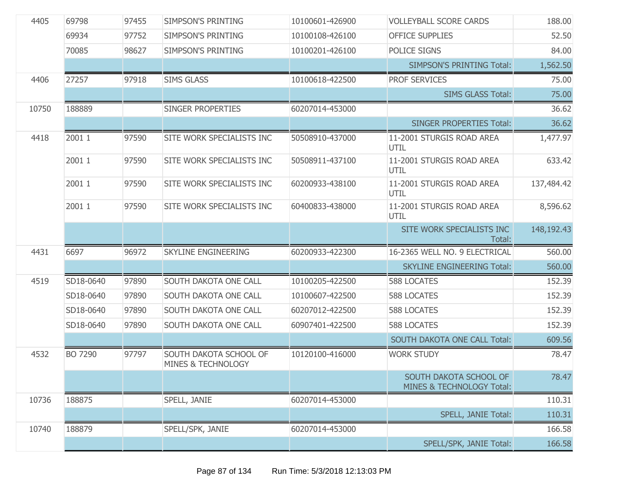| 4405  | 69798     | 97455 | <b>SIMPSON'S PRINTING</b>                               | 10100601-426900 | <b>VOLLEYBALL SCORE CARDS</b>                       | 188.00     |
|-------|-----------|-------|---------------------------------------------------------|-----------------|-----------------------------------------------------|------------|
|       | 69934     | 97752 | <b>SIMPSON'S PRINTING</b>                               | 10100108-426100 | <b>OFFICE SUPPLIES</b>                              | 52.50      |
|       | 70085     | 98627 | SIMPSON'S PRINTING                                      | 10100201-426100 | POLICE SIGNS                                        | 84.00      |
|       |           |       |                                                         |                 | <b>SIMPSON'S PRINTING Total:</b>                    | 1,562.50   |
| 4406  | 27257     | 97918 | <b>SIMS GLASS</b>                                       | 10100618-422500 | <b>PROF SERVICES</b>                                | 75.00      |
|       |           |       |                                                         |                 | <b>SIMS GLASS Total:</b>                            | 75.00      |
| 10750 | 188889    |       | SINGER PROPERTIES                                       | 60207014-453000 |                                                     | 36.62      |
|       |           |       |                                                         |                 | <b>SINGER PROPERTIES Total:</b>                     | 36.62      |
| 4418  | 2001 1    | 97590 | SITE WORK SPECIALISTS INC                               | 50508910-437000 | 11-2001 STURGIS ROAD AREA<br>UTIL                   | 1,477.97   |
|       | 2001 1    | 97590 | SITE WORK SPECIALISTS INC                               | 50508911-437100 | 11-2001 STURGIS ROAD AREA<br>UTIL                   | 633.42     |
|       | 2001 1    | 97590 | SITE WORK SPECIALISTS INC                               | 60200933-438100 | 11-2001 STURGIS ROAD AREA<br>UTIL                   | 137,484.42 |
|       | 2001 1    | 97590 | SITE WORK SPECIALISTS INC                               | 60400833-438000 | 11-2001 STURGIS ROAD AREA<br>UTIL                   | 8,596.62   |
|       |           |       |                                                         |                 | SITE WORK SPECIALISTS INC<br>Total:                 | 148,192.43 |
| 4431  | 6697      | 96972 | <b>SKYLINE ENGINEERING</b>                              | 60200933-422300 | 16-2365 WELL NO. 9 ELECTRICAL                       | 560.00     |
|       |           |       |                                                         |                 | <b>SKYLINE ENGINEERING Total:</b>                   | 560.00     |
| 4519  | SD18-0640 | 97890 | SOUTH DAKOTA ONE CALL                                   | 10100205-422500 | <b>588 LOCATES</b>                                  | 152.39     |
|       | SD18-0640 | 97890 | SOUTH DAKOTA ONE CALL                                   | 10100607-422500 | <b>588 LOCATES</b>                                  | 152.39     |
|       | SD18-0640 | 97890 | SOUTH DAKOTA ONE CALL                                   | 60207012-422500 | <b>588 LOCATES</b>                                  | 152.39     |
|       | SD18-0640 | 97890 | SOUTH DAKOTA ONE CALL                                   | 60907401-422500 | <b>588 LOCATES</b>                                  | 152.39     |
|       |           |       |                                                         |                 | <b>SOUTH DAKOTA ONE CALL Total:</b>                 | 609.56     |
| 4532  | BO 7290   | 97797 | SOUTH DAKOTA SCHOOL OF<br><b>MINES &amp; TECHNOLOGY</b> | 10120100-416000 | <b>WORK STUDY</b>                                   | 78.47      |
|       |           |       |                                                         |                 | SOUTH DAKOTA SCHOOL OF<br>MINES & TECHNOLOGY Total: | 78.47      |
| 10736 | 188875    |       | SPELL, JANIE                                            | 60207014-453000 |                                                     | 110.31     |
|       |           |       |                                                         |                 | <b>SPELL, JANIE Total:</b>                          | 110.31     |
| 10740 | 188879    |       | SPELL/SPK, JANIE                                        | 60207014-453000 |                                                     | 166.58     |
|       |           |       |                                                         |                 | SPELL/SPK, JANIE Total:                             | 166.58     |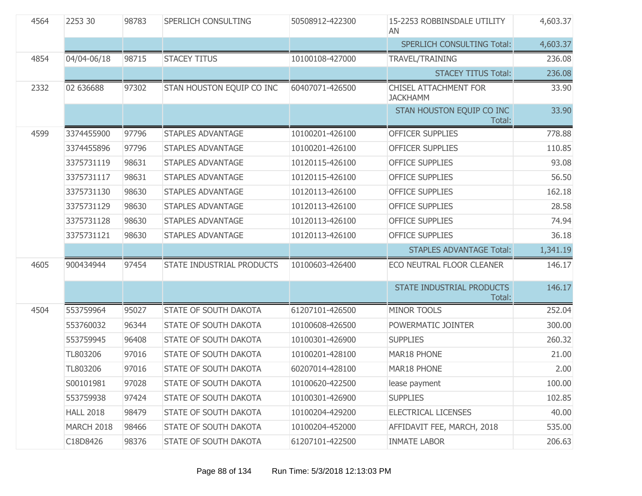| 4564 | 2253 30           | 98783 | SPERLICH CONSULTING          | 50508912-422300 | 15-2253 ROBBINSDALE UTILITY<br>AN               | 4,603.37 |
|------|-------------------|-------|------------------------------|-----------------|-------------------------------------------------|----------|
|      |                   |       |                              |                 | <b>SPERLICH CONSULTING Total:</b>               | 4,603.37 |
| 4854 | 04/04-06/18       | 98715 | <b>STACEY TITUS</b>          | 10100108-427000 | TRAVEL/TRAINING                                 | 236.08   |
|      |                   |       |                              |                 | <b>STACEY TITUS Total:</b>                      | 236.08   |
| 2332 | 02 636688         | 97302 | STAN HOUSTON EQUIP CO INC    | 60407071-426500 | <b>CHISEL ATTACHMENT FOR</b><br><b>JACKHAMM</b> | 33.90    |
|      |                   |       |                              |                 | STAN HOUSTON EQUIP CO INC<br>Total:             | 33.90    |
| 4599 | 3374455900        | 97796 | <b>STAPLES ADVANTAGE</b>     | 10100201-426100 | <b>OFFICER SUPPLIES</b>                         | 778.88   |
|      | 3374455896        | 97796 | <b>STAPLES ADVANTAGE</b>     | 10100201-426100 | OFFICER SUPPLIES                                | 110.85   |
|      | 3375731119        | 98631 | <b>STAPLES ADVANTAGE</b>     | 10120115-426100 | <b>OFFICE SUPPLIES</b>                          | 93.08    |
|      | 3375731117        | 98631 | <b>STAPLES ADVANTAGE</b>     | 10120115-426100 | <b>OFFICE SUPPLIES</b>                          | 56.50    |
|      | 3375731130        | 98630 | <b>STAPLES ADVANTAGE</b>     | 10120113-426100 | <b>OFFICE SUPPLIES</b>                          | 162.18   |
|      | 3375731129        | 98630 | <b>STAPLES ADVANTAGE</b>     | 10120113-426100 | <b>OFFICE SUPPLIES</b>                          | 28.58    |
|      | 3375731128        | 98630 | <b>STAPLES ADVANTAGE</b>     | 10120113-426100 | <b>OFFICE SUPPLIES</b>                          | 74.94    |
|      | 3375731121        | 98630 | <b>STAPLES ADVANTAGE</b>     | 10120113-426100 | <b>OFFICE SUPPLIES</b>                          | 36.18    |
|      |                   |       |                              |                 | <b>STAPLES ADVANTAGE Total:</b>                 | 1,341.19 |
| 4605 | 900434944         | 97454 | STATE INDUSTRIAL PRODUCTS    | 10100603-426400 | ECO NEUTRAL FLOOR CLEANER                       | 146.17   |
|      |                   |       |                              |                 | <b>STATE INDUSTRIAL PRODUCTS</b><br>Total:      | 146.17   |
| 4504 | 553759964         | 95027 | STATE OF SOUTH DAKOTA        | 61207101-426500 | MINOR TOOLS                                     | 252.04   |
|      | 553760032         | 96344 | STATE OF SOUTH DAKOTA        | 10100608-426500 | POWERMATIC JOINTER                              | 300.00   |
|      | 553759945         | 96408 | STATE OF SOUTH DAKOTA        | 10100301-426900 | <b>SUPPLIES</b>                                 | 260.32   |
|      | TL803206          | 97016 | STATE OF SOUTH DAKOTA        | 10100201-428100 | MAR18 PHONE                                     | 21.00    |
|      | TL803206          | 97016 | <b>STATE OF SOUTH DAKOTA</b> | 60207014-428100 | MAR18 PHONE                                     | 2.00     |
|      | S00101981         | 97028 | STATE OF SOUTH DAKOTA        | 10100620-422500 | lease payment                                   | 100.00   |
|      | 553759938         | 97424 | STATE OF SOUTH DAKOTA        | 10100301-426900 | <b>SUPPLIES</b>                                 | 102.85   |
|      | <b>HALL 2018</b>  | 98479 | STATE OF SOUTH DAKOTA        | 10100204-429200 | <b>ELECTRICAL LICENSES</b>                      | 40.00    |
|      | <b>MARCH 2018</b> | 98466 | STATE OF SOUTH DAKOTA        | 10100204-452000 | AFFIDAVIT FEE, MARCH, 2018                      | 535.00   |
|      | C18D8426          | 98376 | STATE OF SOUTH DAKOTA        | 61207101-422500 | <b>INMATE LABOR</b>                             | 206.63   |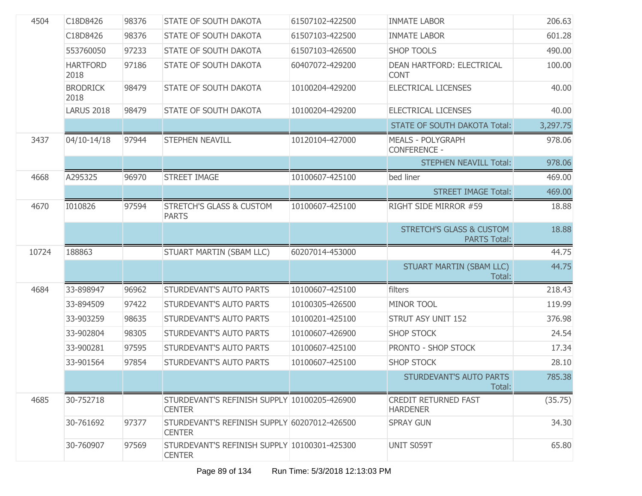| 4504  | C18D8426                | 98376 | STATE OF SOUTH DAKOTA                                         | 61507102-422500 | <b>INMATE LABOR</b>                                        | 206.63   |
|-------|-------------------------|-------|---------------------------------------------------------------|-----------------|------------------------------------------------------------|----------|
|       | C18D8426                | 98376 | STATE OF SOUTH DAKOTA                                         | 61507103-422500 | <b>INMATE LABOR</b>                                        | 601.28   |
|       | 553760050               | 97233 | STATE OF SOUTH DAKOTA                                         | 61507103-426500 | <b>SHOP TOOLS</b>                                          | 490.00   |
|       | <b>HARTFORD</b><br>2018 | 97186 | STATE OF SOUTH DAKOTA                                         | 60407072-429200 | DEAN HARTFORD: ELECTRICAL<br><b>CONT</b>                   | 100.00   |
|       | <b>BRODRICK</b><br>2018 | 98479 | STATE OF SOUTH DAKOTA                                         | 10100204-429200 | ELECTRICAL LICENSES                                        | 40.00    |
|       | <b>LARUS 2018</b>       | 98479 | <b>STATE OF SOUTH DAKOTA</b>                                  | 10100204-429200 | <b>ELECTRICAL LICENSES</b>                                 | 40.00    |
|       |                         |       |                                                               |                 | <b>STATE OF SOUTH DAKOTA Total:</b>                        | 3,297.75 |
| 3437  | 04/10-14/18             | 97944 | STEPHEN NEAVILL                                               | 10120104-427000 | <b>MEALS - POLYGRAPH</b><br><b>CONFERENCE -</b>            | 978.06   |
|       |                         |       |                                                               |                 | <b>STEPHEN NEAVILL Total:</b>                              | 978.06   |
| 4668  | A295325                 | 96970 | <b>STREET IMAGE</b>                                           | 10100607-425100 | bed liner                                                  | 469.00   |
|       |                         |       |                                                               |                 | <b>STREET IMAGE Total:</b>                                 | 469.00   |
| 4670  | 1010826                 | 97594 | <b>STRETCH'S GLASS &amp; CUSTOM</b><br><b>PARTS</b>           | 10100607-425100 | RIGHT SIDE MIRROR #59                                      | 18.88    |
|       |                         |       |                                                               |                 | <b>STRETCH'S GLASS &amp; CUSTOM</b><br><b>PARTS Total:</b> | 18.88    |
| 10724 | 188863                  |       | STUART MARTIN (SBAM LLC)                                      | 60207014-453000 |                                                            | 44.75    |
|       |                         |       |                                                               |                 | STUART MARTIN (SBAM LLC)<br>Total:                         | 44.75    |
| 4684  | 33-898947               | 96962 | STURDEVANT'S AUTO PARTS                                       | 10100607-425100 | filters                                                    | 218.43   |
|       | 33-894509               | 97422 | STURDEVANT'S AUTO PARTS                                       | 10100305-426500 | <b>MINOR TOOL</b>                                          | 119.99   |
|       | 33-903259               | 98635 | STURDEVANT'S AUTO PARTS                                       | 10100201-425100 | STRUT ASY UNIT 152                                         | 376.98   |
|       | 33-902804               | 98305 | STURDEVANT'S AUTO PARTS                                       | 10100607-426900 | <b>SHOP STOCK</b>                                          | 24.54    |
|       | 33-900281               | 97595 | STURDEVANT'S AUTO PARTS                                       | 10100607-425100 | PRONTO - SHOP STOCK                                        | 17.34    |
|       | 33-901564               | 97854 | STURDEVANT'S AUTO PARTS                                       | 10100607-425100 | <b>SHOP STOCK</b>                                          | 28.10    |
|       |                         |       |                                                               |                 | STURDEVANT'S AUTO PARTS<br>Total:                          | 785.38   |
| 4685  | 30-752718               |       | STURDEVANT'S REFINISH SUPPLY 10100205-426900<br><b>CENTER</b> |                 | <b>CREDIT RETURNED FAST</b><br><b>HARDENER</b>             | (35.75)  |
|       | 30-761692               | 97377 | STURDEVANT'S REFINISH SUPPLY 60207012-426500<br><b>CENTER</b> |                 | <b>SPRAY GUN</b>                                           | 34.30    |
|       | 30-760907               | 97569 | STURDEVANT'S REFINISH SUPPLY 10100301-425300<br><b>CENTER</b> |                 | UNIT S059T                                                 | 65.80    |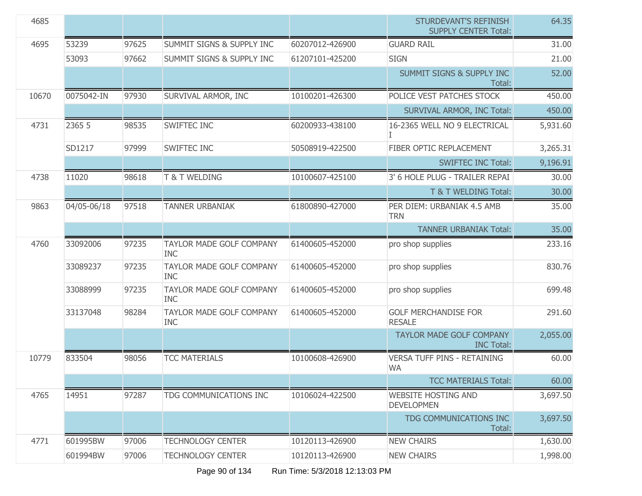| 4685  |             |       |                                               |                 | <b>STURDEVANT'S REFINISH</b><br><b>SUPPLY CENTER Total:</b> | 64.35    |
|-------|-------------|-------|-----------------------------------------------|-----------------|-------------------------------------------------------------|----------|
| 4695  | 53239       | 97625 | <b>SUMMIT SIGNS &amp; SUPPLY INC</b>          | 60207012-426900 | <b>GUARD RAIL</b>                                           | 31.00    |
|       | 53093       | 97662 | <b>SUMMIT SIGNS &amp; SUPPLY INC</b>          | 61207101-425200 | <b>SIGN</b>                                                 | 21.00    |
|       |             |       |                                               |                 | <b>SUMMIT SIGNS &amp; SUPPLY INC</b><br>Total:              | 52.00    |
| 10670 | 0075042-IN  | 97930 | SURVIVAL ARMOR, INC                           | 10100201-426300 | POLICE VEST PATCHES STOCK                                   | 450.00   |
|       |             |       |                                               |                 | <b>SURVIVAL ARMOR, INC Total:</b>                           | 450.00   |
| 4731  | 2365 5      | 98535 | SWIFTEC INC                                   | 60200933-438100 | 16-2365 WELL NO 9 ELECTRICAL                                | 5,931.60 |
|       | SD1217      | 97999 | SWIFTEC INC                                   | 50508919-422500 | FIBER OPTIC REPLACEMENT                                     | 3,265.31 |
|       |             |       |                                               |                 | <b>SWIFTEC INC Total:</b>                                   | 9,196.91 |
| 4738  | 11020       | 98618 | <b>T &amp; T WELDING</b>                      | 10100607-425100 | 3' 6 HOLE PLUG - TRAILER REPAI                              | 30.00    |
|       |             |       |                                               |                 | T & T WELDING Total:                                        | 30.00    |
| 9863  | 04/05-06/18 | 97518 | <b>TANNER URBANIAK</b>                        | 61800890-427000 | PER DIEM: URBANIAK 4.5 AMB<br><b>TRN</b>                    | 35.00    |
|       |             |       |                                               |                 | <b>TANNER URBANIAK Total:</b>                               | 35.00    |
| 4760  | 33092006    | 97235 | TAYLOR MADE GOLF COMPANY<br><b>INC</b>        | 61400605-452000 | pro shop supplies                                           | 233.16   |
|       | 33089237    | 97235 | <b>TAYLOR MADE GOLF COMPANY</b><br><b>INC</b> | 61400605-452000 | pro shop supplies                                           | 830.76   |
|       | 33088999    | 97235 | TAYLOR MADE GOLF COMPANY<br><b>INC</b>        | 61400605-452000 | pro shop supplies                                           | 699.48   |
|       | 33137048    | 98284 | <b>TAYLOR MADE GOLF COMPANY</b><br><b>INC</b> | 61400605-452000 | <b>GOLF MERCHANDISE FOR</b><br><b>RESALE</b>                | 291.60   |
|       |             |       |                                               |                 | <b>TAYLOR MADE GOLF COMPANY</b><br><b>INC Total:</b>        | 2,055.00 |
| 10779 | 833504      | 98056 | <b>TCC MATERIALS</b>                          | 10100608-426900 | <b>VERSA TUFF PINS - RETAINING</b><br><b>WA</b>             | 60.00    |
|       |             |       |                                               |                 | <b>TCC MATERIALS Total:</b>                                 | 60.00    |
| 4765  | 14951       | 97287 | TDG COMMUNICATIONS INC                        | 10106024-422500 | <b>WEBSITE HOSTING AND</b><br><b>DEVELOPMEN</b>             | 3,697.50 |
|       |             |       |                                               |                 | TDG COMMUNICATIONS INC<br>Total:                            | 3,697.50 |
| 4771  | 601995BW    | 97006 | <b>TECHNOLOGY CENTER</b>                      | 10120113-426900 | <b>NEW CHAIRS</b>                                           | 1,630.00 |
|       | 601994BW    | 97006 | <b>TECHNOLOGY CENTER</b>                      | 10120113-426900 | <b>NEW CHAIRS</b>                                           | 1,998.00 |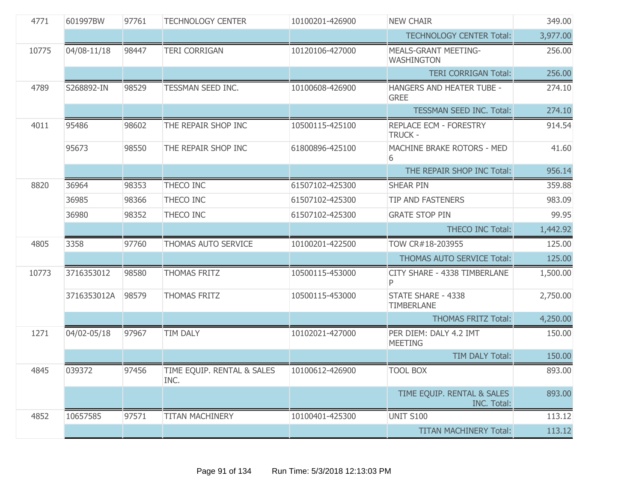| 4771  | 601997BW    | 97761 | <b>TECHNOLOGY CENTER</b>           | 10100201-426900 | <b>NEW CHAIR</b>                                 | 349.00   |
|-------|-------------|-------|------------------------------------|-----------------|--------------------------------------------------|----------|
|       |             |       |                                    |                 | <b>TECHNOLOGY CENTER Total:</b>                  | 3,977.00 |
| 10775 | 04/08-11/18 | 98447 | <b>TERI CORRIGAN</b>               | 10120106-427000 | <b>MEALS-GRANT MEETING-</b><br><b>WASHINGTON</b> | 256.00   |
|       |             |       |                                    |                 | <b>TERI CORRIGAN Total:</b>                      | 256.00   |
| 4789  | S268892-IN  | 98529 | TESSMAN SEED INC.                  | 10100608-426900 | HANGERS AND HEATER TUBE -<br><b>GREE</b>         | 274.10   |
|       |             |       |                                    |                 | TESSMAN SEED INC. Total:                         | 274.10   |
| 4011  | 95486       | 98602 | THE REPAIR SHOP INC                | 10500115-425100 | <b>REPLACE ECM - FORESTRY</b><br><b>TRUCK -</b>  | 914.54   |
|       | 95673       | 98550 | THE REPAIR SHOP INC                | 61800896-425100 | MACHINE BRAKE ROTORS - MED<br>6                  | 41.60    |
|       |             |       |                                    |                 | THE REPAIR SHOP INC Total:                       | 956.14   |
| 8820  | 36964       | 98353 | THECO INC                          | 61507102-425300 | <b>SHEAR PIN</b>                                 | 359.88   |
|       | 36985       | 98366 | THECO INC                          | 61507102-425300 | <b>TIP AND FASTENERS</b>                         | 983.09   |
|       | 36980       | 98352 | THECO INC                          | 61507102-425300 | <b>GRATE STOP PIN</b>                            | 99.95    |
|       |             |       |                                    |                 | <b>THECO INC Total:</b>                          | 1,442.92 |
| 4805  | 3358        | 97760 | THOMAS AUTO SERVICE                | 10100201-422500 | TOW CR#18-203955                                 | 125.00   |
|       |             |       |                                    |                 | <b>THOMAS AUTO SERVICE Total:</b>                | 125.00   |
| 10773 | 3716353012  | 98580 | <b>THOMAS FRITZ</b>                | 10500115-453000 | CITY SHARE - 4338 TIMBERLANE                     | 1,500.00 |
|       | 3716353012A | 98579 | <b>THOMAS FRITZ</b>                | 10500115-453000 | STATE SHARE - 4338<br><b>TIMBERLANE</b>          | 2,750.00 |
|       |             |       |                                    |                 | <b>THOMAS FRITZ Total:</b>                       | 4,250.00 |
| 1271  | 04/02-05/18 | 97967 | <b>TIM DALY</b>                    | 10102021-427000 | PER DIEM: DALY 4.2 IMT<br><b>MEETING</b>         | 150.00   |
|       |             |       |                                    |                 | TIM DALY Total:                                  | 150.00   |
| 4845  | 039372      | 97456 | TIME EQUIP. RENTAL & SALES<br>INC. | 10100612-426900 | <b>TOOL BOX</b>                                  | 893.00   |
|       |             |       |                                    |                 | TIME EQUIP. RENTAL & SALES<br>INC. Total:        | 893.00   |
| 4852  | 10657585    | 97571 | <b>TITAN MACHINERY</b>             | 10100401-425300 | <b>UNIT S100</b>                                 | 113.12   |
|       |             |       |                                    |                 | <b>TITAN MACHINERY Total:</b>                    | 113.12   |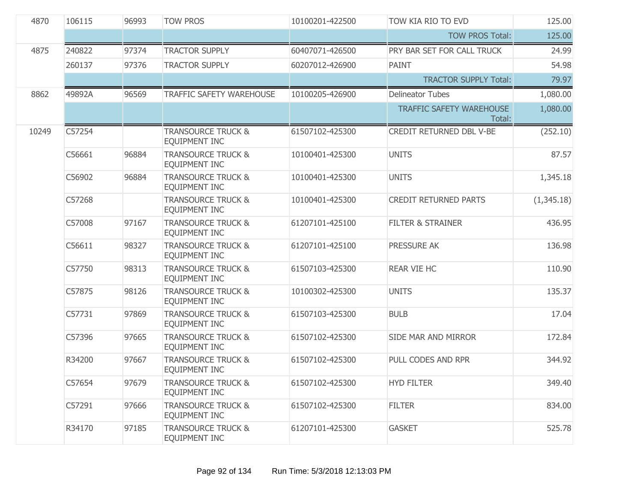| 4870  | 106115 | 96993 | <b>TOW PROS</b>                                | 10100201-422500 | TOW KIA RIO TO EVD                        | 125.00     |
|-------|--------|-------|------------------------------------------------|-----------------|-------------------------------------------|------------|
|       |        |       |                                                |                 | <b>TOW PROS Total:</b>                    | 125.00     |
| 4875  | 240822 | 97374 | <b>TRACTOR SUPPLY</b>                          | 60407071-426500 | PRY BAR SET FOR CALL TRUCK                | 24.99      |
|       | 260137 | 97376 | <b>TRACTOR SUPPLY</b>                          | 60207012-426900 | PAINT                                     | 54.98      |
|       |        |       |                                                |                 | <b>TRACTOR SUPPLY Total:</b>              | 79.97      |
| 8862  | 49892A | 96569 | <b>TRAFFIC SAFETY WAREHOUSE</b>                | 10100205-426900 | <b>Delineator Tubes</b>                   | 1,080.00   |
|       |        |       |                                                |                 | <b>TRAFFIC SAFETY WAREHOUSE</b><br>Total: | 1,080.00   |
| 10249 | C57254 |       | <b>TRANSOURCE TRUCK &amp;</b><br>EQUIPMENT INC | 61507102-425300 | CREDIT RETURNED DBL V-BE                  | (252.10)   |
|       | C56661 | 96884 | <b>TRANSOURCE TRUCK &amp;</b><br>EQUIPMENT INC | 10100401-425300 | <b>UNITS</b>                              | 87.57      |
|       | C56902 | 96884 | <b>TRANSOURCE TRUCK &amp;</b><br>EQUIPMENT INC | 10100401-425300 | <b>UNITS</b>                              | 1,345.18   |
|       | C57268 |       | <b>TRANSOURCE TRUCK &amp;</b><br>EQUIPMENT INC | 10100401-425300 | <b>CREDIT RETURNED PARTS</b>              | (1,345.18) |
|       | C57008 | 97167 | <b>TRANSOURCE TRUCK &amp;</b><br>EQUIPMENT INC | 61207101-425100 | <b>FILTER &amp; STRAINER</b>              | 436.95     |
|       | C56611 | 98327 | <b>TRANSOURCE TRUCK &amp;</b><br>EQUIPMENT INC | 61207101-425100 | PRESSURE AK                               | 136.98     |
|       | C57750 | 98313 | <b>TRANSOURCE TRUCK &amp;</b><br>EQUIPMENT INC | 61507103-425300 | <b>REAR VIE HC</b>                        | 110.90     |
|       | C57875 | 98126 | <b>TRANSOURCE TRUCK &amp;</b><br>EQUIPMENT INC | 10100302-425300 | <b>UNITS</b>                              | 135.37     |
|       | C57731 | 97869 | <b>TRANSOURCE TRUCK &amp;</b><br>EQUIPMENT INC | 61507103-425300 | <b>BULB</b>                               | 17.04      |
|       | C57396 | 97665 | <b>TRANSOURCE TRUCK &amp;</b><br>EQUIPMENT INC | 61507102-425300 | SIDE MAR AND MIRROR                       | 172.84     |
|       | R34200 | 97667 | <b>TRANSOURCE TRUCK &amp;</b><br>EQUIPMENT INC | 61507102-425300 | PULL CODES AND RPR                        | 344.92     |
|       | C57654 | 97679 | <b>TRANSOURCE TRUCK &amp;</b><br>EQUIPMENT INC | 61507102-425300 | <b>HYD FILTER</b>                         | 349.40     |
|       | C57291 | 97666 | <b>TRANSOURCE TRUCK &amp;</b><br>EQUIPMENT INC | 61507102-425300 | <b>FILTER</b>                             | 834.00     |
|       | R34170 | 97185 | <b>TRANSOURCE TRUCK &amp;</b><br>EQUIPMENT INC | 61207101-425300 | <b>GASKET</b>                             | 525.78     |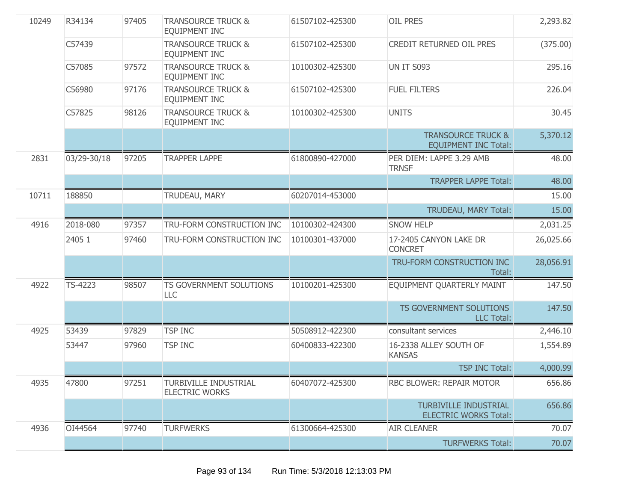| 10249 | R34134      | 97405 | <b>TRANSOURCE TRUCK &amp;</b><br><b>EQUIPMENT INC</b> | 61507102-425300 | <b>OIL PRES</b>                                              | 2,293.82  |
|-------|-------------|-------|-------------------------------------------------------|-----------------|--------------------------------------------------------------|-----------|
|       | C57439      |       | <b>TRANSOURCE TRUCK &amp;</b><br><b>EQUIPMENT INC</b> | 61507102-425300 | CREDIT RETURNED OIL PRES                                     | (375.00)  |
|       | C57085      | 97572 | <b>TRANSOURCE TRUCK &amp;</b><br><b>EQUIPMENT INC</b> | 10100302-425300 | <b>UN IT S093</b>                                            | 295.16    |
|       | C56980      | 97176 | <b>TRANSOURCE TRUCK &amp;</b><br><b>EQUIPMENT INC</b> | 61507102-425300 | <b>FUEL FILTERS</b>                                          | 226.04    |
|       | C57825      | 98126 | <b>TRANSOURCE TRUCK &amp;</b><br><b>EQUIPMENT INC</b> | 10100302-425300 | <b>UNITS</b>                                                 | 30.45     |
|       |             |       |                                                       |                 | <b>TRANSOURCE TRUCK &amp;</b><br><b>EQUIPMENT INC Total:</b> | 5,370.12  |
| 2831  | 03/29-30/18 | 97205 | <b>TRAPPER LAPPE</b>                                  | 61800890-427000 | PER DIEM: LAPPE 3.29 AMB<br><b>TRNSF</b>                     | 48.00     |
|       |             |       |                                                       |                 | <b>TRAPPER LAPPE Total:</b>                                  | 48.00     |
| 10711 | 188850      |       | TRUDEAU, MARY                                         | 60207014-453000 |                                                              | 15.00     |
|       |             |       |                                                       |                 |                                                              | 15.00     |
| 4916  | 2018-080    | 97357 | TRU-FORM CONSTRUCTION INC                             | 10100302-424300 | <b>SNOW HELP</b>                                             | 2,031.25  |
|       | 2405 1      | 97460 | TRU-FORM CONSTRUCTION INC                             | 10100301-437000 | 17-2405 CANYON LAKE DR<br><b>CONCRET</b>                     | 26,025.66 |
|       |             |       |                                                       |                 | TRU-FORM CONSTRUCTION INC<br>Total:                          | 28,056.91 |
| 4922  | TS-4223     | 98507 | <b>TS GOVERNMENT SOLUTIONS</b><br>LLC                 | 10100201-425300 | EQUIPMENT QUARTERLY MAINT                                    | 147.50    |
|       |             |       |                                                       |                 | TS GOVERNMENT SOLUTIONS<br><b>LLC Total:</b>                 | 147.50    |
| 4925  | 53439       | 97829 | <b>TSP INC</b>                                        | 50508912-422300 | consultant services                                          | 2,446.10  |
|       | 53447       | 97960 | <b>TSP INC</b>                                        | 60400833-422300 | 16-2338 ALLEY SOUTH OF<br><b>KANSAS</b>                      | 1,554.89  |
|       |             |       |                                                       |                 | <b>TSP INC Total:</b>                                        | 4,000.99  |
| 4935  | 47800       | 97251 | <b>TURBIVILLE INDUSTRIAL</b><br><b>ELECTRIC WORKS</b> | 60407072-425300 | RBC BLOWER: REPAIR MOTOR                                     | 656.86    |
|       |             |       |                                                       |                 | <b>TURBIVILLE INDUSTRIAL</b><br><b>ELECTRIC WORKS Total:</b> | 656.86    |
| 4936  | OI44564     | 97740 | <b>TURFWERKS</b>                                      | 61300664-425300 | <b>AIR CLEANER</b>                                           | 70.07     |
|       |             |       |                                                       |                 | <b>TURFWERKS Total:</b>                                      | 70.07     |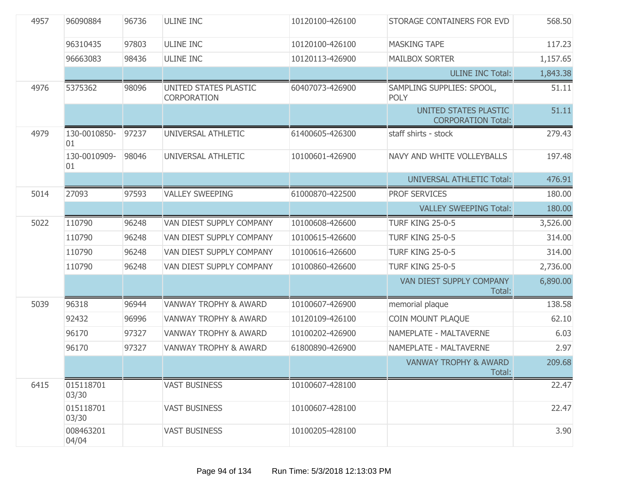| 4957 | 96090884           | 96736 | <b>ULINE INC</b>                            | 10120100-426100 | STORAGE CONTAINERS FOR EVD                         | 568.50   |
|------|--------------------|-------|---------------------------------------------|-----------------|----------------------------------------------------|----------|
|      | 96310435           | 97803 | <b>ULINE INC</b>                            | 10120100-426100 | <b>MASKING TAPE</b>                                | 117.23   |
|      | 96663083           | 98436 | <b>ULINE INC</b>                            | 10120113-426900 | <b>MAILBOX SORTER</b>                              | 1,157.65 |
|      |                    |       |                                             |                 | <b>ULINE INC Total:</b>                            | 1,843.38 |
| 4976 | 5375362            | 98096 | UNITED STATES PLASTIC<br><b>CORPORATION</b> | 60407073-426900 | SAMPLING SUPPLIES: SPOOL,<br><b>POLY</b>           | 51.11    |
|      |                    |       |                                             |                 | UNITED STATES PLASTIC<br><b>CORPORATION Total:</b> | 51.11    |
| 4979 | 130-0010850-<br>01 | 97237 | UNIVERSAL ATHLETIC                          | 61400605-426300 | staff shirts - stock                               | 279.43   |
|      | 130-0010909-<br>01 | 98046 | UNIVERSAL ATHLETIC                          | 10100601-426900 | NAVY AND WHITE VOLLEYBALLS                         | 197.48   |
|      |                    |       |                                             |                 | <b>UNIVERSAL ATHLETIC Total:</b>                   | 476.91   |
| 5014 | 27093              | 97593 | <b>VALLEY SWEEPING</b>                      | 61000870-422500 | <b>PROF SERVICES</b>                               | 180.00   |
|      |                    |       |                                             |                 | <b>VALLEY SWEEPING Total:</b>                      | 180.00   |
| 5022 | 110790             | 96248 | VAN DIEST SUPPLY COMPANY                    | 10100608-426600 | <b>TURF KING 25-0-5</b>                            | 3,526.00 |
|      | 110790             | 96248 | VAN DIEST SUPPLY COMPANY                    | 10100615-426600 | <b>TURF KING 25-0-5</b>                            | 314.00   |
|      | 110790             | 96248 | VAN DIEST SUPPLY COMPANY                    | 10100616-426600 | <b>TURF KING 25-0-5</b>                            | 314.00   |
|      | 110790             | 96248 | VAN DIEST SUPPLY COMPANY                    | 10100860-426600 | <b>TURF KING 25-0-5</b>                            | 2,736.00 |
|      |                    |       |                                             |                 | VAN DIEST SUPPLY COMPANY<br>Total:                 | 6,890.00 |
| 5039 | 96318              | 96944 | <b>VANWAY TROPHY &amp; AWARD</b>            | 10100607-426900 | memorial plaque                                    | 138.58   |
|      | 92432              | 96996 | <b>VANWAY TROPHY &amp; AWARD</b>            | 10120109-426100 | COIN MOUNT PLAQUE                                  | 62.10    |
|      | 96170              | 97327 | <b>VANWAY TROPHY &amp; AWARD</b>            | 10100202-426900 | NAMEPLATE - MALTAVERNE                             | 6.03     |
|      | 96170              | 97327 | VANWAY TROPHY & AWARD                       | 61800890-426900 | NAMEPLATE - MALTAVERNE                             | 2.97     |
|      |                    |       |                                             |                 | <b>VANWAY TROPHY &amp; AWARD</b><br>Total:         | 209.68   |
| 6415 | 015118701<br>03/30 |       | <b>VAST BUSINESS</b>                        | 10100607-428100 |                                                    | 22.47    |
|      | 015118701<br>03/30 |       | <b>VAST BUSINESS</b>                        | 10100607-428100 |                                                    | 22.47    |
|      | 008463201<br>04/04 |       | <b>VAST BUSINESS</b>                        | 10100205-428100 |                                                    | 3.90     |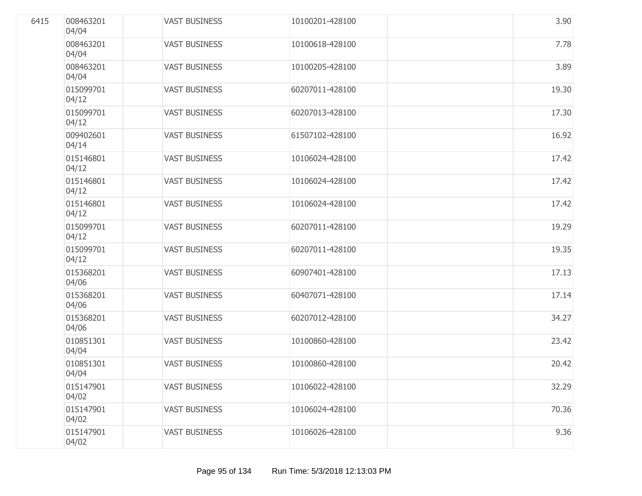| 6415 | 008463201<br>04/04 | <b>VAST BUSINESS</b> | 10100201-428100 | 3.90  |
|------|--------------------|----------------------|-----------------|-------|
|      | 008463201<br>04/04 | <b>VAST BUSINESS</b> | 10100618-428100 | 7.78  |
|      | 008463201<br>04/04 | <b>VAST BUSINESS</b> | 10100205-428100 | 3.89  |
|      | 015099701<br>04/12 | <b>VAST BUSINESS</b> | 60207011-428100 | 19.30 |
|      | 015099701<br>04/12 | <b>VAST BUSINESS</b> | 60207013-428100 | 17.30 |
|      | 009402601<br>04/14 | <b>VAST BUSINESS</b> | 61507102-428100 | 16.92 |
|      | 015146801<br>04/12 | <b>VAST BUSINESS</b> | 10106024-428100 | 17.42 |
|      | 015146801<br>04/12 | <b>VAST BUSINESS</b> | 10106024-428100 | 17.42 |
|      | 015146801<br>04/12 | <b>VAST BUSINESS</b> | 10106024-428100 | 17.42 |
|      | 015099701<br>04/12 | <b>VAST BUSINESS</b> | 60207011-428100 | 19.29 |
|      | 015099701<br>04/12 | <b>VAST BUSINESS</b> | 60207011-428100 | 19.35 |
|      | 015368201<br>04/06 | <b>VAST BUSINESS</b> | 60907401-428100 | 17.13 |
|      | 015368201<br>04/06 | <b>VAST BUSINESS</b> | 60407071-428100 | 17.14 |
|      | 015368201<br>04/06 | <b>VAST BUSINESS</b> | 60207012-428100 | 34.27 |
|      | 010851301<br>04/04 | <b>VAST BUSINESS</b> | 10100860-428100 | 23.42 |
|      | 010851301<br>04/04 | <b>VAST BUSINESS</b> | 10100860-428100 | 20.42 |
|      | 015147901<br>04/02 | <b>VAST BUSINESS</b> | 10106022-428100 | 32.29 |
|      | 015147901<br>04/02 | <b>VAST BUSINESS</b> | 10106024-428100 | 70.36 |
|      | 015147901<br>04/02 | <b>VAST BUSINESS</b> | 10106026-428100 | 9.36  |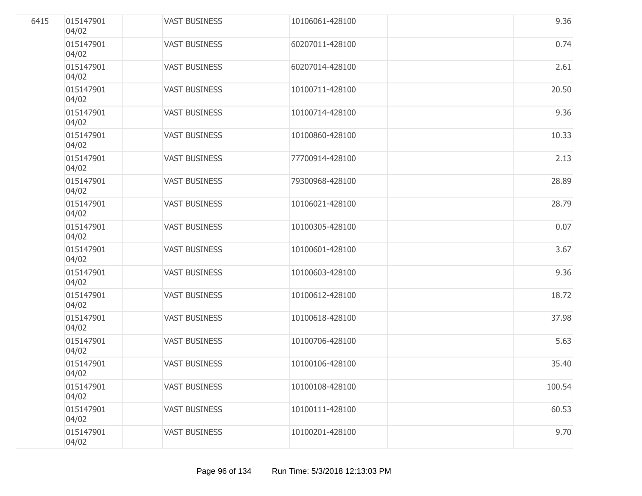| 6415 | 015147901<br>04/02 | <b>VAST BUSINESS</b> | 10106061-428100 | 9.36   |
|------|--------------------|----------------------|-----------------|--------|
|      | 015147901<br>04/02 | <b>VAST BUSINESS</b> | 60207011-428100 | 0.74   |
|      | 015147901<br>04/02 | <b>VAST BUSINESS</b> | 60207014-428100 | 2.61   |
|      | 015147901<br>04/02 | <b>VAST BUSINESS</b> | 10100711-428100 | 20.50  |
|      | 015147901<br>04/02 | <b>VAST BUSINESS</b> | 10100714-428100 | 9.36   |
|      | 015147901<br>04/02 | <b>VAST BUSINESS</b> | 10100860-428100 | 10.33  |
|      | 015147901<br>04/02 | <b>VAST BUSINESS</b> | 77700914-428100 | 2.13   |
|      | 015147901<br>04/02 | <b>VAST BUSINESS</b> | 79300968-428100 | 28.89  |
|      | 015147901<br>04/02 | <b>VAST BUSINESS</b> | 10106021-428100 | 28.79  |
|      | 015147901<br>04/02 | <b>VAST BUSINESS</b> | 10100305-428100 | 0.07   |
|      | 015147901<br>04/02 | <b>VAST BUSINESS</b> | 10100601-428100 | 3.67   |
|      | 015147901<br>04/02 | <b>VAST BUSINESS</b> | 10100603-428100 | 9.36   |
|      | 015147901<br>04/02 | <b>VAST BUSINESS</b> | 10100612-428100 | 18.72  |
|      | 015147901<br>04/02 | <b>VAST BUSINESS</b> | 10100618-428100 | 37.98  |
|      | 015147901<br>04/02 | <b>VAST BUSINESS</b> | 10100706-428100 | 5.63   |
|      | 015147901<br>04/02 | <b>VAST BUSINESS</b> | 10100106-428100 | 35.40  |
|      | 015147901<br>04/02 | <b>VAST BUSINESS</b> | 10100108-428100 | 100.54 |
|      | 015147901<br>04/02 | <b>VAST BUSINESS</b> | 10100111-428100 | 60.53  |
|      | 015147901<br>04/02 | <b>VAST BUSINESS</b> | 10100201-428100 | 9.70   |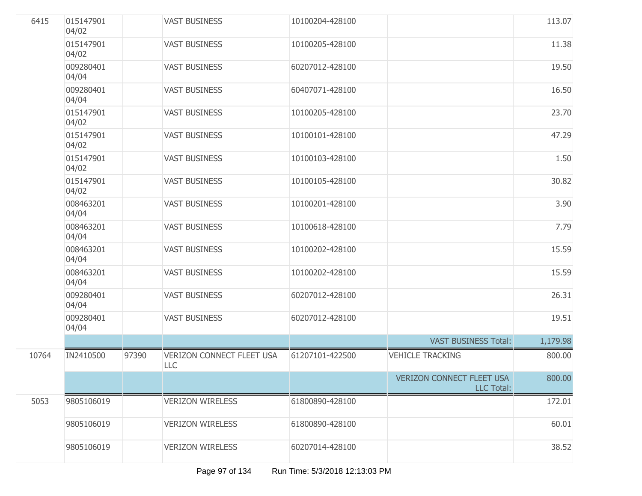| 6415  | 015147901<br>04/02 |       | <b>VAST BUSINESS</b>                           | 10100204-428100 |                                                       | 113.07   |
|-------|--------------------|-------|------------------------------------------------|-----------------|-------------------------------------------------------|----------|
|       | 015147901<br>04/02 |       | <b>VAST BUSINESS</b>                           | 10100205-428100 |                                                       | 11.38    |
|       | 009280401<br>04/04 |       | <b>VAST BUSINESS</b>                           | 60207012-428100 |                                                       | 19.50    |
|       | 009280401<br>04/04 |       | <b>VAST BUSINESS</b>                           | 60407071-428100 |                                                       | 16.50    |
|       | 015147901<br>04/02 |       | <b>VAST BUSINESS</b>                           | 10100205-428100 |                                                       | 23.70    |
|       | 015147901<br>04/02 |       | <b>VAST BUSINESS</b>                           | 10100101-428100 |                                                       | 47.29    |
|       | 015147901<br>04/02 |       | <b>VAST BUSINESS</b>                           | 10100103-428100 |                                                       | 1.50     |
|       | 015147901<br>04/02 |       | <b>VAST BUSINESS</b>                           | 10100105-428100 |                                                       | 30.82    |
|       | 008463201<br>04/04 |       | <b>VAST BUSINESS</b>                           | 10100201-428100 |                                                       | 3.90     |
|       | 008463201<br>04/04 |       | <b>VAST BUSINESS</b>                           | 10100618-428100 |                                                       | 7.79     |
|       | 008463201<br>04/04 |       | <b>VAST BUSINESS</b>                           | 10100202-428100 |                                                       | 15.59    |
|       | 008463201<br>04/04 |       | <b>VAST BUSINESS</b>                           | 10100202-428100 |                                                       | 15.59    |
|       | 009280401<br>04/04 |       | <b>VAST BUSINESS</b>                           | 60207012-428100 |                                                       | 26.31    |
|       | 009280401<br>04/04 |       | <b>VAST BUSINESS</b>                           | 60207012-428100 |                                                       | 19.51    |
|       |                    |       |                                                |                 | <b>VAST BUSINESS Total:</b>                           | 1,179.98 |
| 10764 | IN2410500          | 97390 | <b>VERIZON CONNECT FLEET USA</b><br><b>LLC</b> | 61207101-422500 | <b>VEHICLE TRACKING</b>                               | 800.00   |
|       |                    |       |                                                |                 | <b>VERIZON CONNECT FLEET USA</b><br><b>LLC Total:</b> | 800.00   |
| 5053  | 9805106019         |       | <b>VERIZON WIRELESS</b>                        | 61800890-428100 |                                                       | 172.01   |
|       | 9805106019         |       | <b>VERIZON WIRELESS</b>                        | 61800890-428100 |                                                       | 60.01    |
|       | 9805106019         |       | <b>VERIZON WIRELESS</b>                        | 60207014-428100 |                                                       | 38.52    |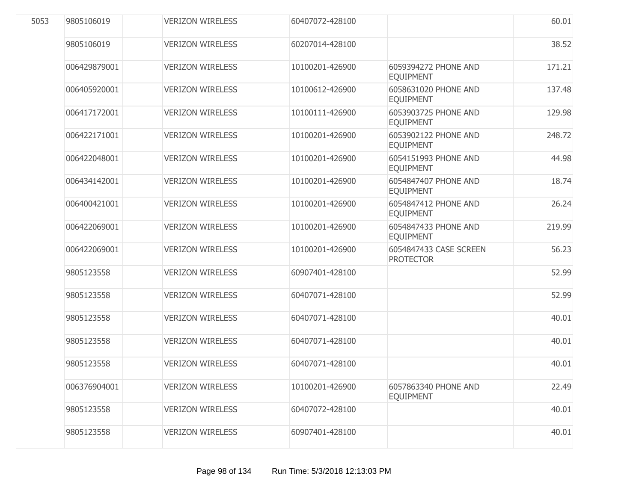| 5053 | 9805106019   | <b>VERIZON WIRELESS</b> | 60407072-428100 |                                            | 60.01  |
|------|--------------|-------------------------|-----------------|--------------------------------------------|--------|
|      | 9805106019   | <b>VERIZON WIRELESS</b> | 60207014-428100 |                                            | 38.52  |
|      | 006429879001 | <b>VERIZON WIRELESS</b> | 10100201-426900 | 6059394272 PHONE AND<br><b>EQUIPMENT</b>   | 171.21 |
|      | 006405920001 | <b>VERIZON WIRELESS</b> | 10100612-426900 | 6058631020 PHONE AND<br><b>EQUIPMENT</b>   | 137.48 |
|      | 006417172001 | <b>VERIZON WIRELESS</b> | 10100111-426900 | 6053903725 PHONE AND<br><b>EQUIPMENT</b>   | 129.98 |
|      | 006422171001 | <b>VERIZON WIRELESS</b> | 10100201-426900 | 6053902122 PHONE AND<br><b>EQUIPMENT</b>   | 248.72 |
|      | 006422048001 | <b>VERIZON WIRELESS</b> | 10100201-426900 | 6054151993 PHONE AND<br><b>EQUIPMENT</b>   | 44.98  |
|      | 006434142001 | <b>VERIZON WIRELESS</b> | 10100201-426900 | 6054847407 PHONE AND<br><b>EQUIPMENT</b>   | 18.74  |
|      | 006400421001 | <b>VERIZON WIRELESS</b> | 10100201-426900 | 6054847412 PHONE AND<br><b>EQUIPMENT</b>   | 26.24  |
|      | 006422069001 | <b>VERIZON WIRELESS</b> | 10100201-426900 | 6054847433 PHONE AND<br><b>EQUIPMENT</b>   | 219.99 |
|      | 006422069001 | <b>VERIZON WIRELESS</b> | 10100201-426900 | 6054847433 CASE SCREEN<br><b>PROTECTOR</b> | 56.23  |
|      | 9805123558   | <b>VERIZON WIRELESS</b> | 60907401-428100 |                                            | 52.99  |
|      | 9805123558   | <b>VERIZON WIRELESS</b> | 60407071-428100 |                                            | 52.99  |
|      | 9805123558   | <b>VERIZON WIRELESS</b> | 60407071-428100 |                                            | 40.01  |
|      | 9805123558   | <b>VERIZON WIRELESS</b> | 60407071-428100 |                                            | 40.01  |
|      | 9805123558   | <b>VERIZON WIRELESS</b> | 60407071-428100 |                                            | 40.01  |
|      | 006376904001 | <b>VERIZON WIRELESS</b> | 10100201-426900 | 6057863340 PHONE AND<br><b>EQUIPMENT</b>   | 22.49  |
|      | 9805123558   | <b>VERIZON WIRELESS</b> | 60407072-428100 |                                            | 40.01  |
|      | 9805123558   | <b>VERIZON WIRELESS</b> | 60907401-428100 |                                            | 40.01  |
|      |              |                         |                 |                                            |        |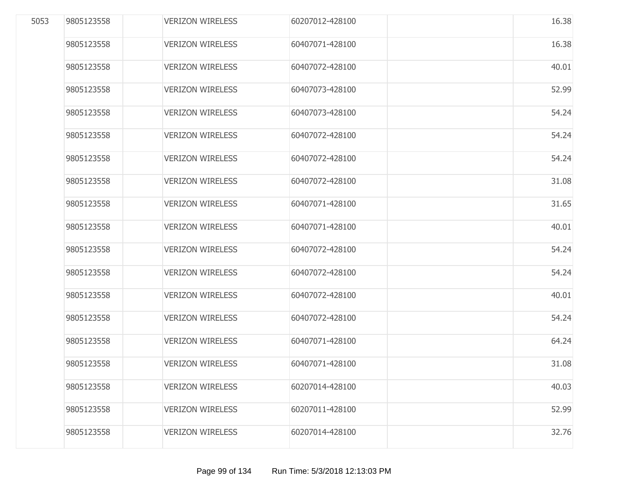| 5053 | 9805123558 | <b>VERIZON WIRELESS</b> | 60207012-428100 | 16.38 |
|------|------------|-------------------------|-----------------|-------|
|      | 9805123558 | <b>VERIZON WIRELESS</b> | 60407071-428100 | 16.38 |
|      | 9805123558 | <b>VERIZON WIRELESS</b> | 60407072-428100 | 40.01 |
|      | 9805123558 | <b>VERIZON WIRELESS</b> | 60407073-428100 | 52.99 |
|      | 9805123558 | <b>VERIZON WIRELESS</b> | 60407073-428100 | 54.24 |
|      | 9805123558 | <b>VERIZON WIRELESS</b> | 60407072-428100 | 54.24 |
|      | 9805123558 | <b>VERIZON WIRELESS</b> | 60407072-428100 | 54.24 |
|      | 9805123558 | <b>VERIZON WIRELESS</b> | 60407072-428100 | 31.08 |
|      | 9805123558 | <b>VERIZON WIRELESS</b> | 60407071-428100 | 31.65 |
|      | 9805123558 | <b>VERIZON WIRELESS</b> | 60407071-428100 | 40.01 |
|      | 9805123558 | <b>VERIZON WIRELESS</b> | 60407072-428100 | 54.24 |
|      | 9805123558 | <b>VERIZON WIRELESS</b> | 60407072-428100 | 54.24 |
|      | 9805123558 | <b>VERIZON WIRELESS</b> | 60407072-428100 | 40.01 |
|      | 9805123558 | <b>VERIZON WIRELESS</b> | 60407072-428100 | 54.24 |
|      | 9805123558 | <b>VERIZON WIRELESS</b> | 60407071-428100 | 64.24 |
|      | 9805123558 | <b>VERIZON WIRELESS</b> | 60407071-428100 | 31.08 |
|      | 9805123558 | <b>VERIZON WIRELESS</b> | 60207014-428100 | 40.03 |
|      | 9805123558 | <b>VERIZON WIRELESS</b> | 60207011-428100 | 52.99 |
|      | 9805123558 | <b>VERIZON WIRELESS</b> | 60207014-428100 | 32.76 |
|      |            |                         |                 |       |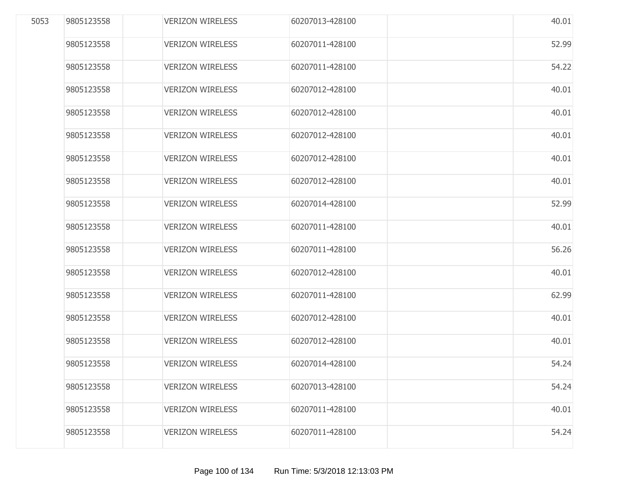| 5053 | 9805123558 | <b>VERIZON WIRELESS</b> | 60207013-428100 | 40.01 |
|------|------------|-------------------------|-----------------|-------|
|      | 9805123558 | <b>VERIZON WIRELESS</b> | 60207011-428100 | 52.99 |
|      | 9805123558 | <b>VERIZON WIRELESS</b> | 60207011-428100 | 54.22 |
|      | 9805123558 | <b>VERIZON WIRELESS</b> | 60207012-428100 | 40.01 |
|      | 9805123558 | <b>VERIZON WIRELESS</b> | 60207012-428100 | 40.01 |
|      | 9805123558 | <b>VERIZON WIRELESS</b> | 60207012-428100 | 40.01 |
|      | 9805123558 | <b>VERIZON WIRELESS</b> | 60207012-428100 | 40.01 |
|      | 9805123558 | <b>VERIZON WIRELESS</b> | 60207012-428100 | 40.01 |
|      | 9805123558 | <b>VERIZON WIRELESS</b> | 60207014-428100 | 52.99 |
|      | 9805123558 | <b>VERIZON WIRELESS</b> | 60207011-428100 | 40.01 |
|      | 9805123558 | <b>VERIZON WIRELESS</b> | 60207011-428100 | 56.26 |
|      | 9805123558 | <b>VERIZON WIRELESS</b> | 60207012-428100 | 40.01 |
|      | 9805123558 | <b>VERIZON WIRELESS</b> | 60207011-428100 | 62.99 |
|      | 9805123558 | <b>VERIZON WIRELESS</b> | 60207012-428100 | 40.01 |
|      | 9805123558 | <b>VERIZON WIRELESS</b> | 60207012-428100 | 40.01 |
|      | 9805123558 | <b>VERIZON WIRELESS</b> | 60207014-428100 | 54.24 |
|      | 9805123558 | <b>VERIZON WIRELESS</b> | 60207013-428100 | 54.24 |
|      | 9805123558 | <b>VERIZON WIRELESS</b> | 60207011-428100 | 40.01 |
|      | 9805123558 | <b>VERIZON WIRELESS</b> | 60207011-428100 | 54.24 |
|      |            |                         |                 |       |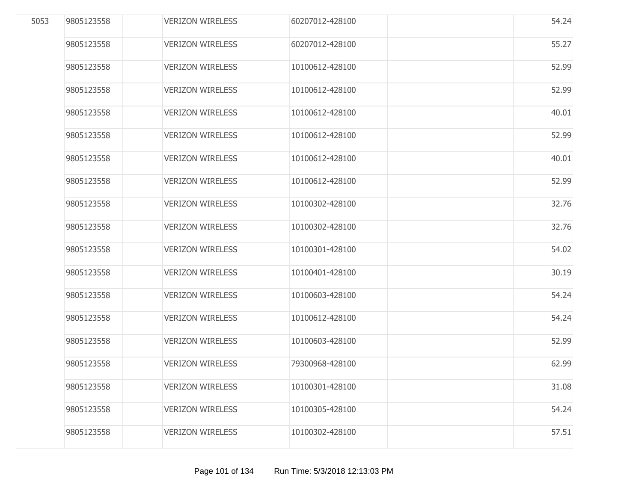| 5053 | 9805123558 | <b>VERIZON WIRELESS</b> | 60207012-428100 | 54.24 |
|------|------------|-------------------------|-----------------|-------|
|      | 9805123558 | <b>VERIZON WIRELESS</b> | 60207012-428100 | 55.27 |
|      | 9805123558 | <b>VERIZON WIRELESS</b> | 10100612-428100 | 52.99 |
|      | 9805123558 | <b>VERIZON WIRELESS</b> | 10100612-428100 | 52.99 |
|      | 9805123558 | <b>VERIZON WIRELESS</b> | 10100612-428100 | 40.01 |
|      | 9805123558 | <b>VERIZON WIRELESS</b> | 10100612-428100 | 52.99 |
|      | 9805123558 | <b>VERIZON WIRELESS</b> | 10100612-428100 | 40.01 |
|      | 9805123558 | <b>VERIZON WIRELESS</b> | 10100612-428100 | 52.99 |
|      | 9805123558 | <b>VERIZON WIRELESS</b> | 10100302-428100 | 32.76 |
|      | 9805123558 | <b>VERIZON WIRELESS</b> | 10100302-428100 | 32.76 |
|      | 9805123558 | <b>VERIZON WIRELESS</b> | 10100301-428100 | 54.02 |
|      | 9805123558 | <b>VERIZON WIRELESS</b> | 10100401-428100 | 30.19 |
|      | 9805123558 | <b>VERIZON WIRELESS</b> | 10100603-428100 | 54.24 |
|      | 9805123558 | <b>VERIZON WIRELESS</b> | 10100612-428100 | 54.24 |
|      | 9805123558 | <b>VERIZON WIRELESS</b> | 10100603-428100 | 52.99 |
|      | 9805123558 | <b>VERIZON WIRELESS</b> | 79300968-428100 | 62.99 |
|      | 9805123558 | <b>VERIZON WIRELESS</b> | 10100301-428100 | 31.08 |
|      | 9805123558 | <b>VERIZON WIRELESS</b> | 10100305-428100 | 54.24 |
|      | 9805123558 | <b>VERIZON WIRELESS</b> | 10100302-428100 | 57.51 |
|      |            |                         |                 |       |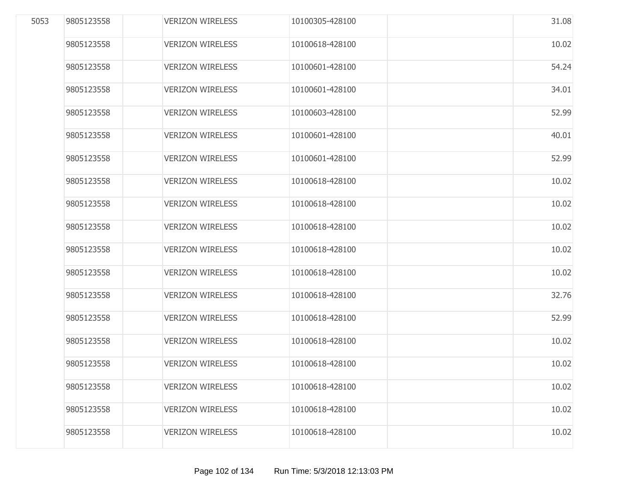| 5053 | 9805123558 | <b>VERIZON WIRELESS</b> | 10100305-428100 | 31.08 |
|------|------------|-------------------------|-----------------|-------|
|      | 9805123558 | <b>VERIZON WIRELESS</b> | 10100618-428100 | 10.02 |
|      | 9805123558 | <b>VERIZON WIRELESS</b> | 10100601-428100 | 54.24 |
|      | 9805123558 | <b>VERIZON WIRELESS</b> | 10100601-428100 | 34.01 |
|      | 9805123558 | <b>VERIZON WIRELESS</b> | 10100603-428100 | 52.99 |
|      | 9805123558 | <b>VERIZON WIRELESS</b> | 10100601-428100 | 40.01 |
|      | 9805123558 | <b>VERIZON WIRELESS</b> | 10100601-428100 | 52.99 |
|      | 9805123558 | <b>VERIZON WIRELESS</b> | 10100618-428100 | 10.02 |
|      | 9805123558 | <b>VERIZON WIRELESS</b> | 10100618-428100 | 10.02 |
|      | 9805123558 | <b>VERIZON WIRELESS</b> | 10100618-428100 | 10.02 |
|      | 9805123558 | <b>VERIZON WIRELESS</b> | 10100618-428100 | 10.02 |
|      | 9805123558 | <b>VERIZON WIRELESS</b> | 10100618-428100 | 10.02 |
|      | 9805123558 | <b>VERIZON WIRELESS</b> | 10100618-428100 | 32.76 |
|      | 9805123558 | <b>VERIZON WIRELESS</b> | 10100618-428100 | 52.99 |
|      | 9805123558 | <b>VERIZON WIRELESS</b> | 10100618-428100 | 10.02 |
|      | 9805123558 | <b>VERIZON WIRELESS</b> | 10100618-428100 | 10.02 |
|      | 9805123558 | <b>VERIZON WIRELESS</b> | 10100618-428100 | 10.02 |
|      | 9805123558 | <b>VERIZON WIRELESS</b> | 10100618-428100 | 10.02 |
|      | 9805123558 | <b>VERIZON WIRELESS</b> | 10100618-428100 | 10.02 |
|      |            |                         |                 |       |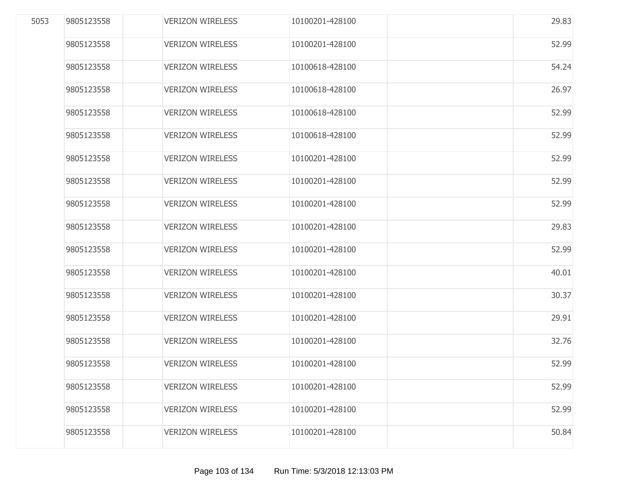| 5053 | 9805123558 | <b>VERIZON WIRELESS</b> | 10100201-428100 | 29.83 |
|------|------------|-------------------------|-----------------|-------|
|      | 9805123558 | <b>VERIZON WIRELESS</b> | 10100201-428100 | 52.99 |
|      | 9805123558 | <b>VERIZON WIRELESS</b> | 10100618-428100 | 54.24 |
|      | 9805123558 | <b>VERIZON WIRELESS</b> | 10100618-428100 | 26.97 |
|      | 9805123558 | <b>VERIZON WIRELESS</b> | 10100618-428100 | 52.99 |
|      | 9805123558 | <b>VERIZON WIRELESS</b> | 10100618-428100 | 52.99 |
|      | 9805123558 | <b>VERIZON WIRELESS</b> | 10100201-428100 | 52.99 |
|      | 9805123558 | <b>VERIZON WIRELESS</b> | 10100201-428100 | 52.99 |
|      | 9805123558 | <b>VERIZON WIRELESS</b> | 10100201-428100 | 52.99 |
|      | 9805123558 | <b>VERIZON WIRELESS</b> | 10100201-428100 | 29.83 |
|      | 9805123558 | <b>VERIZON WIRELESS</b> | 10100201-428100 | 52.99 |
|      | 9805123558 | <b>VERIZON WIRELESS</b> | 10100201-428100 | 40.01 |
|      | 9805123558 | <b>VERIZON WIRELESS</b> | 10100201-428100 | 30.37 |
|      | 9805123558 | <b>VERIZON WIRELESS</b> | 10100201-428100 | 29.91 |
|      | 9805123558 | <b>VERIZON WIRELESS</b> | 10100201-428100 | 32.76 |
|      | 9805123558 | <b>VERIZON WIRELESS</b> | 10100201-428100 | 52.99 |
|      | 9805123558 | <b>VERIZON WIRELESS</b> | 10100201-428100 | 52.99 |
|      | 9805123558 | <b>VERIZON WIRELESS</b> | 10100201-428100 | 52.99 |
|      | 9805123558 | <b>VERIZON WIRELESS</b> | 10100201-428100 | 50.84 |
|      |            |                         |                 |       |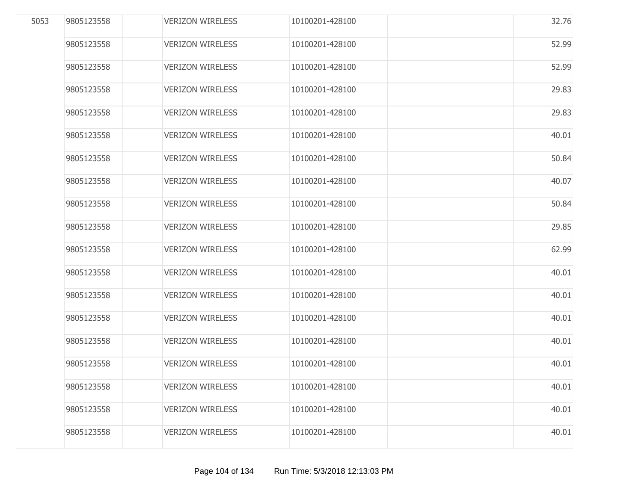| 32.76 |
|-------|
| 52.99 |
| 52.99 |
| 29.83 |
| 29.83 |
| 40.01 |
| 50.84 |
| 40.07 |
| 50.84 |
| 29.85 |
| 62.99 |
| 40.01 |
| 40.01 |
| 40.01 |
| 40.01 |
| 40.01 |
| 40.01 |
| 40.01 |
| 40.01 |
|       |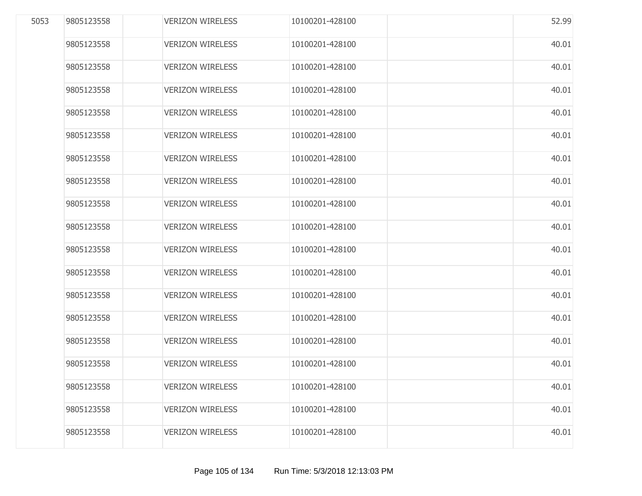| 9805123558 | <b>VERIZON WIRELESS</b> | 10100201-428100 | 52.99 |
|------------|-------------------------|-----------------|-------|
| 9805123558 | <b>VERIZON WIRELESS</b> | 10100201-428100 | 40.01 |
| 9805123558 | <b>VERIZON WIRELESS</b> | 10100201-428100 | 40.01 |
| 9805123558 | <b>VERIZON WIRELESS</b> | 10100201-428100 | 40.01 |
| 9805123558 | <b>VERIZON WIRELESS</b> | 10100201-428100 | 40.01 |
| 9805123558 | <b>VERIZON WIRELESS</b> | 10100201-428100 | 40.01 |
| 9805123558 | <b>VERIZON WIRELESS</b> | 10100201-428100 | 40.01 |
| 9805123558 | <b>VERIZON WIRELESS</b> | 10100201-428100 | 40.01 |
| 9805123558 | <b>VERIZON WIRELESS</b> | 10100201-428100 | 40.01 |
| 9805123558 | <b>VERIZON WIRELESS</b> | 10100201-428100 | 40.01 |
| 9805123558 | <b>VERIZON WIRELESS</b> | 10100201-428100 | 40.01 |
| 9805123558 | <b>VERIZON WIRELESS</b> | 10100201-428100 | 40.01 |
| 9805123558 | <b>VERIZON WIRELESS</b> | 10100201-428100 | 40.01 |
| 9805123558 | <b>VERIZON WIRELESS</b> | 10100201-428100 | 40.01 |
| 9805123558 | <b>VERIZON WIRELESS</b> | 10100201-428100 | 40.01 |
| 9805123558 | <b>VERIZON WIRELESS</b> | 10100201-428100 | 40.01 |
| 9805123558 | <b>VERIZON WIRELESS</b> | 10100201-428100 | 40.01 |
| 9805123558 | <b>VERIZON WIRELESS</b> | 10100201-428100 | 40.01 |
| 9805123558 | <b>VERIZON WIRELESS</b> | 10100201-428100 | 40.01 |
|            |                         |                 |       |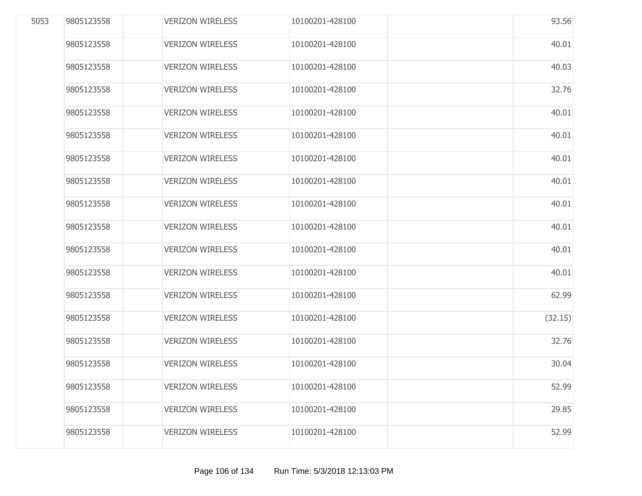| 5053 | 9805123558 | <b>VERIZON WIRELESS</b> | 10100201-428100 | 93.56   |
|------|------------|-------------------------|-----------------|---------|
|      | 9805123558 | <b>VERIZON WIRELESS</b> | 10100201-428100 | 40.01   |
|      | 9805123558 | <b>VERIZON WIRELESS</b> | 10100201-428100 | 40.03   |
|      | 9805123558 | <b>VERIZON WIRELESS</b> | 10100201-428100 | 32.76   |
|      | 9805123558 | <b>VERIZON WIRELESS</b> | 10100201-428100 | 40.01   |
|      | 9805123558 | <b>VERIZON WIRELESS</b> | 10100201-428100 | 40.01   |
|      | 9805123558 | <b>VERIZON WIRELESS</b> | 10100201-428100 | 40.01   |
|      | 9805123558 | <b>VERIZON WIRELESS</b> | 10100201-428100 | 40.01   |
|      | 9805123558 | <b>VERIZON WIRELESS</b> | 10100201-428100 | 40.01   |
|      | 9805123558 | <b>VERIZON WIRELESS</b> | 10100201-428100 | 40.01   |
|      | 9805123558 | <b>VERIZON WIRELESS</b> | 10100201-428100 | 40.01   |
|      | 9805123558 | <b>VERIZON WIRELESS</b> | 10100201-428100 | 40.01   |
|      | 9805123558 | <b>VERIZON WIRELESS</b> | 10100201-428100 | 62.99   |
|      | 9805123558 | <b>VERIZON WIRELESS</b> | 10100201-428100 | (32.15) |
|      | 9805123558 | <b>VERIZON WIRELESS</b> | 10100201-428100 | 32.76   |
|      | 9805123558 | <b>VERIZON WIRELESS</b> | 10100201-428100 | 30.04   |
|      | 9805123558 | <b>VERIZON WIRELESS</b> | 10100201-428100 | 52.99   |
|      | 9805123558 | <b>VERIZON WIRELESS</b> | 10100201-428100 | 29.85   |
|      | 9805123558 | <b>VERIZON WIRELESS</b> | 10100201-428100 | 52.99   |
|      |            |                         |                 |         |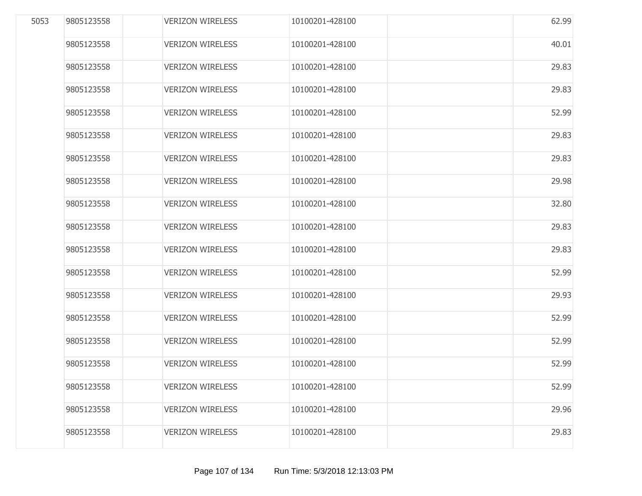| 5053 | 9805123558 | <b>VERIZON WIRELESS</b> | 10100201-428100 | 62.99 |
|------|------------|-------------------------|-----------------|-------|
|      | 9805123558 | <b>VERIZON WIRELESS</b> | 10100201-428100 | 40.01 |
|      | 9805123558 | <b>VERIZON WIRELESS</b> | 10100201-428100 | 29.83 |
|      | 9805123558 | <b>VERIZON WIRELESS</b> | 10100201-428100 | 29.83 |
|      | 9805123558 | <b>VERIZON WIRELESS</b> | 10100201-428100 | 52.99 |
|      | 9805123558 | <b>VERIZON WIRELESS</b> | 10100201-428100 | 29.83 |
|      | 9805123558 | <b>VERIZON WIRELESS</b> | 10100201-428100 | 29.83 |
|      | 9805123558 | <b>VERIZON WIRELESS</b> | 10100201-428100 | 29.98 |
|      | 9805123558 | <b>VERIZON WIRELESS</b> | 10100201-428100 | 32.80 |
|      | 9805123558 | <b>VERIZON WIRELESS</b> | 10100201-428100 | 29.83 |
|      | 9805123558 | <b>VERIZON WIRELESS</b> | 10100201-428100 | 29.83 |
|      | 9805123558 | <b>VERIZON WIRELESS</b> | 10100201-428100 | 52.99 |
|      | 9805123558 | <b>VERIZON WIRELESS</b> | 10100201-428100 | 29.93 |
|      | 9805123558 | <b>VERIZON WIRELESS</b> | 10100201-428100 | 52.99 |
|      | 9805123558 | <b>VERIZON WIRELESS</b> | 10100201-428100 | 52.99 |
|      | 9805123558 | <b>VERIZON WIRELESS</b> | 10100201-428100 | 52.99 |
|      | 9805123558 | <b>VERIZON WIRELESS</b> | 10100201-428100 | 52.99 |
|      | 9805123558 | <b>VERIZON WIRELESS</b> | 10100201-428100 | 29.96 |
|      | 9805123558 | <b>VERIZON WIRELESS</b> | 10100201-428100 | 29.83 |
|      |            |                         |                 |       |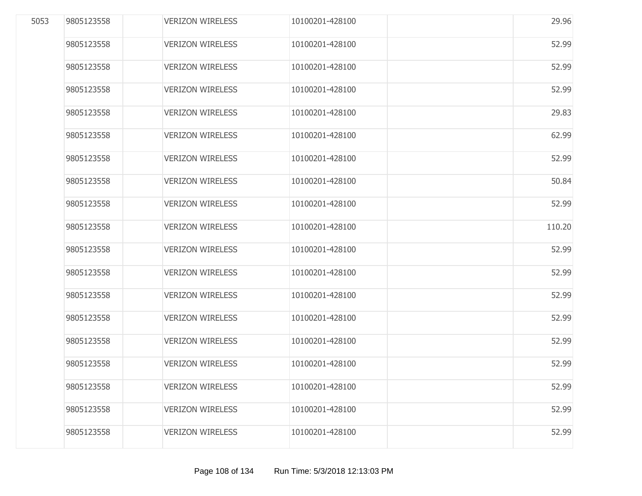| 5053 | 9805123558 | <b>VERIZON WIRELESS</b> | 10100201-428100 | 29.96  |
|------|------------|-------------------------|-----------------|--------|
|      | 9805123558 | <b>VERIZON WIRELESS</b> | 10100201-428100 | 52.99  |
|      | 9805123558 | <b>VERIZON WIRELESS</b> | 10100201-428100 | 52.99  |
|      | 9805123558 | <b>VERIZON WIRELESS</b> | 10100201-428100 | 52.99  |
|      | 9805123558 | <b>VERIZON WIRELESS</b> | 10100201-428100 | 29.83  |
|      | 9805123558 | <b>VERIZON WIRELESS</b> | 10100201-428100 | 62.99  |
|      | 9805123558 | <b>VERIZON WIRELESS</b> | 10100201-428100 | 52.99  |
|      | 9805123558 | <b>VERIZON WIRELESS</b> | 10100201-428100 | 50.84  |
|      | 9805123558 | <b>VERIZON WIRELESS</b> | 10100201-428100 | 52.99  |
|      | 9805123558 | <b>VERIZON WIRELESS</b> | 10100201-428100 | 110.20 |
|      | 9805123558 | <b>VERIZON WIRELESS</b> | 10100201-428100 | 52.99  |
|      | 9805123558 | <b>VERIZON WIRELESS</b> | 10100201-428100 | 52.99  |
|      | 9805123558 | <b>VERIZON WIRELESS</b> | 10100201-428100 | 52.99  |
|      | 9805123558 | <b>VERIZON WIRELESS</b> | 10100201-428100 | 52.99  |
|      | 9805123558 | <b>VERIZON WIRELESS</b> | 10100201-428100 | 52.99  |
|      | 9805123558 | <b>VERIZON WIRELESS</b> | 10100201-428100 | 52.99  |
|      | 9805123558 | <b>VERIZON WIRELESS</b> | 10100201-428100 | 52.99  |
|      | 9805123558 | <b>VERIZON WIRELESS</b> | 10100201-428100 | 52.99  |
|      | 9805123558 | <b>VERIZON WIRELESS</b> | 10100201-428100 | 52.99  |
|      |            |                         |                 |        |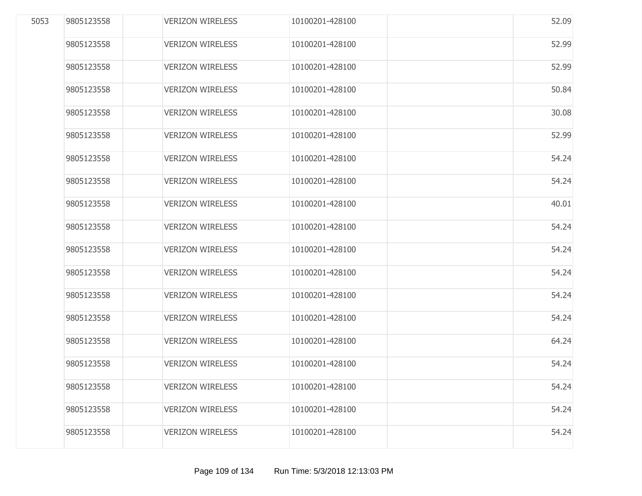| 5053 | 9805123558 | <b>VERIZON WIRELESS</b> | 10100201-428100 | 52.09 |
|------|------------|-------------------------|-----------------|-------|
|      | 9805123558 | <b>VERIZON WIRELESS</b> | 10100201-428100 | 52.99 |
|      | 9805123558 | <b>VERIZON WIRELESS</b> | 10100201-428100 | 52.99 |
|      | 9805123558 | <b>VERIZON WIRELESS</b> | 10100201-428100 | 50.84 |
|      | 9805123558 | <b>VERIZON WIRELESS</b> | 10100201-428100 | 30.08 |
|      | 9805123558 | <b>VERIZON WIRELESS</b> | 10100201-428100 | 52.99 |
|      | 9805123558 | <b>VERIZON WIRELESS</b> | 10100201-428100 | 54.24 |
|      | 9805123558 | <b>VERIZON WIRELESS</b> | 10100201-428100 | 54.24 |
|      | 9805123558 | <b>VERIZON WIRELESS</b> | 10100201-428100 | 40.01 |
|      | 9805123558 | <b>VERIZON WIRELESS</b> | 10100201-428100 | 54.24 |
|      | 9805123558 | <b>VERIZON WIRELESS</b> | 10100201-428100 | 54.24 |
|      | 9805123558 | <b>VERIZON WIRELESS</b> | 10100201-428100 | 54.24 |
|      | 9805123558 | <b>VERIZON WIRELESS</b> | 10100201-428100 | 54.24 |
|      | 9805123558 | <b>VERIZON WIRELESS</b> | 10100201-428100 | 54.24 |
|      | 9805123558 | <b>VERIZON WIRELESS</b> | 10100201-428100 | 64.24 |
|      | 9805123558 | <b>VERIZON WIRELESS</b> | 10100201-428100 | 54.24 |
|      | 9805123558 | <b>VERIZON WIRELESS</b> | 10100201-428100 | 54.24 |
|      | 9805123558 | <b>VERIZON WIRELESS</b> | 10100201-428100 | 54.24 |
|      | 9805123558 | <b>VERIZON WIRELESS</b> | 10100201-428100 | 54.24 |
|      |            |                         |                 |       |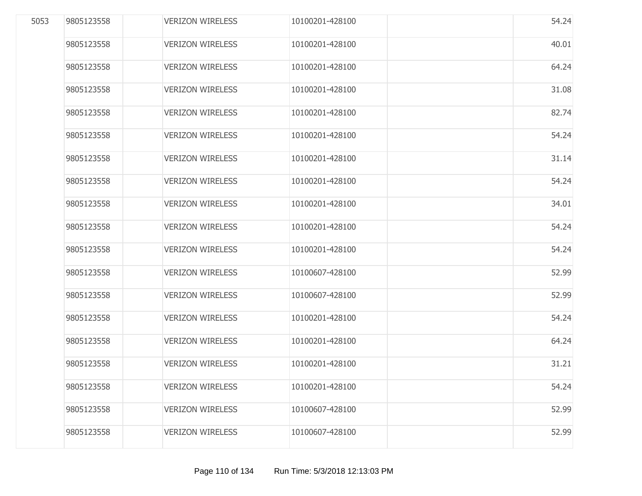| 5053 | 9805123558 | <b>VERIZON WIRELESS</b> | 10100201-428100 | 54.24 |
|------|------------|-------------------------|-----------------|-------|
|      | 9805123558 | <b>VERIZON WIRELESS</b> | 10100201-428100 | 40.01 |
|      | 9805123558 | <b>VERIZON WIRELESS</b> | 10100201-428100 | 64.24 |
|      | 9805123558 | <b>VERIZON WIRELESS</b> | 10100201-428100 | 31.08 |
|      | 9805123558 | <b>VERIZON WIRELESS</b> | 10100201-428100 | 82.74 |
|      | 9805123558 | <b>VERIZON WIRELESS</b> | 10100201-428100 | 54.24 |
|      | 9805123558 | <b>VERIZON WIRELESS</b> | 10100201-428100 | 31.14 |
|      | 9805123558 | <b>VERIZON WIRELESS</b> | 10100201-428100 | 54.24 |
|      | 9805123558 | <b>VERIZON WIRELESS</b> | 10100201-428100 | 34.01 |
|      | 9805123558 | <b>VERIZON WIRELESS</b> | 10100201-428100 | 54.24 |
|      | 9805123558 | <b>VERIZON WIRELESS</b> | 10100201-428100 | 54.24 |
|      | 9805123558 | <b>VERIZON WIRELESS</b> | 10100607-428100 | 52.99 |
|      | 9805123558 | <b>VERIZON WIRELESS</b> | 10100607-428100 | 52.99 |
|      | 9805123558 | <b>VERIZON WIRELESS</b> | 10100201-428100 | 54.24 |
|      | 9805123558 | <b>VERIZON WIRELESS</b> | 10100201-428100 | 64.24 |
|      | 9805123558 | <b>VERIZON WIRELESS</b> | 10100201-428100 | 31.21 |
|      | 9805123558 | <b>VERIZON WIRELESS</b> | 10100201-428100 | 54.24 |
|      | 9805123558 | <b>VERIZON WIRELESS</b> | 10100607-428100 | 52.99 |
|      | 9805123558 | <b>VERIZON WIRELESS</b> | 10100607-428100 | 52.99 |
|      |            |                         |                 |       |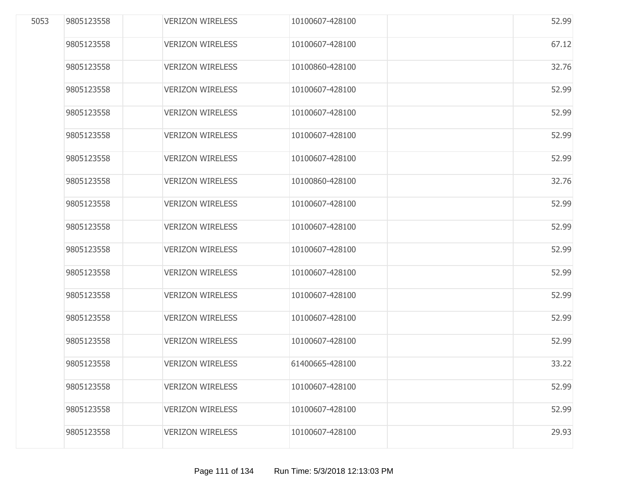| 5053 | 9805123558 | <b>VERIZON WIRELESS</b> | 10100607-428100 | 52.99 |
|------|------------|-------------------------|-----------------|-------|
|      | 9805123558 | <b>VERIZON WIRELESS</b> | 10100607-428100 | 67.12 |
|      | 9805123558 | <b>VERIZON WIRELESS</b> | 10100860-428100 | 32.76 |
|      | 9805123558 | <b>VERIZON WIRELESS</b> | 10100607-428100 | 52.99 |
|      | 9805123558 | <b>VERIZON WIRELESS</b> | 10100607-428100 | 52.99 |
|      | 9805123558 | <b>VERIZON WIRELESS</b> | 10100607-428100 | 52.99 |
|      | 9805123558 | <b>VERIZON WIRELESS</b> | 10100607-428100 | 52.99 |
|      | 9805123558 | <b>VERIZON WIRELESS</b> | 10100860-428100 | 32.76 |
|      | 9805123558 | <b>VERIZON WIRELESS</b> | 10100607-428100 | 52.99 |
|      | 9805123558 | <b>VERIZON WIRELESS</b> | 10100607-428100 | 52.99 |
|      | 9805123558 | <b>VERIZON WIRELESS</b> | 10100607-428100 | 52.99 |
|      | 9805123558 | <b>VERIZON WIRELESS</b> | 10100607-428100 | 52.99 |
|      | 9805123558 | <b>VERIZON WIRELESS</b> | 10100607-428100 | 52.99 |
|      | 9805123558 | <b>VERIZON WIRELESS</b> | 10100607-428100 | 52.99 |
|      | 9805123558 | <b>VERIZON WIRELESS</b> | 10100607-428100 | 52.99 |
|      | 9805123558 | <b>VERIZON WIRELESS</b> | 61400665-428100 | 33.22 |
|      | 9805123558 | <b>VERIZON WIRELESS</b> | 10100607-428100 | 52.99 |
|      | 9805123558 | <b>VERIZON WIRELESS</b> | 10100607-428100 | 52.99 |
|      | 9805123558 | <b>VERIZON WIRELESS</b> | 10100607-428100 | 29.93 |
|      |            |                         |                 |       |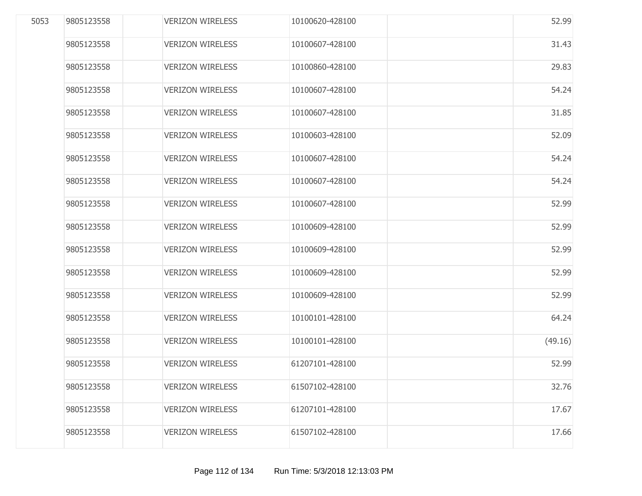| 5053 | 9805123558 | <b>VERIZON WIRELESS</b> | 10100620-428100 | 52.99   |
|------|------------|-------------------------|-----------------|---------|
|      | 9805123558 | <b>VERIZON WIRELESS</b> | 10100607-428100 | 31.43   |
|      | 9805123558 | <b>VERIZON WIRELESS</b> | 10100860-428100 | 29.83   |
|      | 9805123558 | <b>VERIZON WIRELESS</b> | 10100607-428100 | 54.24   |
|      | 9805123558 | <b>VERIZON WIRELESS</b> | 10100607-428100 | 31.85   |
|      | 9805123558 | <b>VERIZON WIRELESS</b> | 10100603-428100 | 52.09   |
|      | 9805123558 | <b>VERIZON WIRELESS</b> | 10100607-428100 | 54.24   |
|      | 9805123558 | <b>VERIZON WIRELESS</b> | 10100607-428100 | 54.24   |
|      | 9805123558 | <b>VERIZON WIRELESS</b> | 10100607-428100 | 52.99   |
|      | 9805123558 | <b>VERIZON WIRELESS</b> | 10100609-428100 | 52.99   |
|      | 9805123558 | <b>VERIZON WIRELESS</b> | 10100609-428100 | 52.99   |
|      | 9805123558 | <b>VERIZON WIRELESS</b> | 10100609-428100 | 52.99   |
|      | 9805123558 | <b>VERIZON WIRELESS</b> | 10100609-428100 | 52.99   |
|      | 9805123558 | <b>VERIZON WIRELESS</b> | 10100101-428100 | 64.24   |
|      | 9805123558 | <b>VERIZON WIRELESS</b> | 10100101-428100 | (49.16) |
|      | 9805123558 | <b>VERIZON WIRELESS</b> | 61207101-428100 | 52.99   |
|      | 9805123558 | <b>VERIZON WIRELESS</b> | 61507102-428100 | 32.76   |
|      | 9805123558 | <b>VERIZON WIRELESS</b> | 61207101-428100 | 17.67   |
|      | 9805123558 | <b>VERIZON WIRELESS</b> | 61507102-428100 | 17.66   |
|      |            |                         |                 |         |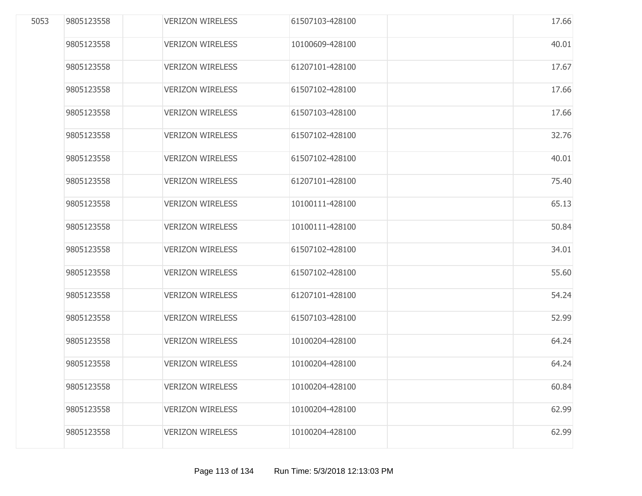| 5053 | 9805123558 | <b>VERIZON WIRELESS</b> | 61507103-428100 | 17.66 |
|------|------------|-------------------------|-----------------|-------|
|      | 9805123558 | <b>VERIZON WIRELESS</b> | 10100609-428100 | 40.01 |
|      | 9805123558 | <b>VERIZON WIRELESS</b> | 61207101-428100 | 17.67 |
|      | 9805123558 | <b>VERIZON WIRELESS</b> | 61507102-428100 | 17.66 |
|      | 9805123558 | <b>VERIZON WIRELESS</b> | 61507103-428100 | 17.66 |
|      | 9805123558 | <b>VERIZON WIRELESS</b> | 61507102-428100 | 32.76 |
|      | 9805123558 | <b>VERIZON WIRELESS</b> | 61507102-428100 | 40.01 |
|      | 9805123558 | <b>VERIZON WIRELESS</b> | 61207101-428100 | 75.40 |
|      | 9805123558 | <b>VERIZON WIRELESS</b> | 10100111-428100 | 65.13 |
|      | 9805123558 | <b>VERIZON WIRELESS</b> | 10100111-428100 | 50.84 |
|      | 9805123558 | <b>VERIZON WIRELESS</b> | 61507102-428100 | 34.01 |
|      | 9805123558 | <b>VERIZON WIRELESS</b> | 61507102-428100 | 55.60 |
|      | 9805123558 | <b>VERIZON WIRELESS</b> | 61207101-428100 | 54.24 |
|      | 9805123558 | <b>VERIZON WIRELESS</b> | 61507103-428100 | 52.99 |
|      | 9805123558 | <b>VERIZON WIRELESS</b> | 10100204-428100 | 64.24 |
|      | 9805123558 | <b>VERIZON WIRELESS</b> | 10100204-428100 | 64.24 |
|      | 9805123558 | <b>VERIZON WIRELESS</b> | 10100204-428100 | 60.84 |
|      | 9805123558 | <b>VERIZON WIRELESS</b> | 10100204-428100 | 62.99 |
|      | 9805123558 | <b>VERIZON WIRELESS</b> | 10100204-428100 | 62.99 |
|      |            |                         |                 |       |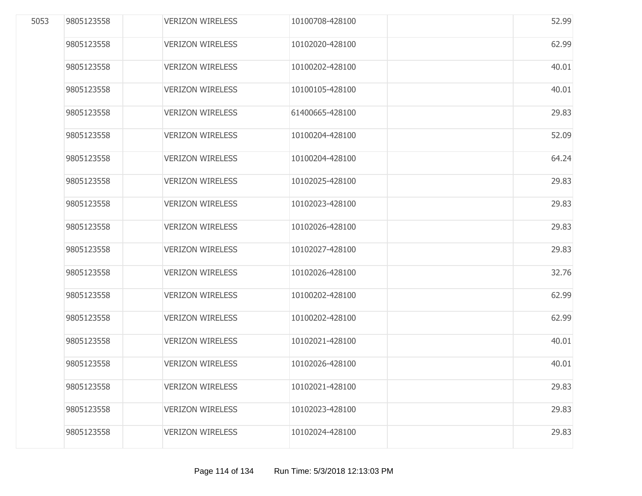| 5053 | 9805123558 | <b>VERIZON WIRELESS</b> | 10100708-428100 | 52.99 |
|------|------------|-------------------------|-----------------|-------|
|      | 9805123558 | <b>VERIZON WIRELESS</b> | 10102020-428100 | 62.99 |
|      | 9805123558 | <b>VERIZON WIRELESS</b> | 10100202-428100 | 40.01 |
|      | 9805123558 | <b>VERIZON WIRELESS</b> | 10100105-428100 | 40.01 |
|      | 9805123558 | <b>VERIZON WIRELESS</b> | 61400665-428100 | 29.83 |
|      | 9805123558 | <b>VERIZON WIRELESS</b> | 10100204-428100 | 52.09 |
|      | 9805123558 | <b>VERIZON WIRELESS</b> | 10100204-428100 | 64.24 |
|      | 9805123558 | <b>VERIZON WIRELESS</b> | 10102025-428100 | 29.83 |
|      | 9805123558 | <b>VERIZON WIRELESS</b> | 10102023-428100 | 29.83 |
|      | 9805123558 | <b>VERIZON WIRELESS</b> | 10102026-428100 | 29.83 |
|      | 9805123558 | <b>VERIZON WIRELESS</b> | 10102027-428100 | 29.83 |
|      | 9805123558 | <b>VERIZON WIRELESS</b> | 10102026-428100 | 32.76 |
|      | 9805123558 | <b>VERIZON WIRELESS</b> | 10100202-428100 | 62.99 |
|      | 9805123558 | <b>VERIZON WIRELESS</b> | 10100202-428100 | 62.99 |
|      | 9805123558 | <b>VERIZON WIRELESS</b> | 10102021-428100 | 40.01 |
|      | 9805123558 | <b>VERIZON WIRELESS</b> | 10102026-428100 | 40.01 |
|      | 9805123558 | <b>VERIZON WIRELESS</b> | 10102021-428100 | 29.83 |
|      | 9805123558 | <b>VERIZON WIRELESS</b> | 10102023-428100 | 29.83 |
|      | 9805123558 | <b>VERIZON WIRELESS</b> | 10102024-428100 | 29.83 |
|      |            |                         |                 |       |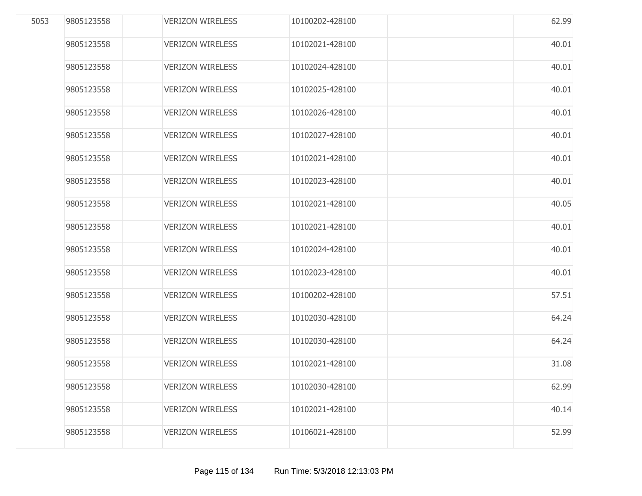| 9805123558 | <b>VERIZON WIRELESS</b> |                 |       |
|------------|-------------------------|-----------------|-------|
|            |                         | 10102021-428100 | 40.01 |
| 9805123558 | <b>VERIZON WIRELESS</b> | 10102024-428100 | 40.01 |
| 9805123558 | <b>VERIZON WIRELESS</b> | 10102025-428100 | 40.01 |
| 9805123558 | <b>VERIZON WIRELESS</b> | 10102026-428100 | 40.01 |
| 9805123558 | <b>VERIZON WIRELESS</b> | 10102027-428100 | 40.01 |
| 9805123558 | <b>VERIZON WIRELESS</b> | 10102021-428100 | 40.01 |
| 9805123558 | <b>VERIZON WIRELESS</b> | 10102023-428100 | 40.01 |
| 9805123558 | <b>VERIZON WIRELESS</b> | 10102021-428100 | 40.05 |
| 9805123558 | <b>VERIZON WIRELESS</b> | 10102021-428100 | 40.01 |
| 9805123558 | <b>VERIZON WIRELESS</b> | 10102024-428100 | 40.01 |
| 9805123558 | <b>VERIZON WIRELESS</b> | 10102023-428100 | 40.01 |
| 9805123558 | <b>VERIZON WIRELESS</b> | 10100202-428100 | 57.51 |
| 9805123558 | <b>VERIZON WIRELESS</b> | 10102030-428100 | 64.24 |
| 9805123558 | <b>VERIZON WIRELESS</b> | 10102030-428100 | 64.24 |
| 9805123558 | <b>VERIZON WIRELESS</b> | 10102021-428100 | 31.08 |
| 9805123558 | <b>VERIZON WIRELESS</b> | 10102030-428100 | 62.99 |
| 9805123558 | <b>VERIZON WIRELESS</b> | 10102021-428100 | 40.14 |
| 9805123558 | <b>VERIZON WIRELESS</b> | 10106021-428100 | 52.99 |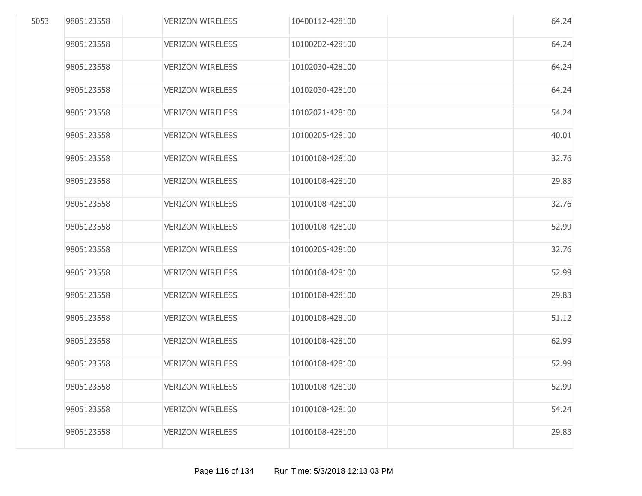| 5053 | 9805123558 | <b>VERIZON WIRELESS</b> | 10400112-428100 | 64.24 |
|------|------------|-------------------------|-----------------|-------|
|      | 9805123558 | <b>VERIZON WIRELESS</b> | 10100202-428100 | 64.24 |
|      | 9805123558 | <b>VERIZON WIRELESS</b> | 10102030-428100 | 64.24 |
|      | 9805123558 | <b>VERIZON WIRELESS</b> | 10102030-428100 | 64.24 |
|      | 9805123558 | <b>VERIZON WIRELESS</b> | 10102021-428100 | 54.24 |
|      | 9805123558 | <b>VERIZON WIRELESS</b> | 10100205-428100 | 40.01 |
|      | 9805123558 | <b>VERIZON WIRELESS</b> | 10100108-428100 | 32.76 |
|      | 9805123558 | <b>VERIZON WIRELESS</b> | 10100108-428100 | 29.83 |
|      | 9805123558 | <b>VERIZON WIRELESS</b> | 10100108-428100 | 32.76 |
|      | 9805123558 | <b>VERIZON WIRELESS</b> | 10100108-428100 | 52.99 |
|      | 9805123558 | <b>VERIZON WIRELESS</b> | 10100205-428100 | 32.76 |
|      | 9805123558 | <b>VERIZON WIRELESS</b> | 10100108-428100 | 52.99 |
|      | 9805123558 | <b>VERIZON WIRELESS</b> | 10100108-428100 | 29.83 |
|      | 9805123558 | <b>VERIZON WIRELESS</b> | 10100108-428100 | 51.12 |
|      | 9805123558 | <b>VERIZON WIRELESS</b> | 10100108-428100 | 62.99 |
|      | 9805123558 | <b>VERIZON WIRELESS</b> | 10100108-428100 | 52.99 |
|      | 9805123558 | <b>VERIZON WIRELESS</b> | 10100108-428100 | 52.99 |
|      | 9805123558 | <b>VERIZON WIRELESS</b> | 10100108-428100 | 54.24 |
|      | 9805123558 | <b>VERIZON WIRELESS</b> | 10100108-428100 | 29.83 |
|      |            |                         |                 |       |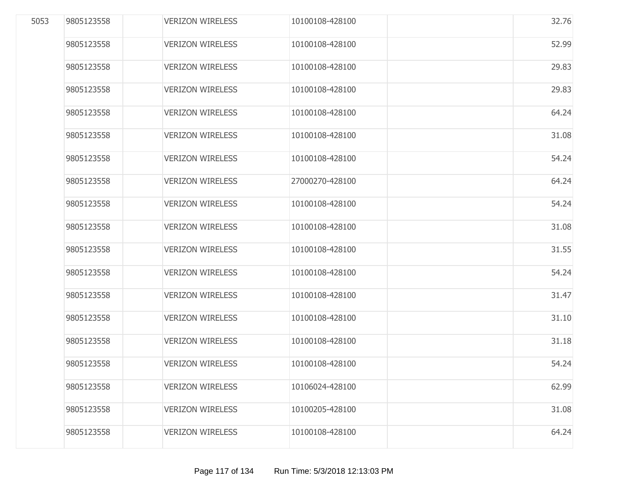| 9805123558 | <b>VERIZON WIRELESS</b> | 10100108-428100 | 32.76 |
|------------|-------------------------|-----------------|-------|
| 9805123558 | <b>VERIZON WIRELESS</b> | 10100108-428100 | 52.99 |
| 9805123558 | <b>VERIZON WIRELESS</b> | 10100108-428100 | 29.83 |
| 9805123558 | <b>VERIZON WIRELESS</b> | 10100108-428100 | 29.83 |
| 9805123558 | <b>VERIZON WIRELESS</b> | 10100108-428100 | 64.24 |
| 9805123558 | <b>VERIZON WIRELESS</b> | 10100108-428100 | 31.08 |
| 9805123558 | <b>VERIZON WIRELESS</b> | 10100108-428100 | 54.24 |
| 9805123558 | <b>VERIZON WIRELESS</b> | 27000270-428100 | 64.24 |
| 9805123558 | <b>VERIZON WIRELESS</b> | 10100108-428100 | 54.24 |
| 9805123558 | <b>VERIZON WIRELESS</b> | 10100108-428100 | 31.08 |
| 9805123558 | <b>VERIZON WIRELESS</b> | 10100108-428100 | 31.55 |
| 9805123558 | <b>VERIZON WIRELESS</b> | 10100108-428100 | 54.24 |
| 9805123558 | <b>VERIZON WIRELESS</b> | 10100108-428100 | 31.47 |
| 9805123558 | <b>VERIZON WIRELESS</b> | 10100108-428100 | 31.10 |
| 9805123558 | <b>VERIZON WIRELESS</b> | 10100108-428100 | 31.18 |
| 9805123558 | <b>VERIZON WIRELESS</b> | 10100108-428100 | 54.24 |
| 9805123558 | <b>VERIZON WIRELESS</b> | 10106024-428100 | 62.99 |
| 9805123558 | <b>VERIZON WIRELESS</b> | 10100205-428100 | 31.08 |
| 9805123558 | <b>VERIZON WIRELESS</b> | 10100108-428100 | 64.24 |
|            |                         |                 |       |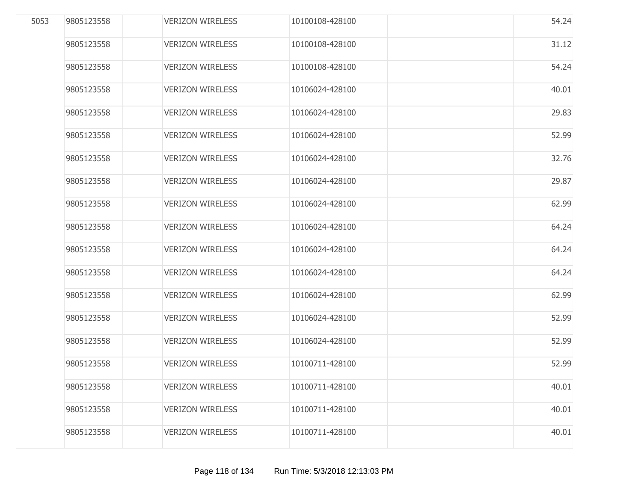| 10100108-428100<br>10100108-428100<br>10106024-428100 | 31.12<br>54.24 |
|-------------------------------------------------------|----------------|
|                                                       |                |
|                                                       |                |
|                                                       | 40.01          |
| 10106024-428100                                       | 29.83          |
| 10106024-428100                                       | 52.99          |
| 10106024-428100                                       | 32.76          |
| 10106024-428100                                       | 29.87          |
| 10106024-428100                                       | 62.99          |
| 10106024-428100                                       | 64.24          |
| 10106024-428100                                       | 64.24          |
| 10106024-428100                                       | 64.24          |
| 10106024-428100                                       | 62.99          |
| 10106024-428100                                       | 52.99          |
| 10106024-428100                                       | 52.99          |
| 10100711-428100                                       | 52.99          |
| 10100711-428100                                       | 40.01          |
| 10100711-428100                                       | 40.01          |
| 10100711-428100                                       | 40.01          |
|                                                       |                |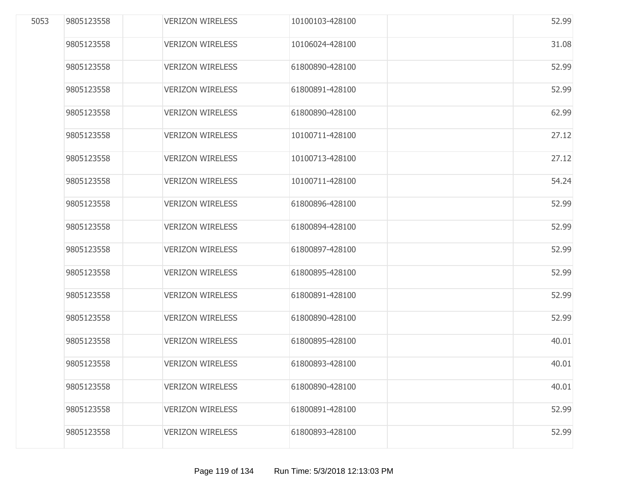| 5053 | 9805123558 | <b>VERIZON WIRELESS</b> | 10100103-428100 | 52.99 |
|------|------------|-------------------------|-----------------|-------|
|      | 9805123558 | <b>VERIZON WIRELESS</b> | 10106024-428100 | 31.08 |
|      | 9805123558 | <b>VERIZON WIRELESS</b> | 61800890-428100 | 52.99 |
|      | 9805123558 | <b>VERIZON WIRELESS</b> | 61800891-428100 | 52.99 |
|      | 9805123558 | <b>VERIZON WIRELESS</b> | 61800890-428100 | 62.99 |
|      | 9805123558 | <b>VERIZON WIRELESS</b> | 10100711-428100 | 27.12 |
|      | 9805123558 | <b>VERIZON WIRELESS</b> | 10100713-428100 | 27.12 |
|      | 9805123558 | <b>VERIZON WIRELESS</b> | 10100711-428100 | 54.24 |
|      | 9805123558 | <b>VERIZON WIRELESS</b> | 61800896-428100 | 52.99 |
|      | 9805123558 | <b>VERIZON WIRELESS</b> | 61800894-428100 | 52.99 |
|      | 9805123558 | <b>VERIZON WIRELESS</b> | 61800897-428100 | 52.99 |
|      | 9805123558 | <b>VERIZON WIRELESS</b> | 61800895-428100 | 52.99 |
|      | 9805123558 | <b>VERIZON WIRELESS</b> | 61800891-428100 | 52.99 |
|      | 9805123558 | <b>VERIZON WIRELESS</b> | 61800890-428100 | 52.99 |
|      | 9805123558 | <b>VERIZON WIRELESS</b> | 61800895-428100 | 40.01 |
|      | 9805123558 | <b>VERIZON WIRELESS</b> | 61800893-428100 | 40.01 |
|      | 9805123558 | <b>VERIZON WIRELESS</b> | 61800890-428100 | 40.01 |
|      | 9805123558 | <b>VERIZON WIRELESS</b> | 61800891-428100 | 52.99 |
|      | 9805123558 | <b>VERIZON WIRELESS</b> | 61800893-428100 | 52.99 |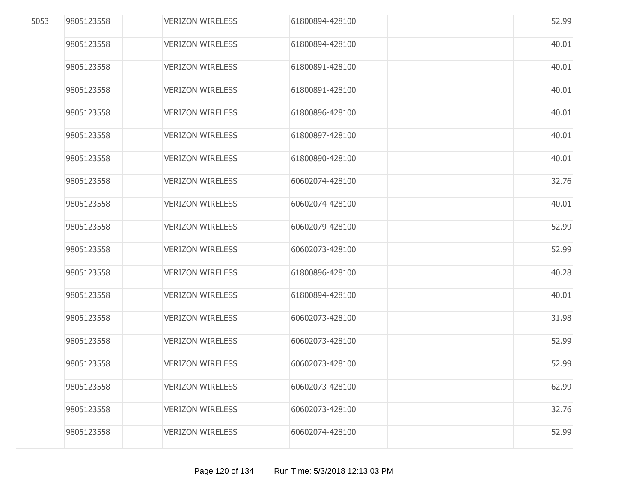| 5053 | 9805123558 | <b>VERIZON WIRELESS</b> | 61800894-428100 | 52.99 |
|------|------------|-------------------------|-----------------|-------|
|      | 9805123558 | <b>VERIZON WIRELESS</b> | 61800894-428100 | 40.01 |
|      | 9805123558 | <b>VERIZON WIRELESS</b> | 61800891-428100 | 40.01 |
|      | 9805123558 | <b>VERIZON WIRELESS</b> | 61800891-428100 | 40.01 |
|      | 9805123558 | <b>VERIZON WIRELESS</b> | 61800896-428100 | 40.01 |
|      | 9805123558 | <b>VERIZON WIRELESS</b> | 61800897-428100 | 40.01 |
|      | 9805123558 | <b>VERIZON WIRELESS</b> | 61800890-428100 | 40.01 |
|      | 9805123558 | <b>VERIZON WIRELESS</b> | 60602074-428100 | 32.76 |
|      | 9805123558 | <b>VERIZON WIRELESS</b> | 60602074-428100 | 40.01 |
|      | 9805123558 | <b>VERIZON WIRELESS</b> | 60602079-428100 | 52.99 |
|      | 9805123558 | <b>VERIZON WIRELESS</b> | 60602073-428100 | 52.99 |
|      | 9805123558 | <b>VERIZON WIRELESS</b> | 61800896-428100 | 40.28 |
|      | 9805123558 | <b>VERIZON WIRELESS</b> | 61800894-428100 | 40.01 |
|      | 9805123558 | <b>VERIZON WIRELESS</b> | 60602073-428100 | 31.98 |
|      | 9805123558 | <b>VERIZON WIRELESS</b> | 60602073-428100 | 52.99 |
|      | 9805123558 | <b>VERIZON WIRELESS</b> | 60602073-428100 | 52.99 |
|      | 9805123558 | <b>VERIZON WIRELESS</b> | 60602073-428100 | 62.99 |
|      | 9805123558 | <b>VERIZON WIRELESS</b> | 60602073-428100 | 32.76 |
|      | 9805123558 | <b>VERIZON WIRELESS</b> | 60602074-428100 | 52.99 |
|      |            |                         |                 |       |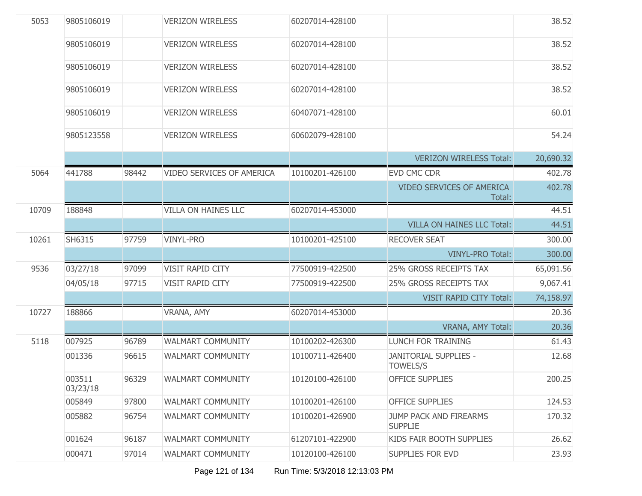| 5053  | 9805106019         |       | <b>VERIZON WIRELESS</b>    | 60207014-428100 |                                            | 38.52     |
|-------|--------------------|-------|----------------------------|-----------------|--------------------------------------------|-----------|
|       | 9805106019         |       | <b>VERIZON WIRELESS</b>    | 60207014-428100 |                                            | 38.52     |
|       | 9805106019         |       | <b>VERIZON WIRELESS</b>    | 60207014-428100 |                                            | 38.52     |
|       | 9805106019         |       | <b>VERIZON WIRELESS</b>    | 60207014-428100 |                                            | 38.52     |
|       | 9805106019         |       | <b>VERIZON WIRELESS</b>    | 60407071-428100 |                                            | 60.01     |
|       | 9805123558         |       | <b>VERIZON WIRELESS</b>    | 60602079-428100 |                                            | 54.24     |
|       |                    |       |                            |                 | <b>VERIZON WIRELESS Total:</b>             | 20,690.32 |
| 5064  | 441788             | 98442 | VIDEO SERVICES OF AMERICA  | 10100201-426100 | EVD CMC CDR                                | 402.78    |
|       |                    |       |                            |                 | <b>VIDEO SERVICES OF AMERICA</b><br>Total: | 402.78    |
| 10709 | 188848             |       | <b>VILLA ON HAINES LLC</b> | 60207014-453000 |                                            | 44.51     |
|       |                    |       |                            |                 | <b>VILLA ON HAINES LLC Total:</b>          | 44.51     |
| 10261 | SH6315             | 97759 | <b>VINYL-PRO</b>           | 10100201-425100 | <b>RECOVER SEAT</b>                        | 300.00    |
|       |                    |       |                            |                 | <b>VINYL-PRO Total:</b>                    | 300.00    |
| 9536  | 03/27/18           | 97099 | VISIT RAPID CITY           | 77500919-422500 | 25% GROSS RECEIPTS TAX                     | 65,091.56 |
|       | 04/05/18           | 97715 | VISIT RAPID CITY           | 77500919-422500 | 25% GROSS RECEIPTS TAX                     | 9,067.41  |
|       |                    |       |                            |                 | <b>VISIT RAPID CITY Total:</b>             | 74,158.97 |
| 10727 | 188866             |       | VRANA, AMY                 | 60207014-453000 |                                            | 20.36     |
|       |                    |       |                            |                 | VRANA, AMY Total:                          | 20.36     |
| 5118  | 007925             | 96789 | WALMART COMMUNITY          | 10100202-426300 | LUNCH FOR TRAINING                         | 61.43     |
|       | 001336             | 96615 | <b>WALMART COMMUNITY</b>   | 10100711-426400 | JANITORIAL SUPPLIES -<br><b>TOWELS/S</b>   | 12.68     |
|       | 003511<br>03/23/18 | 96329 | <b>WALMART COMMUNITY</b>   | 10120100-426100 | OFFICE SUPPLIES                            | 200.25    |
|       | 005849             | 97800 | <b>WALMART COMMUNITY</b>   | 10100201-426100 | <b>OFFICE SUPPLIES</b>                     | 124.53    |
|       | 005882             | 96754 | <b>WALMART COMMUNITY</b>   | 10100201-426900 | JUMP PACK AND FIREARMS<br><b>SUPPLIE</b>   | 170.32    |
|       | 001624             | 96187 | <b>WALMART COMMUNITY</b>   | 61207101-422900 | KIDS FAIR BOOTH SUPPLIES                   | 26.62     |
|       | 000471             | 97014 | WALMART COMMUNITY          | 10120100-426100 | SUPPLIES FOR EVD                           | 23.93     |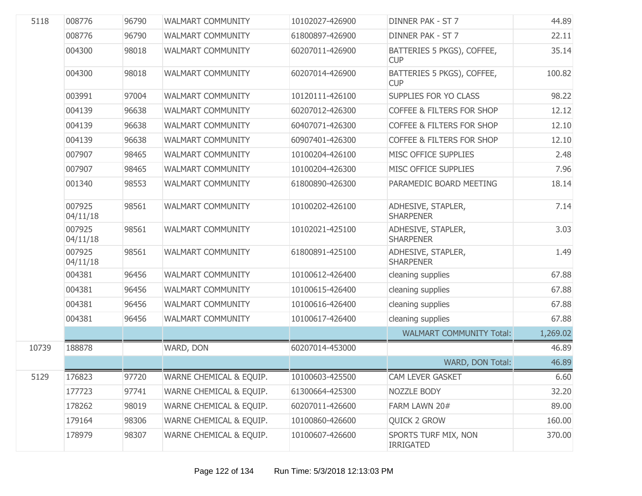| 5118  | 008776             | 96790 | <b>WALMART COMMUNITY</b> | 10102027-426900 | DINNER PAK - ST 7                        | 44.89    |
|-------|--------------------|-------|--------------------------|-----------------|------------------------------------------|----------|
|       | 008776             | 96790 | <b>WALMART COMMUNITY</b> | 61800897-426900 | DINNER PAK - ST 7                        | 22.11    |
|       | 004300             | 98018 | <b>WALMART COMMUNITY</b> | 60207011-426900 | BATTERIES 5 PKGS), COFFEE,<br><b>CUP</b> | 35.14    |
|       | 004300             | 98018 | <b>WALMART COMMUNITY</b> | 60207014-426900 | BATTERIES 5 PKGS), COFFEE,<br><b>CUP</b> | 100.82   |
|       | 003991             | 97004 | WALMART COMMUNITY        | 10120111-426100 | SUPPLIES FOR YO CLASS                    | 98.22    |
|       | 004139             | 96638 | <b>WALMART COMMUNITY</b> | 60207012-426300 | <b>COFFEE &amp; FILTERS FOR SHOP</b>     | 12.12    |
|       | 004139             | 96638 | <b>WALMART COMMUNITY</b> | 60407071-426300 | <b>COFFEE &amp; FILTERS FOR SHOP</b>     | 12.10    |
|       | 004139             | 96638 | <b>WALMART COMMUNITY</b> | 60907401-426300 | <b>COFFEE &amp; FILTERS FOR SHOP</b>     | 12.10    |
|       | 007907             | 98465 | <b>WALMART COMMUNITY</b> | 10100204-426100 | MISC OFFICE SUPPLIES                     | 2.48     |
|       | 007907             | 98465 | <b>WALMART COMMUNITY</b> | 10100204-426300 | MISC OFFICE SUPPLIES                     | 7.96     |
|       | 001340             | 98553 | <b>WALMART COMMUNITY</b> | 61800890-426300 | PARAMEDIC BOARD MEETING                  | 18.14    |
|       | 007925<br>04/11/18 | 98561 | <b>WALMART COMMUNITY</b> | 10100202-426100 | ADHESIVE, STAPLER,<br><b>SHARPENER</b>   | 7.14     |
|       | 007925<br>04/11/18 | 98561 | <b>WALMART COMMUNITY</b> | 10102021-425100 | ADHESIVE, STAPLER,<br><b>SHARPENER</b>   | 3.03     |
|       | 007925<br>04/11/18 | 98561 | <b>WALMART COMMUNITY</b> | 61800891-425100 | ADHESIVE, STAPLER,<br><b>SHARPENER</b>   | 1.49     |
|       | 004381             | 96456 | <b>WALMART COMMUNITY</b> | 10100612-426400 | cleaning supplies                        | 67.88    |
|       | 004381             | 96456 | <b>WALMART COMMUNITY</b> | 10100615-426400 | cleaning supplies                        | 67.88    |
|       | 004381             | 96456 | <b>WALMART COMMUNITY</b> | 10100616-426400 | cleaning supplies                        | 67.88    |
|       | 004381             | 96456 | <b>WALMART COMMUNITY</b> | 10100617-426400 | cleaning supplies                        | 67.88    |
|       |                    |       |                          |                 | <b>WALMART COMMUNITY Total:</b>          | 1,269.02 |
| 10739 | 188878             |       | WARD, DON                | 60207014-453000 |                                          | 46.89    |
|       |                    |       |                          |                 | WARD, DON Total:                         | 46.89    |
| 5129  | 176823             | 97720 | WARNE CHEMICAL & EQUIP.  | 10100603-425500 | CAM LEVER GASKET                         | 6.60     |
|       | 177723             | 97741 | WARNE CHEMICAL & EQUIP.  | 61300664-425300 | NOZZLE BODY                              | 32.20    |
|       | 178262             | 98019 | WARNE CHEMICAL & EQUIP.  | 60207011-426600 | FARM LAWN 20#                            | 89.00    |
|       | 179164             | 98306 | WARNE CHEMICAL & EQUIP.  | 10100860-426600 | <b>QUICK 2 GROW</b>                      | 160.00   |
|       | 178979             | 98307 | WARNE CHEMICAL & EQUIP.  | 10100607-426600 | SPORTS TURF MIX, NON<br><b>IRRIGATED</b> | 370.00   |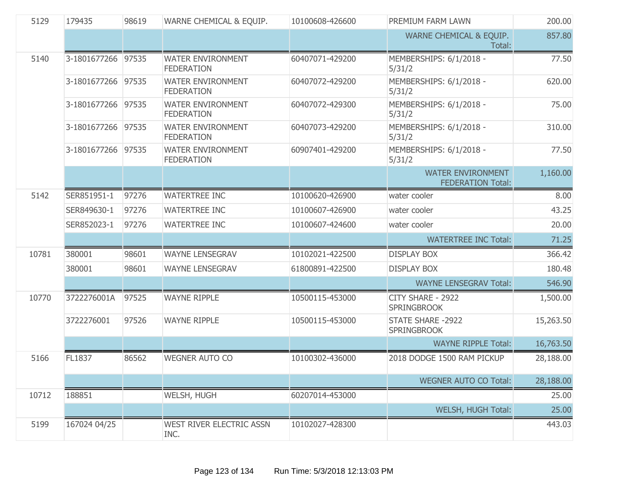| 5129  | 179435             | 98619 | WARNE CHEMICAL & EQUIP.                       | 10100608-426600 | PREMIUM FARM LAWN                                    | 200.00    |
|-------|--------------------|-------|-----------------------------------------------|-----------------|------------------------------------------------------|-----------|
|       |                    |       |                                               |                 | WARNE CHEMICAL & EQUIP.<br>Total:                    | 857.80    |
| 5140  | 3-1801677266 97535 |       | <b>WATER ENVIRONMENT</b><br><b>FEDERATION</b> | 60407071-429200 | MEMBERSHIPS: 6/1/2018 -<br>5/31/2                    | 77.50     |
|       | 3-1801677266 97535 |       | <b>WATER ENVIRONMENT</b><br><b>FEDERATION</b> | 60407072-429200 | MEMBERSHIPS: 6/1/2018 -<br>5/31/2                    | 620.00    |
|       | 3-1801677266 97535 |       | <b>WATER ENVIRONMENT</b><br><b>FEDERATION</b> | 60407072-429300 | MEMBERSHIPS: 6/1/2018 -<br>5/31/2                    | 75.00     |
|       | 3-1801677266 97535 |       | <b>WATER ENVIRONMENT</b><br><b>FEDERATION</b> | 60407073-429200 | MEMBERSHIPS: 6/1/2018 -<br>5/31/2                    | 310.00    |
|       | 3-1801677266 97535 |       | <b>WATER ENVIRONMENT</b><br><b>FEDERATION</b> | 60907401-429200 | MEMBERSHIPS: 6/1/2018 -<br>5/31/2                    | 77.50     |
|       |                    |       |                                               |                 | <b>WATER ENVIRONMENT</b><br><b>FEDERATION Total:</b> | 1,160.00  |
| 5142  | SER851951-1        | 97276 | <b>WATERTREE INC</b>                          | 10100620-426900 | water cooler                                         | 8.00      |
|       | SER849630-1        | 97276 | <b>WATERTREE INC</b>                          | 10100607-426900 | water cooler                                         | 43.25     |
|       | SER852023-1        | 97276 | <b>WATERTREE INC</b>                          | 10100607-424600 | water cooler                                         | 20.00     |
|       |                    |       |                                               |                 | <b>WATERTREE INC Total:</b>                          | 71.25     |
| 10781 | 380001             | 98601 | <b>WAYNE LENSEGRAV</b>                        | 10102021-422500 | <b>DISPLAY BOX</b>                                   | 366.42    |
|       | 380001             | 98601 | <b>WAYNE LENSEGRAV</b>                        | 61800891-422500 | <b>DISPLAY BOX</b>                                   | 180.48    |
|       |                    |       |                                               |                 | <b>WAYNE LENSEGRAV Total:</b>                        | 546.90    |
| 10770 | 3722276001A        | 97525 | <b>WAYNE RIPPLE</b>                           | 10500115-453000 | CITY SHARE - 2922<br><b>SPRINGBROOK</b>              | 1,500.00  |
|       | 3722276001         | 97526 | <b>WAYNE RIPPLE</b>                           | 10500115-453000 | <b>STATE SHARE -2922</b><br><b>SPRINGBROOK</b>       | 15,263.50 |
|       |                    |       |                                               |                 | <b>WAYNE RIPPLE Total:</b>                           | 16,763.50 |
| 5166  | FL1837             | 86562 | <b>WEGNER AUTO CO</b>                         | 10100302-436000 | 2018 DODGE 1500 RAM PICKUP                           | 28,188.00 |
|       |                    |       |                                               |                 | <b>WEGNER AUTO CO Total:</b>                         | 28,188.00 |
| 10712 | 188851             |       | WELSH, HUGH                                   | 60207014-453000 |                                                      | 25.00     |
|       |                    |       |                                               |                 | WELSH, HUGH Total:                                   | 25.00     |
| 5199  | 167024 04/25       |       | WEST RIVER ELECTRIC ASSN<br>INC.              | 10102027-428300 |                                                      | 443.03    |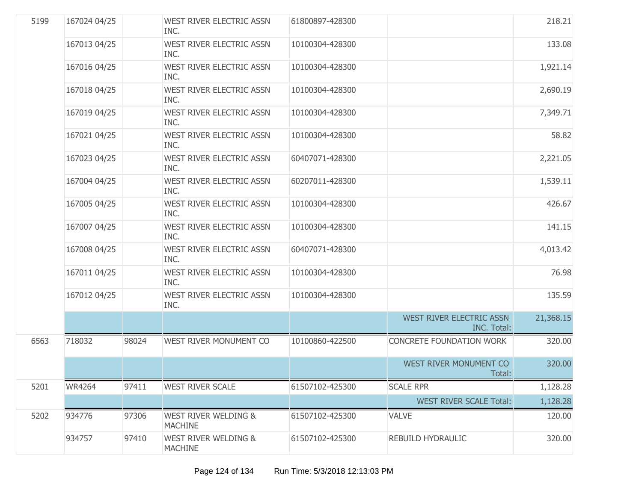| 5199 | 167024 04/25  |       | WEST RIVER ELECTRIC ASSN<br>INC.                  | 61800897-428300 |                                                | 218.21    |
|------|---------------|-------|---------------------------------------------------|-----------------|------------------------------------------------|-----------|
|      | 167013 04/25  |       | WEST RIVER ELECTRIC ASSN<br>INC.                  | 10100304-428300 |                                                | 133.08    |
|      | 167016 04/25  |       | WEST RIVER ELECTRIC ASSN<br>INC.                  | 10100304-428300 |                                                | 1,921.14  |
|      | 167018 04/25  |       | <b>WEST RIVER ELECTRIC ASSN</b><br>INC.           | 10100304-428300 |                                                | 2,690.19  |
|      | 167019 04/25  |       | WEST RIVER ELECTRIC ASSN<br>INC.                  | 10100304-428300 |                                                | 7,349.71  |
|      | 167021 04/25  |       | WEST RIVER ELECTRIC ASSN<br>INC.                  | 10100304-428300 |                                                | 58.82     |
|      | 167023 04/25  |       | WEST RIVER ELECTRIC ASSN<br>INC.                  | 60407071-428300 |                                                | 2,221.05  |
|      | 167004 04/25  |       | WEST RIVER ELECTRIC ASSN<br>INC.                  | 60207011-428300 |                                                | 1,539.11  |
|      | 167005 04/25  |       | <b>WEST RIVER ELECTRIC ASSN</b><br>INC.           | 10100304-428300 |                                                | 426.67    |
|      | 167007 04/25  |       | WEST RIVER ELECTRIC ASSN<br>INC.                  | 10100304-428300 |                                                | 141.15    |
|      | 167008 04/25  |       | WEST RIVER ELECTRIC ASSN<br>INC.                  | 60407071-428300 |                                                | 4,013.42  |
|      | 167011 04/25  |       | WEST RIVER ELECTRIC ASSN<br>INC.                  | 10100304-428300 |                                                | 76.98     |
|      | 167012 04/25  |       | WEST RIVER ELECTRIC ASSN<br>INC.                  | 10100304-428300 |                                                | 135.59    |
|      |               |       |                                                   |                 | WEST RIVER ELECTRIC ASSN<br><b>INC. Total:</b> | 21,368.15 |
| 6563 | 718032        | 98024 | WEST RIVER MONUMENT CO                            | 10100860-422500 | <b>CONCRETE FOUNDATION WORK</b>                | 320.00    |
|      |               |       |                                                   |                 | WEST RIVER MONUMENT CO<br>Total:               | 320.00    |
| 5201 | <b>WR4264</b> | 97411 | <b>WEST RIVER SCALE</b>                           | 61507102-425300 | <b>SCALE RPR</b>                               | 1,128.28  |
|      |               |       |                                                   |                 | <b>WEST RIVER SCALE Total:</b>                 | 1,128.28  |
| 5202 | 934776        | 97306 | <b>WEST RIVER WELDING &amp;</b><br><b>MACHINE</b> | 61507102-425300 | <b>VALVE</b>                                   | 120.00    |
|      | 934757        | 97410 | <b>WEST RIVER WELDING &amp;</b><br><b>MACHINE</b> | 61507102-425300 | REBUILD HYDRAULIC                              | 320.00    |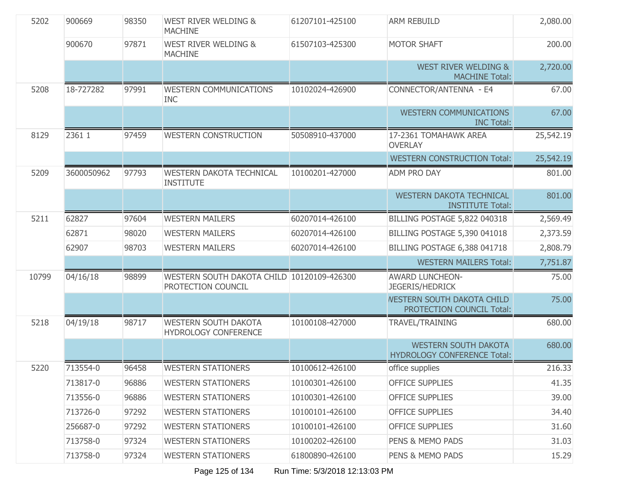| 5202  | 900669     | 98350 | <b>WEST RIVER WELDING &amp;</b><br><b>MACHINE</b>                | 61207101-425100 | <b>ARM REBUILD</b>                                                | 2,080.00  |
|-------|------------|-------|------------------------------------------------------------------|-----------------|-------------------------------------------------------------------|-----------|
|       | 900670     | 97871 | <b>WEST RIVER WELDING &amp;</b><br><b>MACHINE</b>                | 61507103-425300 | <b>MOTOR SHAFT</b>                                                | 200.00    |
|       |            |       |                                                                  |                 | <b>WEST RIVER WELDING &amp;</b><br><b>MACHINE Total:</b>          | 2,720.00  |
| 5208  | 18-727282  | 97991 | <b>WESTERN COMMUNICATIONS</b><br><b>INC</b>                      | 10102024-426900 | CONNECTOR/ANTENNA - E4                                            | 67.00     |
|       |            |       |                                                                  |                 | <b>WESTERN COMMUNICATIONS</b><br><b>INC Total:</b>                | 67.00     |
| 8129  | 2361 1     | 97459 | <b>WESTERN CONSTRUCTION</b>                                      | 50508910-437000 | 17-2361 TOMAHAWK AREA<br><b>OVERLAY</b>                           | 25,542.19 |
|       |            |       |                                                                  |                 | <b>WESTERN CONSTRUCTION Total:</b>                                | 25,542.19 |
| 5209  | 3600050962 | 97793 | <b>WESTERN DAKOTA TECHNICAL</b><br><b>INSTITUTE</b>              | 10100201-427000 | ADM PRO DAY                                                       | 801.00    |
|       |            |       |                                                                  |                 | <b>WESTERN DAKOTA TECHNICAL</b><br><b>INSTITUTE Total:</b>        | 801.00    |
| 5211  | 62827      | 97604 | <b>WESTERN MAILERS</b>                                           | 60207014-426100 | BILLING POSTAGE 5,822 040318                                      | 2,569.49  |
|       | 62871      | 98020 | <b>WESTERN MAILERS</b>                                           | 60207014-426100 | BILLING POSTAGE 5,390 041018                                      | 2,373.59  |
|       | 62907      | 98703 | <b>WESTERN MAILERS</b>                                           | 60207014-426100 | BILLING POSTAGE 6,388 041718                                      | 2,808.79  |
|       |            |       |                                                                  |                 | <b>WESTERN MAILERS Total:</b>                                     | 7,751.87  |
| 10799 | 04/16/18   | 98899 | WESTERN SOUTH DAKOTA CHILD 10120109-426300<br>PROTECTION COUNCIL |                 | <b>AWARD LUNCHEON-</b><br><b>JEGERIS/HEDRICK</b>                  | 75.00     |
|       |            |       |                                                                  |                 | <b>NESTERN SOUTH DAKOTA CHILD</b><br>PROTECTION COUNCIL Total:    | 75.00     |
| 5218  | 04/19/18   | 98717 | <b>WESTERN SOUTH DAKOTA</b><br><b>HYDROLOGY CONFERENCE</b>       | 10100108-427000 | TRAVEL/TRAINING                                                   | 680.00    |
|       |            |       |                                                                  |                 | <b>WESTERN SOUTH DAKOTA</b><br><b>HYDROLOGY CONFERENCE Total:</b> | 680.00    |
| 5220  | 713554-0   | 96458 | <b>WESTERN STATIONERS</b>                                        | 10100612-426100 | office supplies                                                   | 216.33    |
|       | 713817-0   | 96886 | <b>WESTERN STATIONERS</b>                                        | 10100301-426100 | <b>OFFICE SUPPLIES</b>                                            | 41.35     |
|       | 713556-0   | 96886 | <b>WESTERN STATIONERS</b>                                        | 10100301-426100 | <b>OFFICE SUPPLIES</b>                                            | 39.00     |
|       | 713726-0   | 97292 | <b>WESTERN STATIONERS</b>                                        | 10100101-426100 | <b>OFFICE SUPPLIES</b>                                            | 34.40     |
|       | 256687-0   | 97292 | <b>WESTERN STATIONERS</b>                                        | 10100101-426100 | <b>OFFICE SUPPLIES</b>                                            | 31.60     |
|       | 713758-0   | 97324 | <b>WESTERN STATIONERS</b>                                        | 10100202-426100 | PENS & MEMO PADS                                                  | 31.03     |
|       | 713758-0   | 97324 | <b>WESTERN STATIONERS</b>                                        | 61800890-426100 | PENS & MEMO PADS                                                  | 15.29     |

Page 125 of 134 Run Time: 5/3/2018 12:13:03 PM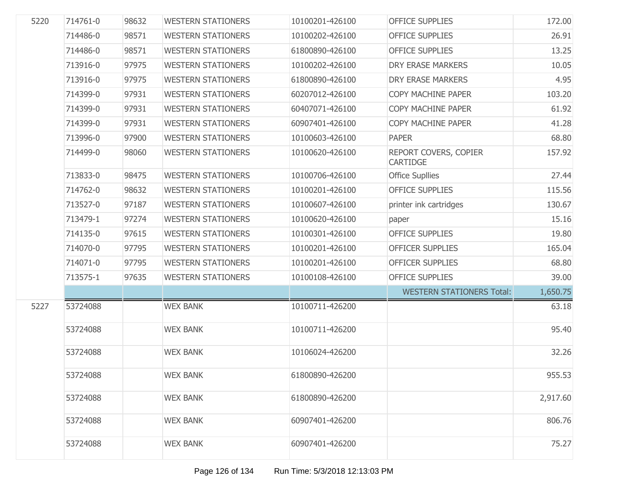| 5220 | 714761-0 | 98632 | <b>WESTERN STATIONERS</b> | 10100201-426100 | <b>OFFICE SUPPLIES</b>                   | 172.00   |
|------|----------|-------|---------------------------|-----------------|------------------------------------------|----------|
|      | 714486-0 | 98571 | <b>WESTERN STATIONERS</b> | 10100202-426100 | <b>OFFICE SUPPLIES</b>                   | 26.91    |
|      | 714486-0 | 98571 | <b>WESTERN STATIONERS</b> | 61800890-426100 | <b>OFFICE SUPPLIES</b>                   | 13.25    |
|      | 713916-0 | 97975 | <b>WESTERN STATIONERS</b> | 10100202-426100 | DRY ERASE MARKERS                        | 10.05    |
|      | 713916-0 | 97975 | <b>WESTERN STATIONERS</b> | 61800890-426100 | DRY ERASE MARKERS                        | 4.95     |
|      | 714399-0 | 97931 | <b>WESTERN STATIONERS</b> | 60207012-426100 | COPY MACHINE PAPER                       | 103.20   |
|      | 714399-0 | 97931 | <b>WESTERN STATIONERS</b> | 60407071-426100 | COPY MACHINE PAPER                       | 61.92    |
|      | 714399-0 | 97931 | <b>WESTERN STATIONERS</b> | 60907401-426100 | COPY MACHINE PAPER                       | 41.28    |
|      | 713996-0 | 97900 | <b>WESTERN STATIONERS</b> | 10100603-426100 | <b>PAPER</b>                             | 68.80    |
|      | 714499-0 | 98060 | <b>WESTERN STATIONERS</b> | 10100620-426100 | REPORT COVERS, COPIER<br><b>CARTIDGE</b> | 157.92   |
|      | 713833-0 | 98475 | <b>WESTERN STATIONERS</b> | 10100706-426100 | <b>Office Supllies</b>                   | 27.44    |
|      | 714762-0 | 98632 | <b>WESTERN STATIONERS</b> | 10100201-426100 | <b>OFFICE SUPPLIES</b>                   | 115.56   |
|      | 713527-0 | 97187 | <b>WESTERN STATIONERS</b> | 10100607-426100 | printer ink cartridges                   | 130.67   |
|      | 713479-1 | 97274 | <b>WESTERN STATIONERS</b> | 10100620-426100 | paper                                    | 15.16    |
|      | 714135-0 | 97615 | <b>WESTERN STATIONERS</b> | 10100301-426100 | <b>OFFICE SUPPLIES</b>                   | 19.80    |
|      | 714070-0 | 97795 | <b>WESTERN STATIONERS</b> | 10100201-426100 | <b>OFFICER SUPPLIES</b>                  | 165.04   |
|      | 714071-0 | 97795 | <b>WESTERN STATIONERS</b> | 10100201-426100 | <b>OFFICER SUPPLIES</b>                  | 68.80    |
|      | 713575-1 | 97635 | <b>WESTERN STATIONERS</b> | 10100108-426100 | <b>OFFICE SUPPLIES</b>                   | 39.00    |
|      |          |       |                           |                 | <b>WESTERN STATIONERS Total:</b>         | 1,650.75 |
| 5227 | 53724088 |       | <b>WEX BANK</b>           | 10100711-426200 |                                          | 63.18    |
|      | 53724088 |       | <b>WEX BANK</b>           | 10100711-426200 |                                          | 95.40    |
|      | 53724088 |       | <b>WEX BANK</b>           | 10106024-426200 |                                          | 32.26    |
|      | 53724088 |       | <b>WEX BANK</b>           | 61800890-426200 |                                          | 955.53   |
|      | 53724088 |       | <b>WEX BANK</b>           | 61800890-426200 |                                          | 2,917.60 |
|      | 53724088 |       | <b>WEX BANK</b>           | 60907401-426200 |                                          | 806.76   |
|      | 53724088 |       | <b>WEX BANK</b>           | 60907401-426200 |                                          | 75.27    |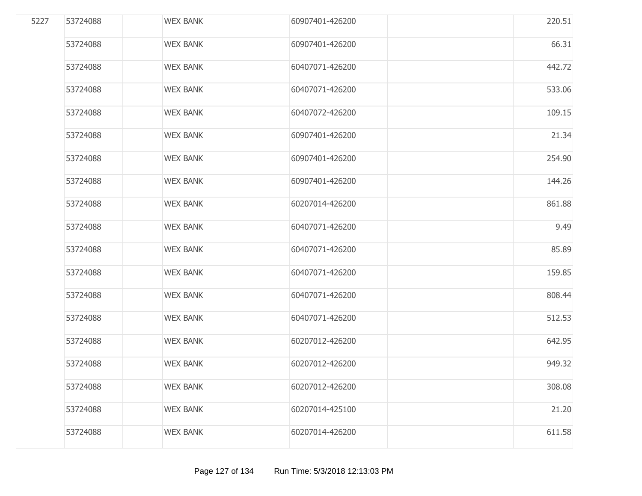| 5227 | 53724088 | <b>WEX BANK</b> | 60907401-426200 | 220.51 |
|------|----------|-----------------|-----------------|--------|
|      | 53724088 | <b>WEX BANK</b> | 60907401-426200 | 66.31  |
|      | 53724088 | <b>WEX BANK</b> | 60407071-426200 | 442.72 |
|      | 53724088 | <b>WEX BANK</b> | 60407071-426200 | 533.06 |
|      | 53724088 | <b>WEX BANK</b> | 60407072-426200 | 109.15 |
|      | 53724088 | <b>WEX BANK</b> | 60907401-426200 | 21.34  |
|      | 53724088 | <b>WEX BANK</b> | 60907401-426200 | 254.90 |
|      | 53724088 | <b>WEX BANK</b> | 60907401-426200 | 144.26 |
|      | 53724088 | <b>WEX BANK</b> | 60207014-426200 | 861.88 |
|      | 53724088 | <b>WEX BANK</b> | 60407071-426200 | 9.49   |
|      | 53724088 | <b>WEX BANK</b> | 60407071-426200 | 85.89  |
|      | 53724088 | <b>WEX BANK</b> | 60407071-426200 | 159.85 |
|      | 53724088 | <b>WEX BANK</b> | 60407071-426200 | 808.44 |
|      | 53724088 | <b>WEX BANK</b> | 60407071-426200 | 512.53 |
|      | 53724088 | <b>WEX BANK</b> | 60207012-426200 | 642.95 |
|      | 53724088 | <b>WEX BANK</b> | 60207012-426200 | 949.32 |
|      | 53724088 | <b>WEX BANK</b> | 60207012-426200 | 308.08 |
|      | 53724088 | <b>WEX BANK</b> | 60207014-425100 | 21.20  |
|      | 53724088 | <b>WEX BANK</b> | 60207014-426200 | 611.58 |
|      |          |                 |                 |        |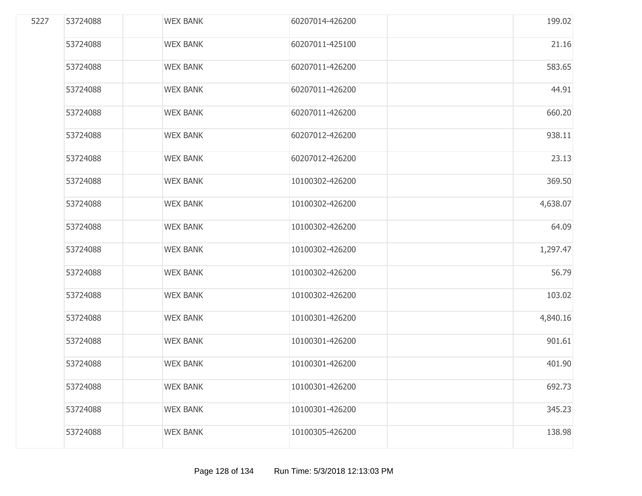| 5227 | 53724088 | <b>WEX BANK</b> | 60207014-426200 | 199.02   |
|------|----------|-----------------|-----------------|----------|
|      | 53724088 | <b>WEX BANK</b> | 60207011-425100 | 21.16    |
|      | 53724088 | <b>WEX BANK</b> | 60207011-426200 | 583.65   |
|      | 53724088 | <b>WEX BANK</b> | 60207011-426200 | 44.91    |
|      | 53724088 | <b>WEX BANK</b> | 60207011-426200 | 660.20   |
|      | 53724088 | <b>WEX BANK</b> | 60207012-426200 | 938.11   |
|      | 53724088 | <b>WEX BANK</b> | 60207012-426200 | 23.13    |
|      | 53724088 | <b>WEX BANK</b> | 10100302-426200 | 369.50   |
|      | 53724088 | <b>WEX BANK</b> | 10100302-426200 | 4,638.07 |
|      | 53724088 | <b>WEX BANK</b> | 10100302-426200 | 64.09    |
|      | 53724088 | <b>WEX BANK</b> | 10100302-426200 | 1,297.47 |
|      | 53724088 | <b>WEX BANK</b> | 10100302-426200 | 56.79    |
|      | 53724088 | <b>WEX BANK</b> | 10100302-426200 | 103.02   |
|      | 53724088 | <b>WEX BANK</b> | 10100301-426200 | 4,840.16 |
|      | 53724088 | <b>WEX BANK</b> | 10100301-426200 | 901.61   |
|      | 53724088 | <b>WEX BANK</b> | 10100301-426200 | 401.90   |
|      | 53724088 | <b>WEX BANK</b> | 10100301-426200 | 692.73   |
|      | 53724088 | <b>WEX BANK</b> | 10100301-426200 | 345.23   |
|      | 53724088 | <b>WEX BANK</b> | 10100305-426200 | 138.98   |
|      |          |                 |                 |          |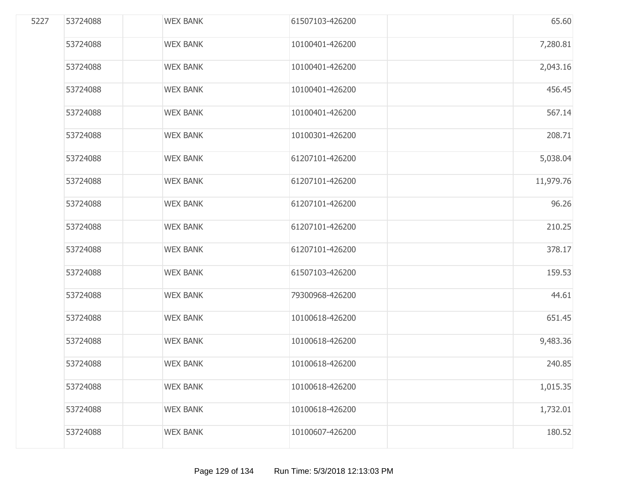| 5227 | 53724088 | <b>WEX BANK</b> | 61507103-426200 | 65.60     |
|------|----------|-----------------|-----------------|-----------|
|      | 53724088 | <b>WEX BANK</b> | 10100401-426200 | 7,280.81  |
|      | 53724088 | <b>WEX BANK</b> | 10100401-426200 | 2,043.16  |
|      | 53724088 | <b>WEX BANK</b> | 10100401-426200 | 456.45    |
|      | 53724088 | <b>WEX BANK</b> | 10100401-426200 | 567.14    |
|      | 53724088 | <b>WEX BANK</b> | 10100301-426200 | 208.71    |
|      | 53724088 | <b>WEX BANK</b> | 61207101-426200 | 5,038.04  |
|      | 53724088 | <b>WEX BANK</b> | 61207101-426200 | 11,979.76 |
|      | 53724088 | <b>WEX BANK</b> | 61207101-426200 | 96.26     |
|      | 53724088 | <b>WEX BANK</b> | 61207101-426200 | 210.25    |
|      | 53724088 | <b>WEX BANK</b> | 61207101-426200 | 378.17    |
|      | 53724088 | <b>WEX BANK</b> | 61507103-426200 | 159.53    |
|      | 53724088 | <b>WEX BANK</b> | 79300968-426200 | 44.61     |
|      | 53724088 | <b>WEX BANK</b> | 10100618-426200 | 651.45    |
|      | 53724088 | <b>WEX BANK</b> | 10100618-426200 | 9,483.36  |
|      | 53724088 | <b>WEX BANK</b> | 10100618-426200 | 240.85    |
|      | 53724088 | <b>WEX BANK</b> | 10100618-426200 | 1,015.35  |
|      | 53724088 | <b>WEX BANK</b> | 10100618-426200 | 1,732.01  |
|      | 53724088 | <b>WEX BANK</b> | 10100607-426200 | 180.52    |
|      |          |                 |                 |           |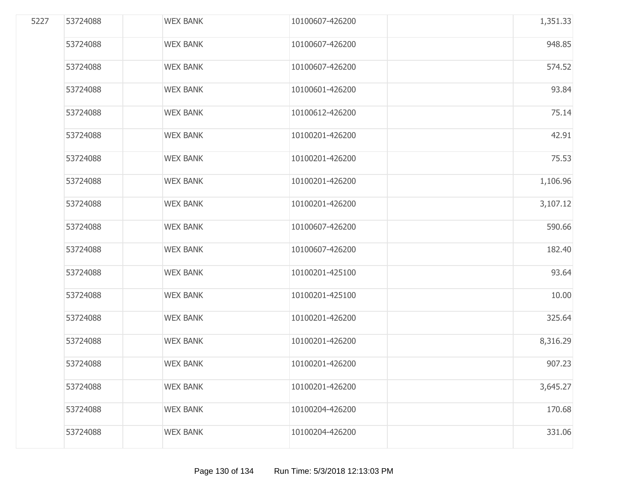| 5227 | 53724088 | <b>WEX BANK</b> | 10100607-426200 | 1,351.33 |
|------|----------|-----------------|-----------------|----------|
|      | 53724088 | <b>WEX BANK</b> | 10100607-426200 | 948.85   |
|      | 53724088 | <b>WEX BANK</b> | 10100607-426200 | 574.52   |
|      | 53724088 | <b>WEX BANK</b> | 10100601-426200 | 93.84    |
|      | 53724088 | <b>WEX BANK</b> | 10100612-426200 | 75.14    |
|      | 53724088 | <b>WEX BANK</b> | 10100201-426200 | 42.91    |
|      | 53724088 | <b>WEX BANK</b> | 10100201-426200 | 75.53    |
|      | 53724088 | <b>WEX BANK</b> | 10100201-426200 | 1,106.96 |
|      | 53724088 | <b>WEX BANK</b> | 10100201-426200 | 3,107.12 |
|      | 53724088 | <b>WEX BANK</b> | 10100607-426200 | 590.66   |
|      | 53724088 | <b>WEX BANK</b> | 10100607-426200 | 182.40   |
|      | 53724088 | <b>WEX BANK</b> | 10100201-425100 | 93.64    |
|      | 53724088 | <b>WEX BANK</b> | 10100201-425100 | 10.00    |
|      | 53724088 | <b>WEX BANK</b> | 10100201-426200 | 325.64   |
|      | 53724088 | <b>WEX BANK</b> | 10100201-426200 | 8,316.29 |
|      | 53724088 | <b>WEX BANK</b> | 10100201-426200 | 907.23   |
|      | 53724088 | <b>WEX BANK</b> | 10100201-426200 | 3,645.27 |
|      | 53724088 | <b>WEX BANK</b> | 10100204-426200 | 170.68   |
|      | 53724088 | <b>WEX BANK</b> | 10100204-426200 | 331.06   |
|      |          |                 |                 |          |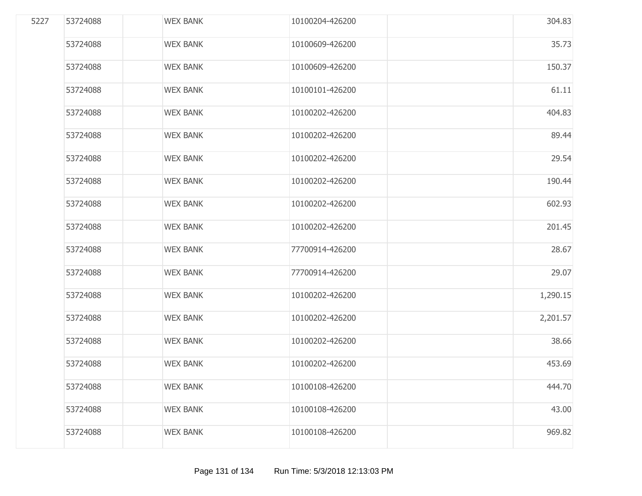| 5227 | 53724088 | <b>WEX BANK</b> | 10100204-426200 | 304.83   |
|------|----------|-----------------|-----------------|----------|
|      | 53724088 | <b>WEX BANK</b> | 10100609-426200 | 35.73    |
|      | 53724088 | <b>WEX BANK</b> | 10100609-426200 | 150.37   |
|      | 53724088 | <b>WEX BANK</b> | 10100101-426200 | 61.11    |
|      | 53724088 | <b>WEX BANK</b> | 10100202-426200 | 404.83   |
|      | 53724088 | <b>WEX BANK</b> | 10100202-426200 | 89.44    |
|      | 53724088 | <b>WEX BANK</b> | 10100202-426200 | 29.54    |
|      | 53724088 | <b>WEX BANK</b> | 10100202-426200 | 190.44   |
|      | 53724088 | <b>WEX BANK</b> | 10100202-426200 | 602.93   |
|      | 53724088 | <b>WEX BANK</b> | 10100202-426200 | 201.45   |
|      | 53724088 | <b>WEX BANK</b> | 77700914-426200 | 28.67    |
|      | 53724088 | <b>WEX BANK</b> | 77700914-426200 | 29.07    |
|      | 53724088 | <b>WEX BANK</b> | 10100202-426200 | 1,290.15 |
|      | 53724088 | <b>WEX BANK</b> | 10100202-426200 | 2,201.57 |
|      | 53724088 | <b>WEX BANK</b> | 10100202-426200 | 38.66    |
|      | 53724088 | <b>WEX BANK</b> | 10100202-426200 | 453.69   |
|      | 53724088 | <b>WEX BANK</b> | 10100108-426200 | 444.70   |
|      | 53724088 | <b>WEX BANK</b> | 10100108-426200 | 43.00    |
|      | 53724088 | <b>WEX BANK</b> | 10100108-426200 | 969.82   |
|      |          |                 |                 |          |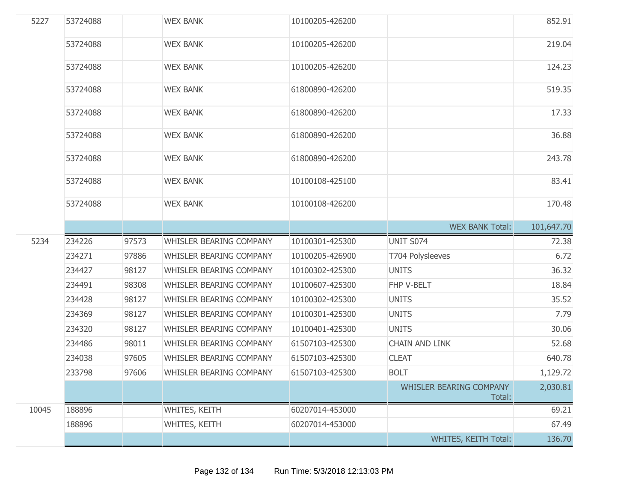| 5227  | 53724088 |       | <b>WEX BANK</b>                | 10100205-426200 |                                          | 852.91     |
|-------|----------|-------|--------------------------------|-----------------|------------------------------------------|------------|
|       | 53724088 |       | <b>WEX BANK</b>                | 10100205-426200 |                                          | 219.04     |
|       | 53724088 |       | <b>WEX BANK</b>                | 10100205-426200 |                                          | 124.23     |
|       | 53724088 |       | <b>WEX BANK</b>                | 61800890-426200 |                                          | 519.35     |
|       | 53724088 |       | <b>WEX BANK</b>                | 61800890-426200 |                                          | 17.33      |
|       | 53724088 |       | <b>WEX BANK</b>                | 61800890-426200 |                                          | 36.88      |
|       | 53724088 |       | <b>WEX BANK</b>                | 61800890-426200 |                                          | 243.78     |
|       | 53724088 |       | <b>WEX BANK</b>                | 10100108-425100 |                                          | 83.41      |
|       | 53724088 |       | <b>WEX BANK</b>                | 10100108-426200 |                                          | 170.48     |
|       |          |       |                                |                 | <b>WEX BANK Total:</b>                   | 101,647.70 |
| 5234  | 234226   | 97573 | <b>WHISLER BEARING COMPANY</b> | 10100301-425300 | UNIT S074                                | 72.38      |
|       | 234271   | 97886 | <b>WHISLER BEARING COMPANY</b> | 10100205-426900 | T704 Polysleeves                         |            |
|       |          |       |                                |                 |                                          | 6.72       |
|       | 234427   | 98127 | <b>WHISLER BEARING COMPANY</b> | 10100302-425300 | <b>UNITS</b>                             | 36.32      |
|       | 234491   | 98308 | <b>WHISLER BEARING COMPANY</b> | 10100607-425300 | FHP V-BELT                               | 18.84      |
|       | 234428   | 98127 | <b>WHISLER BEARING COMPANY</b> | 10100302-425300 | <b>UNITS</b>                             | 35.52      |
|       | 234369   | 98127 | <b>WHISLER BEARING COMPANY</b> | 10100301-425300 | <b>UNITS</b>                             | 7.79       |
|       | 234320   | 98127 | <b>WHISLER BEARING COMPANY</b> | 10100401-425300 | <b>UNITS</b>                             | 30.06      |
|       | 234486   | 98011 | WHISLER BEARING COMPANY        | 61507103-425300 | <b>CHAIN AND LINK</b>                    | 52.68      |
|       | 234038   | 97605 | WHISLER BEARING COMPANY        | 61507103-425300 | <b>CLEAT</b>                             | 640.78     |
|       | 233798   | 97606 | <b>WHISLER BEARING COMPANY</b> | 61507103-425300 | <b>BOLT</b>                              | 1,129.72   |
|       |          |       |                                |                 | <b>WHISLER BEARING COMPANY</b><br>Total: | 2,030.81   |
| 10045 | 188896   |       | WHITES, KEITH                  | 60207014-453000 |                                          | 69.21      |
|       | 188896   |       | WHITES, KEITH                  | 60207014-453000 |                                          | 67.49      |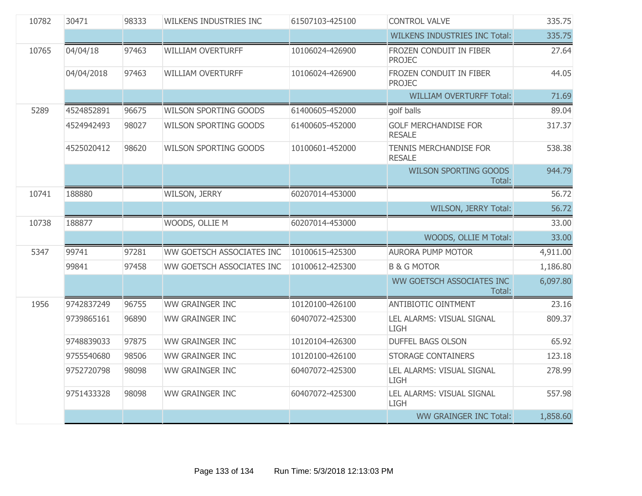| 10782 | 30471      | 98333 | <b>WILKENS INDUSTRIES INC</b> | 61507103-425100 | <b>CONTROL VALVE</b>                         | 335.75   |
|-------|------------|-------|-------------------------------|-----------------|----------------------------------------------|----------|
|       |            |       |                               |                 | <b>WILKENS INDUSTRIES INC Total:</b>         | 335.75   |
| 10765 | 04/04/18   | 97463 | <b>WILLIAM OVERTURFF</b>      | 10106024-426900 | FROZEN CONDUIT IN FIBER<br><b>PROJEC</b>     | 27.64    |
|       | 04/04/2018 | 97463 | <b>WILLIAM OVERTURFF</b>      | 10106024-426900 | FROZEN CONDUIT IN FIBER<br><b>PROJEC</b>     | 44.05    |
|       |            |       |                               |                 | <b>WILLIAM OVERTURFF Total:</b>              | 71.69    |
| 5289  | 4524852891 | 96675 | <b>WILSON SPORTING GOODS</b>  | 61400605-452000 | golf balls                                   | 89.04    |
|       | 4524942493 | 98027 | <b>WILSON SPORTING GOODS</b>  | 61400605-452000 | <b>GOLF MERCHANDISE FOR</b><br><b>RESALE</b> | 317.37   |
|       | 4525020412 | 98620 | <b>WILSON SPORTING GOODS</b>  | 10100601-452000 | TENNIS MERCHANDISE FOR<br><b>RESALE</b>      | 538.38   |
|       |            |       |                               |                 | <b>WILSON SPORTING GOODS</b><br>Total:       | 944.79   |
| 10741 | 188880     |       | WILSON, JERRY                 | 60207014-453000 |                                              | 56.72    |
|       |            |       |                               |                 | WILSON, JERRY Total:                         | 56.72    |
| 10738 | 188877     |       | WOODS, OLLIE M                | 60207014-453000 |                                              | 33.00    |
|       |            |       |                               |                 | WOODS, OLLIE M Total:                        | 33.00    |
| 5347  | 99741      | 97281 | WW GOETSCH ASSOCIATES INC     | 10100615-425300 | <b>AURORA PUMP MOTOR</b>                     | 4,911.00 |
|       | 99841      | 97458 | WW GOETSCH ASSOCIATES INC     | 10100612-425300 | <b>B &amp; G MOTOR</b>                       | 1,186.80 |
|       |            |       |                               |                 | WW GOETSCH ASSOCIATES INC<br>Total:          | 6,097.80 |
| 1956  | 9742837249 | 96755 | <b>WW GRAINGER INC</b>        | 10120100-426100 | <b>ANTIBIOTIC OINTMENT</b>                   | 23.16    |
|       | 9739865161 | 96890 | <b>WW GRAINGER INC</b>        | 60407072-425300 | LEL ALARMS: VISUAL SIGNAL<br><b>LIGH</b>     | 809.37   |
|       | 9748839033 | 97875 | <b>WW GRAINGER INC</b>        | 10120104-426300 | <b>DUFFEL BAGS OLSON</b>                     | 65.92    |
|       | 9755540680 | 98506 | <b>WW GRAINGER INC</b>        | 10120100-426100 | <b>STORAGE CONTAINERS</b>                    | 123.18   |
|       | 9752720798 | 98098 | <b>WW GRAINGER INC</b>        | 60407072-425300 | LEL ALARMS: VISUAL SIGNAL<br><b>LIGH</b>     | 278.99   |
|       | 9751433328 | 98098 | <b>WW GRAINGER INC</b>        | 60407072-425300 | LEL ALARMS: VISUAL SIGNAL<br><b>LIGH</b>     | 557.98   |
|       |            |       |                               |                 | <b>WW GRAINGER INC Total:</b>                | 1,858.60 |